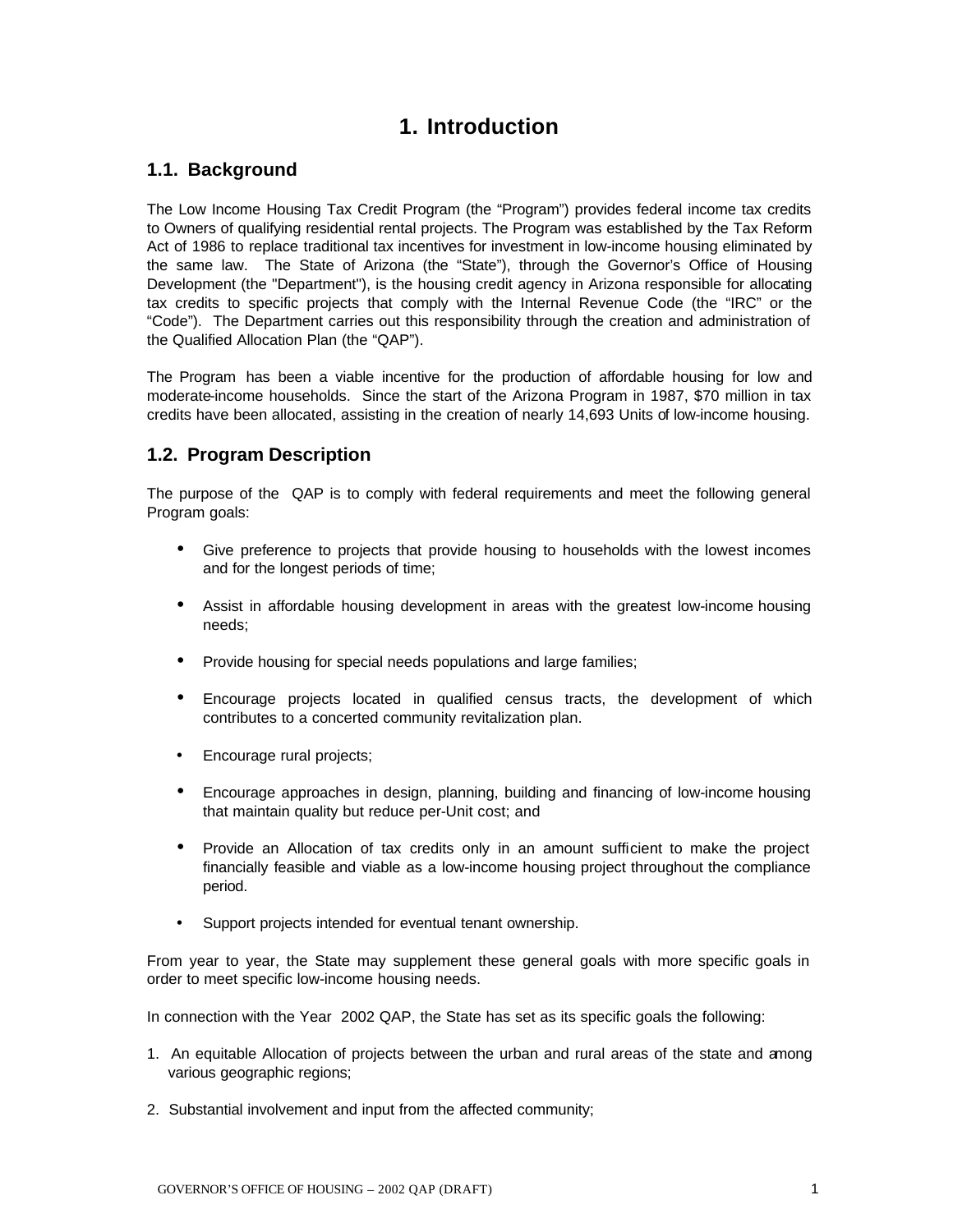# **1. Introduction**

### **1.1. Background**

The Low Income Housing Tax Credit Program (the "Program") provides federal income tax credits to Owners of qualifying residential rental projects. The Program was established by the Tax Reform Act of 1986 to replace traditional tax incentives for investment in low-income housing eliminated by the same law. The State of Arizona (the "State"), through the Governor's Office of Housing Development (the "Department"), is the housing credit agency in Arizona responsible for allocating tax credits to specific projects that comply with the Internal Revenue Code (the "IRC" or the "Code"). The Department carries out this responsibility through the creation and administration of the Qualified Allocation Plan (the "QAP").

The Program has been a viable incentive for the production of affordable housing for low and moderate-income households. Since the start of the Arizona Program in 1987, \$70 million in tax credits have been allocated, assisting in the creation of nearly 14,693 Units of low-income housing.

# **1.2. Program Description**

The purpose of the QAP is to comply with federal requirements and meet the following general Program goals:

- Give preference to projects that provide housing to households with the lowest incomes and for the longest periods of time;
- Assist in affordable housing development in areas with the greatest low-income housing needs;
- Provide housing for special needs populations and large families;
- Encourage projects located in qualified census tracts, the development of which contributes to a concerted community revitalization plan.
- Encourage rural projects;
- Encourage approaches in design, planning, building and financing of low-income housing that maintain quality but reduce per-Unit cost; and
- Provide an Allocation of tax credits only in an amount sufficient to make the project financially feasible and viable as a low-income housing project throughout the compliance period.
- Support projects intended for eventual tenant ownership.

From year to year, the State may supplement these general goals with more specific goals in order to meet specific low-income housing needs.

In connection with the Year 2002 QAP, the State has set as its specific goals the following:

- 1. An equitable Allocation of projects between the urban and rural areas of the state and among various geographic regions;
- 2. Substantial involvement and input from the affected community;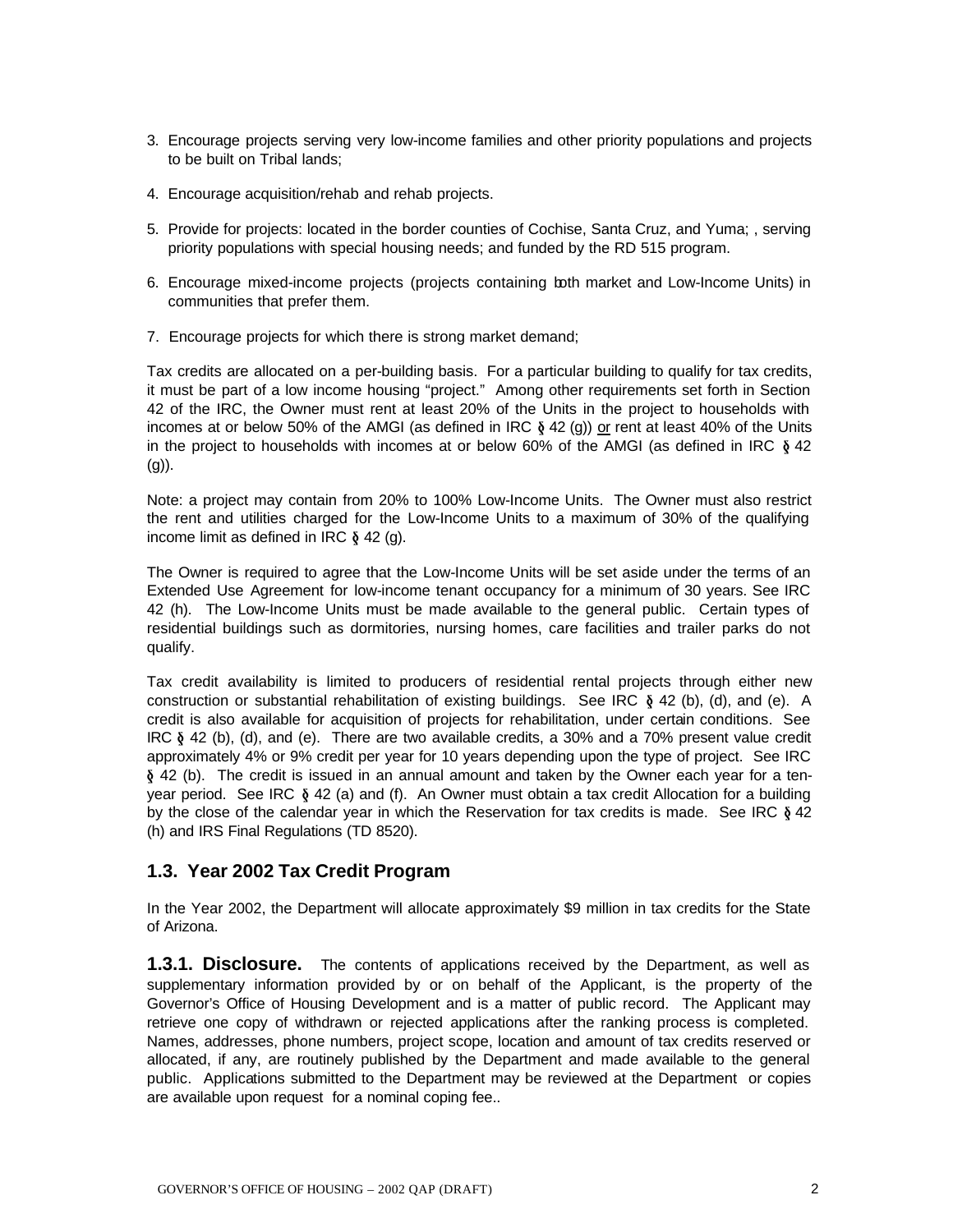- 3. Encourage projects serving very low-income families and other priority populations and projects to be built on Tribal lands;
- 4. Encourage acquisition/rehab and rehab projects.
- 5. Provide for projects: located in the border counties of Cochise, Santa Cruz, and Yuma; , serving priority populations with special housing needs; and funded by the RD 515 program.
- 6. Encourage mixed-income projects (projects containing both market and Low-Income Units) in communities that prefer them.
- 7. Encourage projects for which there is strong market demand;

Tax credits are allocated on a per-building basis. For a particular building to qualify for tax credits, it must be part of a low income housing "project." Among other requirements set forth in Section 42 of the IRC, the Owner must rent at least 20% of the Units in the project to households with incomes at or below 50% of the AMGI (as defined in IRC  $\S$  42 (g)) or rent at least 40% of the Units in the project to households with incomes at or below 60% of the AMGI (as defined in IRC  $\delta$  42  $(q)$ ).

Note: a project may contain from 20% to 100% Low-Income Units. The Owner must also restrict the rent and utilities charged for the Low-Income Units to a maximum of 30% of the qualifying income limit as defined in IRC  $\delta$  42 (g).

The Owner is required to agree that the Low-Income Units will be set aside under the terms of an Extended Use Agreement for low-income tenant occupancy for a minimum of 30 years. See IRC 42 (h). The Low-Income Units must be made available to the general public. Certain types of residential buildings such as dormitories, nursing homes, care facilities and trailer parks do not qualify.

Tax credit availability is limited to producers of residential rental projects through either new construction or substantial rehabilitation of existing buildings. See IRC  $\S$  42 (b), (d), and (e). A credit is also available for acquisition of projects for rehabilitation, under certain conditions. See IRC  $\delta$  42 (b), (d), and (e). There are two available credits, a 30% and a 70% present value credit approximately 4% or 9% credit per year for 10 years depending upon the type of project. See IRC § 42 (b). The credit is issued in an annual amount and taken by the Owner each year for a tenyear period. See IRC  $\delta$  42 (a) and (f). An Owner must obtain a tax credit Allocation for a building by the close of the calendar year in which the Reservation for tax credits is made. See IRC  $\delta$  42 (h) and IRS Final Regulations (TD 8520).

### **1.3. Year 2002 Tax Credit Program**

In the Year 2002, the Department will allocate approximately \$9 million in tax credits for the State of Arizona.

**1.3.1. Disclosure.** The contents of applications received by the Department, as well as supplementary information provided by or on behalf of the Applicant, is the property of the Governor's Office of Housing Development and is a matter of public record. The Applicant may retrieve one copy of withdrawn or rejected applications after the ranking process is completed. Names, addresses, phone numbers, project scope, location and amount of tax credits reserved or allocated, if any, are routinely published by the Department and made available to the general public. Applications submitted to the Department may be reviewed at the Department or copies are available upon request for a nominal coping fee..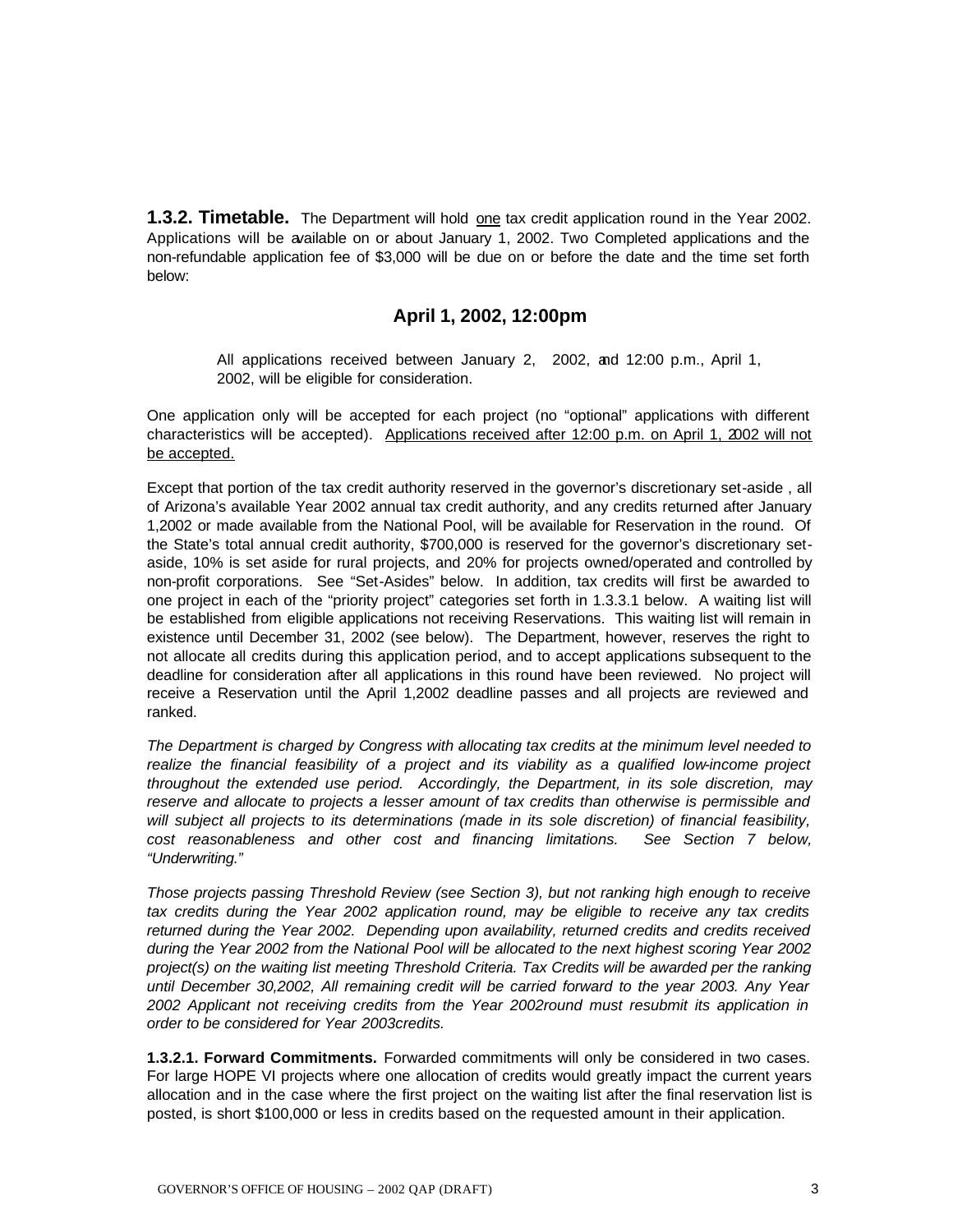**1.3.2. Timetable.** The Department will hold one tax credit application round in the Year 2002. Applications will be available on or about January 1, 2002. Two Completed applications and the non-refundable application fee of \$3,000 will be due on or before the date and the time set forth below:

### **April 1, 2002, 12:00pm**

All applications received between January 2, 2002, and 12:00 p.m., April 1, 2002, will be eligible for consideration.

One application only will be accepted for each project (no "optional" applications with different characteristics will be accepted). Applications received after 12:00 p.m. on April 1, 2002 will not be accepted.

Except that portion of the tax credit authority reserved in the governor's discretionary set-aside , all of Arizona's available Year 2002 annual tax credit authority, and any credits returned after January 1,2002 or made available from the National Pool, will be available for Reservation in the round. Of the State's total annual credit authority, \$700,000 is reserved for the governor's discretionary setaside, 10% is set aside for rural projects, and 20% for projects owned/operated and controlled by non-profit corporations. See "Set-Asides" below. In addition, tax credits will first be awarded to one project in each of the "priority project" categories set forth in 1.3.3.1 below. A waiting list will be established from eligible applications not receiving Reservations. This waiting list will remain in existence until December 31, 2002 (see below). The Department, however, reserves the right to not allocate all credits during this application period, and to accept applications subsequent to the deadline for consideration after all applications in this round have been reviewed. No project will receive a Reservation until the April 1,2002 deadline passes and all projects are reviewed and ranked.

*The Department is charged by Congress with allocating tax credits at the minimum level needed to realize the financial feasibility of a project and its viability as a qualified low-income project throughout the extended use period. Accordingly, the Department, in its sole discretion, may reserve and allocate to projects a lesser amount of tax credits than otherwise is permissible and will subject all projects to its determinations (made in its sole discretion) of financial feasibility, cost reasonableness and other cost and financing limitations. See Section 7 below, "Underwriting."* 

*Those projects passing Threshold Review (see Section 3), but not ranking high enough to receive tax credits during the Year 2002 application round, may be eligible to receive any tax credits returned during the Year 2002. Depending upon availability, returned credits and credits received during the Year 2002 from the National Pool will be allocated to the next highest scoring Year 2002 project(s) on the waiting list meeting Threshold Criteria. Tax Credits will be awarded per the ranking until December 30,2002, All remaining credit will be carried forward to the year 2003. Any Year 2002 Applicant not receiving credits from the Year 2002round must resubmit its application in order to be considered for Year 2003credits.* 

**1.3.2.1. Forward Commitments.** Forwarded commitments will only be considered in two cases. For large HOPE VI projects where one allocation of credits would greatly impact the current years allocation and in the case where the first project on the waiting list after the final reservation list is posted, is short \$100,000 or less in credits based on the requested amount in their application.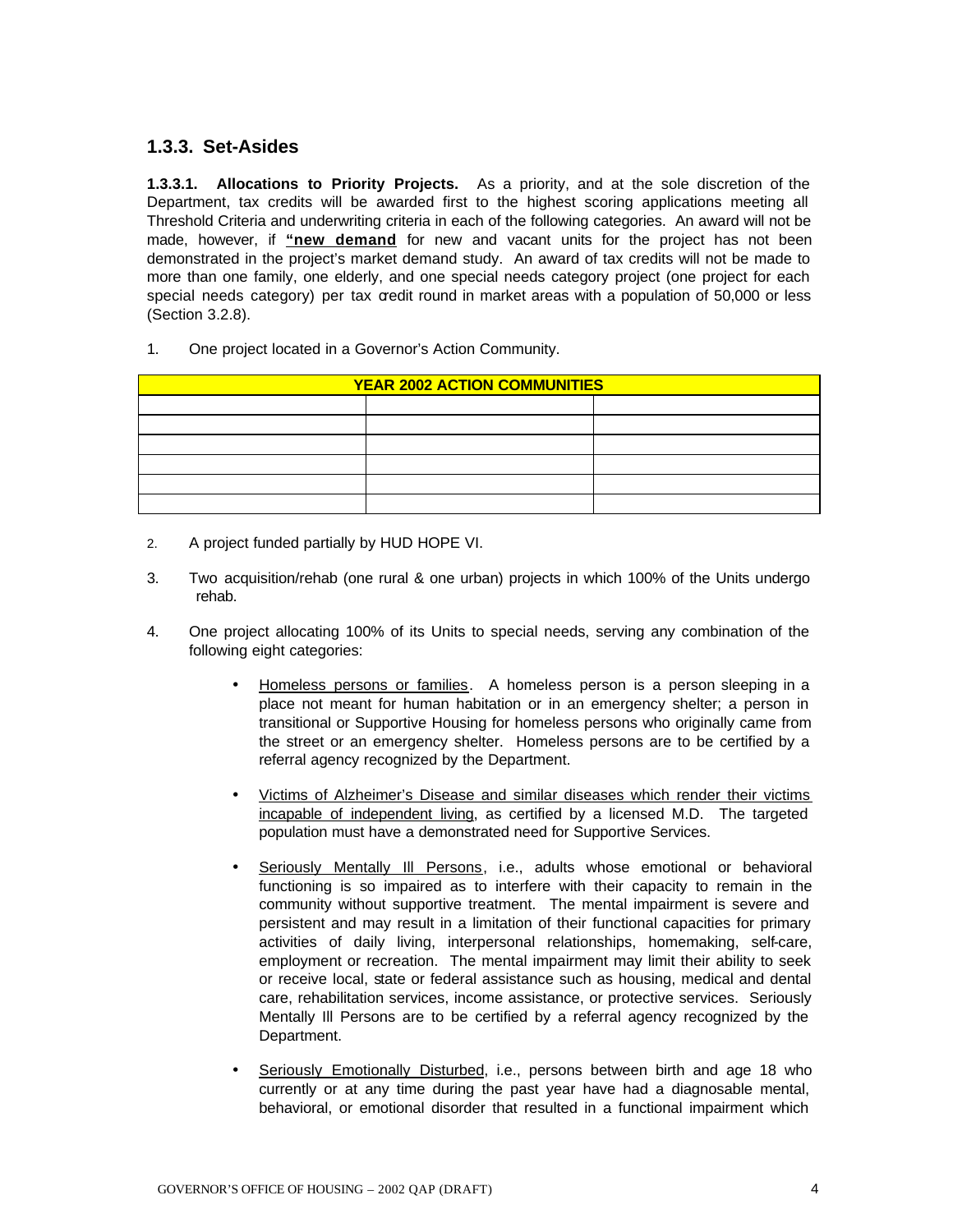### **1.3.3. Set-Asides**

**1.3.3.1. Allocations to Priority Projects.** As a priority, and at the sole discretion of the Department, tax credits will be awarded first to the highest scoring applications meeting all Threshold Criteria and underwriting criteria in each of the following categories. An award will not be made, however, if **"new demand** for new and vacant units for the project has not been demonstrated in the project's market demand study. An award of tax credits will not be made to more than one family, one elderly, and one special needs category project (one project for each special needs category) per tax credit round in market areas with a population of 50,000 or less (Section 3.2.8).

1. One project located in a Governor's Action Community.

| <b>YEAR 2002 ACTION COMMUNITIES</b> |  |  |  |
|-------------------------------------|--|--|--|
|                                     |  |  |  |
|                                     |  |  |  |
|                                     |  |  |  |
|                                     |  |  |  |
|                                     |  |  |  |
|                                     |  |  |  |

- 2. A project funded partially by HUD HOPE VI.
- 3. Two acquisition/rehab (one rural & one urban) projects in which 100% of the Units undergo rehab.
- 4. One project allocating 100% of its Units to special needs, serving any combination of the following eight categories:
	- Homeless persons or families. A homeless person is a person sleeping in a place not meant for human habitation or in an emergency shelter; a person in transitional or Supportive Housing for homeless persons who originally came from the street or an emergency shelter. Homeless persons are to be certified by a referral agency recognized by the Department.
	- Victims of Alzheimer's Disease and similar diseases which render their victims incapable of independent living, as certified by a licensed M.D. The targeted population must have a demonstrated need for Supportive Services.
	- Seriously Mentally Ill Persons, i.e., adults whose emotional or behavioral functioning is so impaired as to interfere with their capacity to remain in the community without supportive treatment. The mental impairment is severe and persistent and may result in a limitation of their functional capacities for primary activities of daily living, interpersonal relationships, homemaking, self-care, employment or recreation. The mental impairment may limit their ability to seek or receive local, state or federal assistance such as housing, medical and dental care, rehabilitation services, income assistance, or protective services. Seriously Mentally Ill Persons are to be certified by a referral agency recognized by the Department.
	- Seriously Emotionally Disturbed, i.e., persons between birth and age 18 who currently or at any time during the past year have had a diagnosable mental, behavioral, or emotional disorder that resulted in a functional impairment which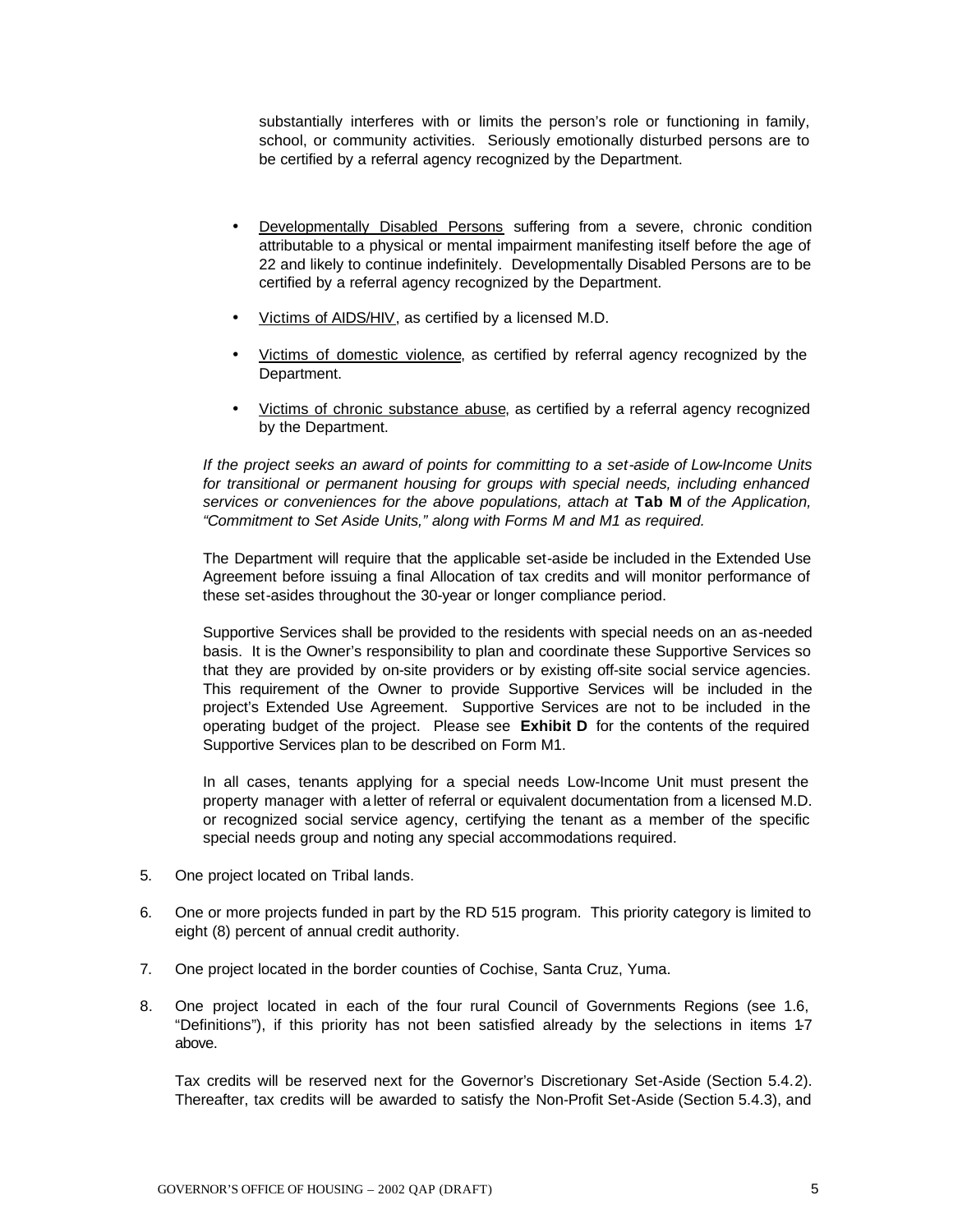substantially interferes with or limits the person's role or functioning in family, school, or community activities. Seriously emotionally disturbed persons are to be certified by a referral agency recognized by the Department.

- Developmentally Disabled Persons suffering from a severe, chronic condition attributable to a physical or mental impairment manifesting itself before the age of 22 and likely to continue indefinitely. Developmentally Disabled Persons are to be certified by a referral agency recognized by the Department.
- Victims of AIDS/HIV, as certified by a licensed M.D.
- Victims of domestic violence, as certified by referral agency recognized by the Department.
- Victims of chronic substance abuse, as certified by a referral agency recognized by the Department.

*If the project seeks an award of points for committing to a set-aside of Low-Income Units for transitional or permanent housing for groups with special needs, including enhanced services or conveniences for the above populations, attach at* **Tab M** *of the Application, "Commitment to Set Aside Units," along with Forms M and M1 as required.* 

The Department will require that the applicable set-aside be included in the Extended Use Agreement before issuing a final Allocation of tax credits and will monitor performance of these set-asides throughout the 30-year or longer compliance period.

Supportive Services shall be provided to the residents with special needs on an as-needed basis. It is the Owner's responsibility to plan and coordinate these Supportive Services so that they are provided by on-site providers or by existing off-site social service agencies. This requirement of the Owner to provide Supportive Services will be included in the project's Extended Use Agreement. Supportive Services are not to be included in the operating budget of the project. Please see **Exhibit D** for the contents of the required Supportive Services plan to be described on Form M1.

In all cases, tenants applying for a special needs Low-Income Unit must present the property manager with a letter of referral or equivalent documentation from a licensed M.D. or recognized social service agency, certifying the tenant as a member of the specific special needs group and noting any special accommodations required.

- 5. One project located on Tribal lands.
- 6. One or more projects funded in part by the RD 515 program. This priority category is limited to eight (8) percent of annual credit authority.
- 7. One project located in the border counties of Cochise, Santa Cruz, Yuma.
- 8. One project located in each of the four rural Council of Governments Regions (see 1.6, "Definitions"), if this priority has not been satisfied already by the selections in items 1-7 above.

Tax credits will be reserved next for the Governor's Discretionary Set-Aside (Section 5.4.2). Thereafter, tax credits will be awarded to satisfy the Non-Profit Set-Aside (Section 5.4.3), and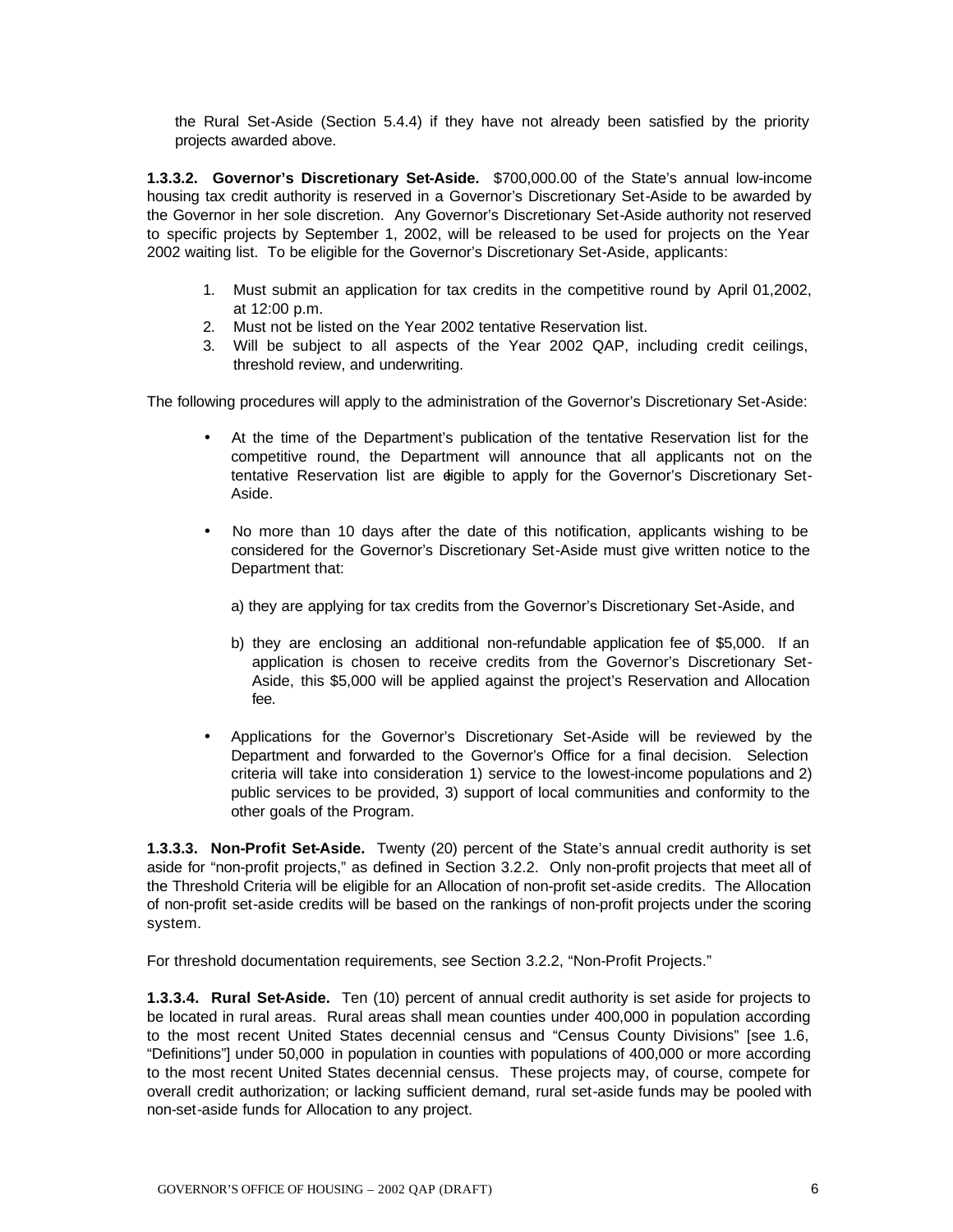the Rural Set-Aside (Section 5.4.4) if they have not already been satisfied by the priority projects awarded above.

**1.3.3.2. Governor's Discretionary Set-Aside.** \$700,000.00 of the State's annual low-income housing tax credit authority is reserved in a Governor's Discretionary Set-Aside to be awarded by the Governor in her sole discretion. Any Governor's Discretionary Set-Aside authority not reserved to specific projects by September 1, 2002, will be released to be used for projects on the Year 2002 waiting list. To be eligible for the Governor's Discretionary Set-Aside, applicants:

- 1. Must submit an application for tax credits in the competitive round by April 01,2002, at 12:00 p.m.
- 2. Must not be listed on the Year 2002 tentative Reservation list.
- 3. Will be subject to all aspects of the Year 2002 QAP, including credit ceilings, threshold review, and underwriting.

The following procedures will apply to the administration of the Governor's Discretionary Set-Aside:

- At the time of the Department's publication of the tentative Reservation list for the competitive round, the Department will announce that all applicants not on the tentative Reservation list are digible to apply for the Governor's Discretionary Set-Aside.
- No more than 10 days after the date of this notification, applicants wishing to be considered for the Governor's Discretionary Set-Aside must give written notice to the Department that:

a) they are applying for tax credits from the Governor's Discretionary Set-Aside, and

- b) they are enclosing an additional non-refundable application fee of \$5,000. If an application is chosen to receive credits from the Governor's Discretionary Set-Aside, this \$5,000 will be applied against the project's Reservation and Allocation fee.
- Applications for the Governor's Discretionary Set-Aside will be reviewed by the Department and forwarded to the Governor's Office for a final decision. Selection criteria will take into consideration 1) service to the lowest-income populations and 2) public services to be provided, 3) support of local communities and conformity to the other goals of the Program.

**1.3.3.3. Non-Profit Set-Aside.** Twenty (20) percent of the State's annual credit authority is set aside for "non-profit projects," as defined in Section 3.2.2. Only non-profit projects that meet all of the Threshold Criteria will be eligible for an Allocation of non-profit set-aside credits. The Allocation of non-profit set-aside credits will be based on the rankings of non-profit projects under the scoring system.

For threshold documentation requirements, see Section 3.2.2, "Non-Profit Projects."

**1.3.3.4. Rural Set-Aside.** Ten (10) percent of annual credit authority is set aside for projects to be located in rural areas. Rural areas shall mean counties under 400,000 in population according to the most recent United States decennial census and "Census County Divisions" [see 1.6, "Definitions"] under 50,000 in population in counties with populations of 400,000 or more according to the most recent United States decennial census. These projects may, of course, compete for overall credit authorization; or lacking sufficient demand, rural set-aside funds may be pooled with non-set-aside funds for Allocation to any project.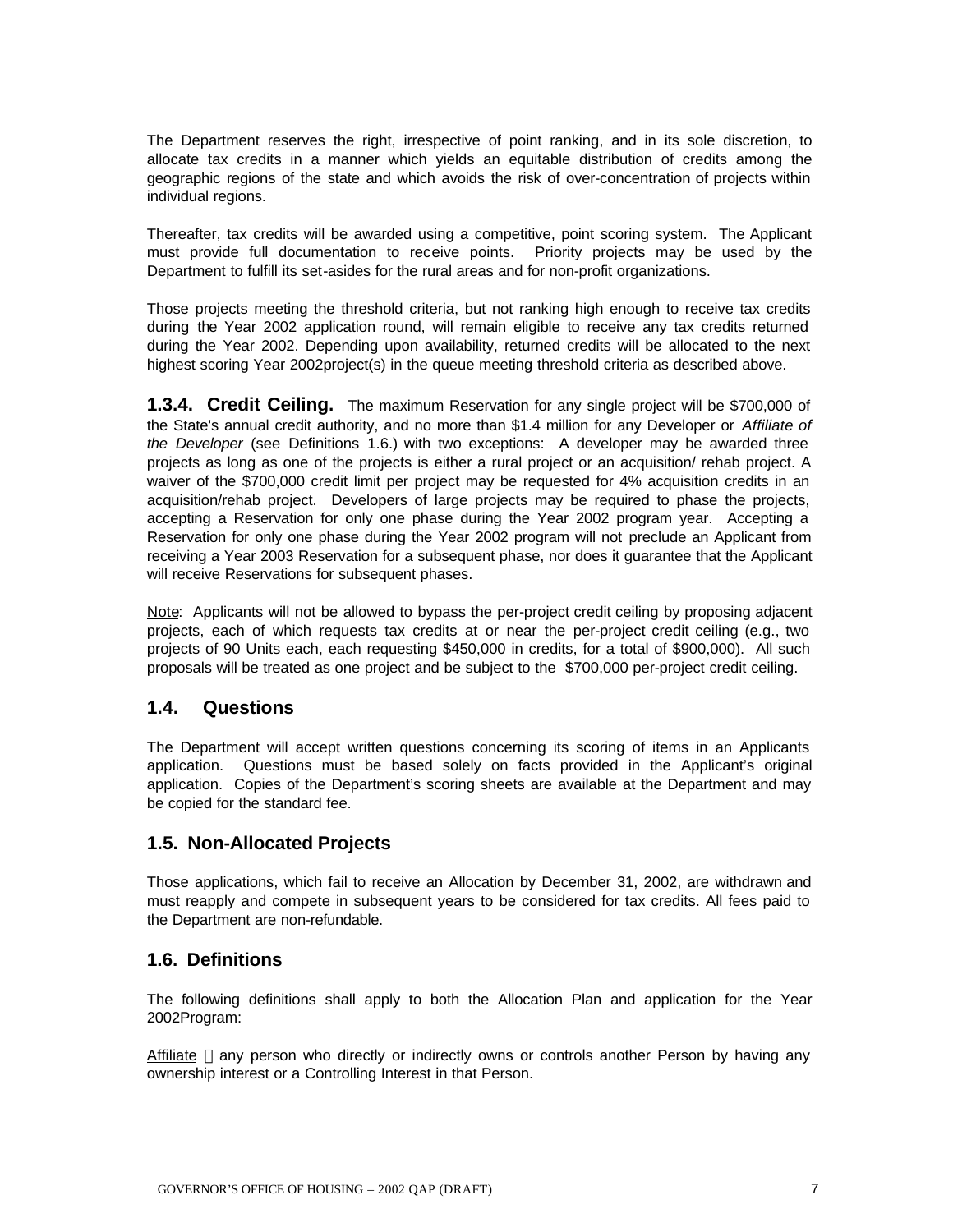The Department reserves the right, irrespective of point ranking, and in its sole discretion, to allocate tax credits in a manner which yields an equitable distribution of credits among the geographic regions of the state and which avoids the risk of over-concentration of projects within individual regions.

Thereafter, tax credits will be awarded using a competitive, point scoring system.The Applicant must provide full documentation to receive points. Priority projects may be used by the Department to fulfill its set-asides for the rural areas and for non-profit organizations.

Those projects meeting the threshold criteria, but not ranking high enough to receive tax credits during the Year 2002 application round, will remain eligible to receive any tax credits returned during the Year 2002. Depending upon availability, returned credits will be allocated to the next highest scoring Year 2002project(s) in the queue meeting threshold criteria as described above.

**1.3.4. Credit Ceiling.** The maximum Reservation for any single project will be \$700,000 of the State's annual credit authority, and no more than \$1.4 million for any Developer or *Affiliate of the Developer* (see Definitions 1.6.) with two exceptions: A developer may be awarded three projects as long as one of the projects is either a rural project or an acquisition/ rehab project. A waiver of the \$700,000 credit limit per project may be requested for 4% acquisition credits in an acquisition/rehab project. Developers of large projects may be required to phase the projects, accepting a Reservation for only one phase during the Year 2002 program year. Accepting a Reservation for only one phase during the Year 2002 program will not preclude an Applicant from receiving a Year 2003 Reservation for a subsequent phase, nor does it guarantee that the Applicant will receive Reservations for subsequent phases.

Note: Applicants will not be allowed to bypass the per-project credit ceiling by proposing adjacent projects, each of which requests tax credits at or near the per-project credit ceiling (e.g., two projects of 90 Units each, each requesting \$450,000 in credits, for a total of \$900,000). All such proposals will be treated as one project and be subject to the \$700,000 per-project credit ceiling.

### **1.4. Questions**

The Department will accept written questions concerning its scoring of items in an Applicants application. Questions must be based solely on facts provided in the Applicant's original application. Copies of the Department's scoring sheets are available at the Department and may be copied for the standard fee.

### **1.5. Non-Allocated Projects**

Those applications, which fail to receive an Allocation by December 31, 2002, are withdrawn and must reapply and compete in subsequent years to be considered for tax credits. All fees paid to the Department are non-refundable.

### **1.6. Definitions**

The following definitions shall apply to both the Allocation Plan and application for the Year 2002Program:

Affiliate —any person who directly or indirectly owns or controls another Person by having any ownership interest or a Controlling Interest in that Person.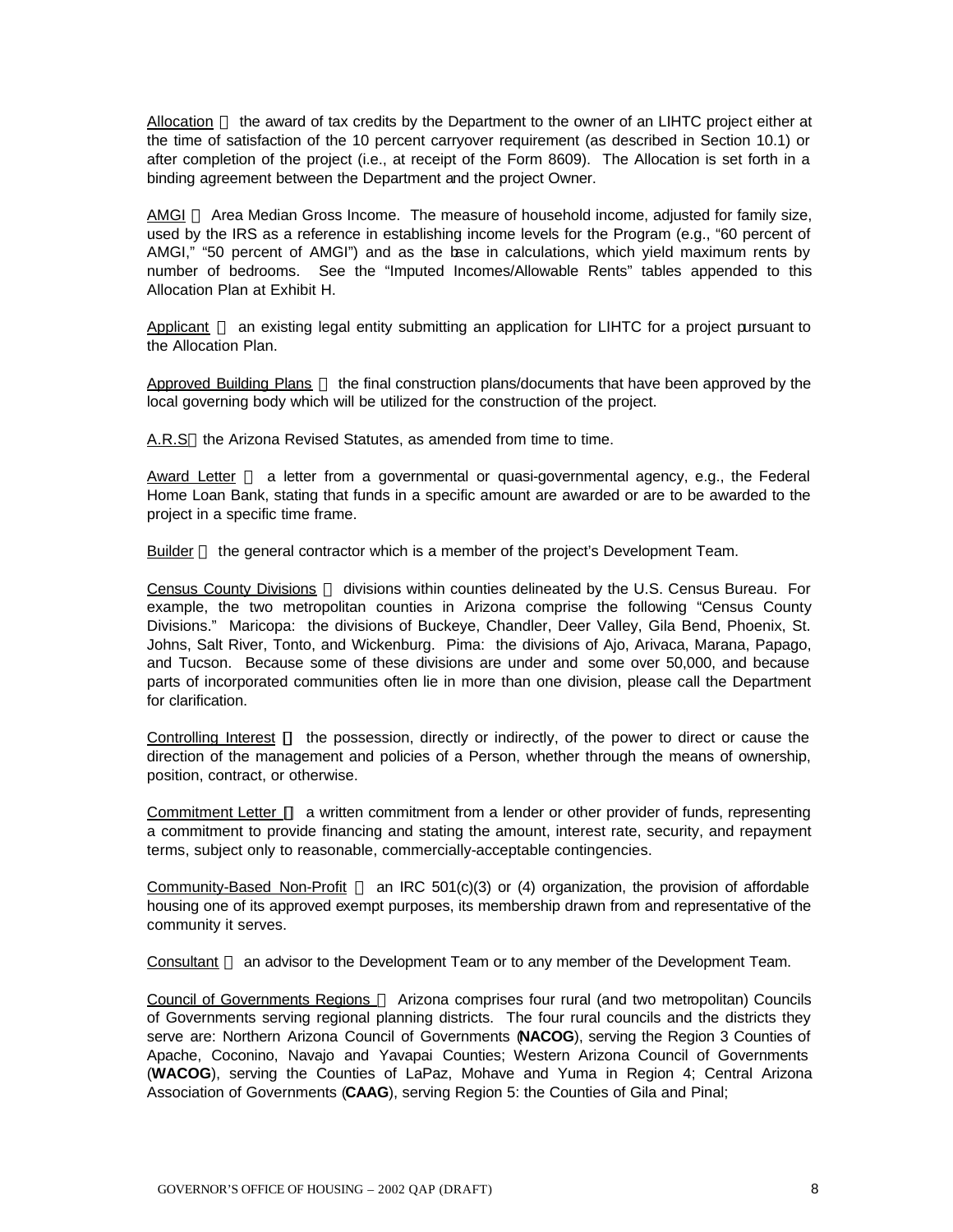Allocation — the award of tax credits by the Department to the owner of an LIHTC project either at the time of satisfaction of the 10 percent carryover requirement (as described in Section 10.1) or after completion of the project (i.e., at receipt of the Form 8609). The Allocation is set forth in a binding agreement between the Department and the project Owner.

AMGI — Area Median Gross Income. The measure of household income, adjusted for family size, used by the IRS as a reference in establishing income levels for the Program (e.g., "60 percent of AMGI," "50 percent of AMGI") and as the base in calculations, which yield maximum rents by number of bedrooms. See the "Imputed Incomes/Allowable Rents" tables appended to this Allocation Plan at Exhibit H.

Applicant  $-$  an existing legal entity submitting an application for LIHTC for a project pursuant to the Allocation Plan.

Approved Building Plans — the final construction plans/documents that have been approved by the local governing body which will be utilized for the construction of the project.

A.R.S—the Arizona Revised Statutes, as amended from time to time.

Award Letter  $-$  a letter from a governmental or quasi-governmental agency, e.g., the Federal Home Loan Bank, stating that funds in a specific amount are awarded or are to be awarded to the project in a specific time frame.

Builder — the general contractor which is a member of the project's Development Team.

Census County Divisions - divisions within counties delineated by the U.S. Census Bureau. For example, the two metropolitan counties in Arizona comprise the following "Census County Divisions." Maricopa: the divisions of Buckeye, Chandler, Deer Valley, Gila Bend, Phoenix, St. Johns, Salt River, Tonto, and Wickenburg. Pima: the divisions of Ajo, Arivaca, Marana, Papago, and Tucson. Because some of these divisions are under and some over 50,000, and because parts of incorporated communities often lie in more than one division, please call the Department for clarification.

Controlling Interest **¾** the possession, directly or indirectly, of the power to direct or cause the direction of the management and policies of a Person, whether through the means of ownership, position, contract, or otherwise.

Commitment Letter **¾** a written commitment from a lender or other provider of funds, representing a commitment to provide financing and stating the amount, interest rate, security, and repayment terms, subject only to reasonable, commercially-acceptable contingencies.

Community-Based Non-Profit  $-$  an IRC 501(c)(3) or (4) organization, the provision of affordable housing one of its approved exempt purposes, its membership drawn from and representative of the community it serves.

Consultant — an advisor to the Development Team or to any member of the Development Team.

Council of Governments Regions - Arizona comprises four rural (and two metropolitan) Councils of Governments serving regional planning districts. The four rural councils and the districts they serve are: Northern Arizona Council of Governments (**NACOG**), serving the Region 3 Counties of Apache, Coconino, Navajo and Yavapai Counties; Western Arizona Council of Governments (**WACOG**), serving the Counties of LaPaz, Mohave and Yuma in Region 4; Central Arizona Association of Governments (**CAAG**), serving Region 5: the Counties of Gila and Pinal;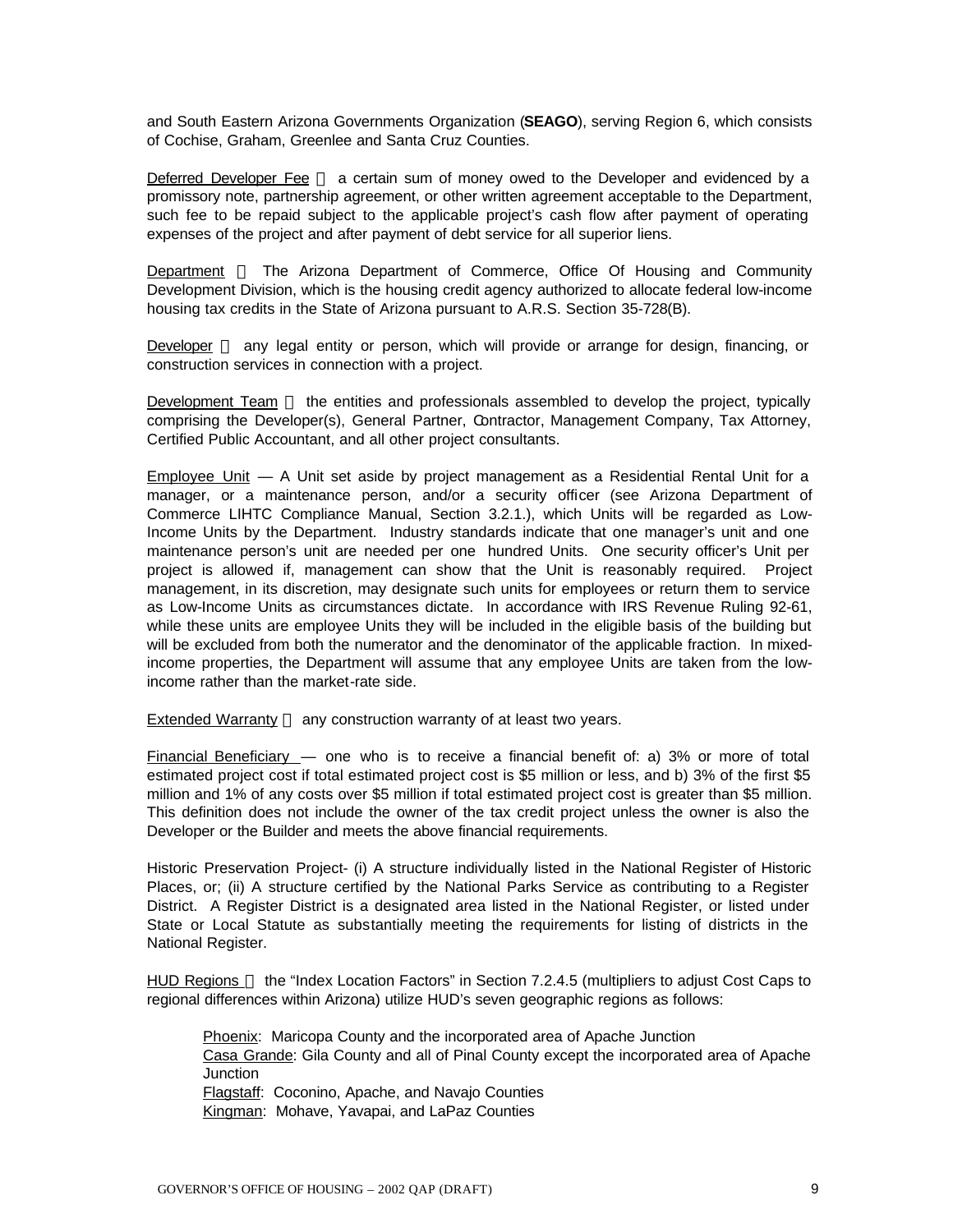and South Eastern Arizona Governments Organization (**SEAGO**), serving Region 6, which consists of Cochise, Graham, Greenlee and Santa Cruz Counties.

Deferred Developer Fee - a certain sum of money owed to the Developer and evidenced by a promissory note, partnership agreement, or other written agreement acceptable to the Department, such fee to be repaid subject to the applicable project's cash flow after payment of operating expenses of the project and after payment of debt service for all superior liens.

Department — The Arizona Department of Commerce, Office Of Housing and Community Development Division, which is the housing credit agency authorized to allocate federal low-income housing tax credits in the State of Arizona pursuant to A.R.S. Section 35-728(B).

Developer - any legal entity or person, which will provide or arrange for design, financing, or construction services in connection with a project.

Development Team — the entities and professionals assembled to develop the project, typically comprising the Developer(s), General Partner, Contractor, Management Company, Tax Attorney, Certified Public Accountant, and all other project consultants.

Employee Unit — A Unit set aside by project management as a Residential Rental Unit for a manager, or a maintenance person, and/or a security officer (see Arizona Department of Commerce LIHTC Compliance Manual, Section 3.2.1.), which Units will be regarded as Low-Income Units by the Department. Industry standards indicate that one manager's unit and one maintenance person's unit are needed per one hundred Units. One security officer's Unit per project is allowed if, management can show that the Unit is reasonably required. Project management, in its discretion, may designate such units for employees or return them to service as Low-Income Units as circumstances dictate. In accordance with IRS Revenue Ruling 92-61, while these units are employee Units they will be included in the eligible basis of the building but will be excluded from both the numerator and the denominator of the applicable fraction. In mixedincome properties, the Department will assume that any employee Units are taken from the lowincome rather than the market-rate side.

Extended Warranty  $-$  any construction warranty of at least two years.

Financial Beneficiary  $-$  one who is to receive a financial benefit of: a) 3% or more of total estimated project cost if total estimated project cost is \$5 million or less, and b) 3% of the first \$5 million and 1% of any costs over \$5 million if total estimated project cost is greater than \$5 million. This definition does not include the owner of the tax credit project unless the owner is also the Developer or the Builder and meets the above financial requirements.

Historic Preservation Project- (i) A structure individually listed in the National Register of Historic Places, or; (ii) A structure certified by the National Parks Service as contributing to a Register District. A Register District is a designated area listed in the National Register, or listed under State or Local Statute as substantially meeting the requirements for listing of districts in the National Register.

HUD Regions — the "Index Location Factors" in Section 7.2.4.5 (multipliers to adjust Cost Caps to regional differences within Arizona) utilize HUD's seven geographic regions as follows:

Phoenix: Maricopa County and the incorporated area of Apache Junction Casa Grande: Gila County and all of Pinal County except the incorporated area of Apache Junction Flagstaff: Coconino, Apache, and Navajo Counties Kingman: Mohave, Yavapai, and LaPaz Counties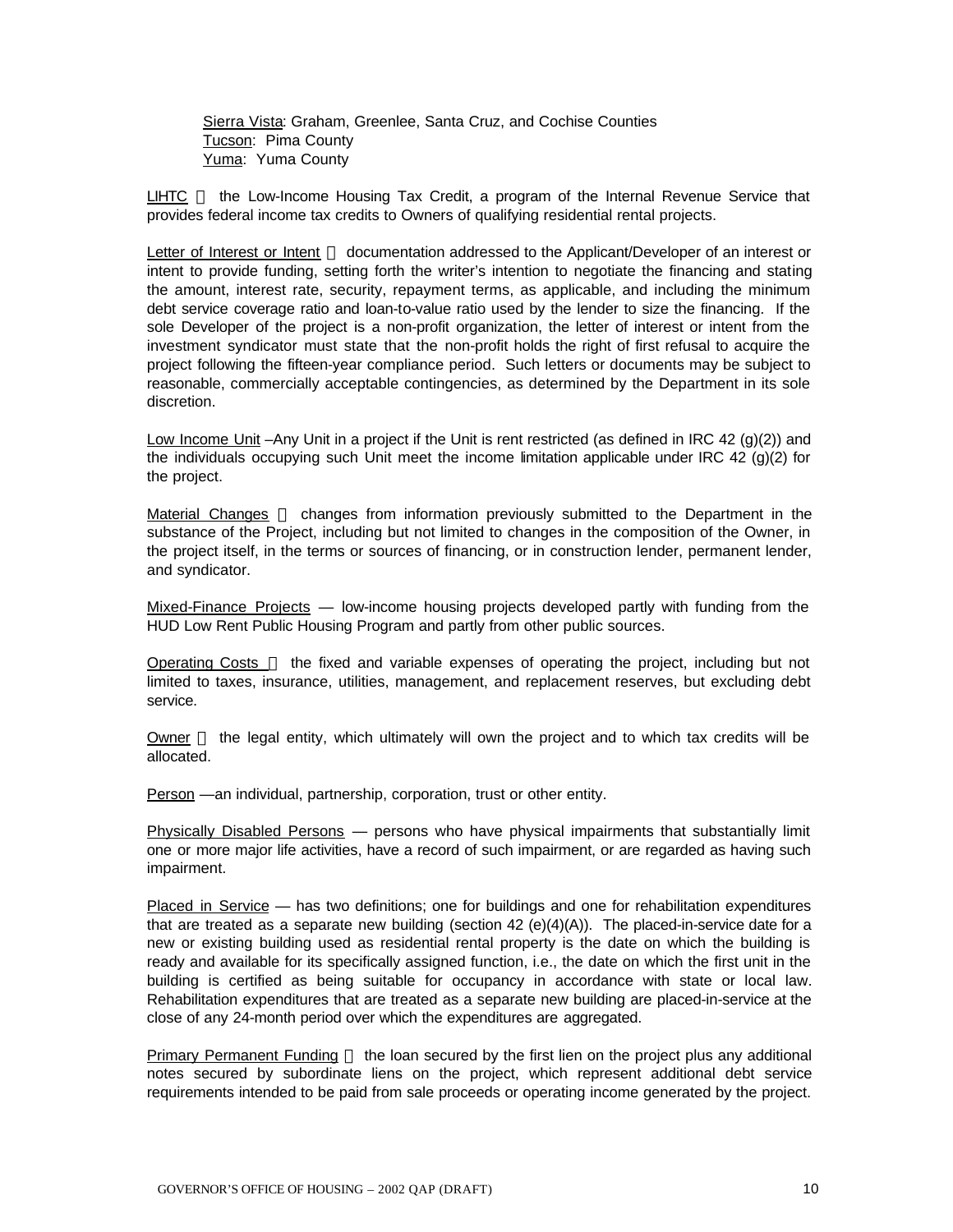Sierra Vista: Graham, Greenlee, Santa Cruz, and Cochise Counties Tucson: Pima County Yuma: Yuma County

LIHTC — the Low-Income Housing Tax Credit, a program of the Internal Revenue Service that provides federal income tax credits to Owners of qualifying residential rental projects.

Letter of Interest or Intent — documentation addressed to the Applicant/Developer of an interest or intent to provide funding, setting forth the writer's intention to negotiate the financing and stating the amount, interest rate, security, repayment terms, as applicable, and including the minimum debt service coverage ratio and loan-to-value ratio used by the lender to size the financing. If the sole Developer of the project is a non-profit organization, the letter of interest or intent from the investment syndicator must state that the non-profit holds the right of first refusal to acquire the project following the fifteen-year compliance period. Such letters or documents may be subject to reasonable, commercially acceptable contingencies, as determined by the Department in its sole discretion.

Low Income Unit –Any Unit in a project if the Unit is rent restricted (as defined in IRC 42 (g)(2)) and the individuals occupying such Unit meet the income limitation applicable under IRC 42 (g)(2) for the project.

 $Materal Changes$  — changes from information previously submitted to the Department in the substance of the Project, including but not limited to changes in the composition of the Owner, in the project itself, in the terms or sources of financing, or in construction lender, permanent lender, and syndicator.

Mixed-Finance Projects — low-income housing projects developed partly with funding from the HUD Low Rent Public Housing Program and partly from other public sources.

Operating Costs - the fixed and variable expenses of operating the project, including but not limited to taxes, insurance, utilities, management, and replacement reserves, but excluding debt service.

Owner  $-$  the legal entity, which ultimately will own the project and to which tax credits will be allocated.

Person —an individual, partnership, corporation, trust or other entity.

Physically Disabled Persons — persons who have physical impairments that substantially limit one or more major life activities, have a record of such impairment, or are regarded as having such impairment.

Placed in Service — has two definitions; one for buildings and one for rehabilitation expenditures that are treated as a separate new building (section 42 (e)(4)(A)). The placed-in-service date for a new or existing building used as residential rental property is the date on which the building is ready and available for its specifically assigned function, i.e., the date on which the first unit in the building is certified as being suitable for occupancy in accordance with state or local law. Rehabilitation expenditures that are treated as a separate new building are placed-in-service at the close of any 24-month period over which the expenditures are aggregated.

Primary Permanent Funding — the loan secured by the first lien on the project plus any additional notes secured by subordinate liens on the project, which represent additional debt service requirements intended to be paid from sale proceeds or operating income generated by the project.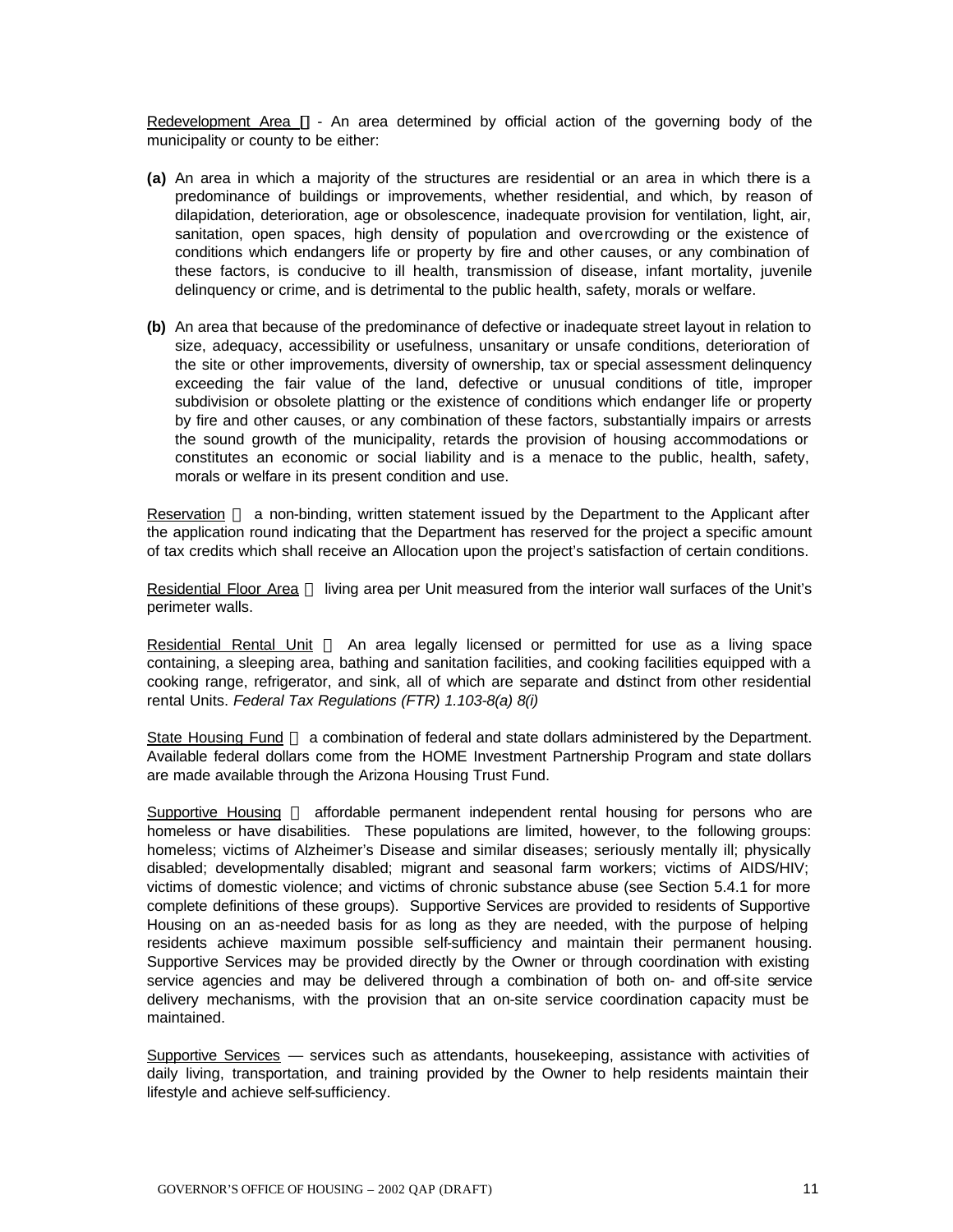Redevelopment Area **¾**- An area determined by official action of the governing body of the municipality or county to be either:

- **(a)** An area in which a majority of the structures are residential or an area in which there is a predominance of buildings or improvements, whether residential, and which, by reason of dilapidation, deterioration, age or obsolescence, inadequate provision for ventilation, light, air, sanitation, open spaces, high density of population and overcrowding or the existence of conditions which endangers life or property by fire and other causes, or any combination of these factors, is conducive to ill health, transmission of disease, infant mortality, juvenile delinquency or crime, and is detrimental to the public health, safety, morals or welfare.
- **(b)** An area that because of the predominance of defective or inadequate street layout in relation to size, adequacy, accessibility or usefulness, unsanitary or unsafe conditions, deterioration of the site or other improvements, diversity of ownership, tax or special assessment delinquency exceeding the fair value of the land, defective or unusual conditions of title, improper subdivision or obsolete platting or the existence of conditions which endanger life or property by fire and other causes, or any combination of these factors, substantially impairs or arrests the sound growth of the municipality, retards the provision of housing accommodations or constitutes an economic or social liability and is a menace to the public, health, safety, morals or welfare in its present condition and use.

 $Reservation$   $-$  a non-binding, written statement issued by the Department to the Applicant after the application round indicating that the Department has reserved for the project a specific amount of tax credits which shall receive an Allocation upon the project's satisfaction of certain conditions.

Residential Floor Area - living area per Unit measured from the interior wall surfaces of the Unit's perimeter walls.

Residential Rental Unit  $-$  An area legally licensed or permitted for use as a living space containing, a sleeping area, bathing and sanitation facilities, and cooking facilities equipped with a cooking range, refrigerator, and sink, all of which are separate and distinct from other residential rental Units. *Federal Tax Regulations (FTR) 1.103-8(a) 8(i)*

State Housing Fund – a combination of federal and state dollars administered by the Department. Available federal dollars come from the HOME Investment Partnership Program and state dollars are made available through the Arizona Housing Trust Fund.

Supportive Housing – affordable permanent independent rental housing for persons who are homeless or have disabilities. These populations are limited, however, to the following groups: homeless; victims of Alzheimer's Disease and similar diseases; seriously mentally ill; physically disabled; developmentally disabled; migrant and seasonal farm workers; victims of AIDS/HIV; victims of domestic violence; and victims of chronic substance abuse (see Section 5.4.1 for more complete definitions of these groups). Supportive Services are provided to residents of Supportive Housing on an as-needed basis for as long as they are needed, with the purpose of helping residents achieve maximum possible self-sufficiency and maintain their permanent housing. Supportive Services may be provided directly by the Owner or through coordination with existing service agencies and may be delivered through a combination of both on- and off-site service delivery mechanisms, with the provision that an on-site service coordination capacity must be maintained.

Supportive Services — services such as attendants, housekeeping, assistance with activities of daily living, transportation, and training provided by the Owner to help residents maintain their lifestyle and achieve self-sufficiency.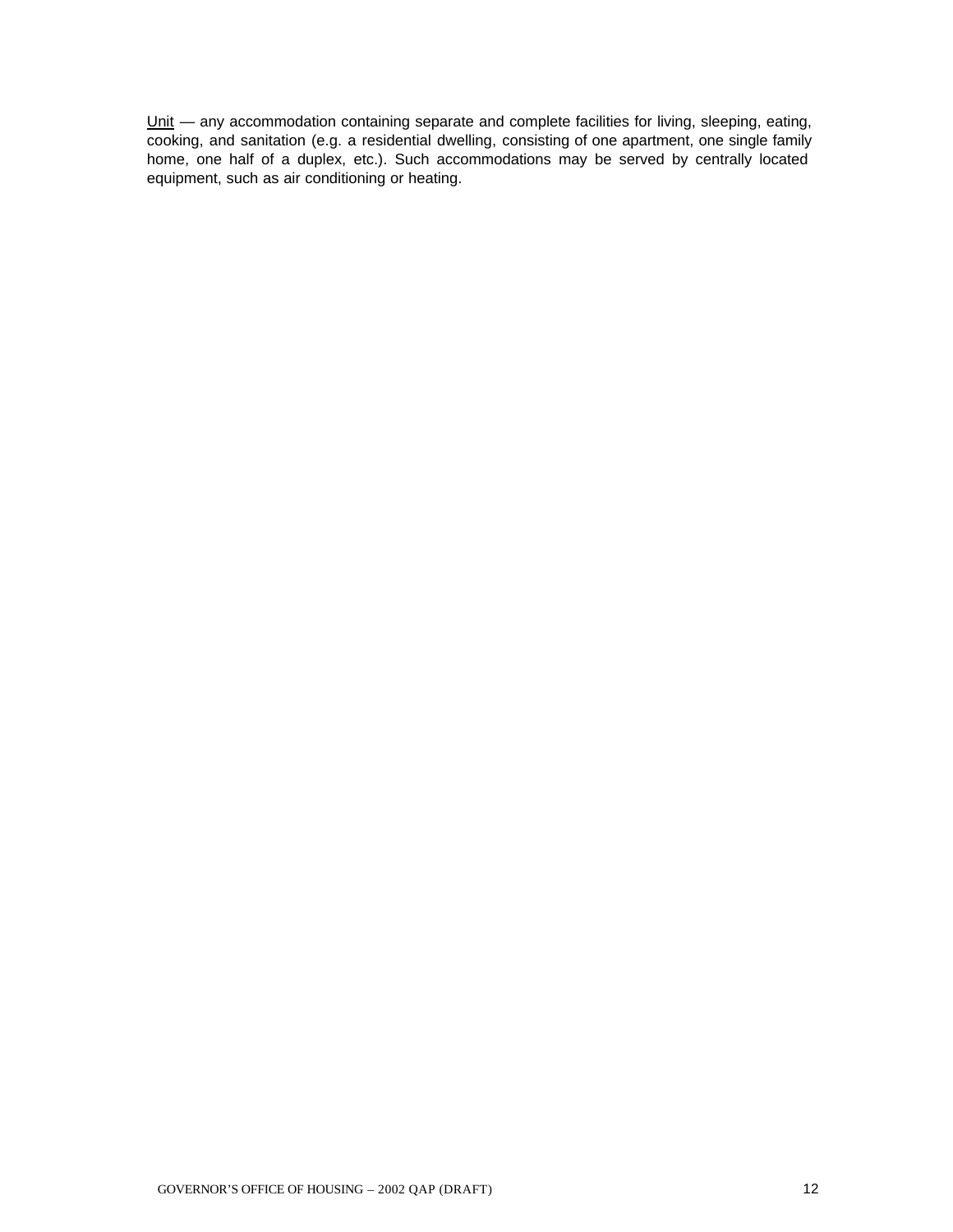Unit — any accommodation containing separate and complete facilities for living, sleeping, eating, cooking, and sanitation (e.g. a residential dwelling, consisting of one apartment, one single family home, one half of a duplex, etc.). Such accommodations may be served by centrally located equipment, such as air conditioning or heating.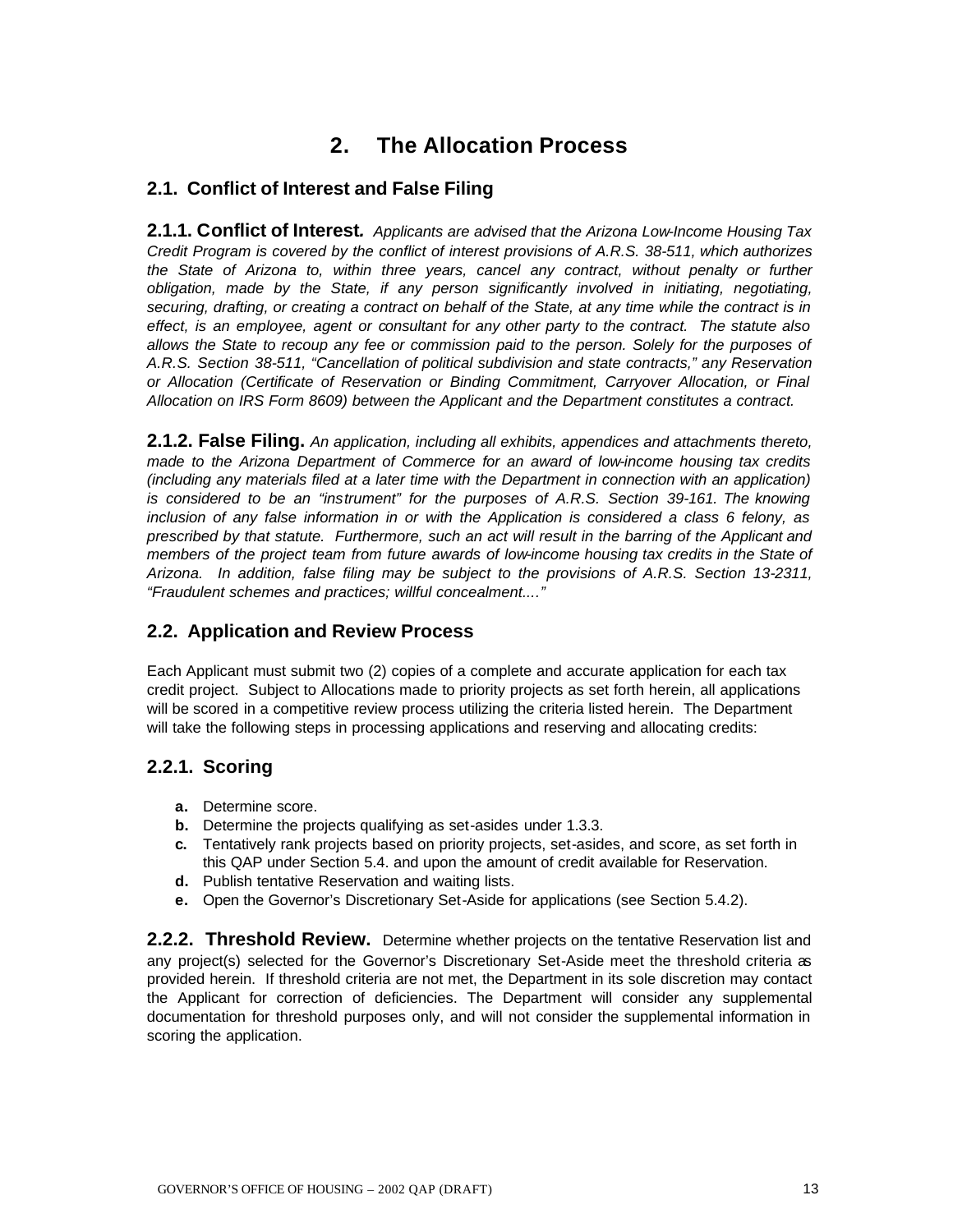# **2. The Allocation Process**

# **2.1. Conflict of Interest and False Filing**

**2.1.1. Conflict of Interest***. Applicants are advised that the Arizona Low-Income Housing Tax Credit Program is covered by the conflict of interest provisions of A.R.S. 38-511, which authorizes the State of Arizona to, within three years, cancel any contract, without penalty or further obligation, made by the State, if any person significantly involved in initiating, negotiating, securing, drafting, or creating a contract on behalf of the State, at any time while the contract is in effect, is an employee, agent or consultant for any other party to the contract. The statute also allows the State to recoup any fee or commission paid to the person. Solely for the purposes of A.R.S. Section 38-511, "Cancellation of political subdivision and state contracts," any Reservation or Allocation (Certificate of Reservation or Binding Commitment, Carryover Allocation, or Final Allocation on IRS Form 8609) between the Applicant and the Department constitutes a contract.*

**2.1.2. False Filing.** *An application, including all exhibits, appendices and attachments thereto, made to the Arizona Department of Commerce for an award of low-income housing tax credits (including any materials filed at a later time with the Department in connection with an application) is considered to be an "instrument" for the purposes of A.R.S. Section 39-161. The knowing inclusion of any false information in or with the Application is considered a class 6 felony, as prescribed by that statute. Furthermore, such an act will result in the barring of the Applicant and members of the project team from future awards of low-income housing tax credits in the State of Arizona. In addition, false filing may be subject to the provisions of A.R.S. Section 13-2311, "Fraudulent schemes and practices; willful concealment...."*

# **2.2. Application and Review Process**

Each Applicant must submit two (2) copies of a complete and accurate application for each tax credit project. Subject to Allocations made to priority projects as set forth herein, all applications will be scored in a competitive review process utilizing the criteria listed herein. The Department will take the following steps in processing applications and reserving and allocating credits:

# **2.2.1. Scoring**

- **a.** Determine score.
- **b.** Determine the projects qualifying as set-asides under 1.3.3.
- **c.** Tentatively rank projects based on priority projects, set-asides, and score, as set forth in this QAP under Section 5.4. and upon the amount of credit available for Reservation.
- **d.** Publish tentative Reservation and waiting lists.
- **e.** Open the Governor's Discretionary Set-Aside for applications (see Section 5.4.2).

**2.2.2. Threshold Review.** Determine whether projects on the tentative Reservation list and any project(s) selected for the Governor's Discretionary Set-Aside meet the threshold criteria as provided herein. If threshold criteria are not met, the Department in its sole discretion may contact the Applicant for correction of deficiencies. The Department will consider any supplemental documentation for threshold purposes only, and will not consider the supplemental information in scoring the application.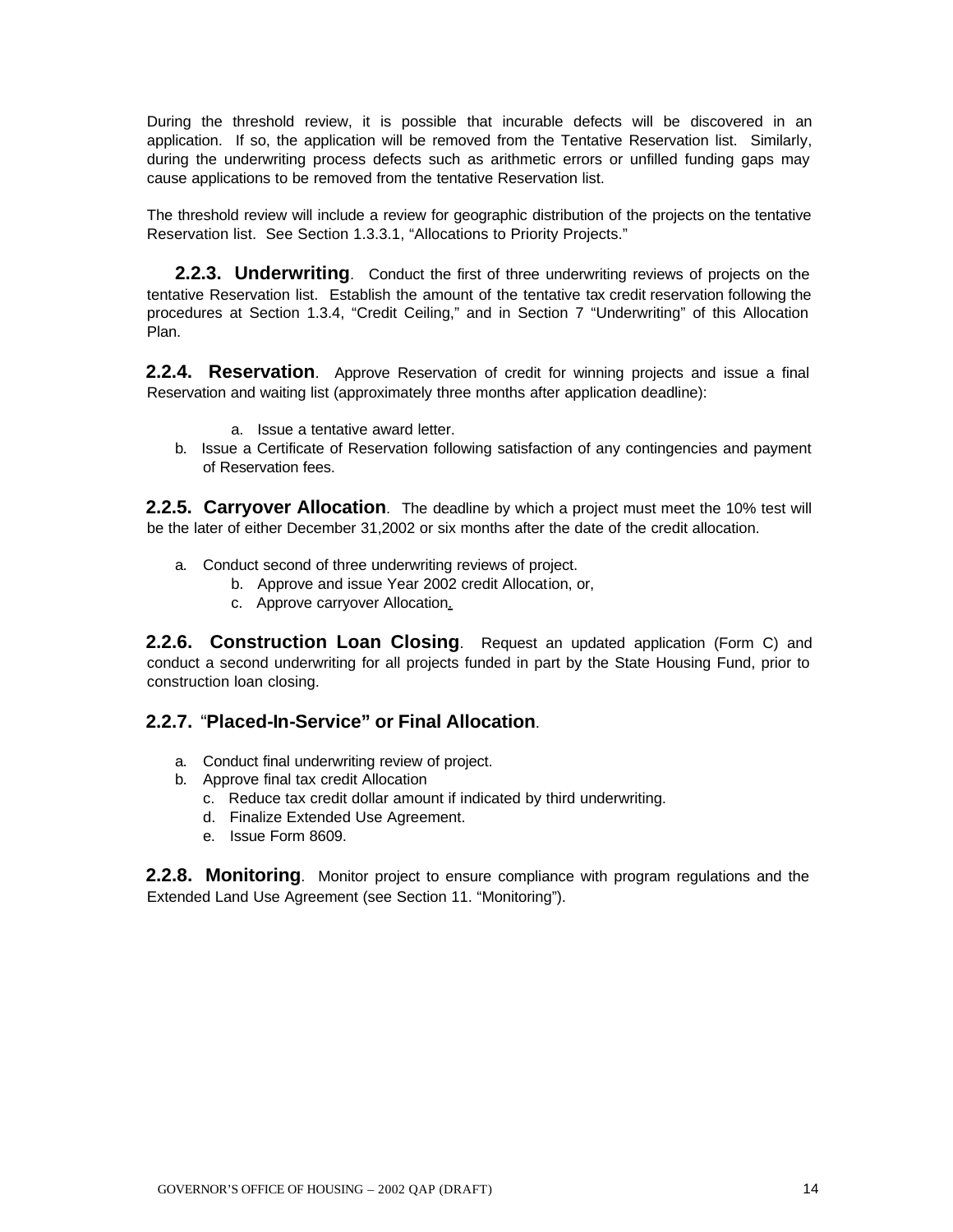During the threshold review, it is possible that incurable defects will be discovered in an application. If so, the application will be removed from the Tentative Reservation list. Similarly, during the underwriting process defects such as arithmetic errors or unfilled funding gaps may cause applications to be removed from the tentative Reservation list.

The threshold review will include a review for geographic distribution of the projects on the tentative Reservation list. See Section 1.3.3.1, "Allocations to Priority Projects."

**2.2.3. Underwriting**.Conduct the first of three underwriting reviews of projects on the tentative Reservation list. Establish the amount of the tentative tax credit reservation following the procedures at Section 1.3.4, "Credit Ceiling," and in Section 7 "Underwriting" of this Allocation Plan.

**2.2.4. Reservation**. Approve Reservation of credit for winning projects and issue a final Reservation and waiting list (approximately three months after application deadline):

- a. Issue a tentative award letter.
- b. Issue a Certificate of Reservation following satisfaction of any contingencies and payment of Reservation fees.

**2.2.5. Carryover Allocation**. The deadline by which a project must meet the 10% test will be the later of either December 31,2002 or six months after the date of the credit allocation.

- a. Conduct second of three underwriting reviews of project.
	- b. Approve and issue Year 2002 credit Allocation, or,
	- c. Approve carryover Allocation.

**2.2.6. Construction Loan Closing**. Request an updated application (Form C) and conduct a second underwriting for all projects funded in part by the State Housing Fund, prior to construction loan closing.

#### **2.2.7.** "**Placed-In-Service" or Final Allocation**.

- a. Conduct final underwriting review of project.
- b. Approve final tax credit Allocation
	- c. Reduce tax credit dollar amount if indicated by third underwriting.
	- d. Finalize Extended Use Agreement.
	- e. Issue Form 8609.

**2.2.8. Monitoring**. Monitor project to ensure compliance with program regulations and the Extended Land Use Agreement (see Section 11. "Monitoring").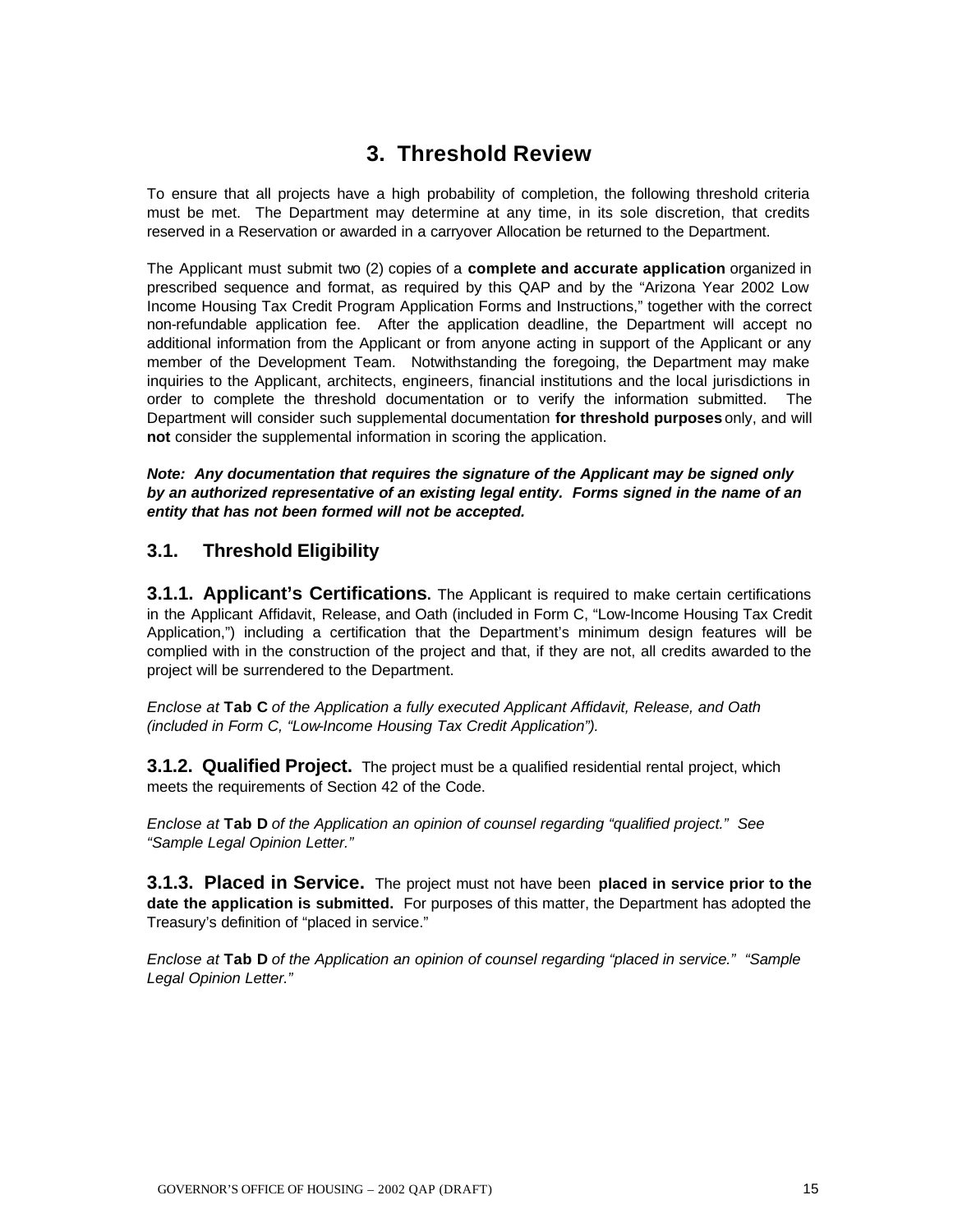# **3. Threshold Review**

To ensure that all projects have a high probability of completion, the following threshold criteria must be met. The Department may determine at any time, in its sole discretion, that credits reserved in a Reservation or awarded in a carryover Allocation be returned to the Department.

The Applicant must submit two (2) copies of a **complete and accurate application** organized in prescribed sequence and format, as required by this QAP and by the "Arizona Year 2002 Low Income Housing Tax Credit Program Application Forms and Instructions," together with the correct non-refundable application fee. After the application deadline, the Department will accept no additional information from the Applicant or from anyone acting in support of the Applicant or any member of the Development Team. Notwithstanding the foregoing, the Department may make inquiries to the Applicant, architects, engineers, financial institutions and the local jurisdictions in order to complete the threshold documentation or to verify the information submitted. The Department will consider such supplemental documentation **for threshold purposes** only, and will **not** consider the supplemental information in scoring the application.

*Note: Any documentation that requires the signature of the Applicant may be signed only by an authorized representative of an existing legal entity. Forms signed in the name of an entity that has not been formed will not be accepted.* 

# **3.1. Threshold Eligibility**

**3.1.1. Applicant's Certifications.** The Applicant is required to make certain certifications in the Applicant Affidavit, Release, and Oath (included in Form C, "Low-Income Housing Tax Credit Application,") including a certification that the Department's minimum design features will be complied with in the construction of the project and that, if they are not, all credits awarded to the project will be surrendered to the Department.

*Enclose at* **Tab C** *of the Application a fully executed Applicant Affidavit, Release, and Oath (included in Form C, "Low-Income Housing Tax Credit Application").*

**3.1.2. Qualified Project.** The project must be a qualified residential rental project, which meets the requirements of Section 42 of the Code.

*Enclose at* **Tab D** *of the Application an opinion of counsel regarding "qualified project." See "Sample Legal Opinion Letter."*

**3.1.3. Placed in Service.** The project must not have been **placed in service prior to the date the application is submitted.** For purposes of this matter, the Department has adopted the Treasury's definition of "placed in service."

*Enclose at* **Tab D** *of the Application an opinion of counsel regarding "placed in service." "Sample Legal Opinion Letter."*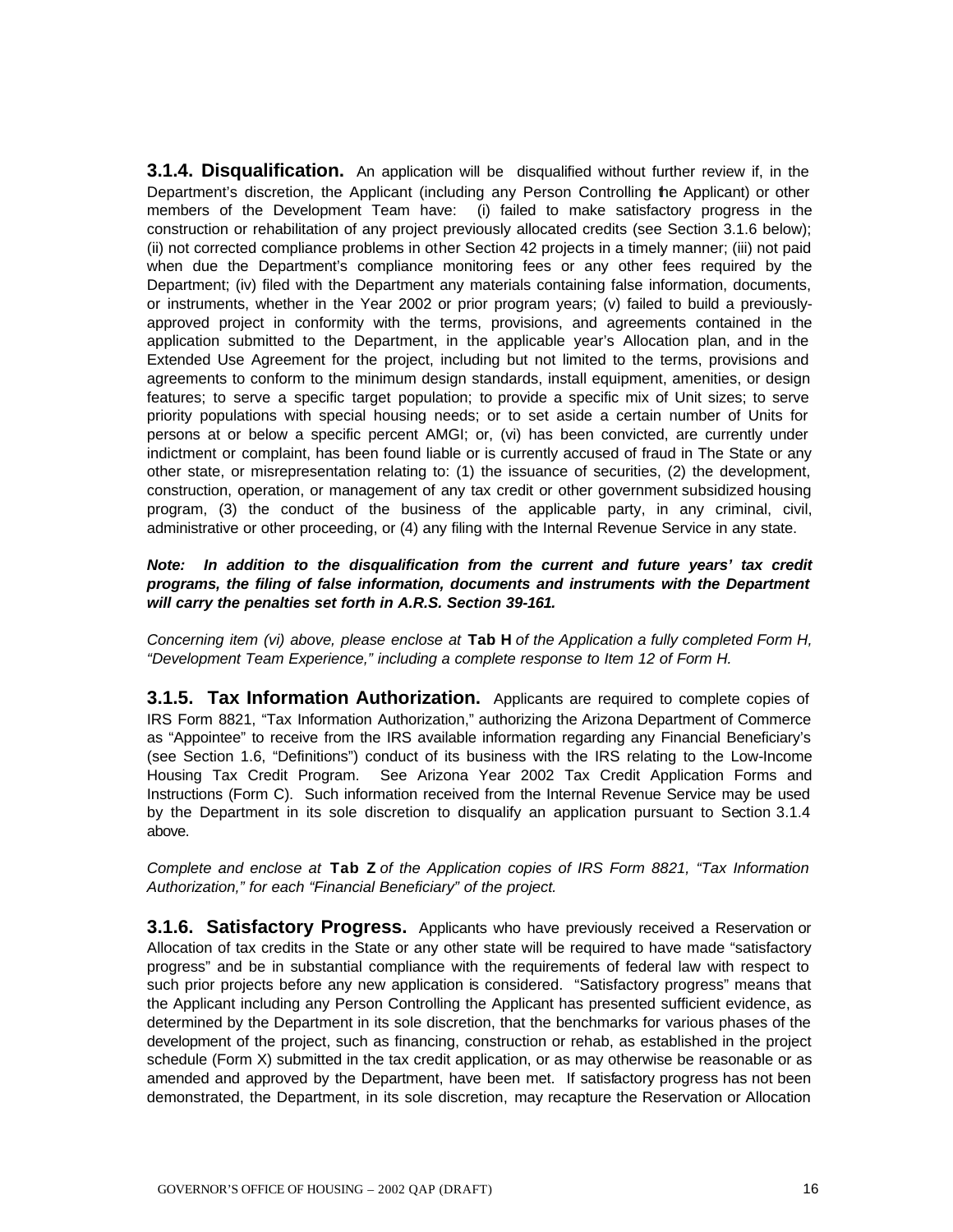**3.1.4. Disqualification.** An application will be disqualified without further review if, in the Department's discretion, the Applicant (including any Person Controlling the Applicant) or other members of the Development Team have: (i) failed to make satisfactory progress in the construction or rehabilitation of any project previously allocated credits (see Section 3.1.6 below); (ii) not corrected compliance problems in other Section 42 projects in a timely manner; (iii) not paid when due the Department's compliance monitoring fees or any other fees required by the Department; (iv) filed with the Department any materials containing false information, documents, or instruments, whether in the Year 2002 or prior program years; (v) failed to build a previouslyapproved project in conformity with the terms, provisions, and agreements contained in the application submitted to the Department, in the applicable year's Allocation plan, and in the Extended Use Agreement for the project, including but not limited to the terms, provisions and agreements to conform to the minimum design standards, install equipment, amenities, or design features; to serve a specific target population; to provide a specific mix of Unit sizes; to serve priority populations with special housing needs; or to set aside a certain number of Units for persons at or below a specific percent AMGI; or, (vi) has been convicted, are currently under indictment or complaint, has been found liable or is currently accused of fraud in The State or any other state, or misrepresentation relating to: (1) the issuance of securities, (2) the development, construction, operation, or management of any tax credit or other government subsidized housing program, (3) the conduct of the business of the applicable party, in any criminal, civil, administrative or other proceeding, or (4) any filing with the Internal Revenue Service in any state.

*Note: In addition to the disqualification from the current and future years' tax credit programs, the filing of false information, documents and instruments with the Department will carry the penalties set forth in A.R.S. Section 39-161.*

*Concerning item (vi) above, please enclose at* **Tab H** *of the Application a fully completed Form H, "Development Team Experience," including a complete response to Item 12 of Form H.* 

**3.1.5. Tax Information Authorization.** Applicants are required to complete copies of IRS Form 8821, "Tax Information Authorization," authorizing the Arizona Department of Commerce as "Appointee" to receive from the IRS available information regarding any Financial Beneficiary's (see Section 1.6, "Definitions") conduct of its business with the IRS relating to the Low-Income Housing Tax Credit Program. See Arizona Year 2002 Tax Credit Application Forms and Instructions (Form C). Such information received from the Internal Revenue Service may be used by the Department in its sole discretion to disqualify an application pursuant to Section 3.1.4 above.

*Complete and enclose at* **Tab Z** *of the Application copies of IRS Form 8821, "Tax Information Authorization," for each "Financial Beneficiary" of the project.*

**3.1.6. Satisfactory Progress.** Applicants who have previously received a Reservation or Allocation of tax credits in the State or any other state will be required to have made "satisfactory progress" and be in substantial compliance with the requirements of federal law with respect to such prior projects before any new application is considered. "Satisfactory progress" means that the Applicant including any Person Controlling the Applicant has presented sufficient evidence, as determined by the Department in its sole discretion, that the benchmarks for various phases of the development of the project, such as financing, construction or rehab, as established in the project schedule (Form X) submitted in the tax credit application, or as may otherwise be reasonable or as amended and approved by the Department, have been met. If satisfactory progress has not been demonstrated, the Department, in its sole discretion, may recapture the Reservation or Allocation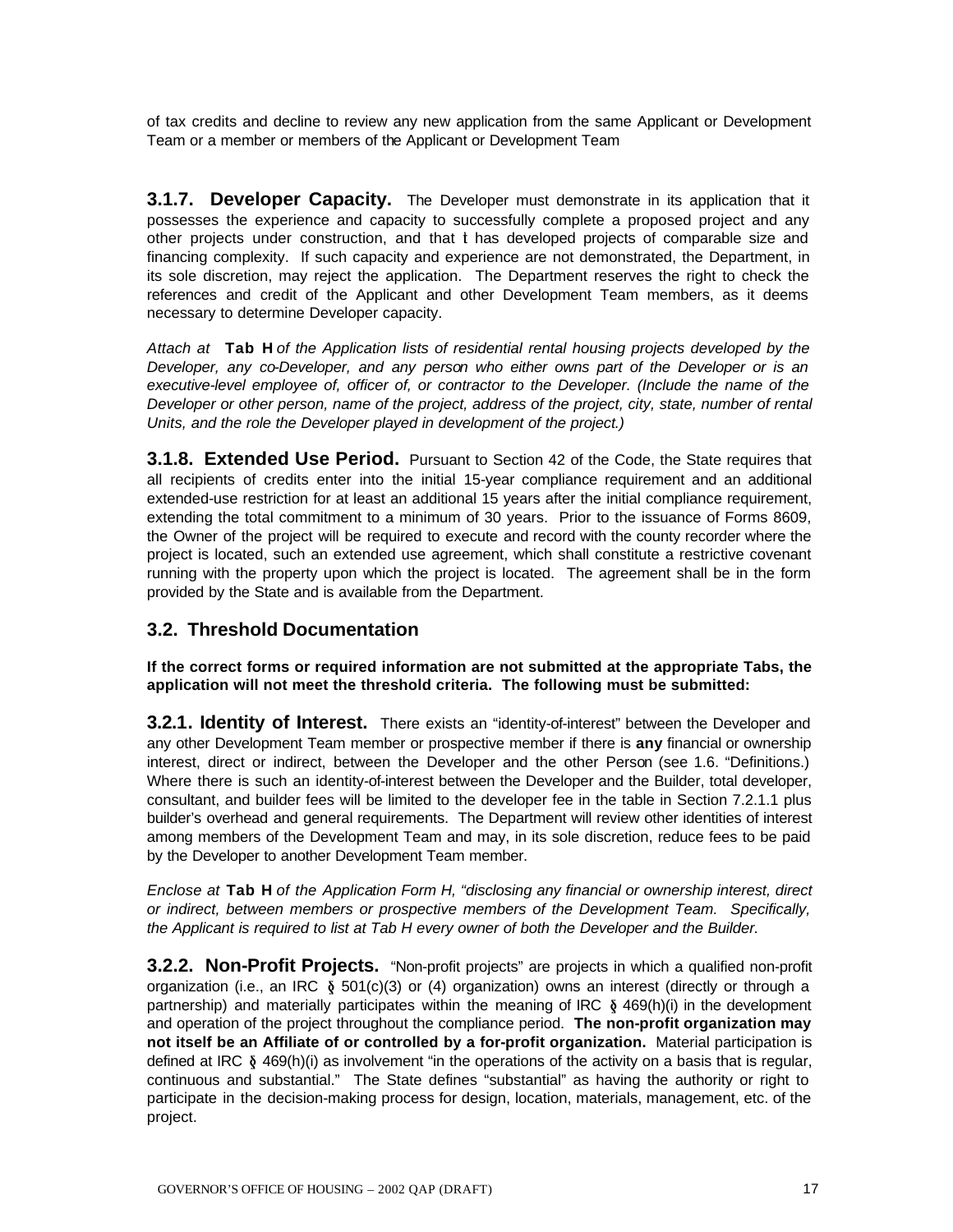of tax credits and decline to review any new application from the same Applicant or Development Team or a member or members of the Applicant or Development Team

**3.1.7. Developer Capacity.** The Developer must demonstrate in its application that it possesses the experience and capacity to successfully complete a proposed project and any other projects under construction, and that it has developed projects of comparable size and financing complexity. If such capacity and experience are not demonstrated, the Department, in its sole discretion, may reject the application. The Department reserves the right to check the references and credit of the Applicant and other Development Team members, as it deems necessary to determine Developer capacity.

*Attach at* **Tab H** *of the Application lists of residential rental housing projects developed by the Developer, any co-Developer, and any person who either owns part of the Developer or is an*  executive-level employee of, officer of, or contractor to the Developer. (Include the name of the *Developer or other person, name of the project, address of the project, city, state, number of rental Units, and the role the Developer played in development of the project.)* 

**3.1.8. Extended Use Period.** Pursuant to Section 42 of the Code, the State requires that all recipients of credits enter into the initial 15-year compliance requirement and an additional extended-use restriction for at least an additional 15 years after the initial compliance requirement, extending the total commitment to a minimum of 30 years. Prior to the issuance of Forms 8609, the Owner of the project will be required to execute and record with the county recorder where the project is located, such an extended use agreement, which shall constitute a restrictive covenant running with the property upon which the project is located. The agreement shall be in the form provided by the State and is available from the Department.

# **3.2. Threshold Documentation**

**If the correct forms or required information are not submitted at the appropriate Tabs, the application will not meet the threshold criteria. The following must be submitted:**

**3.2.1. Identity of Interest.** There exists an "identity-of-interest" between the Developer and any other Development Team member or prospective member if there is **any** financial or ownership interest, direct or indirect, between the Developer and the other Person (see 1.6. "Definitions.) Where there is such an identity-of-interest between the Developer and the Builder, total developer, consultant, and builder fees will be limited to the developer fee in the table in Section 7.2.1.1 plus builder's overhead and general requirements. The Department will review other identities of interest among members of the Development Team and may, in its sole discretion, reduce fees to be paid by the Developer to another Development Team member.

*Enclose at* **Tab H** *of the Application Form H, "disclosing any financial or ownership interest, direct or indirect, between members or prospective members of the Development Team. Specifically, the Applicant is required to list at Tab H every owner of both the Developer and the Builder.*

**3.2.2. Non-Profit Projects.** "Non-profit projects" are projects in which a qualified non-profit organization (i.e., an IRC  $\delta$  501(c)(3) or (4) organization) owns an interest (directly or through a partnership) and materially participates within the meaning of IRC  $\delta$  469(h)(i) in the development and operation of the project throughout the compliance period. **The non-profit organization may not itself be an Affiliate of or controlled by a for-profit organization.** Material participation is defined at IRC  $\S$  469(h)(i) as involvement "in the operations of the activity on a basis that is regular, continuous and substantial." The State defines "substantial" as having the authority or right to participate in the decision-making process for design, location, materials, management, etc. of the project.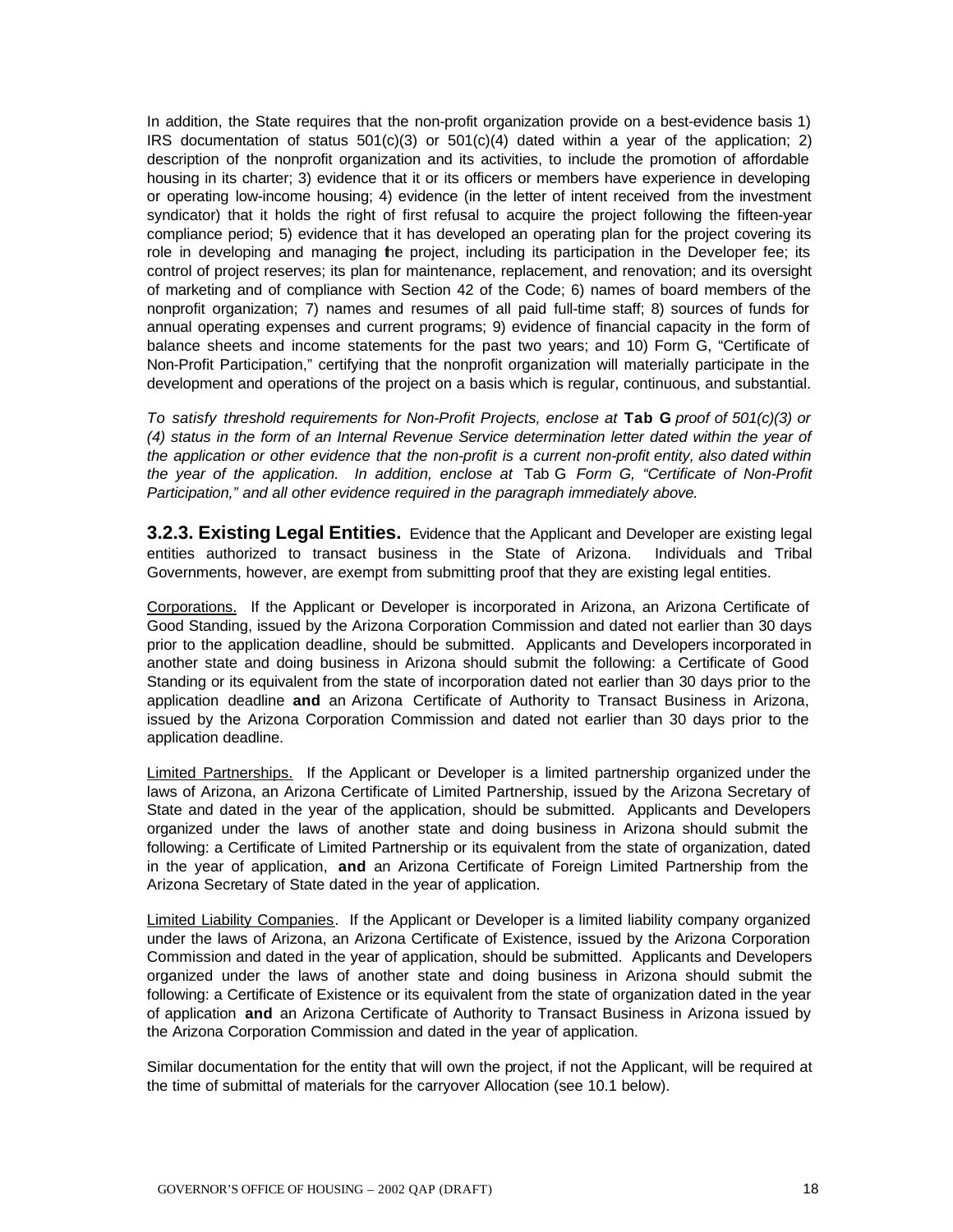In addition, the State requires that the non-profit organization provide on a best-evidence basis 1) IRS documentation of status  $501(c)(3)$  or  $501(c)(4)$  dated within a year of the application; 2) description of the nonprofit organization and its activities, to include the promotion of affordable housing in its charter; 3) evidence that it or its officers or members have experience in developing or operating low-income housing; 4) evidence (in the letter of intent received from the investment syndicator) that it holds the right of first refusal to acquire the project following the fifteen-year compliance period; 5) evidence that it has developed an operating plan for the project covering its role in developing and managing the project, including its participation in the Developer fee; its control of project reserves; its plan for maintenance, replacement, and renovation; and its oversight of marketing and of compliance with Section 42 of the Code; 6) names of board members of the nonprofit organization; 7) names and resumes of all paid full-time staff; 8) sources of funds for annual operating expenses and current programs; 9) evidence of financial capacity in the form of balance sheets and income statements for the past two years; and 10) Form G, "Certificate of Non-Profit Participation," certifying that the nonprofit organization will materially participate in the development and operations of the project on a basis which is regular, continuous, and substantial.

*To satisfy threshold requirements for Non-Profit Projects, enclose at* **Tab G** *proof of 501(c)(3) or (4) status in the form of an Internal Revenue Service determination letter dated within the year of the application or other evidence that the non-profit is a current non-profit entity, also dated within the year of the application. In addition, enclose at* Tab G *Form G, "Certificate of Non-Profit Participation," and all other evidence required in the paragraph immediately above.*

**3.2.3. Existing Legal Entities.** Evidence that the Applicant and Developer are existing legal entities authorized to transact business in the State of Arizona. Individuals and Tribal Governments, however, are exempt from submitting proof that they are existing legal entities.

Corporations. If the Applicant or Developer is incorporated in Arizona, an Arizona Certificate of Good Standing, issued by the Arizona Corporation Commission and dated not earlier than 30 days prior to the application deadline, should be submitted. Applicants and Developers incorporated in another state and doing business in Arizona should submit the following: a Certificate of Good Standing or its equivalent from the state of incorporation dated not earlier than 30 days prior to the application deadline **and** an Arizona Certificate of Authority to Transact Business in Arizona, issued by the Arizona Corporation Commission and dated not earlier than 30 days prior to the application deadline.

Limited Partnerships. If the Applicant or Developer is a limited partnership organized under the laws of Arizona, an Arizona Certificate of Limited Partnership, issued by the Arizona Secretary of State and dated in the year of the application, should be submitted. Applicants and Developers organized under the laws of another state and doing business in Arizona should submit the following: a Certificate of Limited Partnership or its equivalent from the state of organization, dated in the year of application, **and** an Arizona Certificate of Foreign Limited Partnership from the Arizona Secretary of State dated in the year of application.

Limited Liability Companies. If the Applicant or Developer is a limited liability company organized under the laws of Arizona, an Arizona Certificate of Existence, issued by the Arizona Corporation Commission and dated in the year of application, should be submitted. Applicants and Developers organized under the laws of another state and doing business in Arizona should submit the following: a Certificate of Existence or its equivalent from the state of organization dated in the year of application **and** an Arizona Certificate of Authority to Transact Business in Arizona issued by the Arizona Corporation Commission and dated in the year of application.

Similar documentation for the entity that will own the project, if not the Applicant, will be required at the time of submittal of materials for the carryover Allocation (see 10.1 below).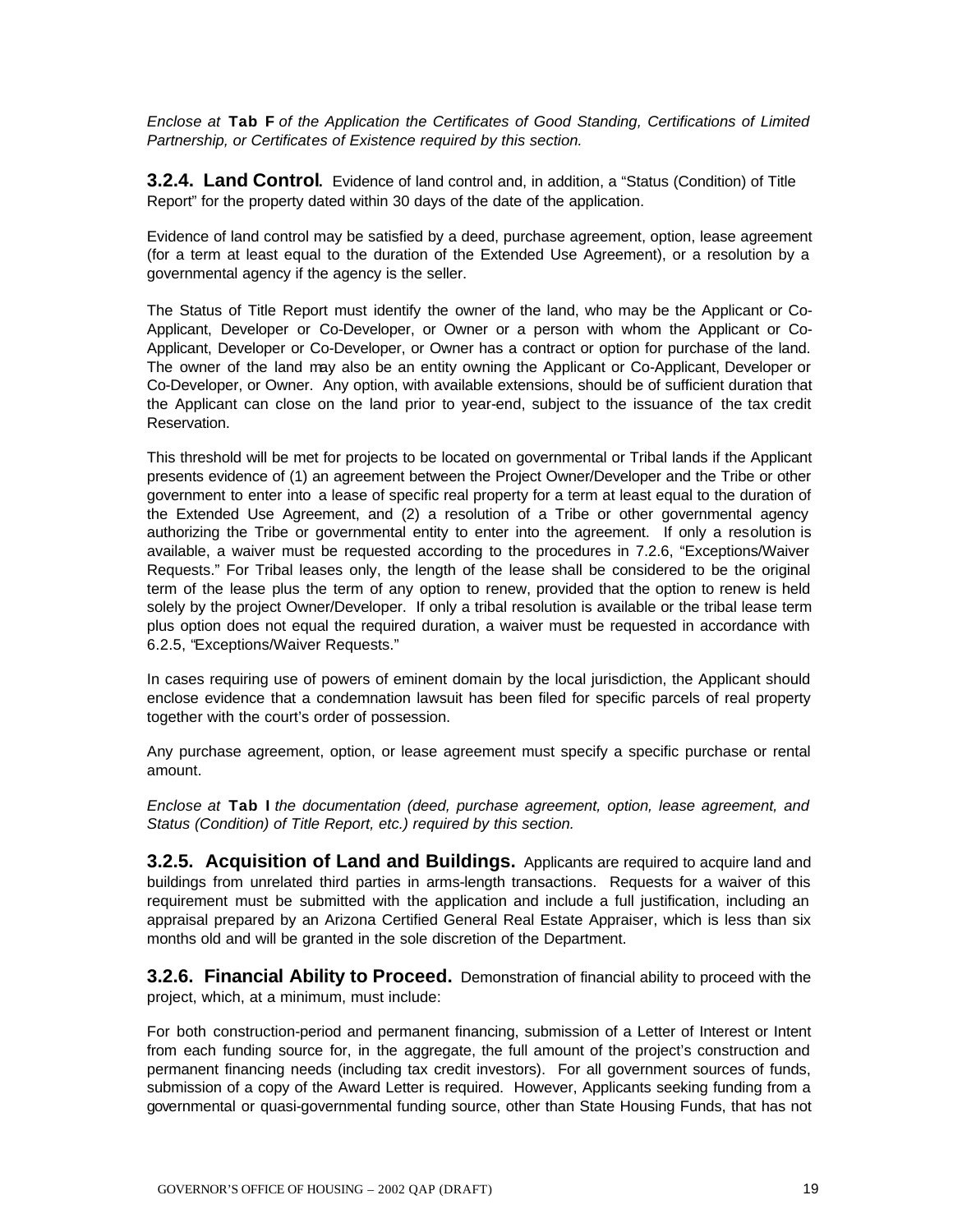*Enclose at* **Tab F** *of the Application the Certificates of Good Standing, Certifications of Limited Partnership, or Certificates of Existence required by this section.*

**3.2.4. Land Control.** Evidence of land control and, in addition, a "Status (Condition) of Title Report" for the property dated within 30 days of the date of the application.

Evidence of land control may be satisfied by a deed, purchase agreement, option, lease agreement (for a term at least equal to the duration of the Extended Use Agreement), or a resolution by a governmental agency if the agency is the seller.

The Status of Title Report must identify the owner of the land, who may be the Applicant or Co-Applicant, Developer or Co-Developer, or Owner or a person with whom the Applicant or Co-Applicant, Developer or Co-Developer, or Owner has a contract or option for purchase of the land. The owner of the land may also be an entity owning the Applicant or Co-Applicant, Developer or Co-Developer, or Owner. Any option, with available extensions, should be of sufficient duration that the Applicant can close on the land prior to year-end, subject to the issuance of the tax credit Reservation.

This threshold will be met for projects to be located on governmental or Tribal lands if the Applicant presents evidence of (1) an agreement between the Project Owner/Developer and the Tribe or other government to enter into a lease of specific real property for a term at least equal to the duration of the Extended Use Agreement, and (2) a resolution of a Tribe or other governmental agency authorizing the Tribe or governmental entity to enter into the agreement. If only a resolution is available, a waiver must be requested according to the procedures in 7.2.6, "Exceptions/Waiver Requests." For Tribal leases only, the length of the lease shall be considered to be the original term of the lease plus the term of any option to renew, provided that the option to renew is held solely by the project Owner/Developer. If only a tribal resolution is available or the tribal lease term plus option does not equal the required duration, a waiver must be requested in accordance with 6.2.5, "Exceptions/Waiver Requests."

In cases requiring use of powers of eminent domain by the local jurisdiction, the Applicant should enclose evidence that a condemnation lawsuit has been filed for specific parcels of real property together with the court's order of possession.

Any purchase agreement, option, or lease agreement must specify a specific purchase or rental amount.

*Enclose at* **Tab I** *the documentation (deed, purchase agreement, option, lease agreement, and Status (Condition) of Title Report, etc.) required by this section.*

**3.2.5. Acquisition of Land and Buildings.** Applicants are required to acquire land and buildings from unrelated third parties in arms-length transactions. Requests for a waiver of this requirement must be submitted with the application and include a full justification, including an appraisal prepared by an Arizona Certified General Real Estate Appraiser, which is less than six months old and will be granted in the sole discretion of the Department.

**3.2.6. Financial Ability to Proceed.** Demonstration of financial ability to proceed with the project, which, at a minimum, must include:

For both construction-period and permanent financing, submission of a Letter of Interest or Intent from each funding source for, in the aggregate, the full amount of the project's construction and permanent financing needs (including tax credit investors). For all government sources of funds, submission of a copy of the Award Letter is required. However, Applicants seeking funding from a governmental or quasi-governmental funding source, other than State Housing Funds, that has not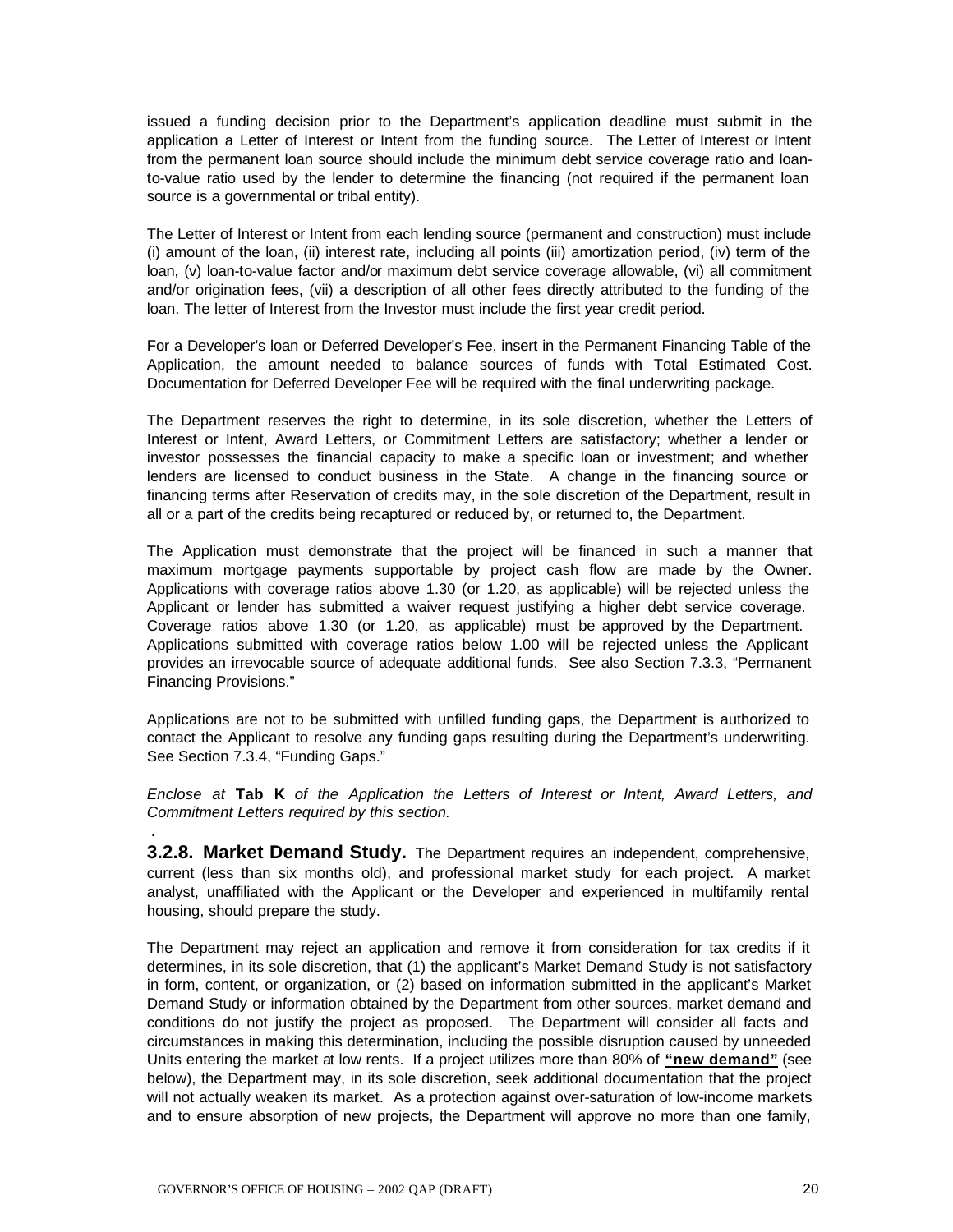issued a funding decision prior to the Department's application deadline must submit in the application a Letter of Interest or Intent from the funding source. The Letter of Interest or Intent from the permanent loan source should include the minimum debt service coverage ratio and loanto-value ratio used by the lender to determine the financing (not required if the permanent loan source is a governmental or tribal entity).

The Letter of Interest or Intent from each lending source (permanent and construction) must include (i) amount of the loan, (ii) interest rate, including all points (iii) amortization period, (iv) term of the loan, (v) loan-to-value factor and/or maximum debt service coverage allowable, (vi) all commitment and/or origination fees, (vii) a description of all other fees directly attributed to the funding of the loan. The letter of Interest from the Investor must include the first year credit period.

For a Developer's loan or Deferred Developer's Fee, insert in the Permanent Financing Table of the Application, the amount needed to balance sources of funds with Total Estimated Cost. Documentation for Deferred Developer Fee will be required with the final underwriting package.

The Department reserves the right to determine, in its sole discretion, whether the Letters of Interest or Intent, Award Letters, or Commitment Letters are satisfactory; whether a lender or investor possesses the financial capacity to make a specific loan or investment; and whether lenders are licensed to conduct business in the State. A change in the financing source or financing terms after Reservation of credits may, in the sole discretion of the Department, result in all or a part of the credits being recaptured or reduced by, or returned to, the Department.

The Application must demonstrate that the project will be financed in such a manner that maximum mortgage payments supportable by project cash flow are made by the Owner. Applications with coverage ratios above 1.30 (or 1.20, as applicable) will be rejected unless the Applicant or lender has submitted a waiver request justifying a higher debt service coverage. Coverage ratios above 1.30 (or 1.20, as applicable) must be approved by the Department. Applications submitted with coverage ratios below 1.00 will be rejected unless the Applicant provides an irrevocable source of adequate additional funds. See also Section 7.3.3, "Permanent Financing Provisions."

Applications are not to be submitted with unfilled funding gaps, the Department is authorized to contact the Applicant to resolve any funding gaps resulting during the Department's underwriting. See Section 7.3.4, "Funding Gaps."

*Enclose at* **Tab K** *of the Application the Letters of Interest or Intent, Award Letters, and Commitment Letters required by this section.*

**3.2.8. Market Demand Study.** The Department requires an independent, comprehensive, current (less than six months old), and professional market study for each project. A market analyst, unaffiliated with the Applicant or the Developer and experienced in multifamily rental housing, should prepare the study.

The Department may reject an application and remove it from consideration for tax credits if it determines, in its sole discretion, that (1) the applicant's Market Demand Study is not satisfactory in form, content, or organization, or (2) based on information submitted in the applicant's Market Demand Study or information obtained by the Department from other sources, market demand and conditions do not justify the project as proposed. The Department will consider all facts and circumstances in making this determination, including the possible disruption caused by unneeded Units entering the market at low rents. If a project utilizes more than 80% of **"new demand"** (see below), the Department may, in its sole discretion, seek additional documentation that the project will not actually weaken its market. As a protection against over-saturation of low-income markets and to ensure absorption of new projects, the Department will approve no more than one family,

*.*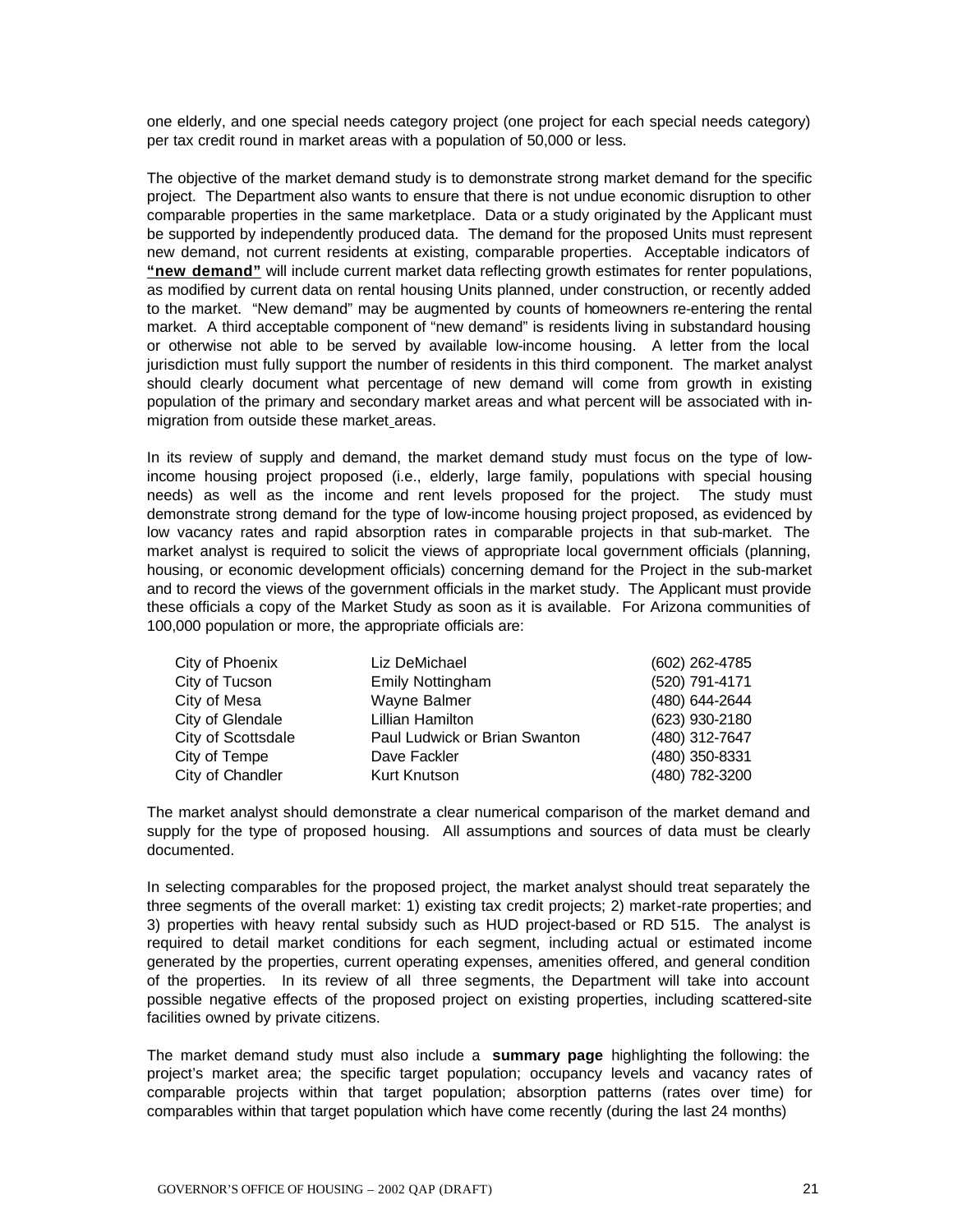one elderly, and one special needs category project (one project for each special needs category) per tax credit round in market areas with a population of 50,000 or less.

The objective of the market demand study is to demonstrate strong market demand for the specific project. The Department also wants to ensure that there is not undue economic disruption to other comparable properties in the same marketplace. Data or a study originated by the Applicant must be supported by independently produced data. The demand for the proposed Units must represent new demand, not current residents at existing, comparable properties. Acceptable indicators of **"new demand"** will include current market data reflecting growth estimates for renter populations, as modified by current data on rental housing Units planned, under construction, or recently added to the market. "New demand" may be augmented by counts of homeowners re-entering the rental market. A third acceptable component of "new demand" is residents living in substandard housing or otherwise not able to be served by available low-income housing. A letter from the local jurisdiction must fully support the number of residents in this third component. The market analyst should clearly document what percentage of new demand will come from growth in existing population of the primary and secondary market areas and what percent will be associated with inmigration from outside these market areas.

In its review of supply and demand, the market demand study must focus on the type of lowincome housing project proposed (i.e., elderly, large family, populations with special housing needs) as well as the income and rent levels proposed for the project. The study must demonstrate strong demand for the type of low-income housing project proposed, as evidenced by low vacancy rates and rapid absorption rates in comparable projects in that sub-market. The market analyst is required to solicit the views of appropriate local government officials (planning, housing, or economic development officials) concerning demand for the Project in the sub-market and to record the views of the government officials in the market study. The Applicant must provide these officials a copy of the Market Study as soon as it is available. For Arizona communities of 100,000 population or more, the appropriate officials are:

| City of Phoenix    | Liz DeMichael                 | (602) 262-4785 |
|--------------------|-------------------------------|----------------|
| City of Tucson     | <b>Emily Nottingham</b>       | (520) 791-4171 |
| City of Mesa       | Wayne Balmer                  | (480) 644-2644 |
| City of Glendale   | Lillian Hamilton              | (623) 930-2180 |
| City of Scottsdale | Paul Ludwick or Brian Swanton | (480) 312-7647 |
| City of Tempe      | Dave Fackler                  | (480) 350-8331 |
| City of Chandler   | Kurt Knutson                  | (480) 782-3200 |

The market analyst should demonstrate a clear numerical comparison of the market demand and supply for the type of proposed housing. All assumptions and sources of data must be clearly documented.

In selecting comparables for the proposed project, the market analyst should treat separately the three segments of the overall market: 1) existing tax credit projects; 2) market-rate properties; and 3) properties with heavy rental subsidy such as HUD project-based or RD 515. The analyst is required to detail market conditions for each segment, including actual or estimated income generated by the properties, current operating expenses, amenities offered, and general condition of the properties. In its review of all three segments, the Department will take into account possible negative effects of the proposed project on existing properties, including scattered-site facilities owned by private citizens.

The market demand study must also include a **summary page** highlighting the following: the project's market area; the specific target population; occupancy levels and vacancy rates of comparable projects within that target population; absorption patterns (rates over time) for comparables within that target population which have come recently (during the last 24 months)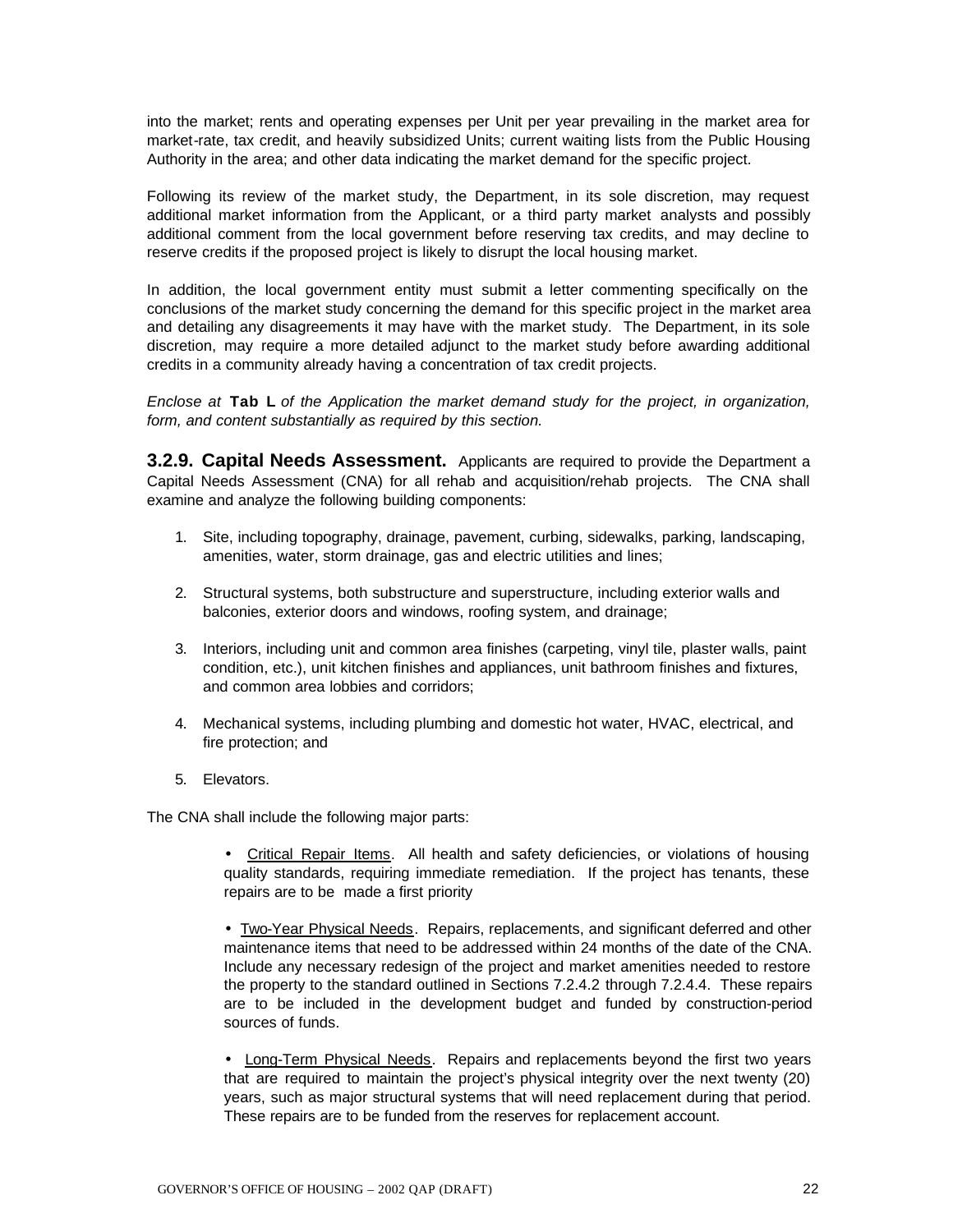into the market; rents and operating expenses per Unit per year prevailing in the market area for market-rate, tax credit, and heavily subsidized Units; current waiting lists from the Public Housing Authority in the area; and other data indicating the market demand for the specific project.

Following its review of the market study, the Department, in its sole discretion, may request additional market information from the Applicant, or a third party market analysts and possibly additional comment from the local government before reserving tax credits, and may decline to reserve credits if the proposed project is likely to disrupt the local housing market.

In addition, the local government entity must submit a letter commenting specifically on the conclusions of the market study concerning the demand for this specific project in the market area and detailing any disagreements it may have with the market study. The Department, in its sole discretion, may require a more detailed adjunct to the market study before awarding additional credits in a community already having a concentration of tax credit projects.

*Enclose at* **Tab L** *of the Application the market demand study for the project, in organization, form, and content substantially as required by this section.*

**3.2.9. Capital Needs Assessment.** Applicants are required to provide the Department a Capital Needs Assessment (CNA) for all rehab and acquisition/rehab projects. The CNA shall examine and analyze the following building components:

- 1. Site, including topography, drainage, pavement, curbing, sidewalks, parking, landscaping, amenities, water, storm drainage, gas and electric utilities and lines;
- 2. Structural systems, both substructure and superstructure, including exterior walls and balconies, exterior doors and windows, roofing system, and drainage;
- 3. Interiors, including unit and common area finishes (carpeting, vinyl tile, plaster walls, paint condition, etc.), unit kitchen finishes and appliances, unit bathroom finishes and fixtures, and common area lobbies and corridors;
- 4. Mechanical systems, including plumbing and domestic hot water, HVAC, electrical, and fire protection; and
- 5. Elevators.

The CNA shall include the following major parts:

• Critical Repair Items. All health and safety deficiencies, or violations of housing quality standards, requiring immediate remediation. If the project has tenants, these repairs are to be made a first priority

• Two-Year Physical Needs. Repairs, replacements, and significant deferred and other maintenance items that need to be addressed within 24 months of the date of the CNA. Include any necessary redesign of the project and market amenities needed to restore the property to the standard outlined in Sections 7.2.4.2 through 7.2.4.4. These repairs are to be included in the development budget and funded by construction-period sources of funds.

• Long-Term Physical Needs. Repairs and replacements beyond the first two years that are required to maintain the project's physical integrity over the next twenty (20) years, such as major structural systems that will need replacement during that period. These repairs are to be funded from the reserves for replacement account.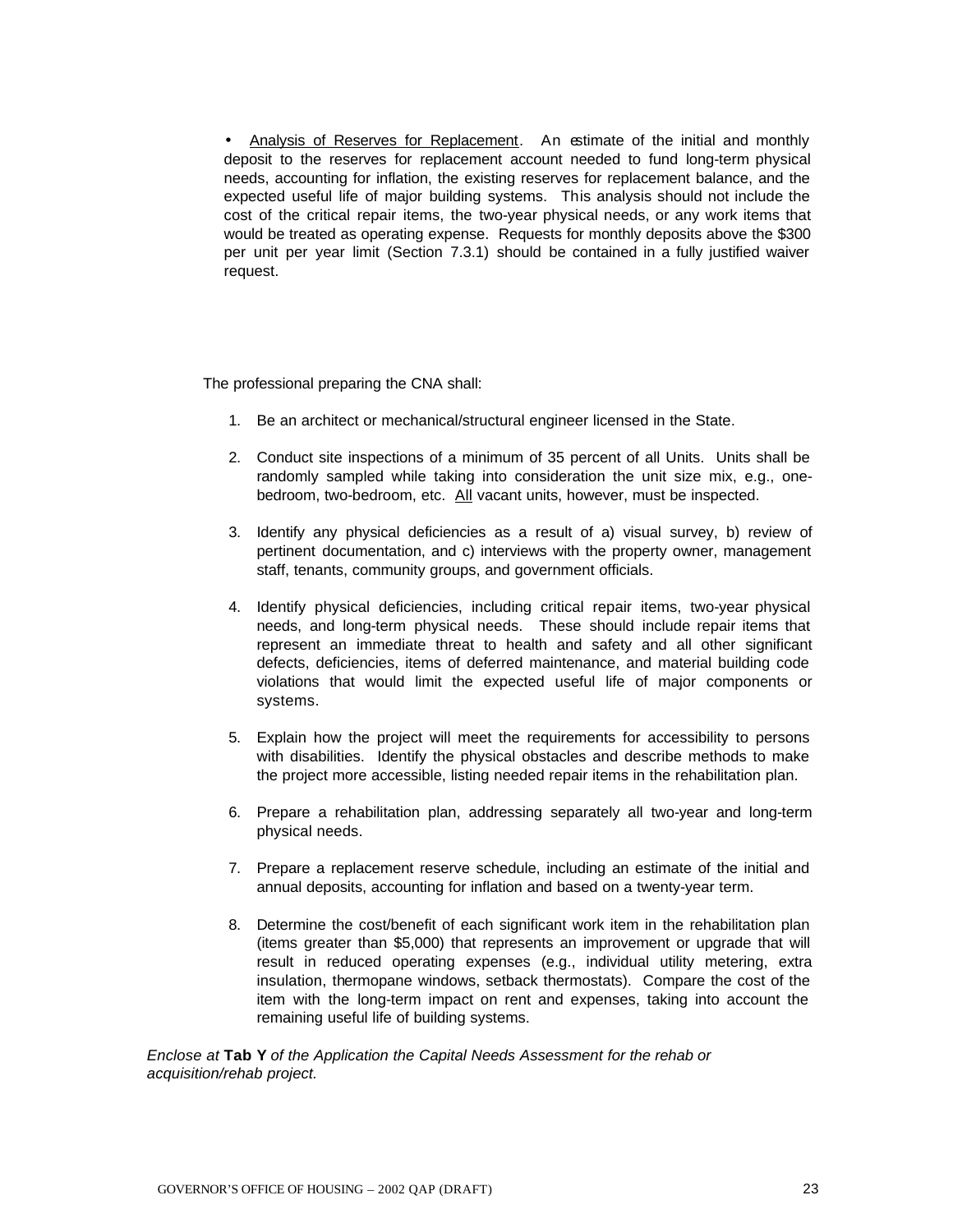• Analysis of Reserves for Replacement. An estimate of the initial and monthly deposit to the reserves for replacement account needed to fund long-term physical needs, accounting for inflation, the existing reserves for replacement balance, and the expected useful life of major building systems. This analysis should not include the cost of the critical repair items, the two-year physical needs, or any work items that would be treated as operating expense. Requests for monthly deposits above the \$300 per unit per year limit (Section 7.3.1) should be contained in a fully justified waiver request.

The professional preparing the CNA shall:

- 1. Be an architect or mechanical/structural engineer licensed in the State.
- 2. Conduct site inspections of a minimum of 35 percent of all Units. Units shall be randomly sampled while taking into consideration the unit size mix, e.g., onebedroom, two-bedroom, etc. All vacant units, however, must be inspected.
- 3. Identify any physical deficiencies as a result of a) visual survey, b) review of pertinent documentation, and c) interviews with the property owner, management staff, tenants, community groups, and government officials.
- 4. Identify physical deficiencies, including critical repair items, two-year physical needs, and long-term physical needs. These should include repair items that represent an immediate threat to health and safety and all other significant defects, deficiencies, items of deferred maintenance, and material building code violations that would limit the expected useful life of major components or systems.
- 5. Explain how the project will meet the requirements for accessibility to persons with disabilities. Identify the physical obstacles and describe methods to make the project more accessible, listing needed repair items in the rehabilitation plan.
- 6. Prepare a rehabilitation plan, addressing separately all two-year and long-term physical needs.
- 7. Prepare a replacement reserve schedule, including an estimate of the initial and annual deposits, accounting for inflation and based on a twenty-year term.
- 8. Determine the cost/benefit of each significant work item in the rehabilitation plan (items greater than \$5,000) that represents an improvement or upgrade that will result in reduced operating expenses (e.g., individual utility metering, extra insulation, thermopane windows, setback thermostats). Compare the cost of the item with the long-term impact on rent and expenses, taking into account the remaining useful life of building systems.

*Enclose at* **Tab Y** *of the Application the Capital Needs Assessment for the rehab or acquisition/rehab project.*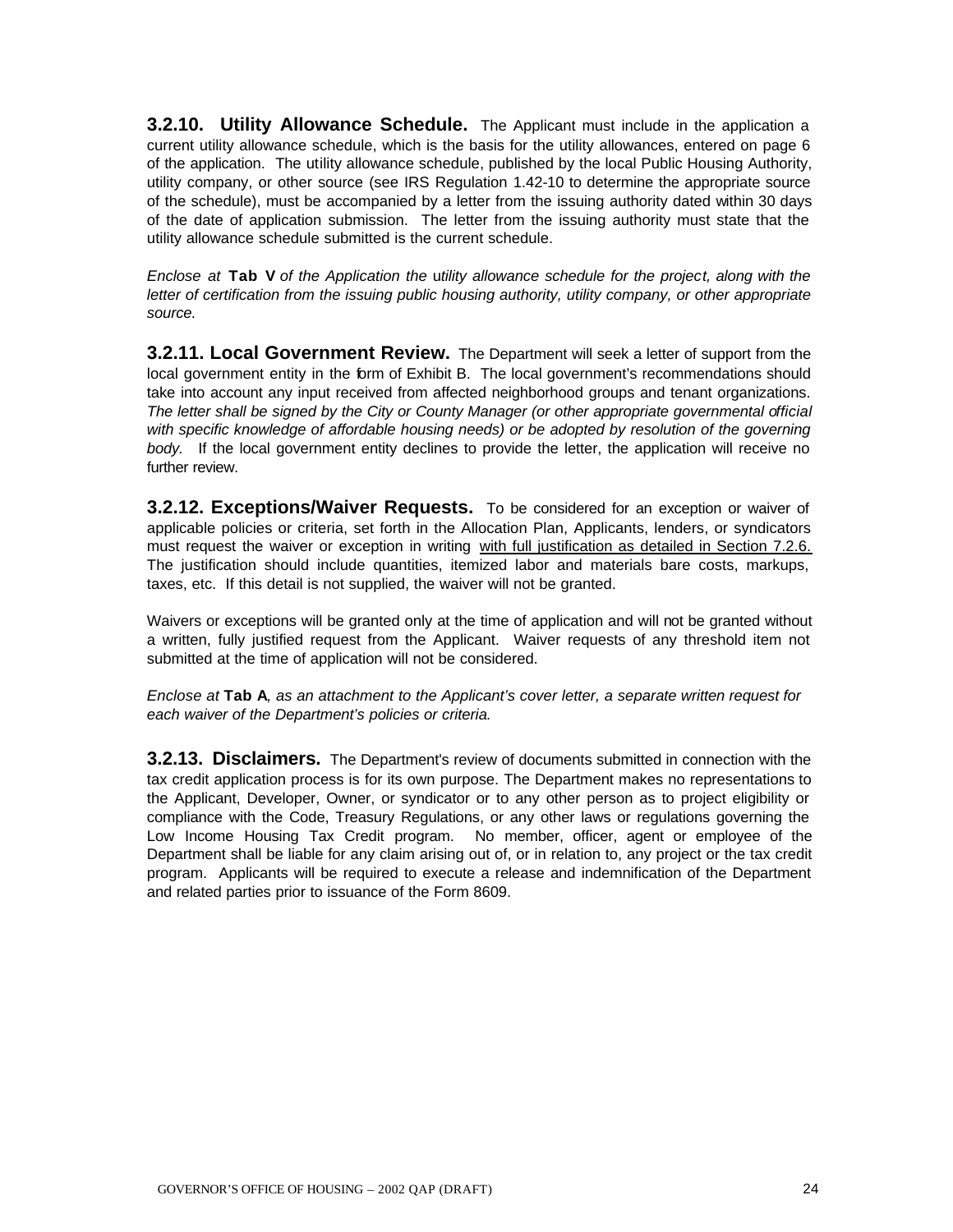**3.2.10. Utility Allowance Schedule.** The Applicant must include in the application a current utility allowance schedule, which is the basis for the utility allowances, entered on page 6 of the application. The utility allowance schedule, published by the local Public Housing Authority, utility company, or other source (see IRS Regulation 1.42-10 to determine the appropriate source of the schedule), must be accompanied by a letter from the issuing authority dated within 30 days of the date of application submission. The letter from the issuing authority must state that the utility allowance schedule submitted is the current schedule.

*Enclose at* **Tab V** *of the Application the* u*tility allowance schedule for the project, along with the letter of certification from the issuing public housing authority, utility company, or other appropriate source.*

**3.2.11. Local Government Review.** The Department will seek a letter of support from the local government entity in the form of Exhibit B. The local government's recommendations should take into account any input received from affected neighborhood groups and tenant organizations. *The letter shall be signed by the City or County Manager (or other appropriate governmental official with specific knowledge of affordable housing needs) or be adopted by resolution of the governing body.*If the local government entity declines to provide the letter, the application will receive no further review.

**3.2.12. Exceptions/Waiver Requests.** To be considered for an exception or waiver of applicable policies or criteria, set forth in the Allocation Plan, Applicants, lenders, or syndicators must request the waiver or exception in writing with full justification as detailed in Section 7.2.6. The justification should include quantities, itemized labor and materials bare costs, markups, taxes, etc. If this detail is not supplied, the waiver will not be granted.

Waivers or exceptions will be granted only at the time of application and will not be granted without a written, fully justified request from the Applicant. Waiver requests of any threshold item not submitted at the time of application will not be considered.

*Enclose at* **Tab A***, as an attachment to the Applicant's cover letter, a separate written request for each waiver of the Department's policies or criteria.* 

**3.2.13. Disclaimers.** The Department's review of documents submitted in connection with the tax credit application process is for its own purpose. The Department makes no representations to the Applicant, Developer, Owner, or syndicator or to any other person as to project eligibility or compliance with the Code, Treasury Regulations, or any other laws or regulations governing the Low Income Housing Tax Credit program. No member, officer, agent or employee of the Department shall be liable for any claim arising out of, or in relation to, any project or the tax credit program. Applicants will be required to execute a release and indemnification of the Department and related parties prior to issuance of the Form 8609.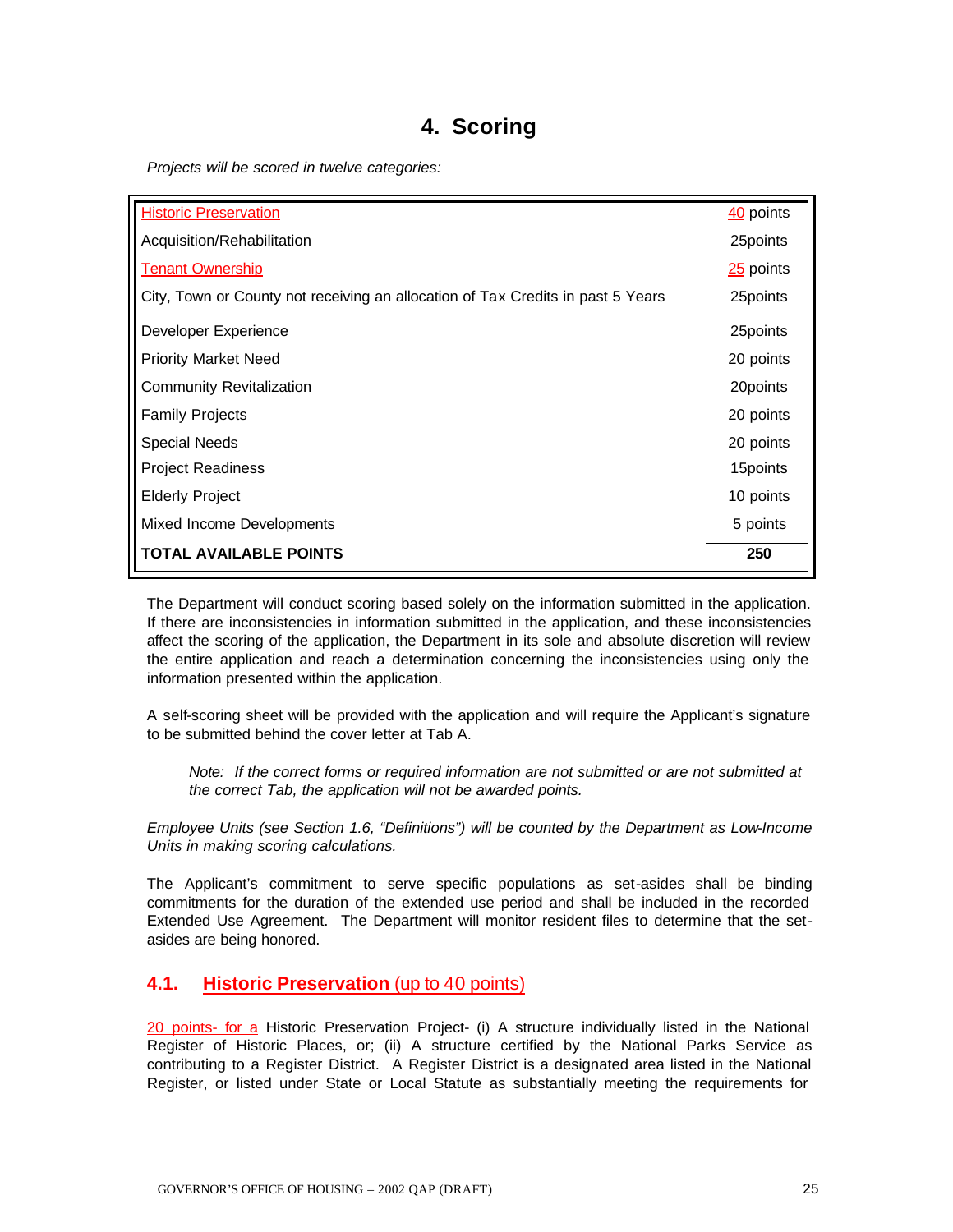# **4. Scoring**

*Projects will be scored in twelve categories:* 

| <b>Historic Preservation</b>                                                    | $40$ points |
|---------------------------------------------------------------------------------|-------------|
| Acquisition/Rehabilitation                                                      | 25 points   |
| <b>Tenant Ownership</b>                                                         | 25 points   |
| City, Town or County not receiving an allocation of Tax Credits in past 5 Years | 25 points   |
| Developer Experience                                                            | 25 points   |
| <b>Priority Market Need</b>                                                     | 20 points   |
| <b>Community Revitalization</b>                                                 | 20points    |
| <b>Family Projects</b>                                                          | 20 points   |
| Special Needs                                                                   | 20 points   |
| <b>Project Readiness</b>                                                        | 15 points   |
| <b>Elderly Project</b>                                                          | 10 points   |
| Mixed Income Developments                                                       | 5 points    |
| <b>TOTAL AVAILABLE POINTS</b>                                                   | 250         |

The Department will conduct scoring based solely on the information submitted in the application. If there are inconsistencies in information submitted in the application, and these inconsistencies affect the scoring of the application, the Department in its sole and absolute discretion will review the entire application and reach a determination concerning the inconsistencies using only the information presented within the application.

A self-scoring sheet will be provided with the application and will require the Applicant's signature to be submitted behind the cover letter at Tab A.

*Note: If the correct forms or required information are not submitted or are not submitted at the correct Tab, the application will not be awarded points.*

*Employee Units (see Section 1.6, "Definitions") will be counted by the Department as Low-Income Units in making scoring calculations.* 

The Applicant's commitment to serve specific populations as set-asides shall be binding commitments for the duration of the extended use period and shall be included in the recorded Extended Use Agreement. The Department will monitor resident files to determine that the setasides are being honored.

### **4.1. Historic Preservation** (up to 40 points)

20 points- for a Historic Preservation Project- (i) A structure individually listed in the National Register of Historic Places, or; (ii) A structure certified by the National Parks Service as contributing to a Register District. A Register District is a designated area listed in the National Register, or listed under State or Local Statute as substantially meeting the requirements for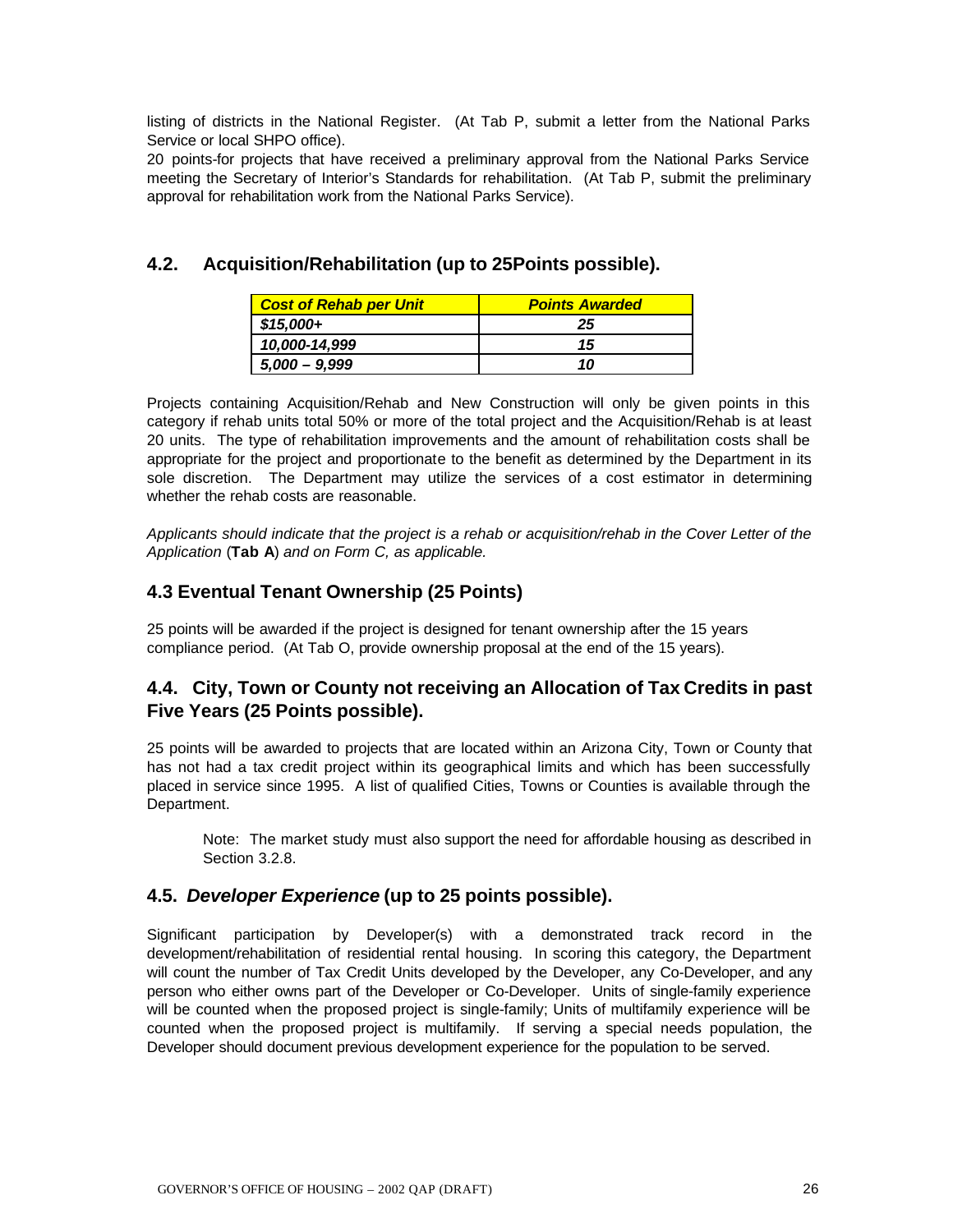listing of districts in the National Register. (At Tab P, submit a letter from the National Parks Service or local SHPO office).

20 points-for projects that have received a preliminary approval from the National Parks Service meeting the Secretary of Interior's Standards for rehabilitation. (At Tab P, submit the preliminary approval for rehabilitation work from the National Parks Service).

# **4.2. Acquisition/Rehabilitation (up to 25Points possible).**

| <b>Cost of Rehab per Unit</b> | <b>Points Awarded</b> |
|-------------------------------|-----------------------|
| $$15,000+$                    | 25                    |
| 10,000-14,999                 | 15                    |
| $5,000 - 9,999$               | 10                    |

Projects containing Acquisition/Rehab and New Construction will only be given points in this category if rehab units total 50% or more of the total project and the Acquisition/Rehab is at least 20 units. The type of rehabilitation improvements and the amount of rehabilitation costs shall be appropriate for the project and proportionate to the benefit as determined by the Department in its sole discretion. The Department may utilize the services of a cost estimator in determining whether the rehab costs are reasonable.

*Applicants should indicate that the project is a rehab or acquisition/rehab in the Cover Letter of the Application* (**Tab A**) *and on Form C, as applicable.*

# **4.3 Eventual Tenant Ownership (25 Points)**

25 points will be awarded if the project is designed for tenant ownership after the 15 years compliance period. (At Tab O, provide ownership proposal at the end of the 15 years).

# **4.4. City, Town or County not receiving an Allocation of Tax Credits in past Five Years (25 Points possible).**

25 points will be awarded to projects that are located within an Arizona City, Town or County that has not had a tax credit project within its geographical limits and which has been successfully placed in service since 1995. A list of qualified Cities, Towns or Counties is available through the Department.

Note: The market study must also support the need for affordable housing as described in Section 3.2.8.

# **4.5.** *Developer Experience* **(up to 25 points possible).**

Significant participation by Developer(s) with a demonstrated track record in the development/rehabilitation of residential rental housing. In scoring this category, the Department will count the number of Tax Credit Units developed by the Developer, any Co-Developer, and any person who either owns part of the Developer or Co-Developer. Units of single-family experience will be counted when the proposed project is single-family; Units of multifamily experience will be counted when the proposed project is multifamily. If serving a special needs population, the Developer should document previous development experience for the population to be served.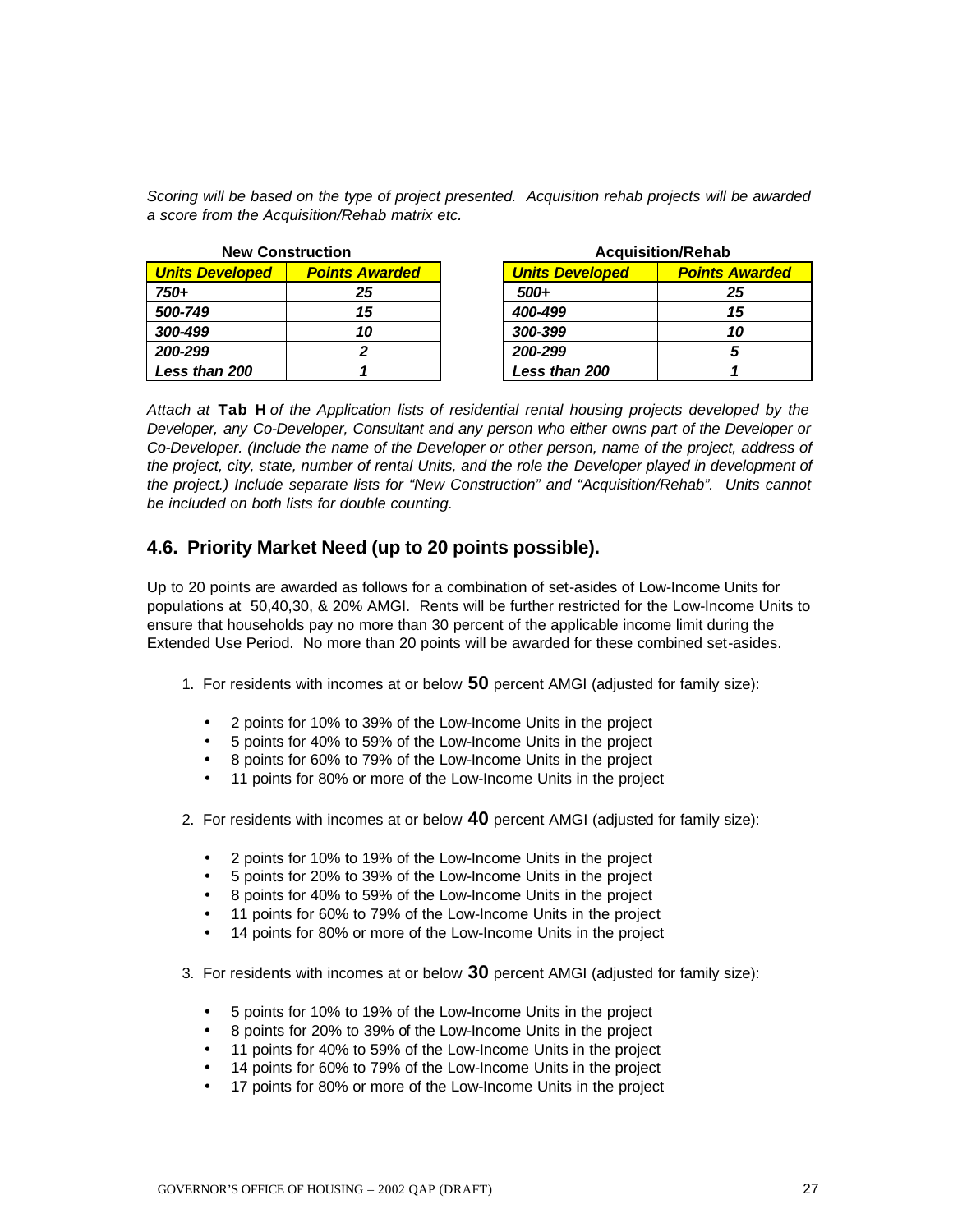*Scoring will be based on the type of project presented. Acquisition rehab projects will be awarded a score from the Acquisition/Rehab matrix etc.*

| <b>New Construction</b> |                       |                        | <b>Acquisition/Rehab</b> |  |  |
|-------------------------|-----------------------|------------------------|--------------------------|--|--|
| <b>Units Developed</b>  | <b>Points Awarded</b> | <b>Units Developed</b> | <b>Points Awarded</b>    |  |  |
| 750+                    | 25                    | $500+$                 | 25                       |  |  |
| 500-749                 | 15                    | 400-499                | 15                       |  |  |
| 300-499                 | 10                    | 300-399                | 10                       |  |  |
| 200-299                 |                       | 200-299                |                          |  |  |
| <b>Less than 200</b>    |                       | Less than 200          |                          |  |  |

| <b>Acquisition/Rehab</b> |                       |  |  |
|--------------------------|-----------------------|--|--|
| <b>Units Developed</b>   | <b>Points Awarded</b> |  |  |
| 500+                     | 25                    |  |  |
| 400-499                  | 15                    |  |  |
| 300-399                  | 10                    |  |  |
| 200-299                  | 5                     |  |  |
| Less than 200            |                       |  |  |

*Attach at* **Tab H** *of the Application lists of residential rental housing projects developed by the Developer, any Co-Developer, Consultant and any person who either owns part of the Developer or Co-Developer. (Include the name of the Developer or other person, name of the project, address of the project, city, state, number of rental Units, and the role the Developer played in development of the project.) Include separate lists for "New Construction" and "Acquisition/Rehab". Units cannot be included on both lists for double counting.* 

### **4.6. Priority Market Need (up to 20 points possible).**

Up to 20 points are awarded as follows for a combination of set-asides of Low-Income Units for populations at 50,40,30, & 20% AMGI. Rents will be further restricted for the Low-Income Units to ensure that households pay no more than 30 percent of the applicable income limit during the Extended Use Period. No more than 20 points will be awarded for these combined set-asides.

- 1. For residents with incomes at or below **50** percent AMGI (adjusted for family size):
	- 2 points for 10% to 39% of the Low-Income Units in the project
	- 5 points for 40% to 59% of the Low-Income Units in the project
	- 8 points for 60% to 79% of the Low-Income Units in the project
	- 11 points for 80% or more of the Low-Income Units in the project
- 2. For residents with incomes at or below **40** percent AMGI (adjusted for family size):
	- 2 points for 10% to 19% of the Low-Income Units in the project
	- 5 points for 20% to 39% of the Low-Income Units in the project
	- 8 points for 40% to 59% of the Low-Income Units in the project
	- 11 points for 60% to 79% of the Low-Income Units in the project
	- 14 points for 80% or more of the Low-Income Units in the project
- 3. For residents with incomes at or below **30** percent AMGI (adjusted for family size):
	- 5 points for 10% to 19% of the Low-Income Units in the project
	- 8 points for 20% to 39% of the Low-Income Units in the project
	- 11 points for 40% to 59% of the Low-Income Units in the project
	- 14 points for 60% to 79% of the Low-Income Units in the project
	- 17 points for 80% or more of the Low-Income Units in the project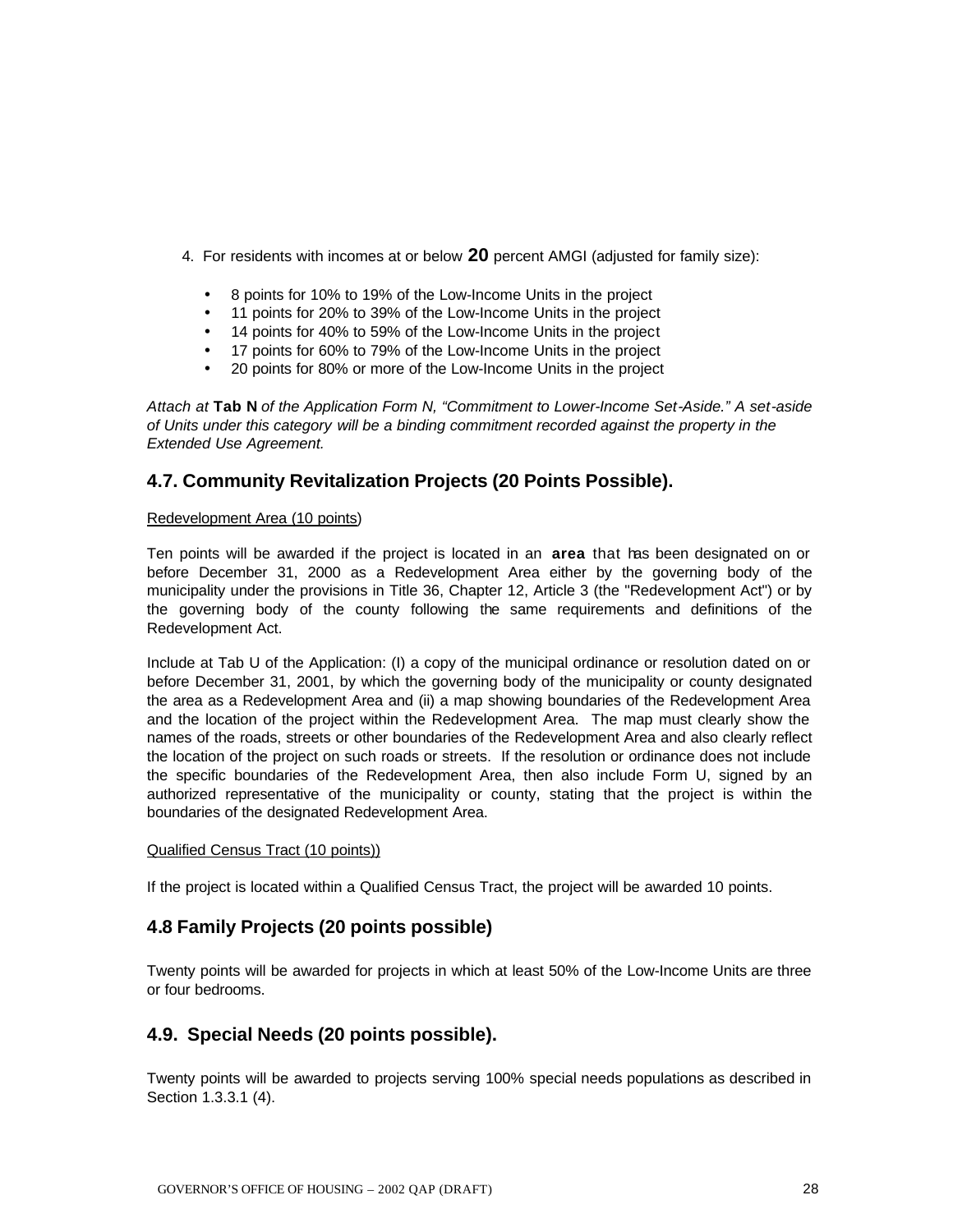- 4. For residents with incomes at or below **20** percent AMGI (adjusted for family size):
	- 8 points for 10% to 19% of the Low-Income Units in the project
	- 11 points for 20% to 39% of the Low-Income Units in the project
	- 14 points for 40% to 59% of the Low-Income Units in the project
	- 17 points for 60% to 79% of the Low-Income Units in the project
	- 20 points for 80% or more of the Low-Income Units in the project

*Attach at* **Tab N** *of the Application Form N, "Commitment to Lower-Income Set-Aside." A set-aside of Units under this category will be a binding commitment recorded against the property in the Extended Use Agreement.* 

### **4.7. Community Revitalization Projects (20 Points Possible).**

#### Redevelopment Area (10 points)

Ten points will be awarded if the project is located in an **area** that has been designated on or before December 31, 2000 as a Redevelopment Area either by the governing body of the municipality under the provisions in Title 36, Chapter 12, Article 3 (the "Redevelopment Act") or by the governing body of the county following the same requirements and definitions of the Redevelopment Act.

Include at Tab U of the Application: (I) a copy of the municipal ordinance or resolution dated on or before December 31, 2001, by which the governing body of the municipality or county designated the area as a Redevelopment Area and (ii) a map showing boundaries of the Redevelopment Area and the location of the project within the Redevelopment Area. The map must clearly show the names of the roads, streets or other boundaries of the Redevelopment Area and also clearly reflect the location of the project on such roads or streets. If the resolution or ordinance does not include the specific boundaries of the Redevelopment Area, then also include Form U, signed by an authorized representative of the municipality or county, stating that the project is within the boundaries of the designated Redevelopment Area.

#### Qualified Census Tract (10 points))

If the project is located within a Qualified Census Tract, the project will be awarded 10 points.

### **4.8 Family Projects (20 points possible)**

Twenty points will be awarded for projects in which at least 50% of the Low-Income Units are three or four bedrooms.

#### **4.9. Special Needs (20 points possible).**

Twenty points will be awarded to projects serving 100% special needs populations as described in Section 1.3.3.1 (4).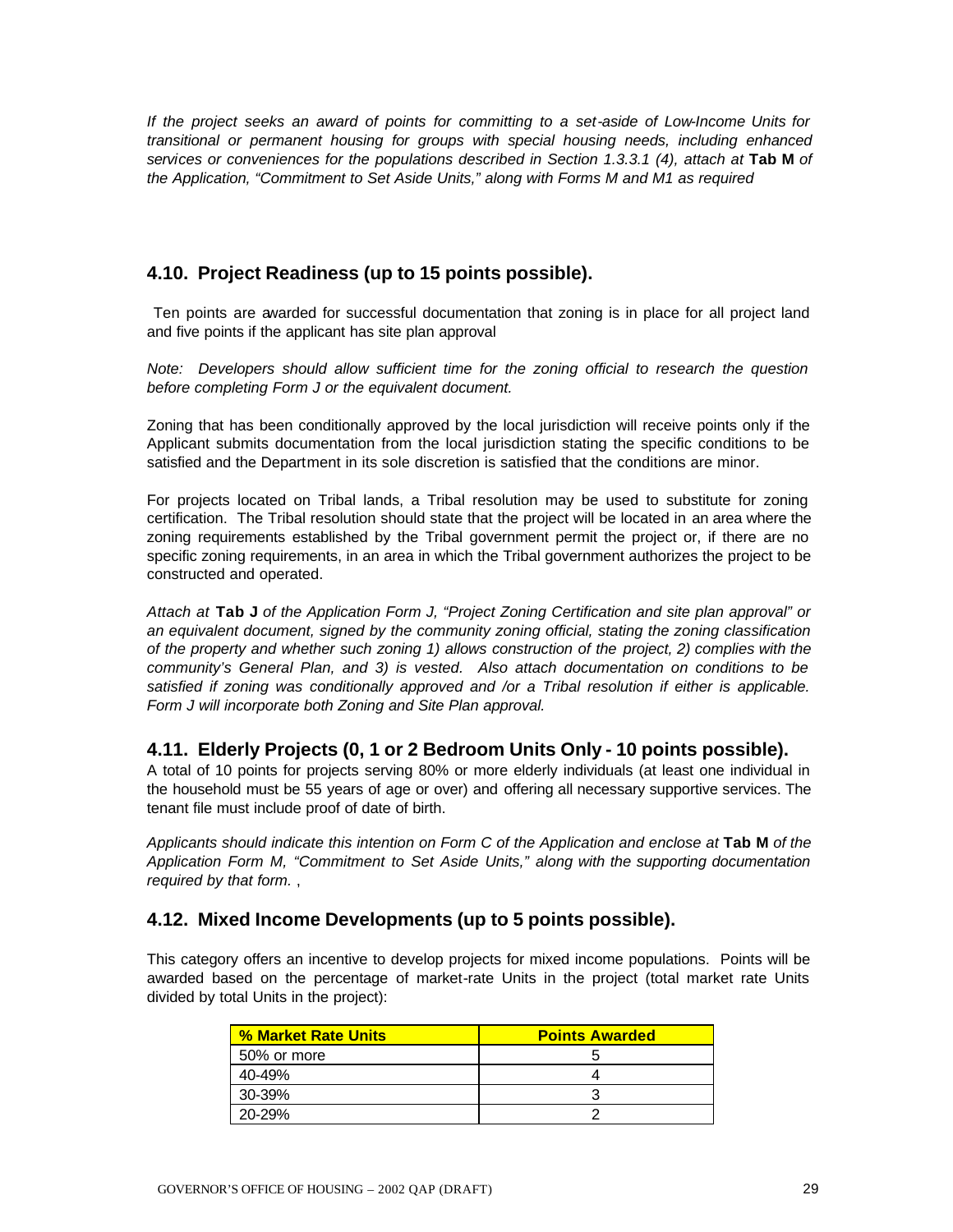*If the project seeks an award of points for committing to a set-aside of Low-Income Units for transitional or permanent housing for groups with special housing needs, including enhanced services or conveniences for the populations described in Section 1.3.3.1 (4), attach at* **Tab M** *of the Application, "Commitment to Set Aside Units," along with Forms M and M1 as required*

# **4.10. Project Readiness (up to 15 points possible).**

 Ten points are awarded for successful documentation that zoning is in place for all project land and five points if the applicant has site plan approval

*Note: Developers should allow sufficient time for the zoning official to research the question before completing Form J or the equivalent document.*

Zoning that has been conditionally approved by the local jurisdiction will receive points only if the Applicant submits documentation from the local jurisdiction stating the specific conditions to be satisfied and the Department in its sole discretion is satisfied that the conditions are minor.

For projects located on Tribal lands, a Tribal resolution may be used to substitute for zoning certification. The Tribal resolution should state that the project will be located in an area where the zoning requirements established by the Tribal government permit the project or, if there are no specific zoning requirements, in an area in which the Tribal government authorizes the project to be constructed and operated.

*Attach at* **Tab J** *of the Application Form J, "Project Zoning Certification and site plan approval" or an equivalent document, signed by the community zoning official, stating the zoning classification of the property and whether such zoning 1) allows construction of the project, 2) complies with the community's General Plan, and 3) is vested. Also attach documentation on conditions to be satisfied if zoning was conditionally approved and /or a Tribal resolution if either is applicable. Form J will incorporate both Zoning and Site Plan approval.*

### **4.11. Elderly Projects (0, 1 or 2 Bedroom Units Only - 10 points possible).**

A total of 10 points for projects serving 80% or more elderly individuals (at least one individual in the household must be 55 years of age or over) and offering all necessary supportive services. The tenant file must include proof of date of birth.

*Applicants should indicate this intention on Form C of the Application and enclose at* **Tab M** *of the Application Form M, "Commitment to Set Aside Units," along with the supporting documentation required by that form.* ,

# **4.12. Mixed Income Developments (up to 5 points possible).**

This category offers an incentive to develop projects for mixed income populations. Points will be awarded based on the percentage of market-rate Units in the project (total market rate Units divided by total Units in the project):

| % Market Rate Units | <b>Points Awarded</b> |
|---------------------|-----------------------|
| 50% or more         |                       |
| $40 - 49%$          |                       |
| 30-39%              |                       |
| $20 - 29%$          |                       |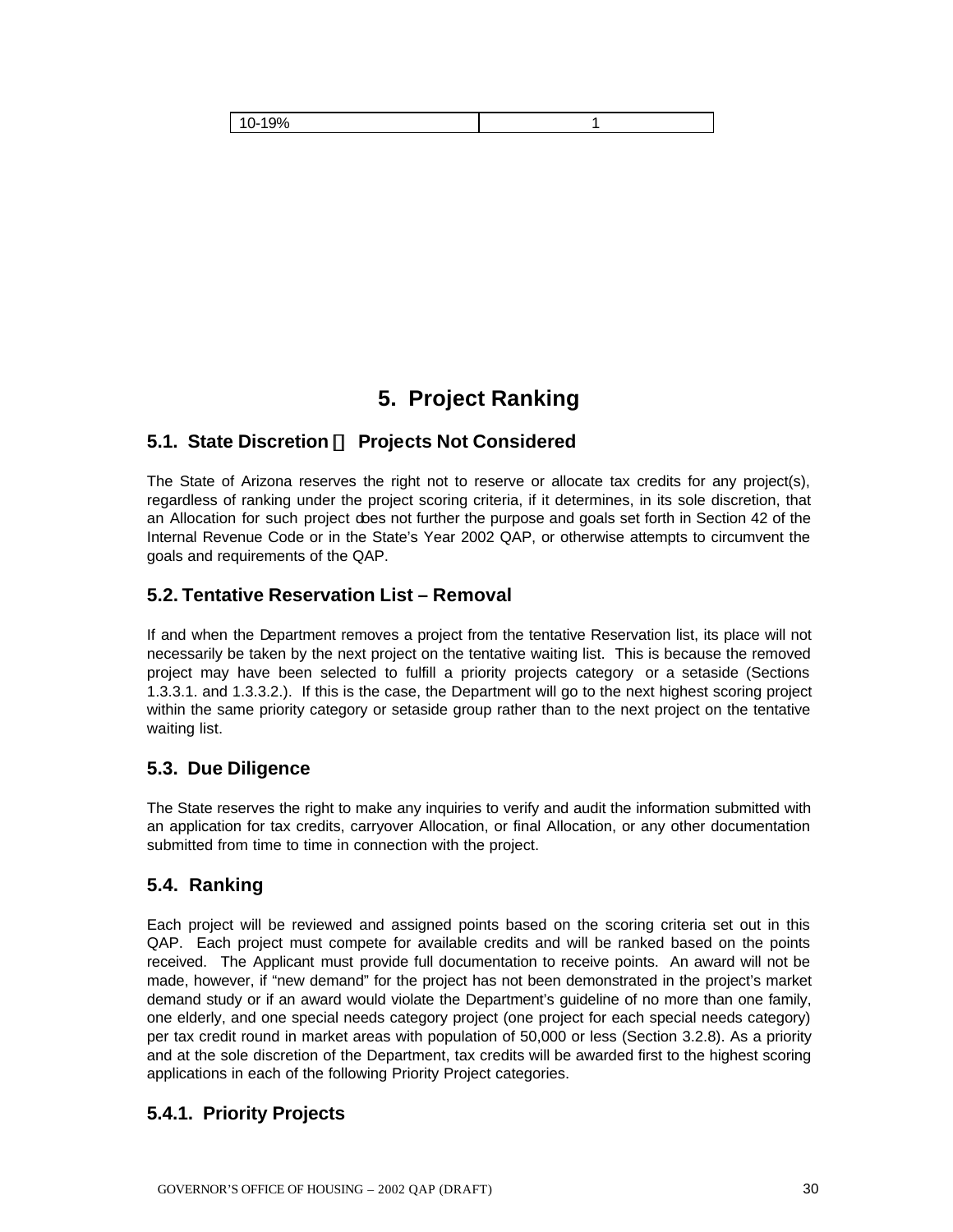| 100/<br>.<br>70 |  |
|-----------------|--|

# **5. Project Ranking**

# **5.1. State Discretion ¾ Projects Not Considered**

The State of Arizona reserves the right not to reserve or allocate tax credits for any project(s), regardless of ranking under the project scoring criteria, if it determines, in its sole discretion, that an Allocation for such project does not further the purpose and goals set forth in Section 42 of the Internal Revenue Code or in the State's Year 2002 QAP, or otherwise attempts to circumvent the goals and requirements of the QAP.

### **5.2. Tentative Reservation List – Removal**

If and when the Department removes a project from the tentative Reservation list, its place will not necessarily be taken by the next project on the tentative waiting list. This is because the removed project may have been selected to fulfill a priority projects category or a setaside (Sections 1.3.3.1. and 1.3.3.2.). If this is the case, the Department will go to the next highest scoring project within the same priority category or setaside group rather than to the next project on the tentative waiting list.

# **5.3. Due Diligence**

The State reserves the right to make any inquiries to verify and audit the information submitted with an application for tax credits, carryover Allocation, or final Allocation, or any other documentation submitted from time to time in connection with the project.

# **5.4. Ranking**

Each project will be reviewed and assigned points based on the scoring criteria set out in this QAP. Each project must compete for available credits and will be ranked based on the points received. The Applicant must provide full documentation to receive points. An award will not be made, however, if "new demand" for the project has not been demonstrated in the project's market demand study or if an award would violate the Department's guideline of no more than one family, one elderly, and one special needs category project (one project for each special needs category) per tax credit round in market areas with population of 50,000 or less (Section 3.2.8). As a priority and at the sole discretion of the Department, tax credits will be awarded first to the highest scoring applications in each of the following Priority Project categories.

# **5.4.1. Priority Projects**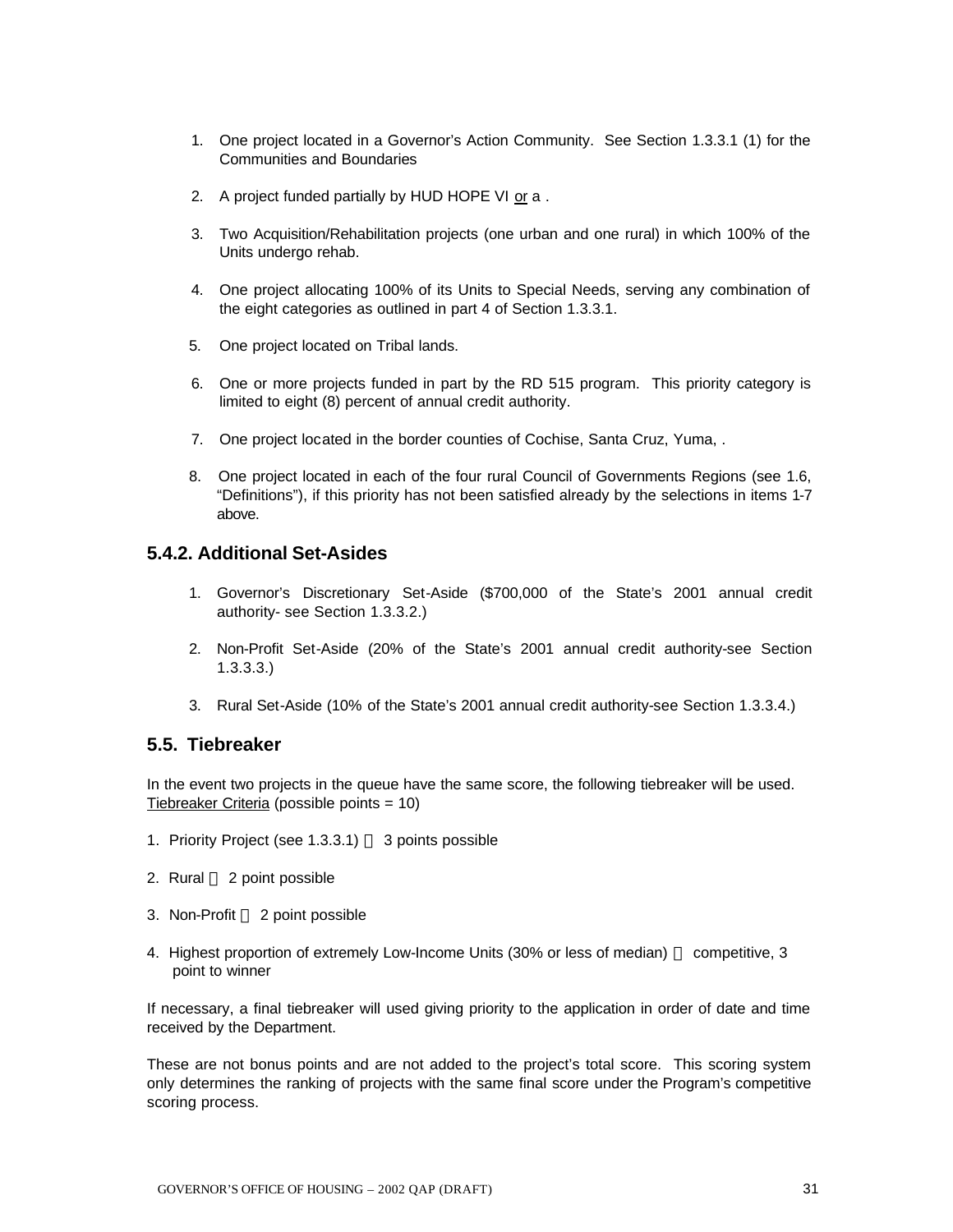- 1. One project located in a Governor's Action Community. See Section 1.3.3.1 (1) for the Communities and Boundaries
- 2. A project funded partially by HUD HOPE VI or a .
- 3. Two Acquisition/Rehabilitation projects (one urban and one rural) in which 100% of the Units undergo rehab.
- 4. One project allocating 100% of its Units to Special Needs, serving any combination of the eight categories as outlined in part 4 of Section 1.3.3.1.
- 5. One project located on Tribal lands.
- 6. One or more projects funded in part by the RD 515 program. This priority category is limited to eight (8) percent of annual credit authority.
- 7. One project located in the border counties of Cochise, Santa Cruz, Yuma, .
- 8. One project located in each of the four rural Council of Governments Regions (see 1.6, "Definitions"), if this priority has not been satisfied already by the selections in items 1-7 above.

#### **5.4.2. Additional Set-Asides**

- 1. Governor's Discretionary Set-Aside (\$700,000 of the State's 2001 annual credit authority- see Section 1.3.3.2.)
- 2. Non-Profit Set-Aside (20% of the State's 2001 annual credit authority-see Section 1.3.3.3.)
- 3. Rural Set-Aside (10% of the State's 2001 annual credit authority-see Section 1.3.3.4.)

#### **5.5. Tiebreaker**

In the event two projects in the queue have the same score, the following tiebreaker will be used. Tiebreaker Criteria (possible points = 10)

- 1. Priority Project (see  $1.3.3.1$ )  $-3$  points possible
- 2. Rural  $-2$  point possible
- 3. Non-Profit 2 point possible
- 4. Highest proportion of extremely Low-Income Units (30% or less of median) competitive, 3 point to winner

If necessary, a final tiebreaker will used giving priority to the application in order of date and time received by the Department.

These are not bonus points and are not added to the project's total score. This scoring system only determines the ranking of projects with the same final score under the Program's competitive scoring process.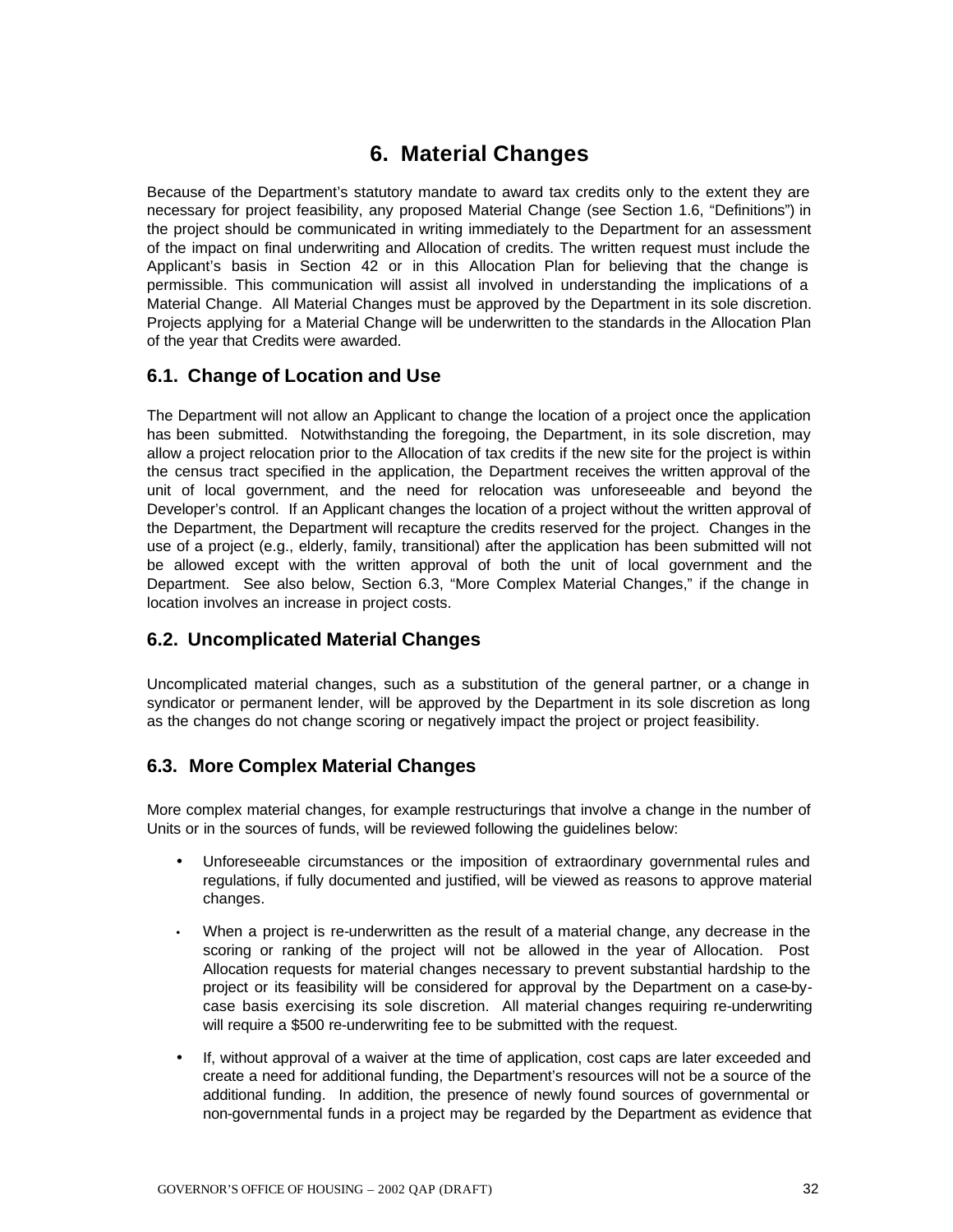# **6. Material Changes**

Because of the Department's statutory mandate to award tax credits only to the extent they are necessary for project feasibility, any proposed Material Change (see Section 1.6, "Definitions") in the project should be communicated in writing immediately to the Department for an assessment of the impact on final underwriting and Allocation of credits. The written request must include the Applicant's basis in Section 42 or in this Allocation Plan for believing that the change is permissible. This communication will assist all involved in understanding the implications of a Material Change. All Material Changes must be approved by the Department in its sole discretion. Projects applying for a Material Change will be underwritten to the standards in the Allocation Plan of the year that Credits were awarded.

# **6.1. Change of Location and Use**

The Department will not allow an Applicant to change the location of a project once the application has been submitted. Notwithstanding the foregoing, the Department, in its sole discretion, may allow a project relocation prior to the Allocation of tax credits if the new site for the project is within the census tract specified in the application, the Department receives the written approval of the unit of local government, and the need for relocation was unforeseeable and beyond the Developer's control. If an Applicant changes the location of a project without the written approval of the Department, the Department will recapture the credits reserved for the project. Changes in the use of a project (e.g., elderly, family, transitional) after the application has been submitted will not be allowed except with the written approval of both the unit of local government and the Department. See also below, Section 6.3, "More Complex Material Changes," if the change in location involves an increase in project costs.

# **6.2. Uncomplicated Material Changes**

Uncomplicated material changes, such as a substitution of the general partner, or a change in syndicator or permanent lender, will be approved by the Department in its sole discretion as long as the changes do not change scoring or negatively impact the project or project feasibility.

# **6.3. More Complex Material Changes**

More complex material changes, for example restructurings that involve a change in the number of Units or in the sources of funds, will be reviewed following the guidelines below:

- Unforeseeable circumstances or the imposition of extraordinary governmental rules and regulations, if fully documented and justified, will be viewed as reasons to approve material changes.
- When a project is re-underwritten as the result of a material change, any decrease in the scoring or ranking of the project will not be allowed in the year of Allocation. Post Allocation requests for material changes necessary to prevent substantial hardship to the project or its feasibility will be considered for approval by the Department on a case-bycase basis exercising its sole discretion. All material changes requiring re-underwriting will require a \$500 re-underwriting fee to be submitted with the request.
- If, without approval of a waiver at the time of application, cost caps are later exceeded and create a need for additional funding, the Department's resources will not be a source of the additional funding. In addition, the presence of newly found sources of governmental or non-governmental funds in a project may be regarded by the Department as evidence that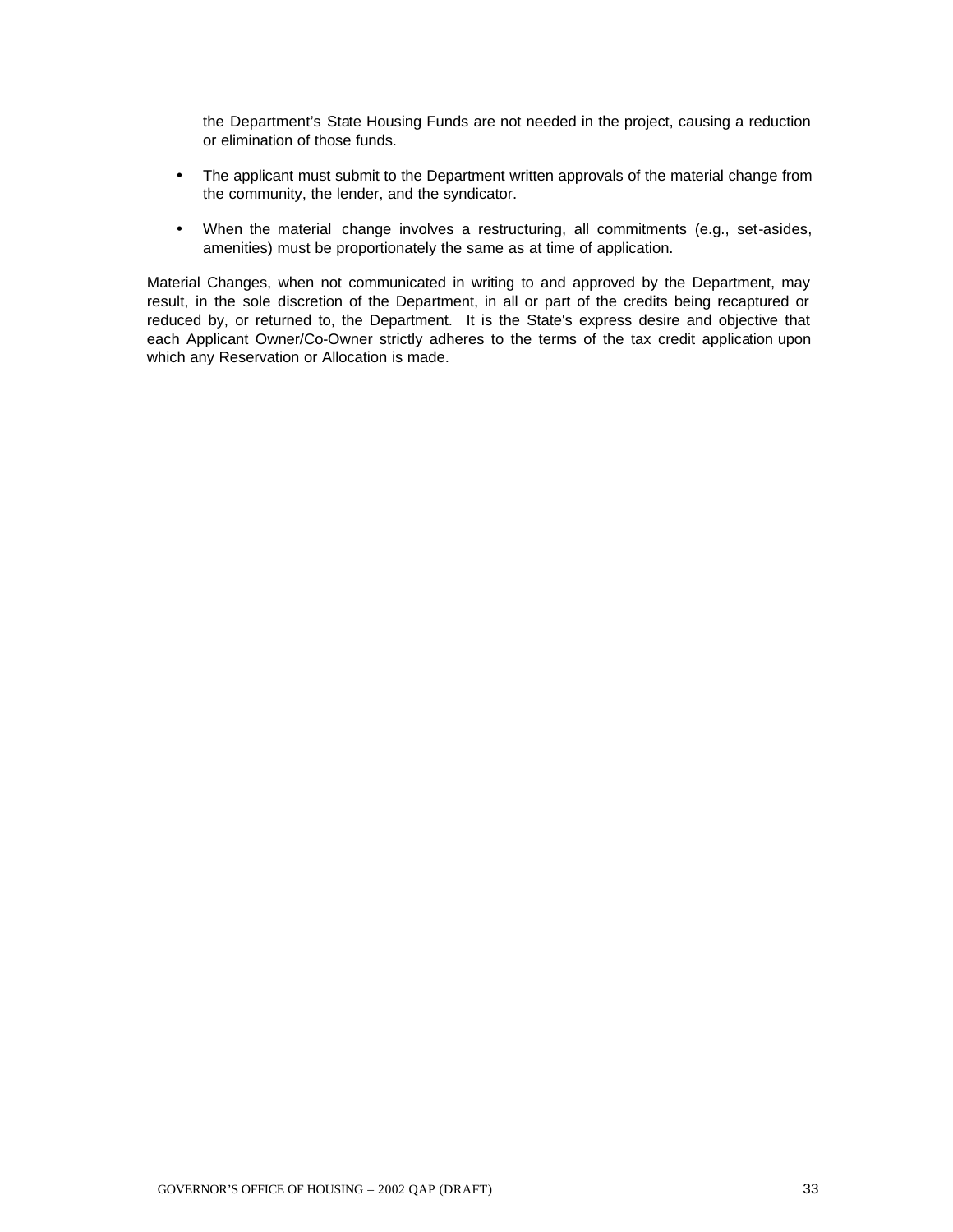the Department's State Housing Funds are not needed in the project, causing a reduction or elimination of those funds.

- The applicant must submit to the Department written approvals of the material change from the community, the lender, and the syndicator.
- When the material change involves a restructuring, all commitments (e.g., set-asides, amenities) must be proportionately the same as at time of application.

Material Changes, when not communicated in writing to and approved by the Department, may result, in the sole discretion of the Department, in all or part of the credits being recaptured or reduced by, or returned to, the Department. It is the State's express desire and objective that each Applicant Owner/Co-Owner strictly adheres to the terms of the tax credit application upon which any Reservation or Allocation is made.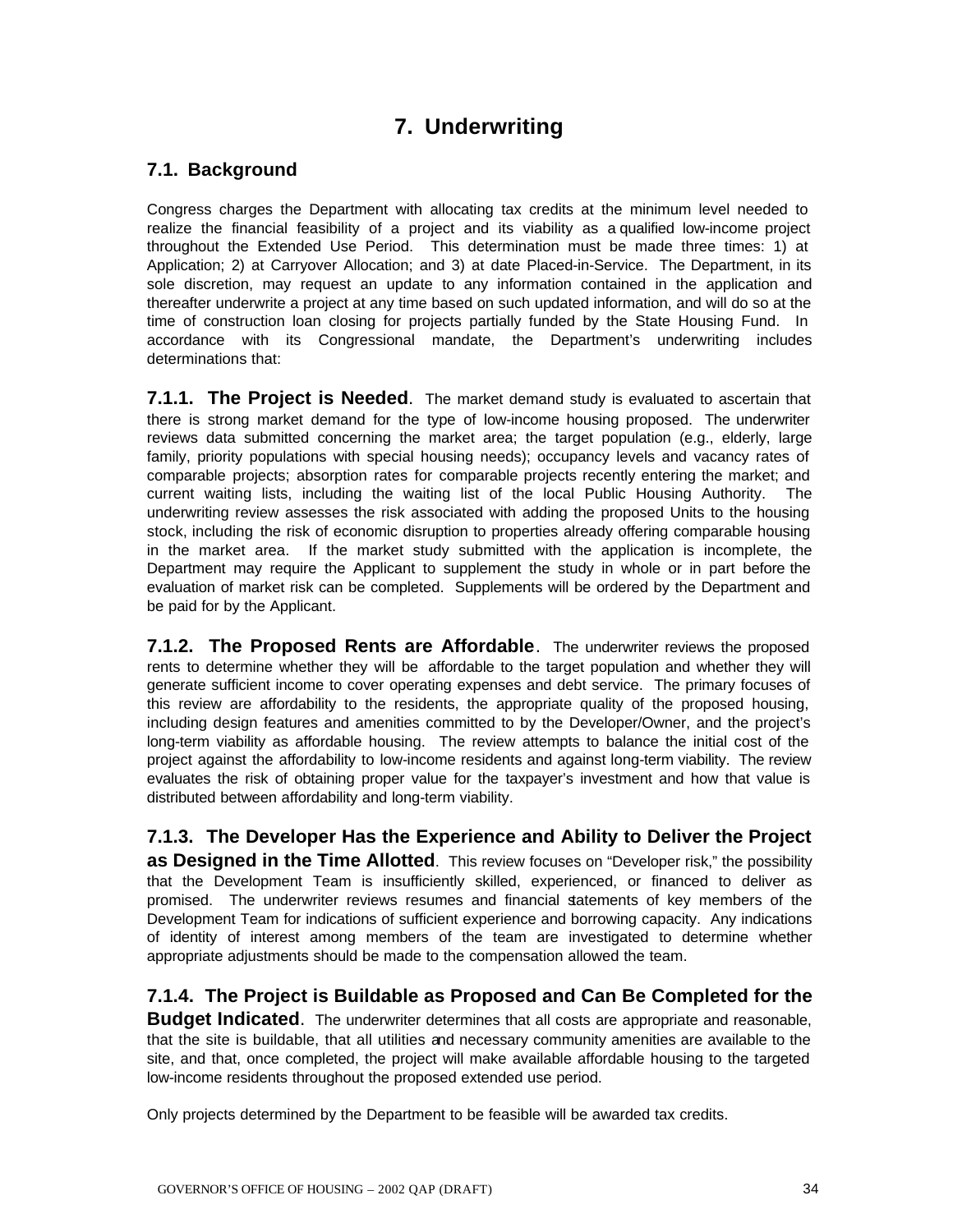# **7. Underwriting**

# **7.1. Background**

Congress charges the Department with allocating tax credits at the minimum level needed to realize the financial feasibility of a project and its viability as a qualified low-income project throughout the Extended Use Period. This determination must be made three times: 1) at Application; 2) at Carryover Allocation; and 3) at date Placed-in-Service. The Department, in its sole discretion, may request an update to any information contained in the application and thereafter underwrite a project at any time based on such updated information, and will do so at the time of construction loan closing for projects partially funded by the State Housing Fund. In accordance with its Congressional mandate, the Department's underwriting includes determinations that:

**7.1.1. The Project is Needed.** The market demand study is evaluated to ascertain that there is strong market demand for the type of low-income housing proposed. The underwriter reviews data submitted concerning the market area; the target population (e.g., elderly, large family, priority populations with special housing needs); occupancy levels and vacancy rates of comparable projects; absorption rates for comparable projects recently entering the market; and current waiting lists, including the waiting list of the local Public Housing Authority. The underwriting review assesses the risk associated with adding the proposed Units to the housing stock, including the risk of economic disruption to properties already offering comparable housing in the market area. If the market study submitted with the application is incomplete, the Department may require the Applicant to supplement the study in whole or in part before the evaluation of market risk can be completed. Supplements will be ordered by the Department and be paid for by the Applicant.

**7.1.2. The Proposed Rents are Affordable**. The underwriter reviews the proposed rents to determine whether they will be affordable to the target population and whether they will generate sufficient income to cover operating expenses and debt service. The primary focuses of this review are affordability to the residents, the appropriate quality of the proposed housing, including design features and amenities committed to by the Developer/Owner, and the project's long-term viability as affordable housing. The review attempts to balance the initial cost of the project against the affordability to low-income residents and against long-term viability. The review evaluates the risk of obtaining proper value for the taxpayer's investment and how that value is distributed between affordability and long-term viability.

**7.1.3. The Developer Has the Experience and Ability to Deliver the Project as Designed in the Time Allotted**. This review focuses on "Developer risk," the possibility that the Development Team is insufficiently skilled, experienced, or financed to deliver as promised. The underwriter reviews resumes and financial statements of key members of the Development Team for indications of sufficient experience and borrowing capacity. Any indications of identity of interest among members of the team are investigated to determine whether appropriate adjustments should be made to the compensation allowed the team.

### **7.1.4. The Project is Buildable as Proposed and Can Be Completed for the**

**Budget Indicated**. The underwriter determines that all costs are appropriate and reasonable, that the site is buildable, that all utilities and necessary community amenities are available to the site, and that, once completed, the project will make available affordable housing to the targeted low-income residents throughout the proposed extended use period.

Only projects determined by the Department to be feasible will be awarded tax credits.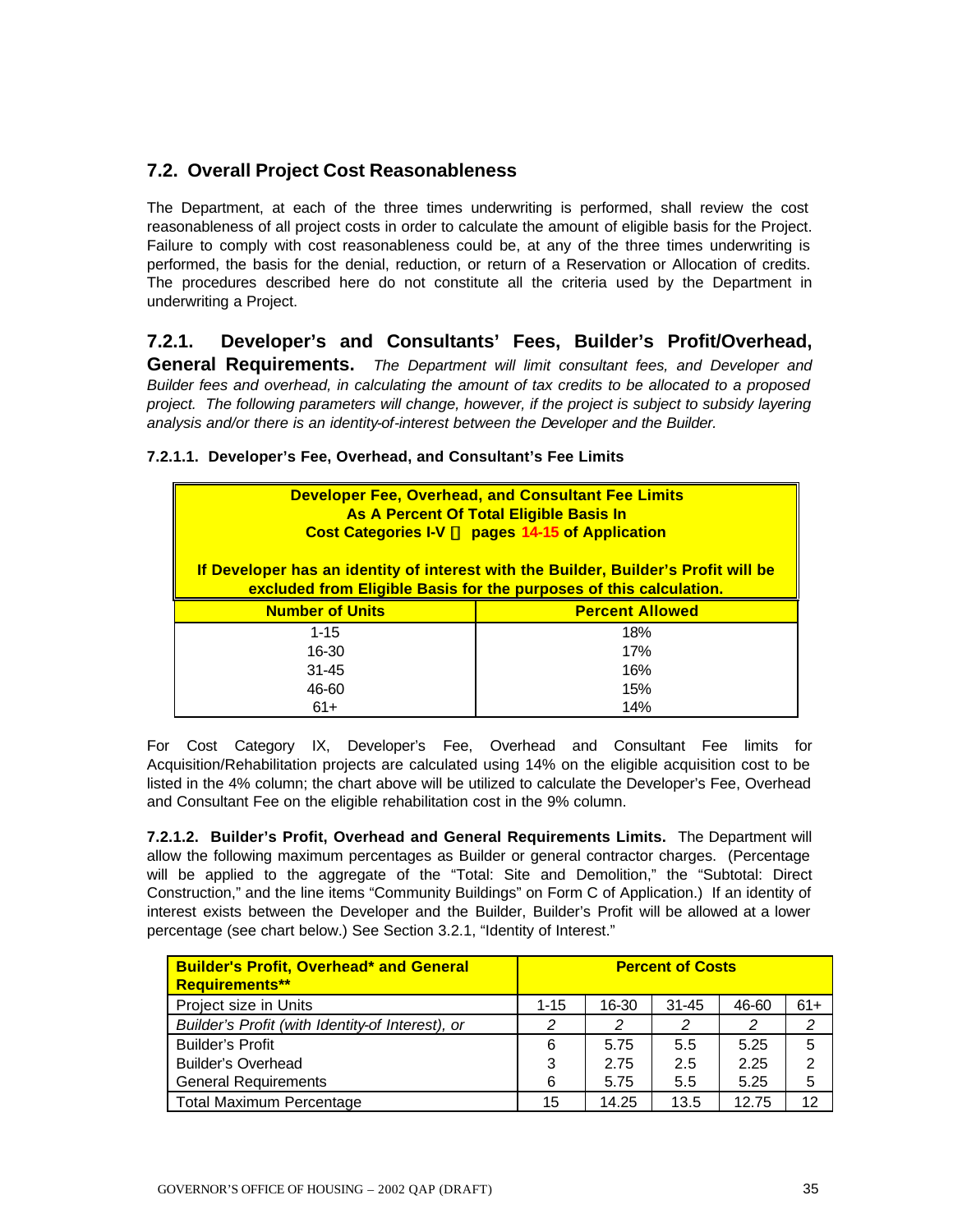# **7.2. Overall Project Cost Reasonableness**

The Department, at each of the three times underwriting is performed, shall review the cost reasonableness of all project costs in order to calculate the amount of eligible basis for the Project. Failure to comply with cost reasonableness could be, at any of the three times underwriting is performed, the basis for the denial, reduction, or return of a Reservation or Allocation of credits. The procedures described here do not constitute all the criteria used by the Department in underwriting a Project.

# **7.2.1. Developer's and Consultants' Fees, Builder's Profit/Overhead,**

**General Requirements.** *The Department will limit consultant fees, and Developer and Builder fees and overhead, in calculating the amount of tax credits to be allocated to a proposed project. The following parameters will change, however, if the project is subject to subsidy layering analysis and/or there is an identity-of-interest between the Developer and the Builder.*

#### **7.2.1.1. Developer's Fee, Overhead, and Consultant's Fee Limits**

| <b>Developer Fee, Overhead, and Consultant Fee Limits</b><br>As A Percent Of Total Eligible Basis In<br>Cost Categories I-V 34 pages 14-15 of Application |                        |  |
|-----------------------------------------------------------------------------------------------------------------------------------------------------------|------------------------|--|
| If Developer has an identity of interest with the Builder, Builder's Profit will be<br>excluded from Eligible Basis for the purposes of this calculation. |                        |  |
| <b>Number of Units</b>                                                                                                                                    | <b>Percent Allowed</b> |  |
| $1 - 15$                                                                                                                                                  | 18%                    |  |
| 16-30                                                                                                                                                     | 17%                    |  |
| $31 - 45$                                                                                                                                                 | 16%                    |  |
| 46-60                                                                                                                                                     | 15%                    |  |
| 61+                                                                                                                                                       | 14%                    |  |

For Cost Category IX, Developer's Fee, Overhead and Consultant Fee limits for Acquisition/Rehabilitation projects are calculated using 14% on the eligible acquisition cost to be listed in the 4% column; the chart above will be utilized to calculate the Developer's Fee, Overhead and Consultant Fee on the eligible rehabilitation cost in the 9% column.

**7.2.1.2. Builder's Profit, Overhead and General Requirements Limits.** The Department will allow the following maximum percentages as Builder or general contractor charges. (Percentage will be applied to the aggregate of the "Total: Site and Demolition," the "Subtotal: Direct Construction," and the line items "Community Buildings" on Form C of Application.) If an identity of interest exists between the Developer and the Builder, Builder's Profit will be allowed at a lower percentage (see chart below.) See Section 3.2.1, "Identity of Interest."

| <b>Builder's Profit, Overhead* and General</b><br><b>Requirements**</b> |          |       | <b>Percent of Costs</b> |       |       |
|-------------------------------------------------------------------------|----------|-------|-------------------------|-------|-------|
| Project size in Units                                                   | $1 - 15$ | 16-30 | $31 - 45$               | 46-60 | $61+$ |
| Builder's Profit (with Identity-of Interest), or                        | 2        | 2     | 2                       | 2     | 2     |
| <b>Builder's Profit</b>                                                 | 6        | 5.75  | 5.5                     | 5.25  | 5     |
| Builder's Overhead                                                      | 3        | 2.75  | 2.5                     | 2.25  | 2     |
| <b>General Requirements</b>                                             | 6        | 5.75  | 5.5                     | 5.25  | 5     |
| <b>Total Maximum Percentage</b>                                         | 15       | 14.25 | 13.5                    | 12.75 | 12    |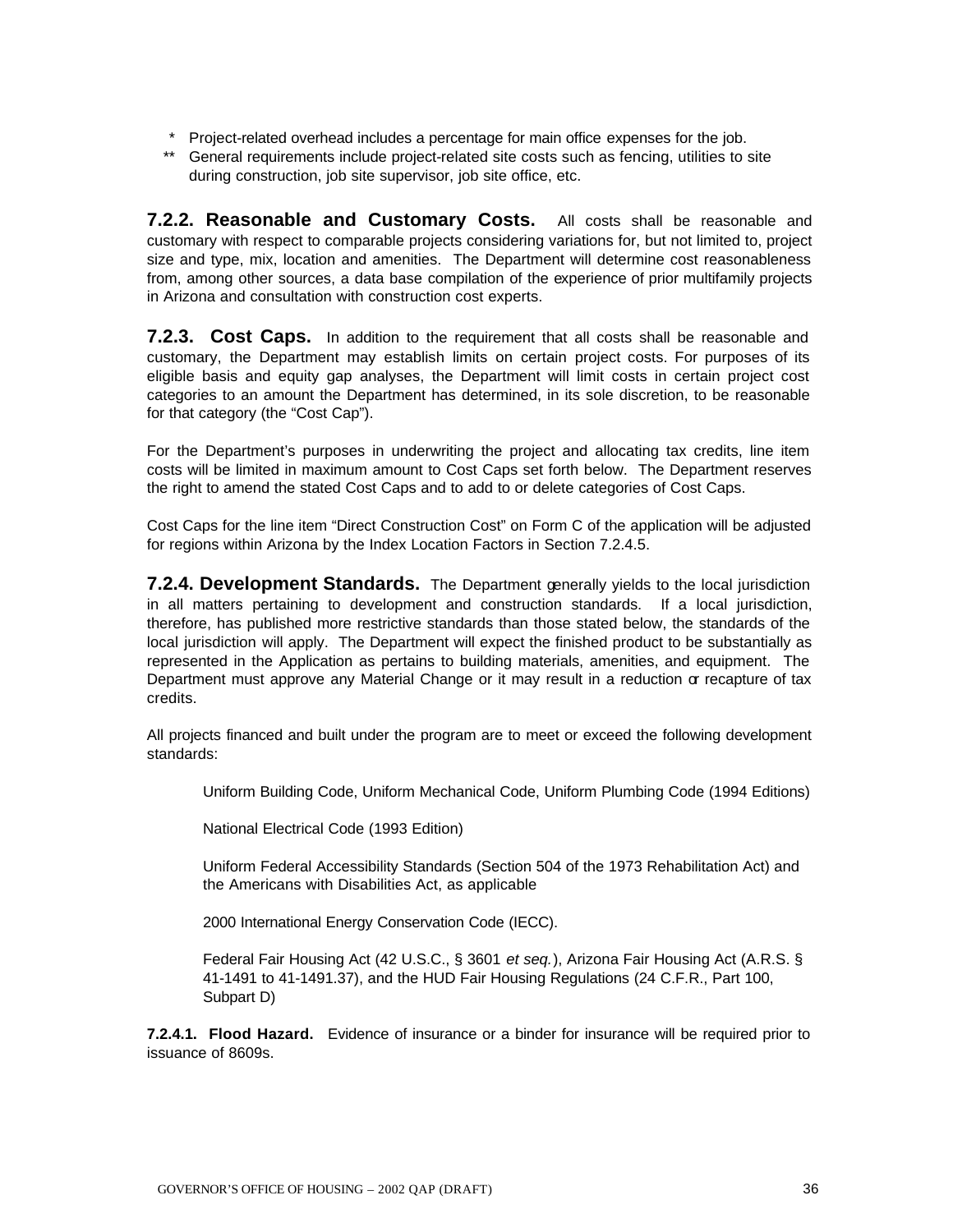- \* Project-related overhead includes a percentage for main office expenses for the job.
- \*\* General requirements include project-related site costs such as fencing, utilities to site during construction, job site supervisor, job site office, etc.

**7.2.2. Reasonable and Customary Costs.** All costs shall be reasonable and customary with respect to comparable projects considering variations for, but not limited to, project size and type, mix, location and amenities. The Department will determine cost reasonableness from, among other sources, a data base compilation of the experience of prior multifamily projects in Arizona and consultation with construction cost experts.

**7.2.3. Cost Caps.** In addition to the requirement that all costs shall be reasonable and customary, the Department may establish limits on certain project costs. For purposes of its eligible basis and equity gap analyses, the Department will limit costs in certain project cost categories to an amount the Department has determined, in its sole discretion, to be reasonable for that category (the "Cost Cap").

For the Department's purposes in underwriting the project and allocating tax credits, line item costs will be limited in maximum amount to Cost Caps set forth below. The Department reserves the right to amend the stated Cost Caps and to add to or delete categories of Cost Caps.

Cost Caps for the line item "Direct Construction Cost" on Form C of the application will be adjusted for regions within Arizona by the Index Location Factors in Section 7.2.4.5.

**7.2.4. Development Standards.** The Department generally yields to the local jurisdiction in all matters pertaining to development and construction standards. If a local jurisdiction, therefore, has published more restrictive standards than those stated below, the standards of the local jurisdiction will apply. The Department will expect the finished product to be substantially as represented in the Application as pertains to building materials, amenities, and equipment. The Department must approve any Material Change or it may result in a reduction  $\alpha$  recapture of tax credits.

All projects financed and built under the program are to meet or exceed the following development standards:

Uniform Building Code, Uniform Mechanical Code, Uniform Plumbing Code (1994 Editions)

National Electrical Code (1993 Edition)

Uniform Federal Accessibility Standards (Section 504 of the 1973 Rehabilitation Act) and the Americans with Disabilities Act, as applicable

2000 International Energy Conservation Code (IECC).

Federal Fair Housing Act (42 U.S.C., § 3601 *et seq.*), Arizona Fair Housing Act (A.R.S. § 41-1491 to 41-1491.37), and the HUD Fair Housing Regulations (24 C.F.R., Part 100, Subpart D)

**7.2.4.1. Flood Hazard.** Evidence of insurance or a binder for insurance will be required prior to issuance of 8609s.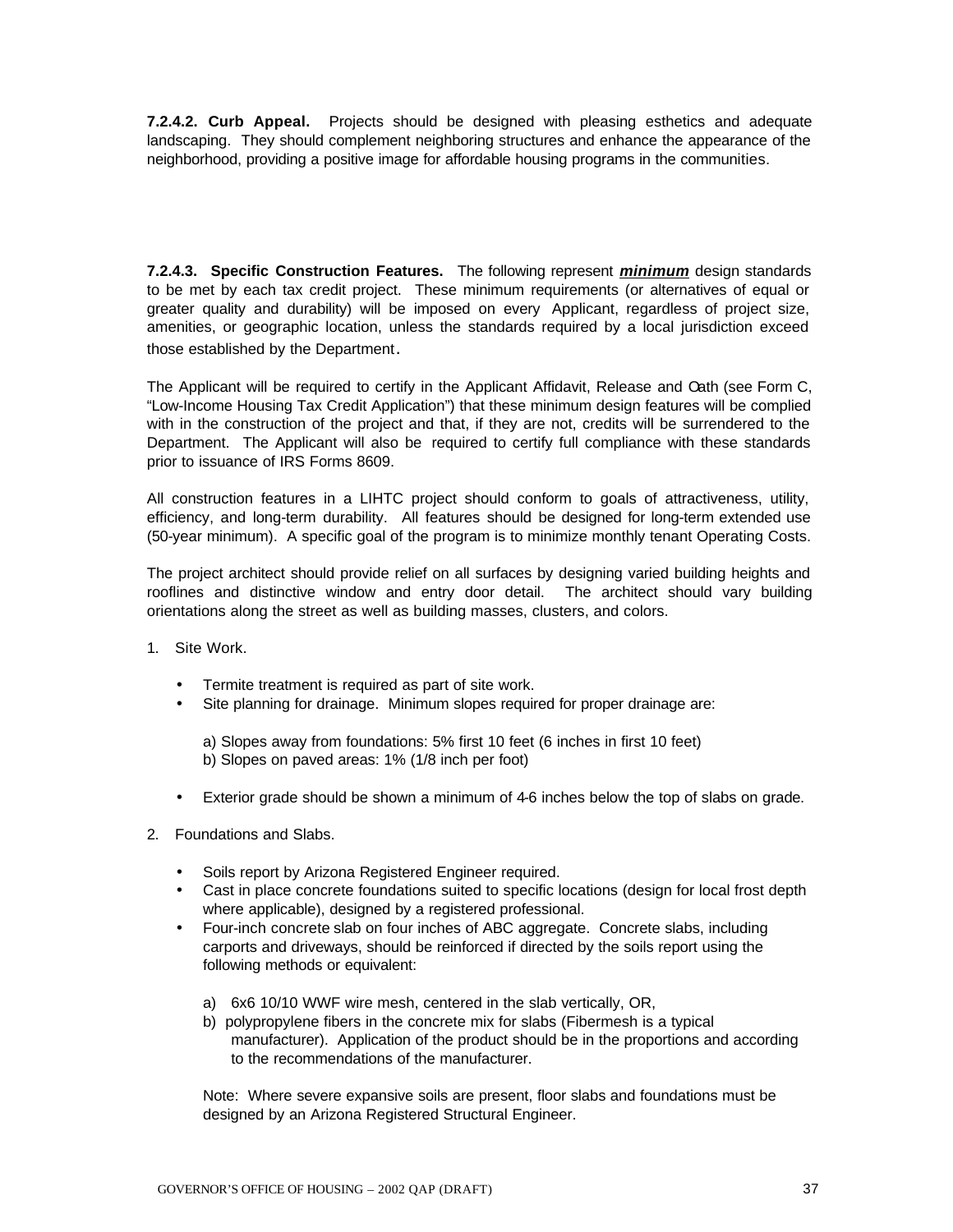**7.2.4.2. Curb Appeal.** Projects should be designed with pleasing esthetics and adequate landscaping. They should complement neighboring structures and enhance the appearance of the neighborhood, providing a positive image for affordable housing programs in the communities.

**7.2.4.3. Specific Construction Features.** The following represent *minimum* design standards to be met by each tax credit project. These minimum requirements (or alternatives of equal or greater quality and durability) will be imposed on every Applicant, regardless of project size, amenities, or geographic location, unless the standards required by a local jurisdiction exceed those established by the Department.

The Applicant will be required to certify in the Applicant Affidavit, Release and Oath (see Form C, "Low-Income Housing Tax Credit Application") that these minimum design features will be complied with in the construction of the project and that, if they are not, credits will be surrendered to the Department. The Applicant will also be required to certify full compliance with these standards prior to issuance of IRS Forms 8609.

All construction features in a LIHTC project should conform to goals of attractiveness, utility, efficiency, and long-term durability. All features should be designed for long-term extended use (50-year minimum). A specific goal of the program is to minimize monthly tenant Operating Costs.

The project architect should provide relief on all surfaces by designing varied building heights and rooflines and distinctive window and entry door detail. The architect should vary building orientations along the street as well as building masses, clusters, and colors.

- 1. Site Work.
	- Termite treatment is required as part of site work.
	- Site planning for drainage. Minimum slopes required for proper drainage are:

a) Slopes away from foundations: 5% first 10 feet (6 inches in first 10 feet) b) Slopes on paved areas: 1% (1/8 inch per foot)

- Exterior grade should be shown a minimum of 4-6 inches below the top of slabs on grade.
- 2. Foundations and Slabs.
	- Soils report by Arizona Registered Engineer required.
	- Cast in place concrete foundations suited to specific locations (design for local frost depth where applicable), designed by a registered professional.
	- Four-inch concrete slab on four inches of ABC aggregate. Concrete slabs, including carports and driveways, should be reinforced if directed by the soils report using the following methods or equivalent:
		- a) 6x6 10/10 WWF wire mesh, centered in the slab vertically, OR,
		- b) polypropylene fibers in the concrete mix for slabs (Fibermesh is a typical manufacturer). Application of the product should be in the proportions and according to the recommendations of the manufacturer.

Note: Where severe expansive soils are present, floor slabs and foundations must be designed by an Arizona Registered Structural Engineer.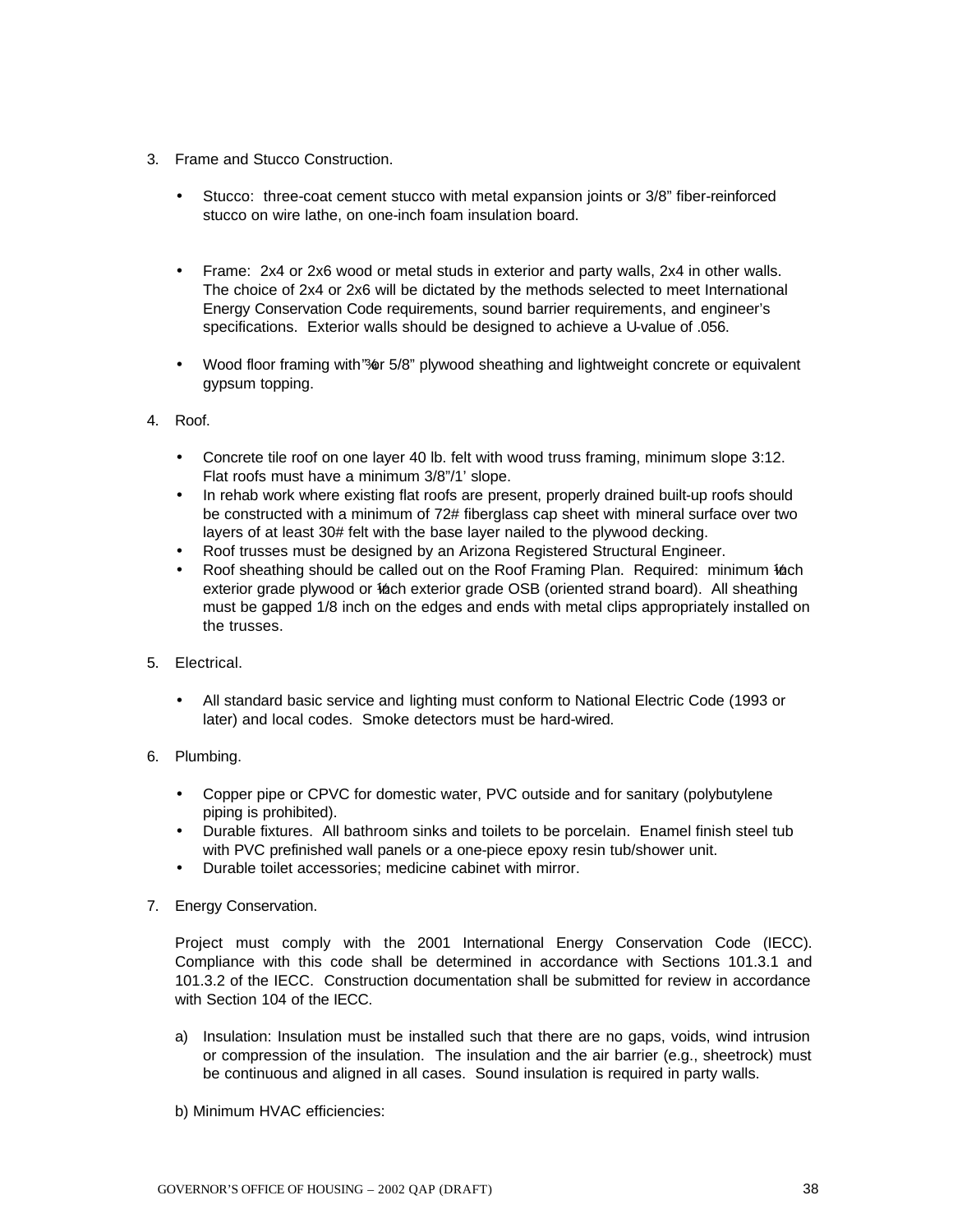- 3. Frame and Stucco Construction.
	- Stucco: three-coat cement stucco with metal expansion joints or 3/8" fiber-reinforced stucco on wire lathe, on one-inch foam insulation board.
	- Frame: 2x4 or 2x6 wood or metal studs in exterior and party walls, 2x4 in other walls. The choice of 2x4 or 2x6 will be dictated by the methods selected to meet International Energy Conservation Code requirements, sound barrier requirements, and engineer's specifications. Exterior walls should be designed to achieve a U-value of .056.
	- Wood floor framing with "%" of 5/8" plywood sheathing and lightweight concrete or equivalent gypsum topping.
- 4. Roof.
	- Concrete tile roof on one layer 40 lb. felt with wood truss framing, minimum slope 3:12. Flat roofs must have a minimum 3/8"/1' slope.
	- In rehab work where existing flat roofs are present, properly drained built-up roofs should be constructed with a minimum of 72# fiberglass cap sheet with mineral surface over two layers of at least 30# felt with the base layer nailed to the plywood decking.
	- Roof trusses must be designed by an Arizona Registered Structural Engineer.
	- Roof sheathing should be called out on the Roof Framing Plan. Required: minimum 16ch exterior grade plywood or 16ch exterior grade OSB (oriented strand board). All sheathing must be gapped 1/8 inch on the edges and ends with metal clips appropriately installed on the trusses.
- 5. Electrical.
	- All standard basic service and lighting must conform to National Electric Code (1993 or later) and local codes. Smoke detectors must be hard-wired.
- 6. Plumbing.
	- Copper pipe or CPVC for domestic water, PVC outside and for sanitary (polybutylene piping is prohibited).
	- Durable fixtures. All bathroom sinks and toilets to be porcelain. Enamel finish steel tub with PVC prefinished wall panels or a one-piece epoxy resin tub/shower unit.
	- Durable toilet accessories; medicine cabinet with mirror.
- 7. Energy Conservation.

Project must comply with the 2001 International Energy Conservation Code (IECC). Compliance with this code shall be determined in accordance with Sections 101.3.1 and 101.3.2 of the IECC. Construction documentation shall be submitted for review in accordance with Section 104 of the IECC.

- a) Insulation: Insulation must be installed such that there are no gaps, voids, wind intrusion or compression of the insulation. The insulation and the air barrier (e.g., sheetrock) must be continuous and aligned in all cases. Sound insulation is required in party walls.
- b) Minimum HVAC efficiencies: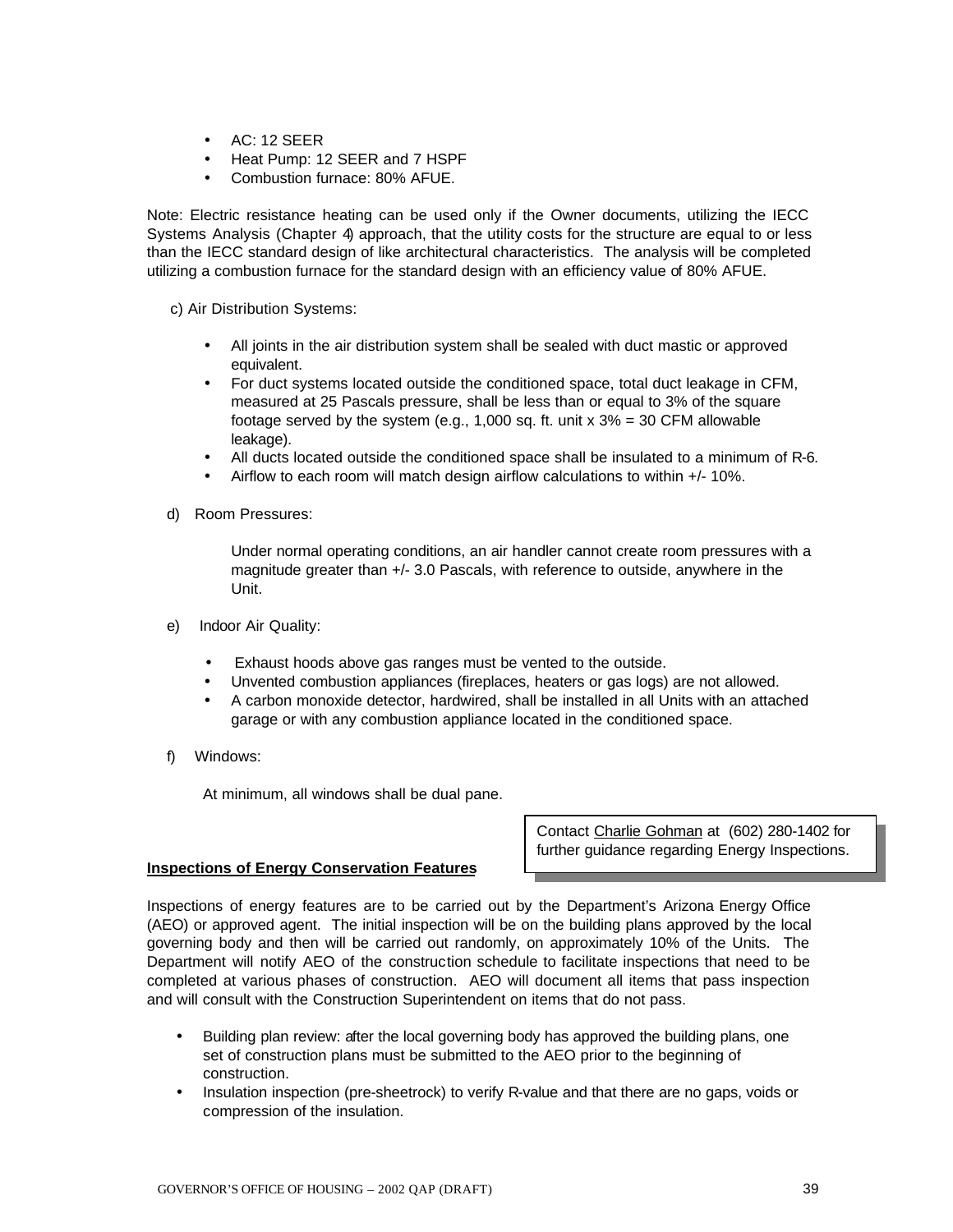- AC: 12 SEER
- Heat Pump: 12 SEER and 7 HSPF
- Combustion furnace: 80% AFUE.

Note: Electric resistance heating can be used only if the Owner documents, utilizing the IECC Systems Analysis (Chapter 4) approach, that the utility costs for the structure are equal to or less than the IECC standard design of like architectural characteristics. The analysis will be completed utilizing a combustion furnace for the standard design with an efficiency value of 80% AFUE.

c) Air Distribution Systems:

- All joints in the air distribution system shall be sealed with duct mastic or approved equivalent.
- For duct systems located outside the conditioned space, total duct leakage in CFM, measured at 25 Pascals pressure, shall be less than or equal to 3% of the square footage served by the system (e.g., 1,000 sq. ft. unit  $x$  3% = 30 CFM allowable leakage).
- All ducts located outside the conditioned space shall be insulated to a minimum of R-6.
- Airflow to each room will match design airflow calculations to within +/- 10%.
- d) Room Pressures:

Under normal operating conditions, an air handler cannot create room pressures with a magnitude greater than +/- 3.0 Pascals, with reference to outside, anywhere in the Unit.

- e) Indoor Air Quality:
	- Exhaust hoods above gas ranges must be vented to the outside.
	- Unvented combustion appliances (fireplaces, heaters or gas logs) are not allowed.
	- A carbon monoxide detector, hardwired, shall be installed in all Units with an attached garage or with any combustion appliance located in the conditioned space.
- f) Windows:

At minimum, all windows shall be dual pane.

#### **Inspections of Energy Conservation Features**

Contact Charlie Gohman at (602) 280-1402 for further guidance regarding Energy Inspections.

Inspections of energy features are to be carried out by the Department's Arizona Energy Office (AEO) or approved agent. The initial inspection will be on the building plans approved by the local governing body and then will be carried out randomly, on approximately 10% of the Units. The Department will notify AEO of the construction schedule to facilitate inspections that need to be completed at various phases of construction. AEO will document all items that pass inspection and will consult with the Construction Superintendent on items that do not pass.

- Building plan review: after the local governing body has approved the building plans, one set of construction plans must be submitted to the AEO prior to the beginning of construction.
- Insulation inspection (pre-sheetrock) to verify R-value and that there are no gaps, voids or compression of the insulation.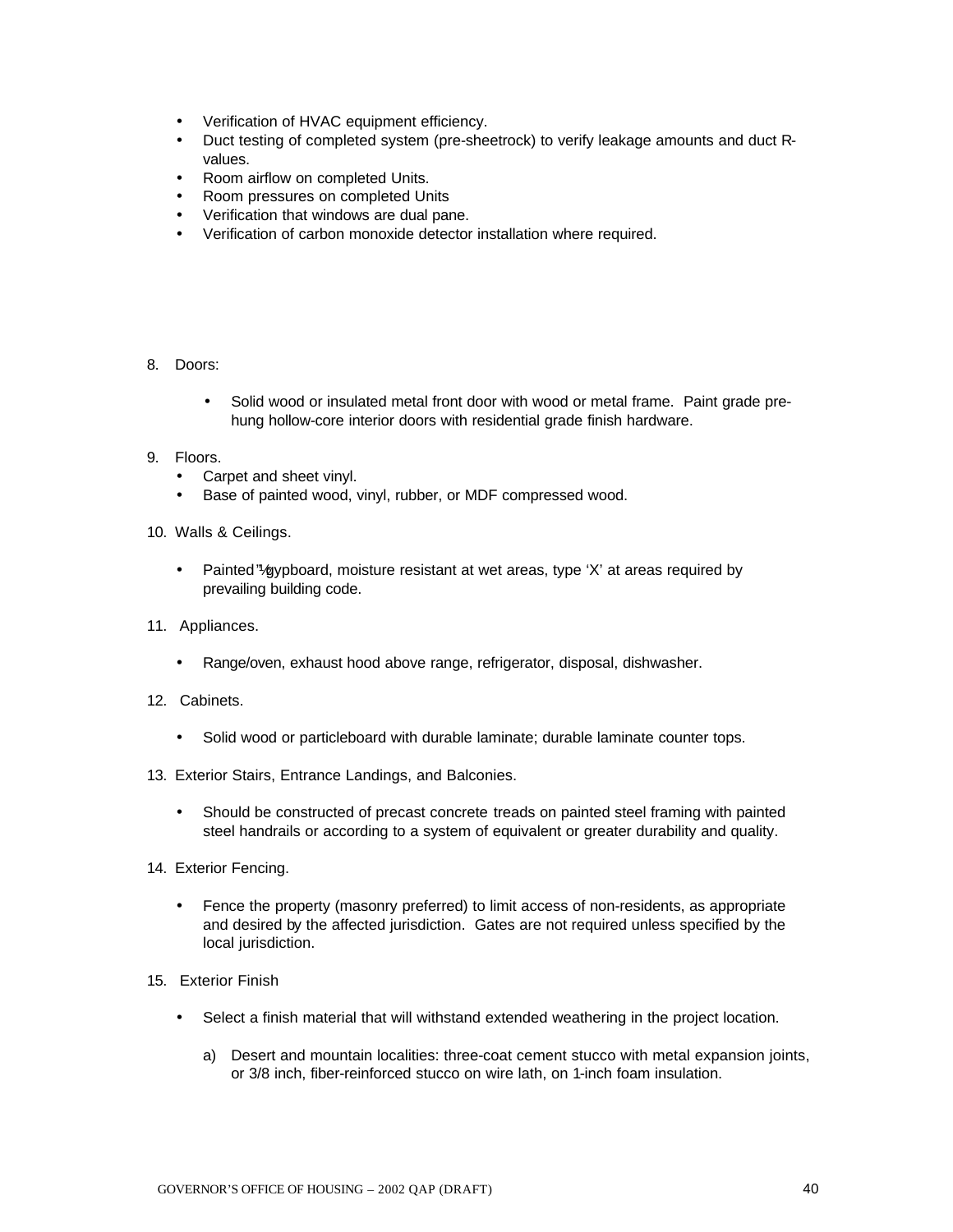- Verification of HVAC equipment efficiency.
- Duct testing of completed system (pre-sheetrock) to verify leakage amounts and duct Rvalues.
- Room airflow on completed Units.
- Room pressures on completed Units
- Verification that windows are dual pane.
- Verification of carbon monoxide detector installation where required.

#### 8. Doors:

• Solid wood or insulated metal front door with wood or metal frame. Paint grade prehung hollow-core interior doors with residential grade finish hardware.

#### 9. Floors.

- Carpet and sheet vinyl.
- Base of painted wood, vinyl, rubber, or MDF compressed wood.
- 10. Walls & Ceilings.
	- Painted "/gypboard, moisture resistant at wet areas, type 'X' at areas required by prevailing building code.
- 11. Appliances.
	- Range/oven, exhaust hood above range, refrigerator, disposal, dishwasher.
- 12. Cabinets.
	- Solid wood or particleboard with durable laminate; durable laminate counter tops.
- 13. Exterior Stairs, Entrance Landings, and Balconies.
	- Should be constructed of precast concrete treads on painted steel framing with painted steel handrails or according to a system of equivalent or greater durability and quality.
- 14. Exterior Fencing.
	- Fence the property (masonry preferred) to limit access of non-residents, as appropriate and desired by the affected jurisdiction. Gates are not required unless specified by the local jurisdiction.
- 15. Exterior Finish
	- Select a finish material that will withstand extended weathering in the project location.
		- a) Desert and mountain localities: three-coat cement stucco with metal expansion joints, or 3/8 inch, fiber-reinforced stucco on wire lath, on 1-inch foam insulation.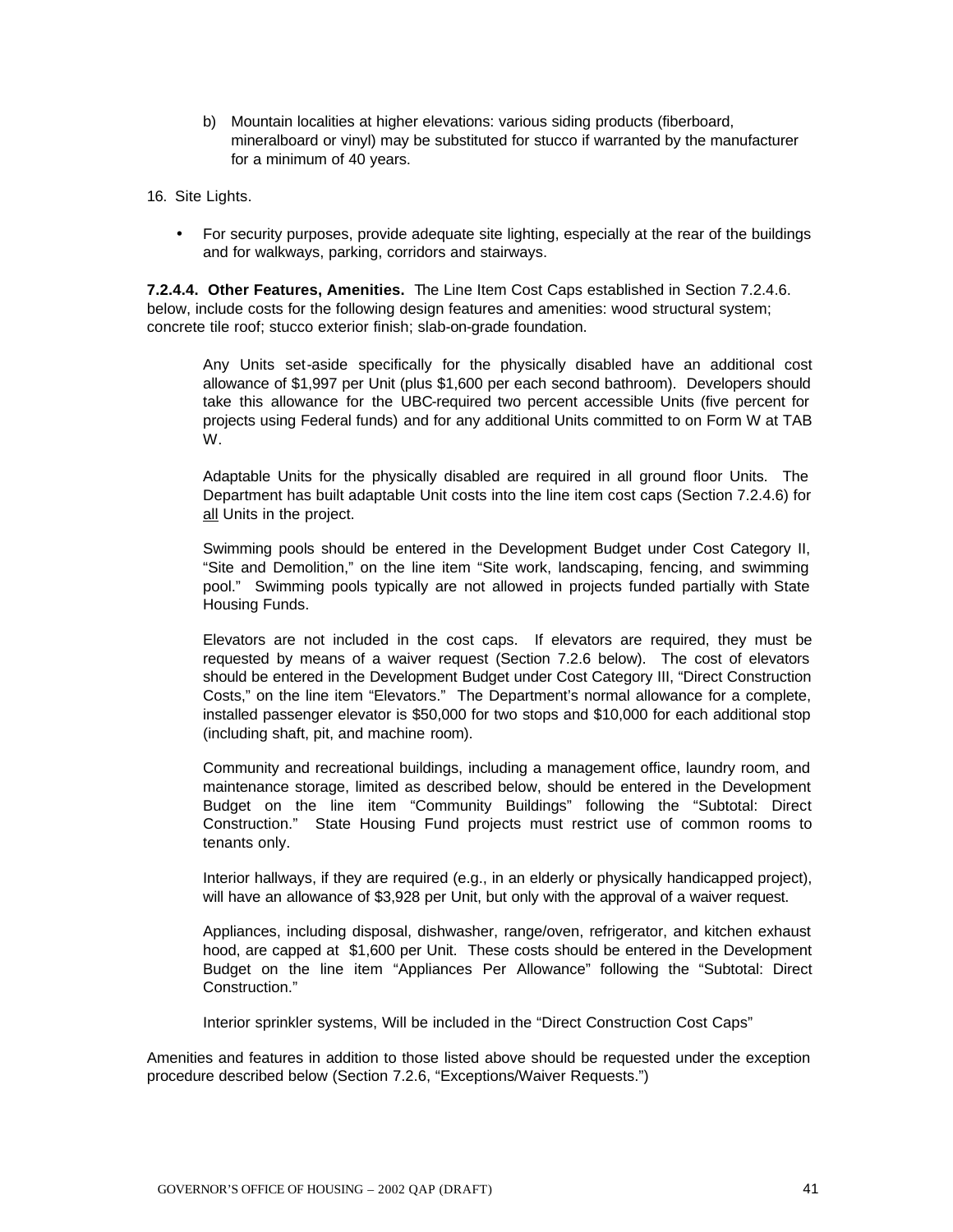- b) Mountain localities at higher elevations: various siding products (fiberboard, mineralboard or vinyl) may be substituted for stucco if warranted by the manufacturer for a minimum of 40 years.
- 16. Site Lights.
	- For security purposes, provide adequate site lighting, especially at the rear of the buildings and for walkways, parking, corridors and stairways.

**7.2.4.4. Other Features, Amenities.** The Line Item Cost Caps established in Section 7.2.4.6. below, include costs for the following design features and amenities: wood structural system; concrete tile roof; stucco exterior finish; slab-on-grade foundation.

Any Units set-aside specifically for the physically disabled have an additional cost allowance of \$1,997 per Unit (plus \$1,600 per each second bathroom). Developers should take this allowance for the UBC-required two percent accessible Units (five percent for projects using Federal funds) and for any additional Units committed to on Form W at TAB W.

Adaptable Units for the physically disabled are required in all ground floor Units. The Department has built adaptable Unit costs into the line item cost caps (Section 7.2.4.6) for all Units in the project.

Swimming pools should be entered in the Development Budget under Cost Category II, "Site and Demolition," on the line item "Site work, landscaping, fencing, and swimming pool." Swimming pools typically are not allowed in projects funded partially with State Housing Funds.

Elevators are not included in the cost caps. If elevators are required, they must be requested by means of a waiver request (Section 7.2.6 below). The cost of elevators should be entered in the Development Budget under Cost Category III, "Direct Construction Costs," on the line item "Elevators." The Department's normal allowance for a complete, installed passenger elevator is \$50,000 for two stops and \$10,000 for each additional stop (including shaft, pit, and machine room).

Community and recreational buildings, including a management office, laundry room, and maintenance storage, limited as described below, should be entered in the Development Budget on the line item "Community Buildings" following the "Subtotal: Direct Construction." State Housing Fund projects must restrict use of common rooms to tenants only.

Interior hallways, if they are required (e.g., in an elderly or physically handicapped project), will have an allowance of \$3,928 per Unit, but only with the approval of a waiver request.

Appliances, including disposal, dishwasher, range/oven, refrigerator, and kitchen exhaust hood, are capped at \$1,600 per Unit. These costs should be entered in the Development Budget on the line item "Appliances Per Allowance" following the "Subtotal: Direct Construction."

Interior sprinkler systems, Will be included in the "Direct Construction Cost Caps"

Amenities and features in addition to those listed above should be requested under the exception procedure described below (Section 7.2.6, "Exceptions/Waiver Requests.")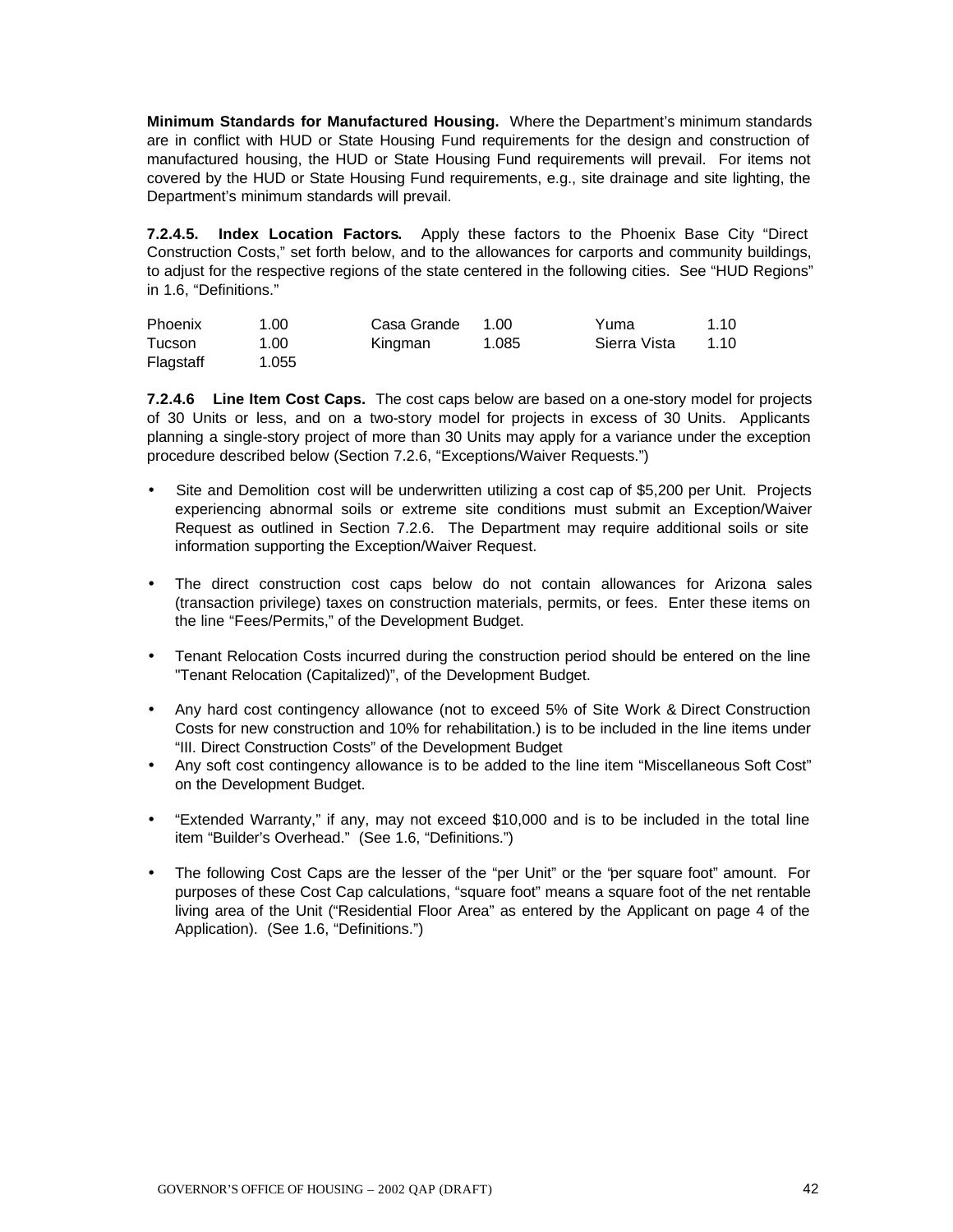**Minimum Standards for Manufactured Housing.** Where the Department's minimum standards are in conflict with HUD or State Housing Fund requirements for the design and construction of manufactured housing, the HUD or State Housing Fund requirements will prevail. For items not covered by the HUD or State Housing Fund requirements, e.g., site drainage and site lighting, the Department's minimum standards will prevail.

**7.2.4.5. Index Location Factors.** Apply these factors to the Phoenix Base City "Direct Construction Costs," set forth below, and to the allowances for carports and community buildings, to adjust for the respective regions of the state centered in the following cities. See "HUD Regions" in 1.6, "Definitions."

| Phoenix   | 1.00  | Casa Grande | 1.OO  | Yuma         | 1.10 |
|-----------|-------|-------------|-------|--------------|------|
| Tucson    | 1.00  | Kingman     | 1.085 | Sierra Vista | 1.10 |
| Flagstaff | 1.055 |             |       |              |      |

**7.2.4.6 Line Item Cost Caps.** The cost caps below are based on a one-story model for projects of 30 Units or less, and on a two-story model for projects in excess of 30 Units. Applicants planning a single-story project of more than 30 Units may apply for a variance under the exception procedure described below (Section 7.2.6, "Exceptions/Waiver Requests.")

- Site and Demolition cost will be underwritten utilizing a cost cap of \$5,200 per Unit. Projects experiencing abnormal soils or extreme site conditions must submit an Exception/Waiver Request as outlined in Section 7.2.6. The Department may require additional soils or site information supporting the Exception/Waiver Request.
- The direct construction cost caps below do not contain allowances for Arizona sales (transaction privilege) taxes on construction materials, permits, or fees. Enter these items on the line "Fees/Permits," of the Development Budget.
- Tenant Relocation Costs incurred during the construction period should be entered on the line "Tenant Relocation (Capitalized)", of the Development Budget.
- Any hard cost contingency allowance (not to exceed 5% of Site Work & Direct Construction Costs for new construction and 10% for rehabilitation.) is to be included in the line items under "III. Direct Construction Costs" of the Development Budget
- Any soft cost contingency allowance is to be added to the line item "Miscellaneous Soft Cost" on the Development Budget.
- "Extended Warranty," if any, may not exceed \$10,000 and is to be included in the total line item "Builder's Overhead." (See 1.6, "Definitions.")
- The following Cost Caps are the lesser of the "per Unit" or the "per square foot" amount. For purposes of these Cost Cap calculations, "square foot" means a square foot of the net rentable living area of the Unit ("Residential Floor Area" as entered by the Applicant on page 4 of the Application). (See 1.6, "Definitions.")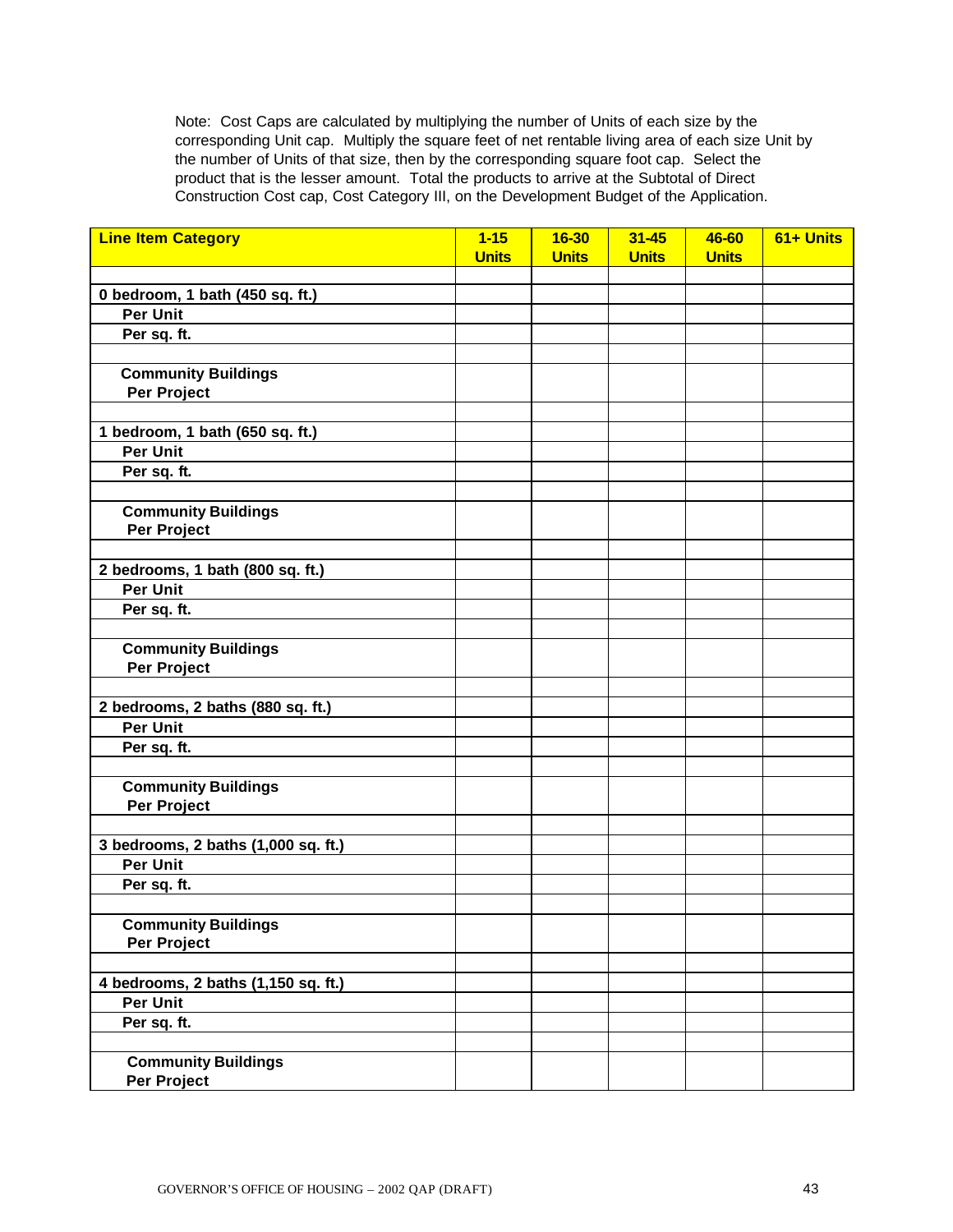Note: Cost Caps are calculated by multiplying the number of Units of each size by the corresponding Unit cap. Multiply the square feet of net rentable living area of each size Unit by the number of Units of that size, then by the corresponding square foot cap. Select the product that is the lesser amount. Total the products to arrive at the Subtotal of Direct Construction Cost cap, Cost Category III, on the Development Budget of the Application.

| <b>Line Item Category</b>           | $1 - 15$<br><b>Units</b> | $16 - 30$<br><b>Units</b> | $31 - 45$<br><b>Units</b> | 46-60<br><b>Units</b> | 61+ Units |
|-------------------------------------|--------------------------|---------------------------|---------------------------|-----------------------|-----------|
|                                     |                          |                           |                           |                       |           |
| 0 bedroom, 1 bath (450 sq. ft.)     |                          |                           |                           |                       |           |
| <b>Per Unit</b>                     |                          |                           |                           |                       |           |
| Per sq. ft.                         |                          |                           |                           |                       |           |
|                                     |                          |                           |                           |                       |           |
| <b>Community Buildings</b>          |                          |                           |                           |                       |           |
| Per Project                         |                          |                           |                           |                       |           |
|                                     |                          |                           |                           |                       |           |
| 1 bedroom, 1 bath (650 sq. ft.)     |                          |                           |                           |                       |           |
| <b>Per Unit</b>                     |                          |                           |                           |                       |           |
| Per sq. ft.                         |                          |                           |                           |                       |           |
|                                     |                          |                           |                           |                       |           |
| <b>Community Buildings</b>          |                          |                           |                           |                       |           |
| Per Project                         |                          |                           |                           |                       |           |
|                                     |                          |                           |                           |                       |           |
| 2 bedrooms, 1 bath (800 sq. ft.)    |                          |                           |                           |                       |           |
| <b>Per Unit</b>                     |                          |                           |                           |                       |           |
| Per sq. ft.                         |                          |                           |                           |                       |           |
|                                     |                          |                           |                           |                       |           |
| <b>Community Buildings</b>          |                          |                           |                           |                       |           |
| Per Project                         |                          |                           |                           |                       |           |
|                                     |                          |                           |                           |                       |           |
| 2 bedrooms, 2 baths (880 sq. ft.)   |                          |                           |                           |                       |           |
| <b>Per Unit</b>                     |                          |                           |                           |                       |           |
| Per sq. ft.                         |                          |                           |                           |                       |           |
|                                     |                          |                           |                           |                       |           |
| <b>Community Buildings</b>          |                          |                           |                           |                       |           |
| Per Project                         |                          |                           |                           |                       |           |
|                                     |                          |                           |                           |                       |           |
| 3 bedrooms, 2 baths (1,000 sq. ft.) |                          |                           |                           |                       |           |
| <b>Per Unit</b>                     |                          |                           |                           |                       |           |
| Per sq. ft.                         |                          |                           |                           |                       |           |
|                                     |                          |                           |                           |                       |           |
| <b>Community Buildings</b>          |                          |                           |                           |                       |           |
| Per Project                         |                          |                           |                           |                       |           |
|                                     |                          |                           |                           |                       |           |
| 4 bedrooms, 2 baths (1,150 sq. ft.) |                          |                           |                           |                       |           |
| Per Unit                            |                          |                           |                           |                       |           |
| Per sq. ft.                         |                          |                           |                           |                       |           |
|                                     |                          |                           |                           |                       |           |
| <b>Community Buildings</b>          |                          |                           |                           |                       |           |
| Per Project                         |                          |                           |                           |                       |           |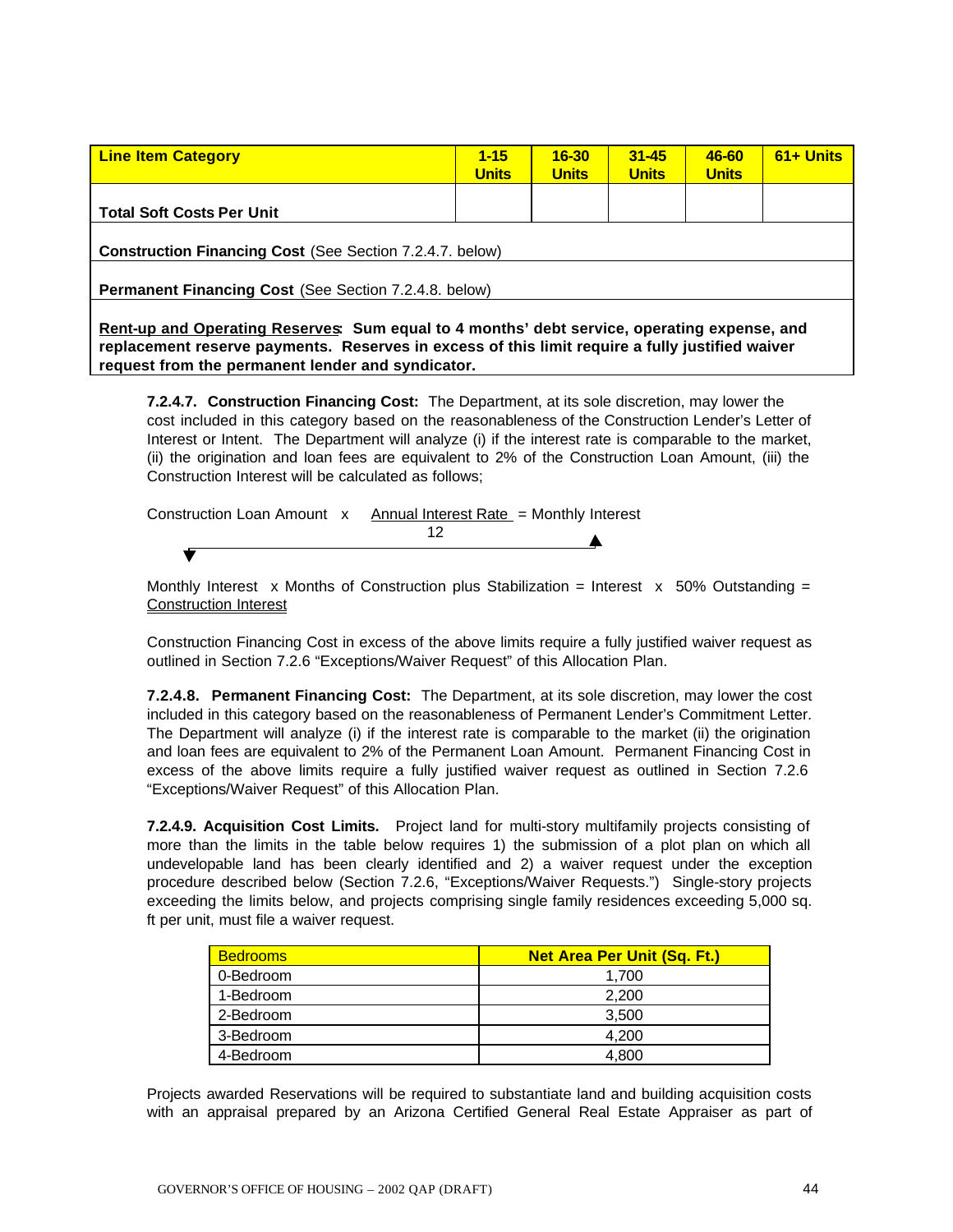| <b>Line Item Category</b>                                       | $1 - 15$<br><b>Units</b> | $16 - 30$<br><b>Units</b> | $31 - 45$<br><b>Units</b> | 46-60<br><b>Units</b> | $61 +$ Units |
|-----------------------------------------------------------------|--------------------------|---------------------------|---------------------------|-----------------------|--------------|
|                                                                 |                          |                           |                           |                       |              |
|                                                                 |                          |                           |                           |                       |              |
| <b>Total Soft Costs Per Unit</b>                                |                          |                           |                           |                       |              |
|                                                                 |                          |                           |                           |                       |              |
| <b>Construction Financing Cost (See Section 7.2.4.7. below)</b> |                          |                           |                           |                       |              |
|                                                                 |                          |                           |                           |                       |              |
| Permanent Financing Cost (See Section 7.2.4.8. below)           |                          |                           |                           |                       |              |
|                                                                 |                          |                           |                           |                       |              |
|                                                                 |                          |                           |                           |                       |              |

**Rent-up and Operating Reserves: Sum equal to 4 months' debt service, operating expense, and replacement reserve payments. Reserves in excess of this limit require a fully justified waiver request from the permanent lender and syndicator.** 

**7.2.4.7. Construction Financing Cost:** The Department, at its sole discretion, may lower the cost included in this category based on the reasonableness of the Construction Lender's Letter of Interest or Intent. The Department will analyze (i) if the interest rate is comparable to the market, (ii) the origination and loan fees are equivalent to 2% of the Construction Loan Amount, (iii) the Construction Interest will be calculated as follows;

| Construction Loan Amount x Annual Interest Rate = Monthly Interest |  |  |
|--------------------------------------------------------------------|--|--|
|                                                                    |  |  |
|                                                                    |  |  |

Monthly Interest x Months of Construction plus Stabilization = Interest x 50% Outstanding = Construction Interest

Construction Financing Cost in excess of the above limits require a fully justified waiver request as outlined in Section 7.2.6 "Exceptions/Waiver Request" of this Allocation Plan.

| <b>7.2.4.8. Permanent Financing Cost:</b> The Department, at its sole discretion, may lower the cost  |
|-------------------------------------------------------------------------------------------------------|
| included in this category based on the reasonableness of Permanent Lender's Commitment Letter.        |
| The Department will analyze (i) if the interest rate is comparable to the market (ii) the origination |
| and loan fees are equivalent to 2% of the Permanent Loan Amount. Permanent Financing Cost in          |
| excess of the above limits require a fully justified waiver request as outlined in Section 7.2.6      |
| "Exceptions/Waiver Request" of this Allocation Plan.                                                  |

**7.2.4.9. Acquisition Cost Limits.** Project land for multi-story multifamily projects consisting of more than the limits in the table below requires 1) the submission of a plot plan on which all undevelopable land has been clearly identified and 2) a waiver request under the exception procedure described below (Section 7.2.6, "Exceptions/Waiver Requests.") Single-story projects exceeding the limits below, and projects comprising single family residences exceeding 5,000 sq. ft per unit, must file a waiver request.

| <b>Bedrooms</b> | <b>Net Area Per Unit (Sq. Ft.)</b> |
|-----------------|------------------------------------|
| 0-Bedroom       | 1.700                              |
| 1-Bedroom       | 2,200                              |
| 2-Bedroom       | 3,500                              |
| 3-Bedroom       | 4.200                              |
| 4-Bedroom       | 4.800                              |

Projects awarded Reservations will be required to substantiate land and building acquisition costs with an appraisal prepared by an Arizona Certified General Real Estate Appraiser as part of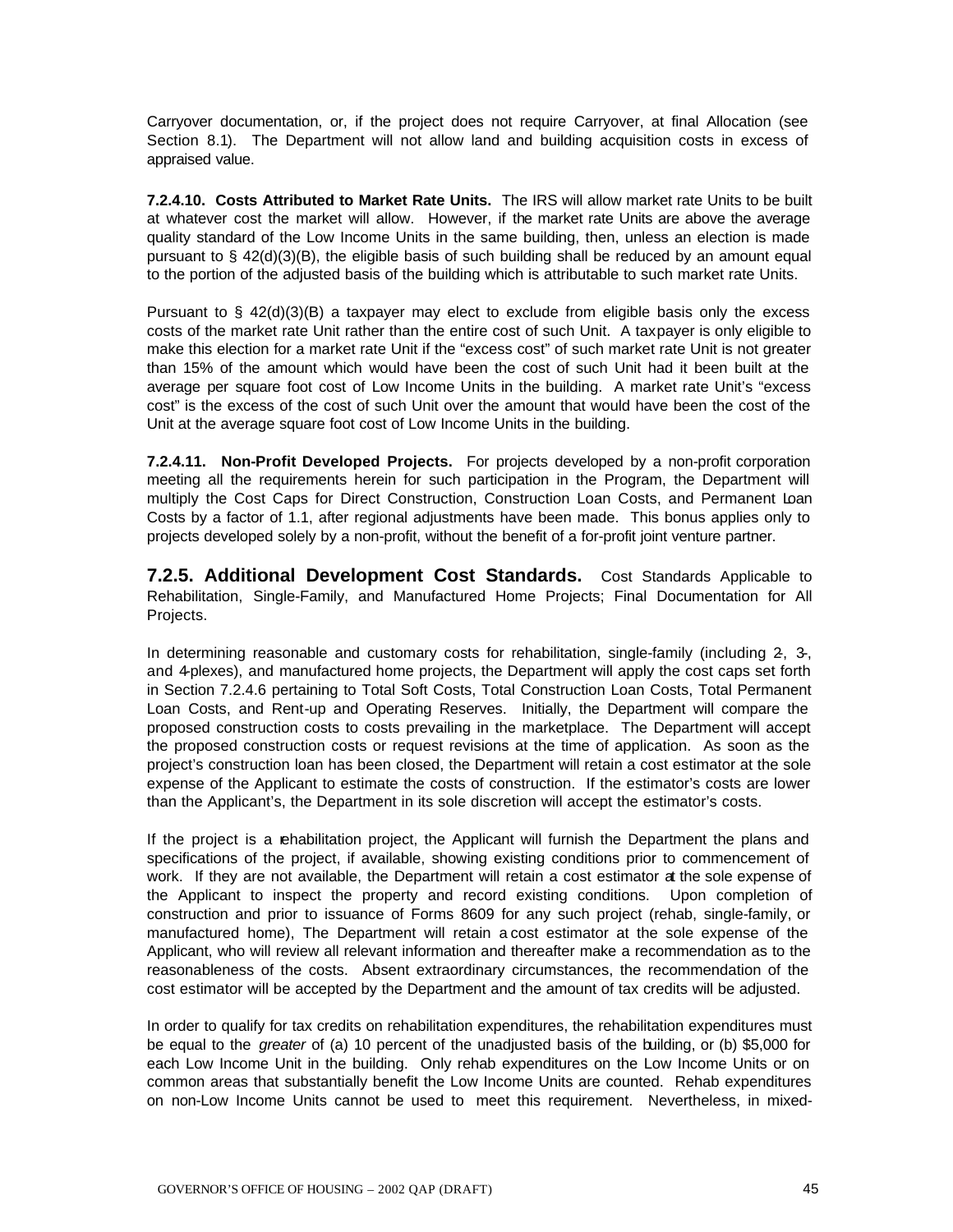Carryover documentation, or, if the project does not require Carryover, at final Allocation (see Section 8.1). The Department will not allow land and building acquisition costs in excess of appraised value.

**7.2.4.10. Costs Attributed to Market Rate Units.** The IRS will allow market rate Units to be built at whatever cost the market will allow. However, if the market rate Units are above the average quality standard of the Low Income Units in the same building, then, unless an election is made pursuant to § 42(d)(3)(B), the eligible basis of such building shall be reduced by an amount equal to the portion of the adjusted basis of the building which is attributable to such market rate Units.

Pursuant to  $\S$  42(d)(3)(B) a taxpayer may elect to exclude from eligible basis only the excess costs of the market rate Unit rather than the entire cost of such Unit. A taxpayer is only eligible to make this election for a market rate Unit if the "excess cost" of such market rate Unit is not greater than 15% of the amount which would have been the cost of such Unit had it been built at the average per square foot cost of Low Income Units in the building. A market rate Unit's "excess cost" is the excess of the cost of such Unit over the amount that would have been the cost of the Unit at the average square foot cost of Low Income Units in the building.

**7.2.4.11. Non-Profit Developed Projects.** For projects developed by a non-profit corporation meeting all the requirements herein for such participation in the Program, the Department will multiply the Cost Caps for Direct Construction, Construction Loan Costs, and Permanent Loan Costs by a factor of 1.1, after regional adjustments have been made. This bonus applies only to projects developed solely by a non-profit, without the benefit of a for-profit joint venture partner.

**7.2.5. Additional Development Cost Standards.** Cost Standards Applicable to Rehabilitation, Single-Family, and Manufactured Home Projects; Final Documentation for All Projects.

In determining reasonable and customary costs for rehabilitation, single-family (including 2, 3, and 4-plexes), and manufactured home projects, the Department will apply the cost caps set forth in Section 7.2.4.6 pertaining to Total Soft Costs, Total Construction Loan Costs, Total Permanent Loan Costs, and Rent-up and Operating Reserves. Initially, the Department will compare the proposed construction costs to costs prevailing in the marketplace. The Department will accept the proposed construction costs or request revisions at the time of application. As soon as the project's construction loan has been closed, the Department will retain a cost estimator at the sole expense of the Applicant to estimate the costs of construction. If the estimator's costs are lower than the Applicant's, the Department in its sole discretion will accept the estimator's costs.

If the project is a rehabilitation project, the Applicant will furnish the Department the plans and specifications of the project, if available, showing existing conditions prior to commencement of work. If they are not available, the Department will retain a cost estimator at the sole expense of the Applicant to inspect the property and record existing conditions. Upon completion of construction and prior to issuance of Forms 8609 for any such project (rehab, single-family, or manufactured home), The Department will retain a cost estimator at the sole expense of the Applicant, who will review all relevant information and thereafter make a recommendation as to the reasonableness of the costs. Absent extraordinary circumstances, the recommendation of the cost estimator will be accepted by the Department and the amount of tax credits will be adjusted.

In order to qualify for tax credits on rehabilitation expenditures, the rehabilitation expenditures must be equal to the *greater* of (a) 10 percent of the unadjusted basis of the building, or (b) \$5,000 for each Low Income Unit in the building. Only rehab expenditures on the Low Income Units or on common areas that substantially benefit the Low Income Units are counted. Rehab expenditures on non-Low Income Units cannot be used to meet this requirement. Nevertheless, in mixed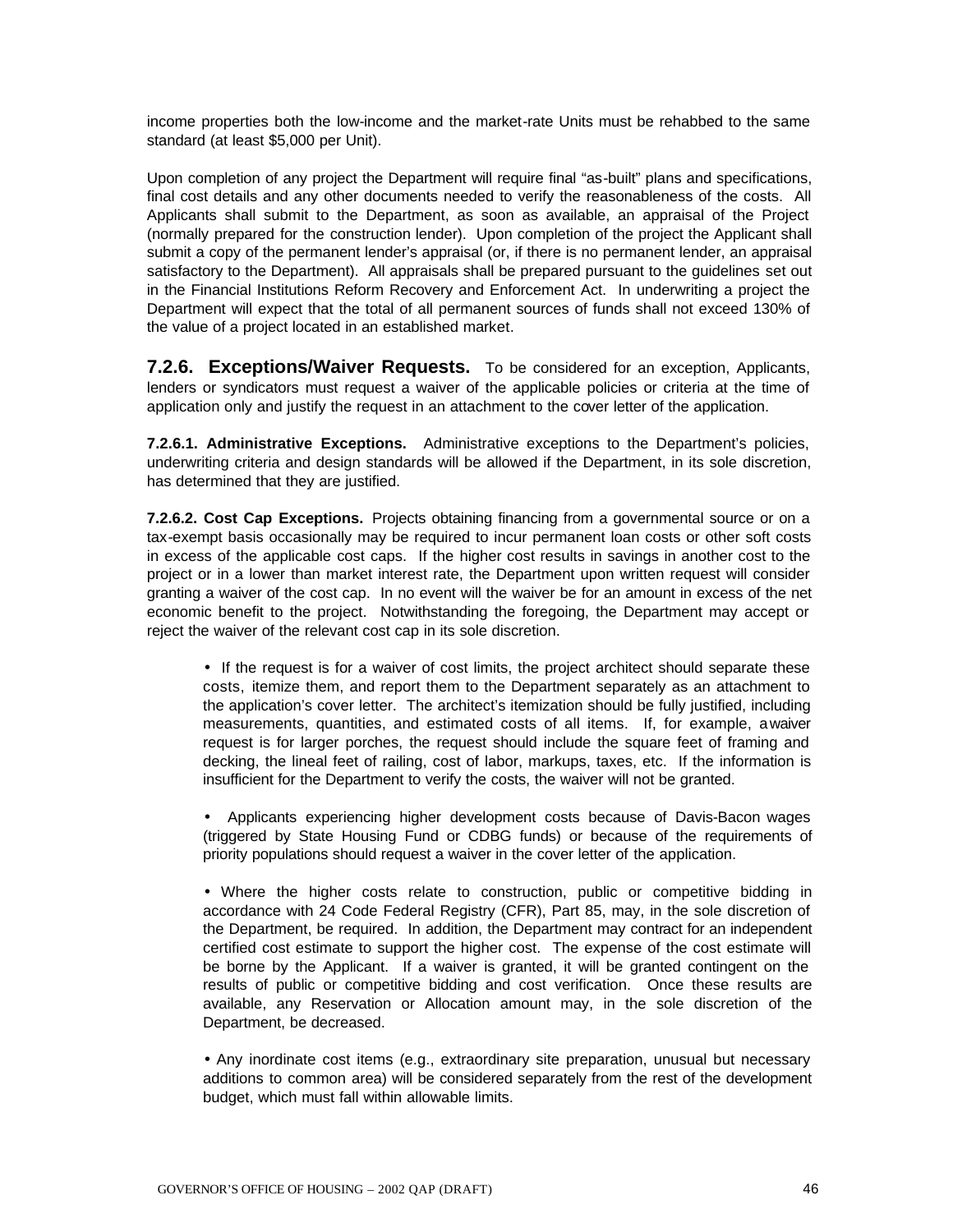income properties both the low-income and the market-rate Units must be rehabbed to the same standard (at least \$5,000 per Unit).

Upon completion of any project the Department will require final "as-built" plans and specifications, final cost details and any other documents needed to verify the reasonableness of the costs. All Applicants shall submit to the Department, as soon as available, an appraisal of the Project (normally prepared for the construction lender). Upon completion of the project the Applicant shall submit a copy of the permanent lender's appraisal (or, if there is no permanent lender, an appraisal satisfactory to the Department). All appraisals shall be prepared pursuant to the guidelines set out in the Financial Institutions Reform Recovery and Enforcement Act. In underwriting a project the Department will expect that the total of all permanent sources of funds shall not exceed 130% of the value of a project located in an established market.

**7.2.6. Exceptions/Waiver Requests.** To be considered for an exception, Applicants, lenders or syndicators must request a waiver of the applicable policies or criteria at the time of application only and justify the request in an attachment to the cover letter of the application.

**7.2.6.1. Administrative Exceptions.** Administrative exceptions to the Department's policies, underwriting criteria and design standards will be allowed if the Department, in its sole discretion, has determined that they are justified.

**7.2.6.2. Cost Cap Exceptions.** Projects obtaining financing from a governmental source or on a tax-exempt basis occasionally may be required to incur permanent loan costs or other soft costs in excess of the applicable cost caps. If the higher cost results in savings in another cost to the project or in a lower than market interest rate, the Department upon written request will consider granting a waiver of the cost cap. In no event will the waiver be for an amount in excess of the net economic benefit to the project. Notwithstanding the foregoing, the Department may accept or reject the waiver of the relevant cost cap in its sole discretion.

• If the request is for a waiver of cost limits, the project architect should separate these costs, itemize them, and report them to the Department separately as an attachment to the application's cover letter. The architect's itemization should be fully justified, including measurements, quantities, and estimated costs of all items. If, for example, a waiver request is for larger porches, the request should include the square feet of framing and decking, the lineal feet of railing, cost of labor, markups, taxes, etc. If the information is insufficient for the Department to verify the costs, the waiver will not be granted.

• Applicants experiencing higher development costs because of Davis-Bacon wages (triggered by State Housing Fund or CDBG funds) or because of the requirements of priority populations should request a waiver in the cover letter of the application.

• Where the higher costs relate to construction, public or competitive bidding in accordance with 24 Code Federal Registry (CFR), Part 85, may, in the sole discretion of the Department, be required. In addition, the Department may contract for an independent certified cost estimate to support the higher cost. The expense of the cost estimate will be borne by the Applicant. If a waiver is granted, it will be granted contingent on the results of public or competitive bidding and cost verification. Once these results are available, any Reservation or Allocation amount may, in the sole discretion of the Department, be decreased.

• Any inordinate cost items (e.g., extraordinary site preparation, unusual but necessary additions to common area) will be considered separately from the rest of the development budget, which must fall within allowable limits.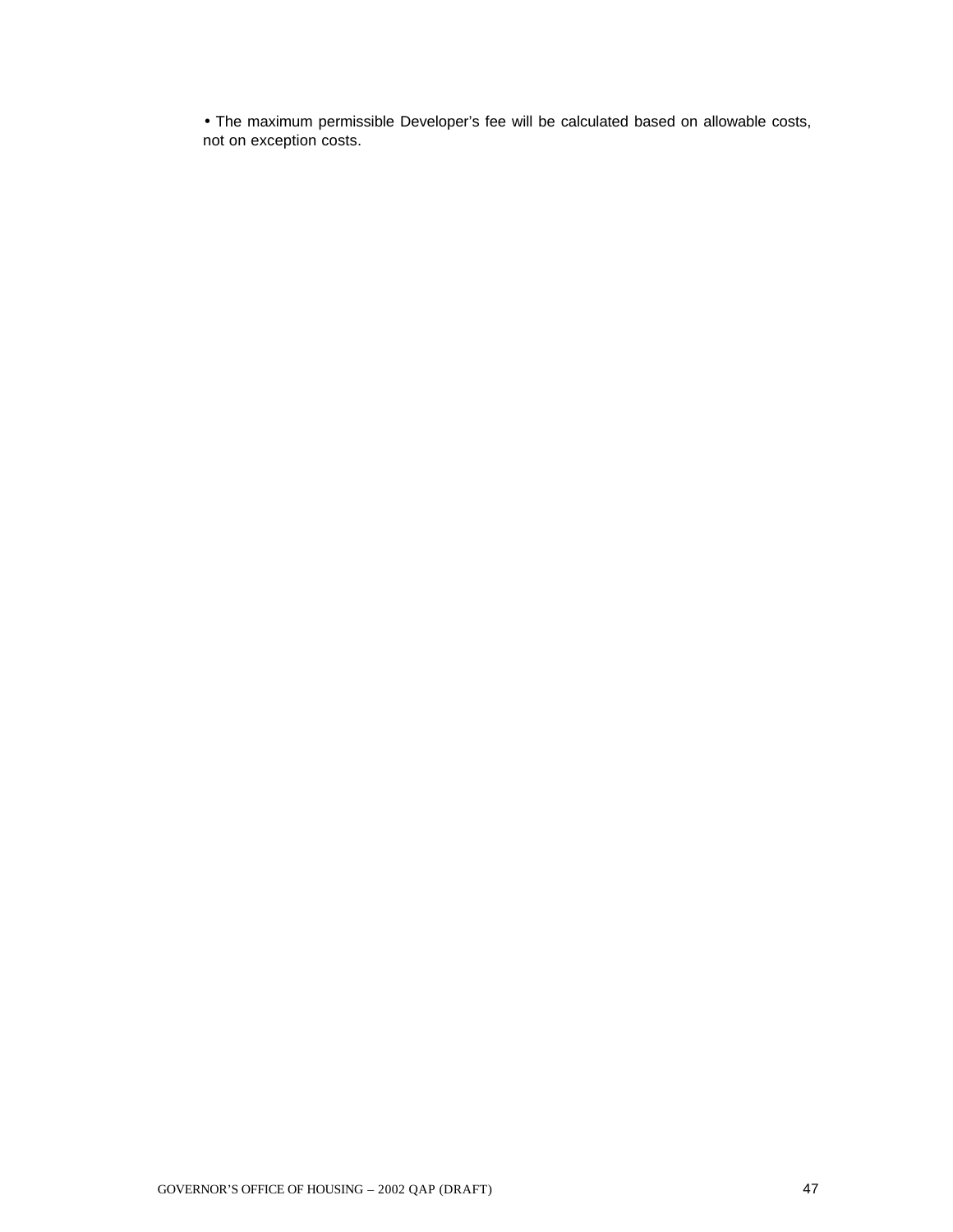• The maximum permissible Developer's fee will be calculated based on allowable costs, not on exception costs.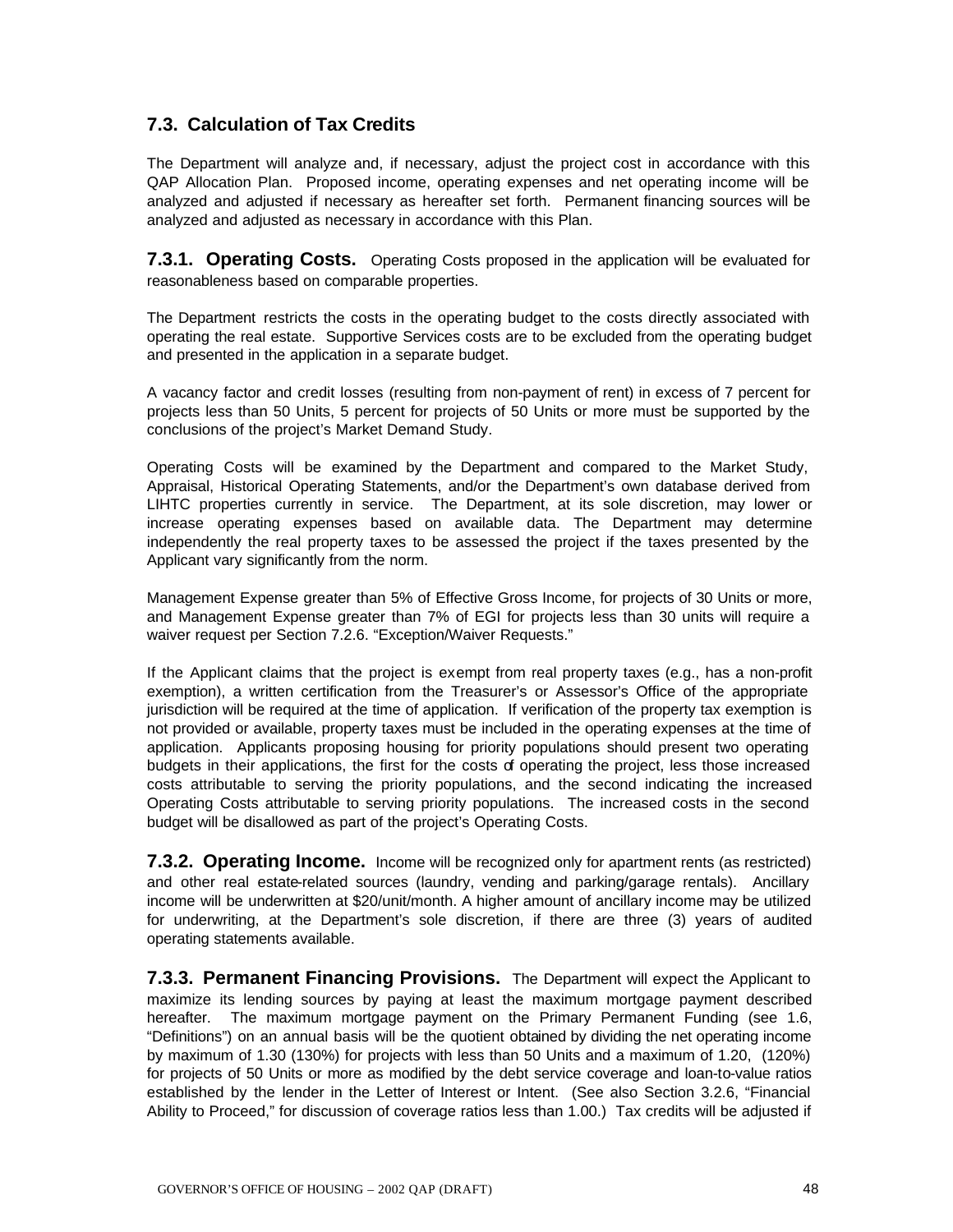## **7.3. Calculation of Tax Credits**

The Department will analyze and, if necessary, adjust the project cost in accordance with this QAP Allocation Plan. Proposed income, operating expenses and net operating income will be analyzed and adjusted if necessary as hereafter set forth. Permanent financing sources will be analyzed and adjusted as necessary in accordance with this Plan.

**7.3.1. Operating Costs.** Operating Costs proposed in the application will be evaluated for reasonableness based on comparable properties.

The Department restricts the costs in the operating budget to the costs directly associated with operating the real estate. Supportive Services costs are to be excluded from the operating budget and presented in the application in a separate budget.

A vacancy factor and credit losses (resulting from non-payment of rent) in excess of 7 percent for projects less than 50 Units, 5 percent for projects of 50 Units or more must be supported by the conclusions of the project's Market Demand Study.

Operating Costs will be examined by the Department and compared to the Market Study, Appraisal, Historical Operating Statements, and/or the Department's own database derived from LIHTC properties currently in service. The Department, at its sole discretion, may lower or increase operating expenses based on available data. The Department may determine independently the real property taxes to be assessed the project if the taxes presented by the Applicant vary significantly from the norm.

Management Expense greater than 5% of Effective Gross Income, for projects of 30 Units or more, and Management Expense greater than 7% of EGI for projects less than 30 units will require a waiver request per Section 7.2.6. "Exception/Waiver Requests."

If the Applicant claims that the project is exempt from real property taxes (e.g., has a non-profit exemption), a written certification from the Treasurer's or Assessor's Office of the appropriate jurisdiction will be required at the time of application. If verification of the property tax exemption is not provided or available, property taxes must be included in the operating expenses at the time of application. Applicants proposing housing for priority populations should present two operating budgets in their applications, the first for the costs of operating the project, less those increased costs attributable to serving the priority populations, and the second indicating the increased Operating Costs attributable to serving priority populations. The increased costs in the second budget will be disallowed as part of the project's Operating Costs.

**7.3.2. Operating Income.** Income will be recognized only for apartment rents (as restricted) and other real estate-related sources (laundry, vending and parking/garage rentals). Ancillary income will be underwritten at \$20/unit/month. A higher amount of ancillary income may be utilized for underwriting, at the Department's sole discretion, if there are three (3) years of audited operating statements available.

**7.3.3. Permanent Financing Provisions.** The Department will expect the Applicant to maximize its lending sources by paying at least the maximum mortgage payment described hereafter. The maximum mortgage payment on the Primary Permanent Funding (see 1.6, "Definitions") on an annual basis will be the quotient obtained by dividing the net operating income by maximum of 1.30 (130%) for projects with less than 50 Units and a maximum of 1.20, (120%) for projects of 50 Units or more as modified by the debt service coverage and loan-to-value ratios established by the lender in the Letter of Interest or Intent. (See also Section 3.2.6, "Financial Ability to Proceed," for discussion of coverage ratios less than 1.00.) Tax credits will be adjusted if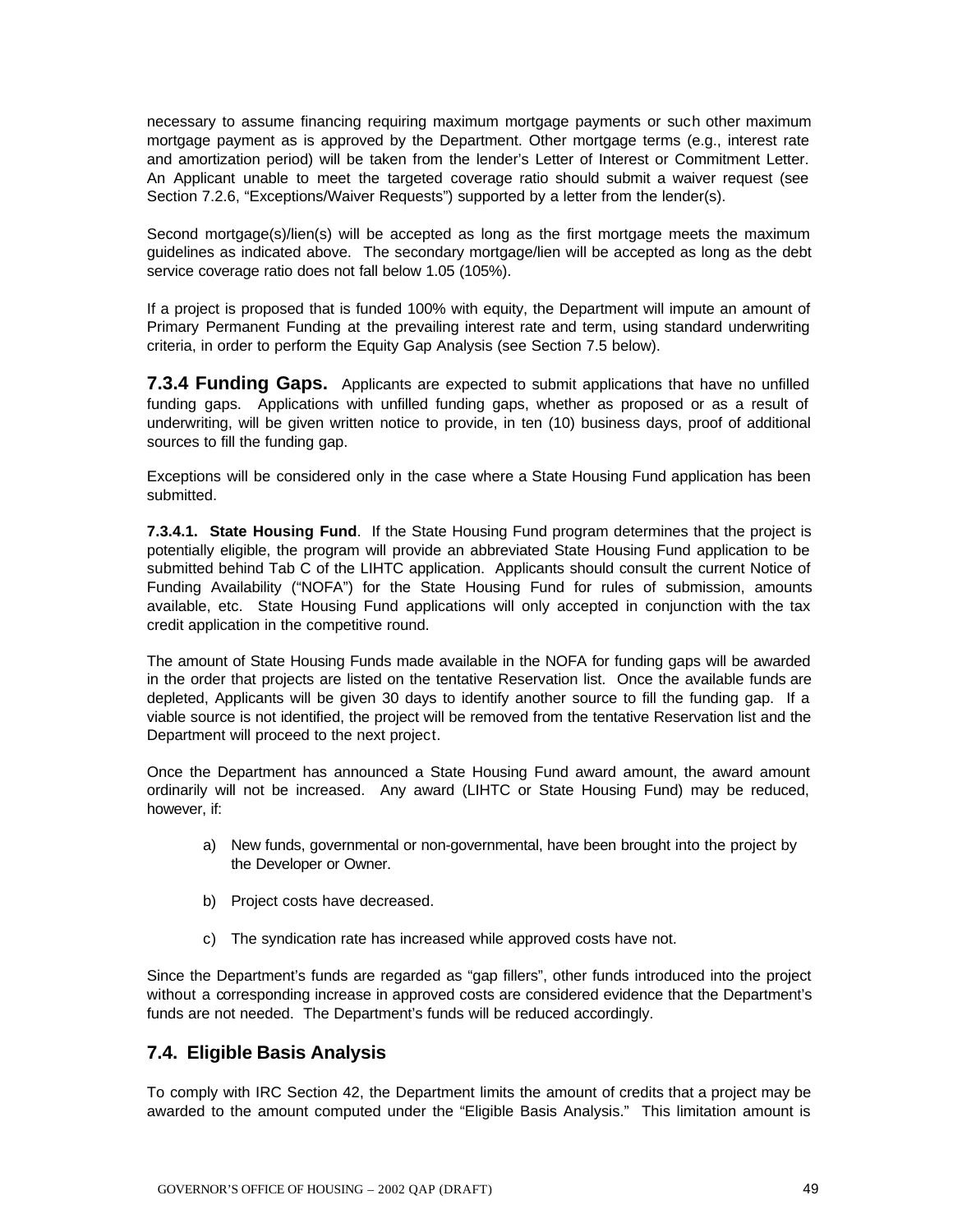necessary to assume financing requiring maximum mortgage payments or such other maximum mortgage payment as is approved by the Department. Other mortgage terms (e.g., interest rate and amortization period) will be taken from the lender's Letter of Interest or Commitment Letter. An Applicant unable to meet the targeted coverage ratio should submit a waiver request (see Section 7.2.6, "Exceptions/Waiver Requests") supported by a letter from the lender(s).

Second mortgage(s)/lien(s) will be accepted as long as the first mortgage meets the maximum guidelines as indicated above. The secondary mortgage/lien will be accepted as long as the debt service coverage ratio does not fall below 1.05 (105%).

If a project is proposed that is funded 100% with equity, the Department will impute an amount of Primary Permanent Funding at the prevailing interest rate and term, using standard underwriting criteria, in order to perform the Equity Gap Analysis (see Section 7.5 below).

**7.3.4 Funding Gaps.** Applicants are expected to submit applications that have no unfilled funding gaps. Applications with unfilled funding gaps, whether as proposed or as a result of underwriting, will be given written notice to provide, in ten (10) business days, proof of additional sources to fill the funding gap.

Exceptions will be considered only in the case where a State Housing Fund application has been submitted.

**7.3.4.1. State Housing Fund**. If the State Housing Fund program determines that the project is potentially eligible, the program will provide an abbreviated State Housing Fund application to be submitted behind Tab C of the LIHTC application. Applicants should consult the current Notice of Funding Availability ("NOFA") for the State Housing Fund for rules of submission, amounts available, etc. State Housing Fund applications will only accepted in conjunction with the tax credit application in the competitive round.

The amount of State Housing Funds made available in the NOFA for funding gaps will be awarded in the order that projects are listed on the tentative Reservation list. Once the available funds are depleted, Applicants will be given 30 days to identify another source to fill the funding gap. If a viable source is not identified, the project will be removed from the tentative Reservation list and the Department will proceed to the next project.

Once the Department has announced a State Housing Fund award amount, the award amount ordinarily will not be increased. Any award (LIHTC or State Housing Fund) may be reduced, however, if:

- a) New funds, governmental or non-governmental, have been brought into the project by the Developer or Owner.
- b) Project costs have decreased.
- c) The syndication rate has increased while approved costs have not.

Since the Department's funds are regarded as "gap fillers", other funds introduced into the project without a corresponding increase in approved costs are considered evidence that the Department's funds are not needed. The Department's funds will be reduced accordingly.

### **7.4. Eligible Basis Analysis**

To comply with IRC Section 42, the Department limits the amount of credits that a project may be awarded to the amount computed under the "Eligible Basis Analysis." This limitation amount is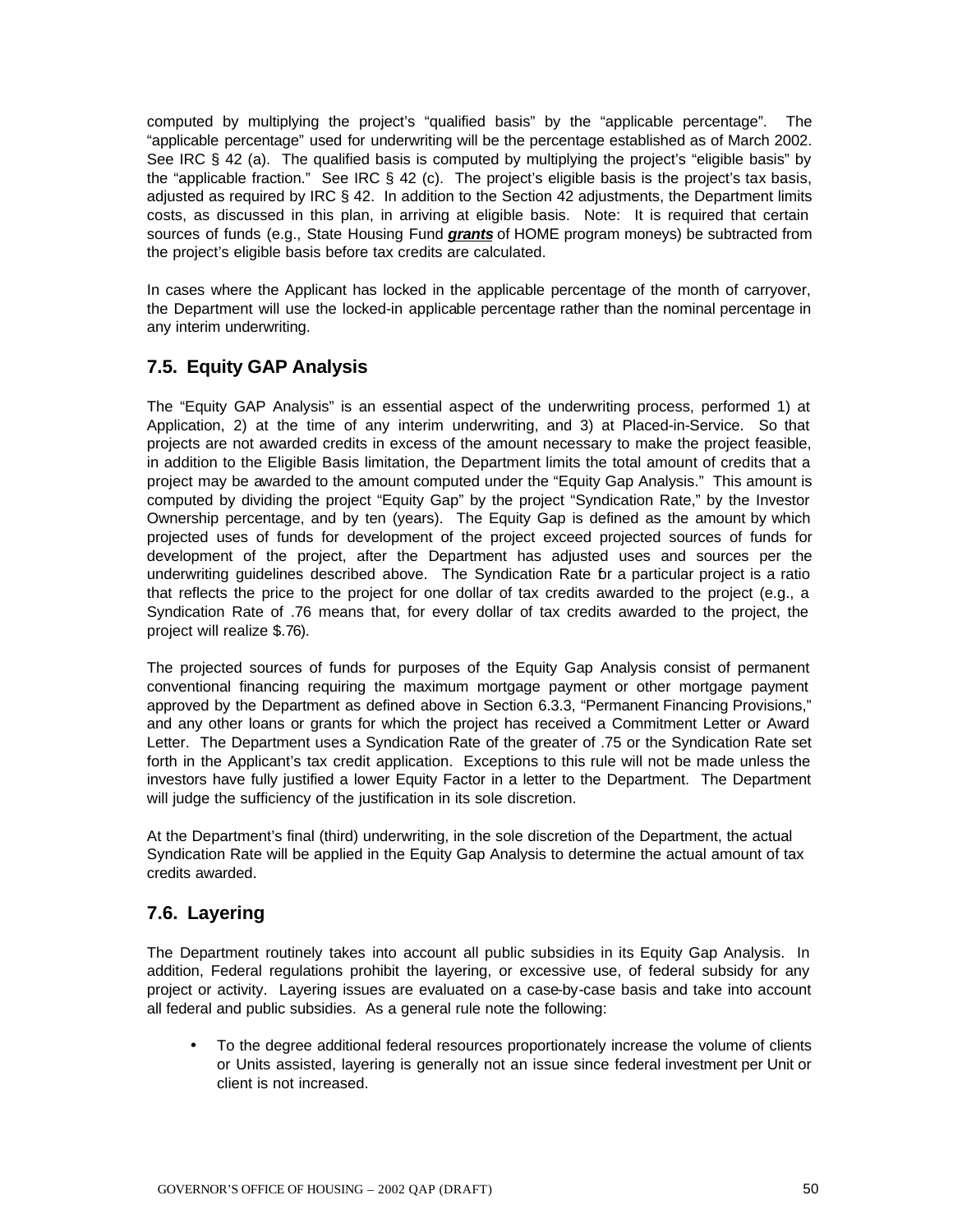computed by multiplying the project's "qualified basis" by the "applicable percentage". The "applicable percentage" used for underwriting will be the percentage established as of March 2002. See IRC § 42 (a). The qualified basis is computed by multiplying the project's "eligible basis" by the "applicable fraction." See IRC § 42 (c). The project's eligible basis is the project's tax basis, adjusted as required by IRC § 42. In addition to the Section 42 adjustments, the Department limits costs, as discussed in this plan, in arriving at eligible basis. Note: It is required that certain sources of funds (e.g., State Housing Fund *grants* of HOME program moneys) be subtracted from the project's eligible basis before tax credits are calculated.

In cases where the Applicant has locked in the applicable percentage of the month of carryover, the Department will use the locked-in applicable percentage rather than the nominal percentage in any interim underwriting.

## **7.5. Equity GAP Analysis**

The "Equity GAP Analysis" is an essential aspect of the underwriting process, performed 1) at Application, 2) at the time of any interim underwriting, and 3) at Placed-in-Service. So that projects are not awarded credits in excess of the amount necessary to make the project feasible, in addition to the Eligible Basis limitation, the Department limits the total amount of credits that a project may be awarded to the amount computed under the "Equity Gap Analysis." This amount is computed by dividing the project "Equity Gap" by the project "Syndication Rate," by the Investor Ownership percentage, and by ten (years). The Equity Gap is defined as the amount by which projected uses of funds for development of the project exceed projected sources of funds for development of the project, after the Department has adjusted uses and sources per the underwriting guidelines described above. The Syndication Rate for a particular project is a ratio that reflects the price to the project for one dollar of tax credits awarded to the project (e.g., a Syndication Rate of .76 means that, for every dollar of tax credits awarded to the project, the project will realize \$.76).

The projected sources of funds for purposes of the Equity Gap Analysis consist of permanent conventional financing requiring the maximum mortgage payment or other mortgage payment approved by the Department as defined above in Section 6.3.3, "Permanent Financing Provisions," and any other loans or grants for which the project has received a Commitment Letter or Award Letter. The Department uses a Syndication Rate of the greater of .75 or the Syndication Rate set forth in the Applicant's tax credit application. Exceptions to this rule will not be made unless the investors have fully justified a lower Equity Factor in a letter to the Department. The Department will judge the sufficiency of the justification in its sole discretion.

At the Department's final (third) underwriting, in the sole discretion of the Department, the actual Syndication Rate will be applied in the Equity Gap Analysis to determine the actual amount of tax credits awarded.

## **7.6. Layering**

The Department routinely takes into account all public subsidies in its Equity Gap Analysis. In addition, Federal regulations prohibit the layering, or excessive use, of federal subsidy for any project or activity. Layering issues are evaluated on a case-by-case basis and take into account all federal and public subsidies. As a general rule note the following:

• To the degree additional federal resources proportionately increase the volume of clients or Units assisted, layering is generally not an issue since federal investment per Unit or client is not increased.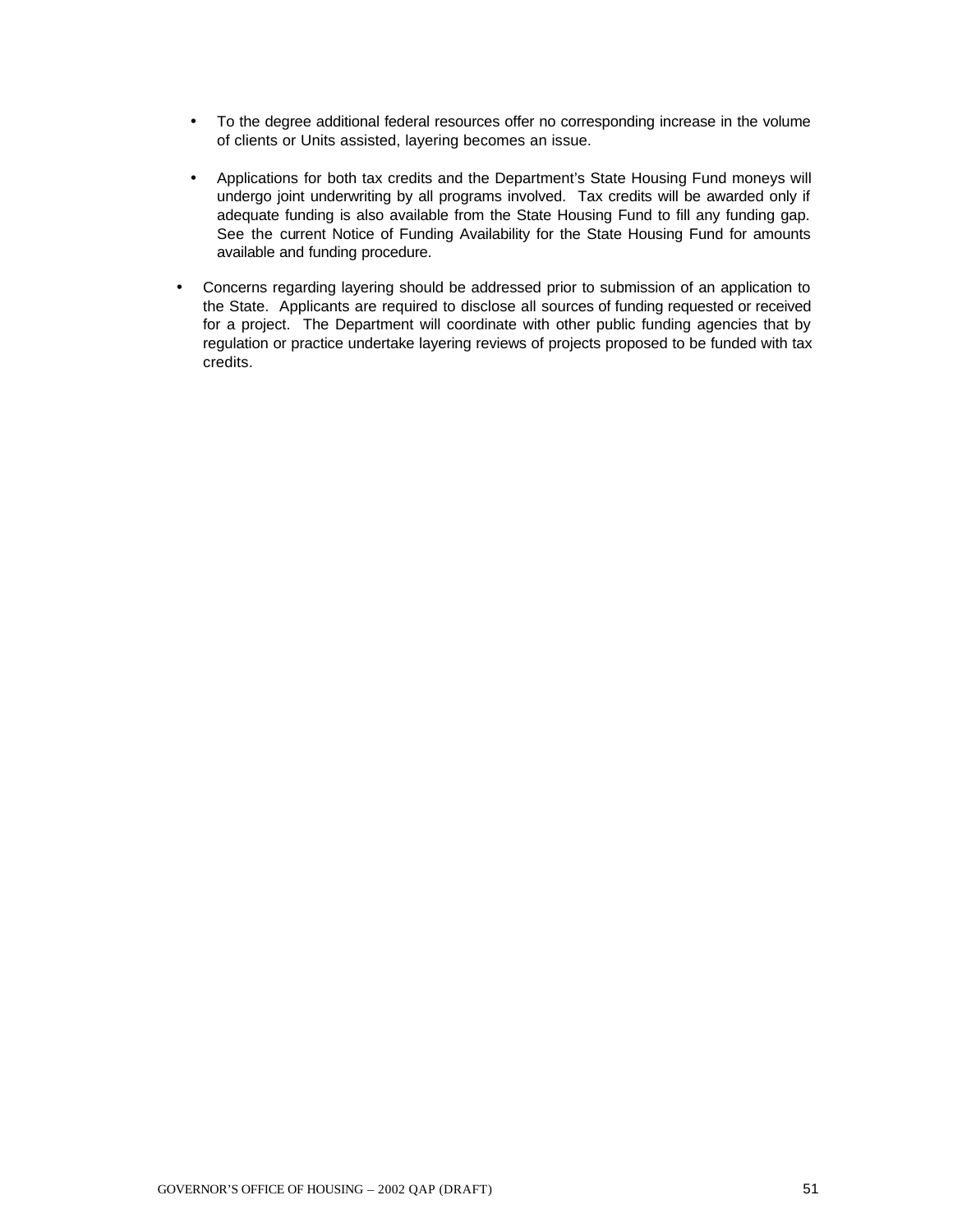- To the degree additional federal resources offer no corresponding increase in the volume of clients or Units assisted, layering becomes an issue.
- Applications for both tax credits and the Department's State Housing Fund moneys will undergo joint underwriting by all programs involved. Tax credits will be awarded only if adequate funding is also available from the State Housing Fund to fill any funding gap. See the current Notice of Funding Availability for the State Housing Fund for amounts available and funding procedure.
- Concerns regarding layering should be addressed prior to submission of an application to the State. Applicants are required to disclose all sources of funding requested or received for a project. The Department will coordinate with other public funding agencies that by regulation or practice undertake layering reviews of projects proposed to be funded with tax credits.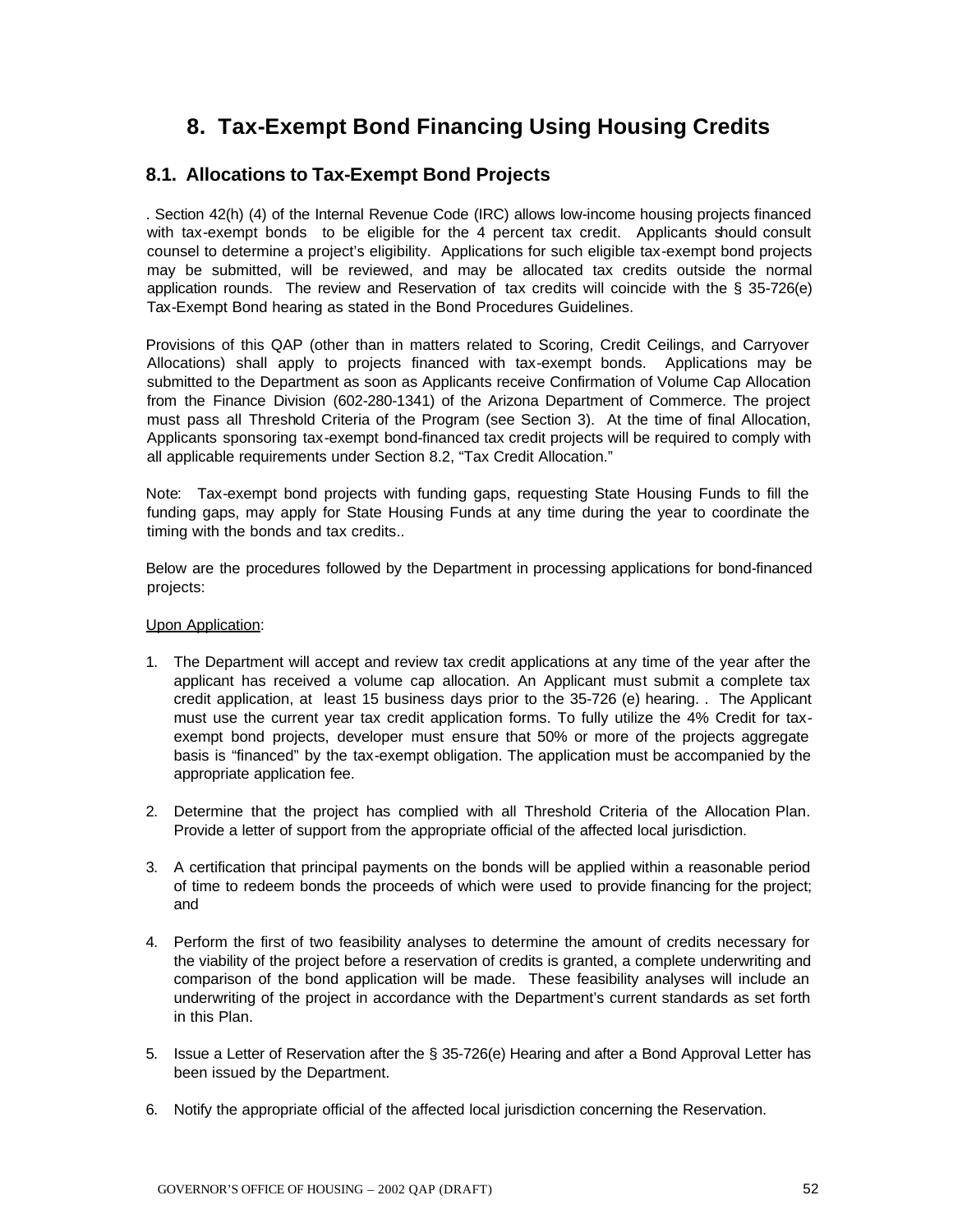# **8. Tax-Exempt Bond Financing Using Housing Credits**

### **8.1. Allocations to Tax-Exempt Bond Projects**

. Section 42(h) (4) of the Internal Revenue Code (IRC) allows low-income housing projects financed with tax-exempt bonds to be eligible for the 4 percent tax credit. Applicants should consult counsel to determine a project's eligibility. Applications for such eligible tax-exempt bond projects may be submitted, will be reviewed, and may be allocated tax credits outside the normal application rounds. The review and Reservation of tax credits will coincide with the § 35-726(e) Tax-Exempt Bond hearing as stated in the Bond Procedures Guidelines.

Provisions of this QAP (other than in matters related to Scoring, Credit Ceilings, and Carryover Allocations) shall apply to projects financed with tax-exempt bonds. Applications may be submitted to the Department as soon as Applicants receive Confirmation of Volume Cap Allocation from the Finance Division (602-280-1341) of the Arizona Department of Commerce. The project must pass all Threshold Criteria of the Program (see Section 3). At the time of final Allocation, Applicants sponsoring tax-exempt bond-financed tax credit projects will be required to comply with all applicable requirements under Section 8.2, "Tax Credit Allocation."

Note: Tax-exempt bond projects with funding gaps, requesting State Housing Funds to fill the funding gaps, may apply for State Housing Funds at any time during the year to coordinate the timing with the bonds and tax credits..

Below are the procedures followed by the Department in processing applications for bond-financed projects:

#### Upon Application:

- 1. The Department will accept and review tax credit applications at any time of the year after the applicant has received a volume cap allocation. An Applicant must submit a complete tax credit application, at least 15 business days prior to the 35-726 (e) hearing. . The Applicant must use the current year tax credit application forms. To fully utilize the 4% Credit for taxexempt bond projects, developer must ensure that 50% or more of the projects aggregate basis is "financed" by the tax-exempt obligation. The application must be accompanied by the appropriate application fee.
- 2. Determine that the project has complied with all Threshold Criteria of the Allocation Plan. Provide a letter of support from the appropriate official of the affected local jurisdiction.
- 3. A certification that principal payments on the bonds will be applied within a reasonable period of time to redeem bonds the proceeds of which were used to provide financing for the project; and
- 4. Perform the first of two feasibility analyses to determine the amount of credits necessary for the viability of the project before a reservation of credits is granted, a complete underwriting and comparison of the bond application will be made. These feasibility analyses will include an underwriting of the project in accordance with the Department's current standards as set forth in this Plan.
- 5. Issue a Letter of Reservation after the § 35-726(e) Hearing and after a Bond Approval Letter has been issued by the Department.
- 6. Notify the appropriate official of the affected local jurisdiction concerning the Reservation.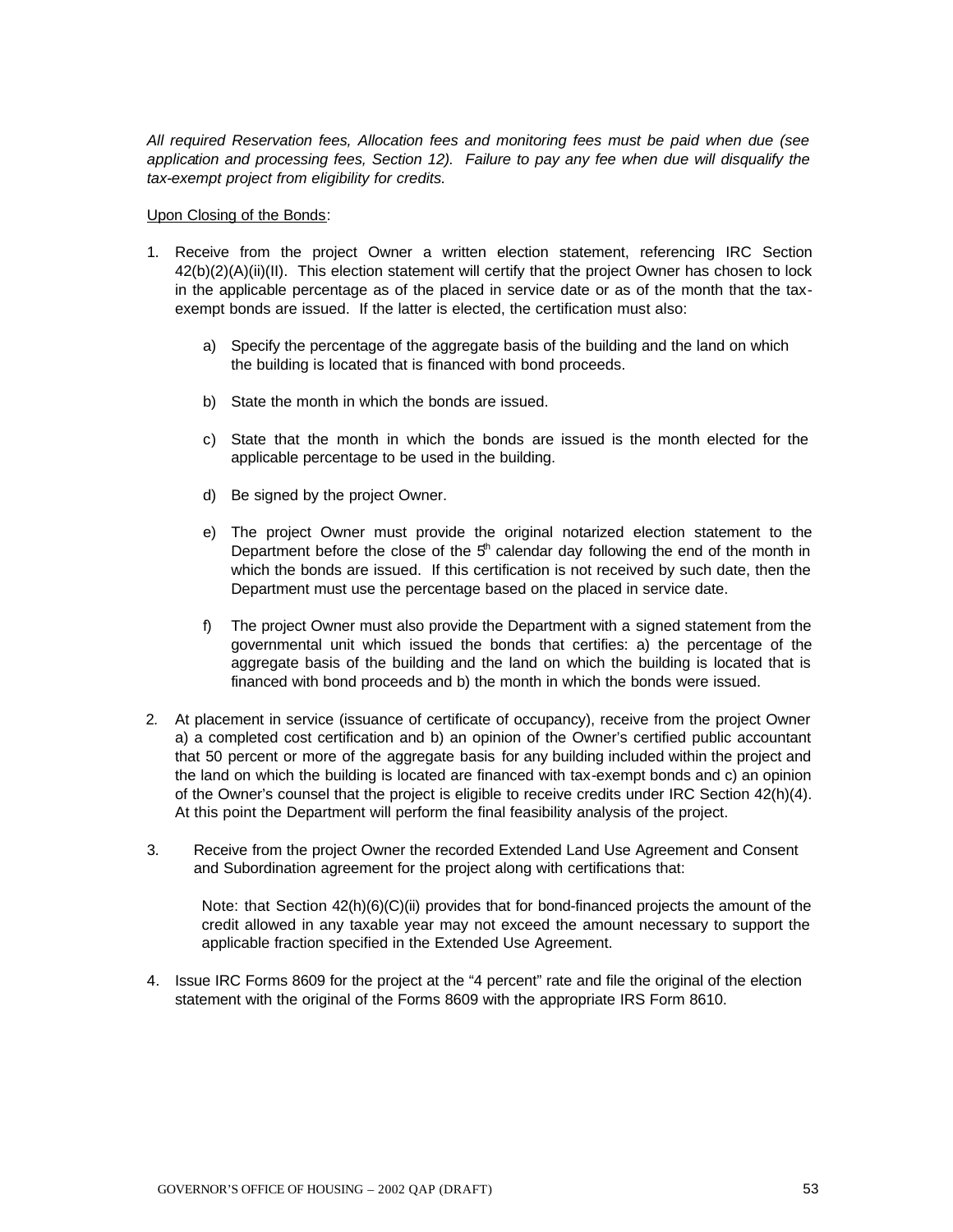*All required Reservation fees, Allocation fees and monitoring fees must be paid when due (see application and processing fees, Section 12). Failure to pay any fee when due will disqualify the tax-exempt project from eligibility for credits.*

Upon Closing of the Bonds:

- 1. Receive from the project Owner a written election statement, referencing IRC Section 42(b)(2)(A)(ii)(II). This election statement will certify that the project Owner has chosen to lock in the applicable percentage as of the placed in service date or as of the month that the taxexempt bonds are issued. If the latter is elected, the certification must also:
	- a) Specify the percentage of the aggregate basis of the building and the land on which the building is located that is financed with bond proceeds.
	- b) State the month in which the bonds are issued.
	- c) State that the month in which the bonds are issued is the month elected for the applicable percentage to be used in the building.
	- d) Be signed by the project Owner.
	- e) The project Owner must provide the original notarized election statement to the Department before the close of the  $5<sup>th</sup>$  calendar day following the end of the month in which the bonds are issued. If this certification is not received by such date, then the Department must use the percentage based on the placed in service date.
	- f) The project Owner must also provide the Department with a signed statement from the governmental unit which issued the bonds that certifies: a) the percentage of the aggregate basis of the building and the land on which the building is located that is financed with bond proceeds and b) the month in which the bonds were issued.
- 2. At placement in service (issuance of certificate of occupancy), receive from the project Owner a) a completed cost certification and b) an opinion of the Owner's certified public accountant that 50 percent or more of the aggregate basis for any building included within the project and the land on which the building is located are financed with tax-exempt bonds and c) an opinion of the Owner's counsel that the project is eligible to receive credits under IRC Section 42(h)(4). At this point the Department will perform the final feasibility analysis of the project.
- 3. Receive from the project Owner the recorded Extended Land Use Agreement and Consent and Subordination agreement for the project along with certifications that:

Note: that Section  $42(h)(6)(C)(ii)$  provides that for bond-financed projects the amount of the credit allowed in any taxable year may not exceed the amount necessary to support the applicable fraction specified in the Extended Use Agreement.

4. Issue IRC Forms 8609 for the project at the "4 percent" rate and file the original of the election statement with the original of the Forms 8609 with the appropriate IRS Form 8610.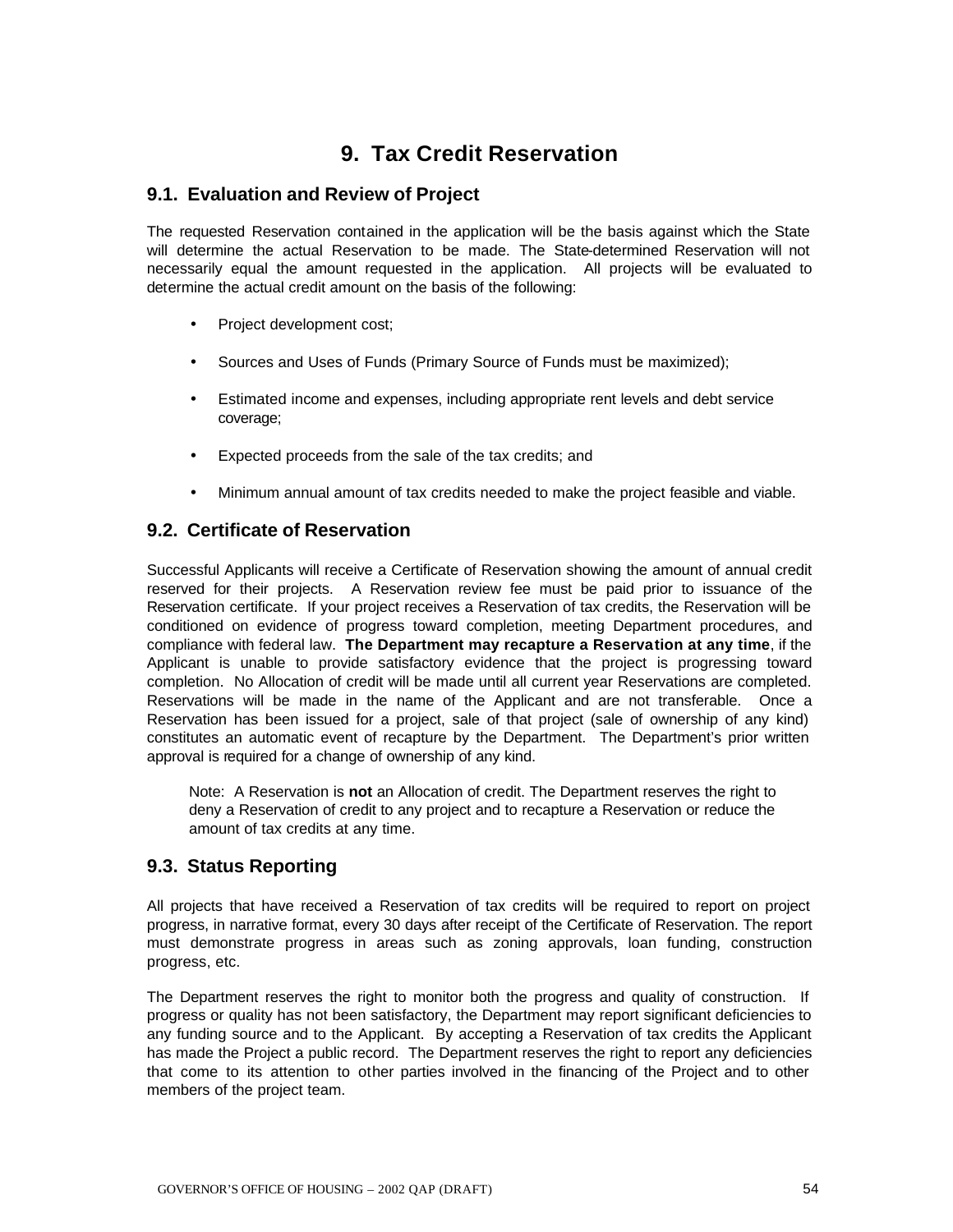# **9. Tax Credit Reservation**

#### **9.1. Evaluation and Review of Project**

The requested Reservation contained in the application will be the basis against which the State will determine the actual Reservation to be made. The State-determined Reservation will not necessarily equal the amount requested in the application. All projects will be evaluated to determine the actual credit amount on the basis of the following:

- Project development cost;
- Sources and Uses of Funds (Primary Source of Funds must be maximized);
- Estimated income and expenses, including appropriate rent levels and debt service coverage;
- Expected proceeds from the sale of the tax credits; and
- Minimum annual amount of tax credits needed to make the project feasible and viable.

### **9.2. Certificate of Reservation**

Successful Applicants will receive a Certificate of Reservation showing the amount of annual credit reserved for their projects. A Reservation review fee must be paid prior to issuance of the Reservation certificate. If your project receives a Reservation of tax credits, the Reservation will be conditioned on evidence of progress toward completion, meeting Department procedures, and compliance with federal law. **The Department may recapture a Reservation at any time**, if the Applicant is unable to provide satisfactory evidence that the project is progressing toward completion. No Allocation of credit will be made until all current year Reservations are completed. Reservations will be made in the name of the Applicant and are not transferable. Once a Reservation has been issued for a project, sale of that project (sale of ownership of any kind) constitutes an automatic event of recapture by the Department. The Department's prior written approval is required for a change of ownership of any kind.

Note: A Reservation is **not** an Allocation of credit. The Department reserves the right to deny a Reservation of credit to any project and to recapture a Reservation or reduce the amount of tax credits at any time.

### **9.3. Status Reporting**

All projects that have received a Reservation of tax credits will be required to report on project progress, in narrative format, every 30 days after receipt of the Certificate of Reservation. The report must demonstrate progress in areas such as zoning approvals, loan funding, construction progress, etc.

The Department reserves the right to monitor both the progress and quality of construction. If progress or quality has not been satisfactory, the Department may report significant deficiencies to any funding source and to the Applicant. By accepting a Reservation of tax credits the Applicant has made the Project a public record. The Department reserves the right to report any deficiencies that come to its attention to other parties involved in the financing of the Project and to other members of the project team.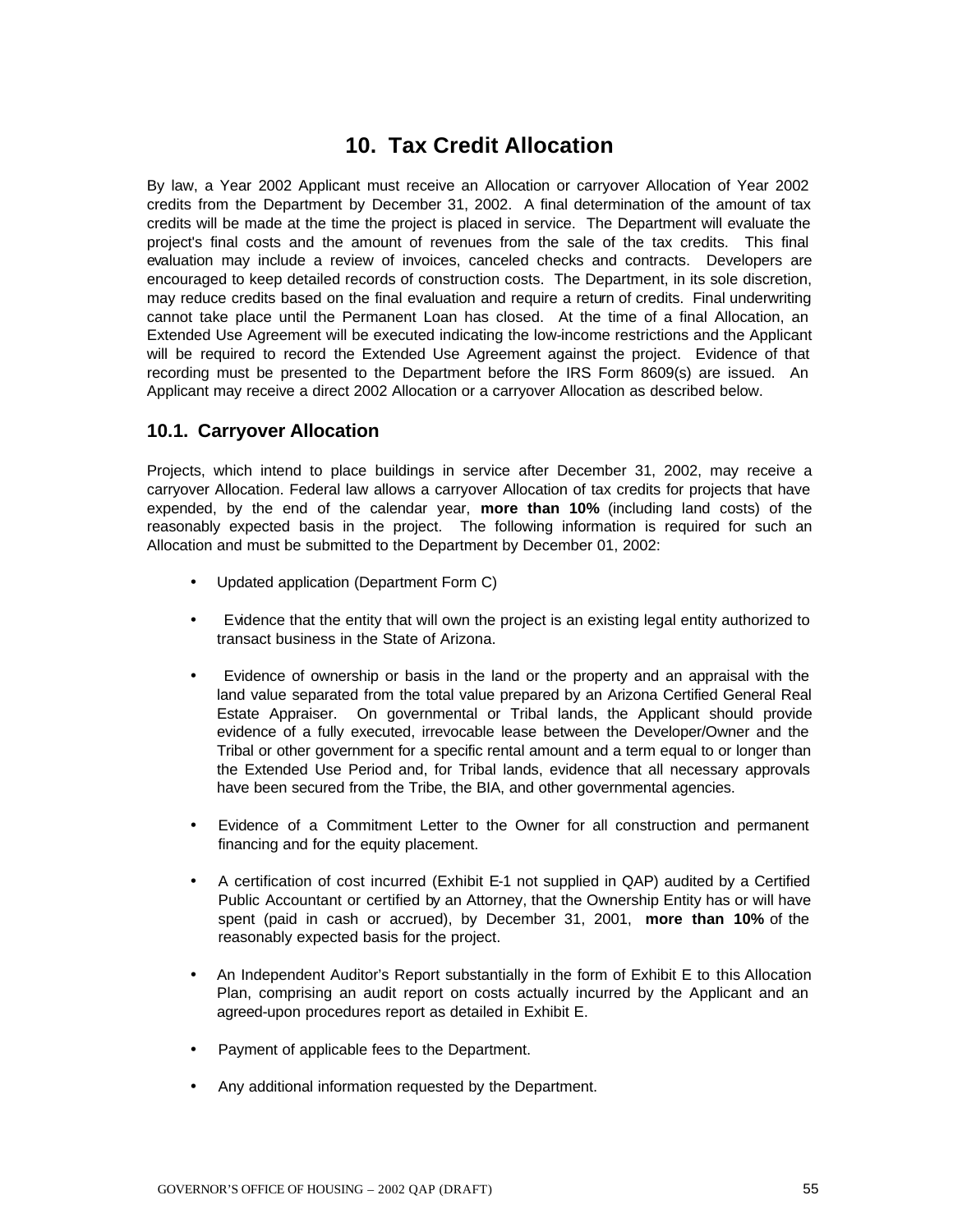# **10. Tax Credit Allocation**

By law, a Year 2002 Applicant must receive an Allocation or carryover Allocation of Year 2002 credits from the Department by December 31, 2002. A final determination of the amount of tax credits will be made at the time the project is placed in service. The Department will evaluate the project's final costs and the amount of revenues from the sale of the tax credits. This final evaluation may include a review of invoices, canceled checks and contracts. Developers are encouraged to keep detailed records of construction costs. The Department, in its sole discretion, may reduce credits based on the final evaluation and require a return of credits. Final underwriting cannot take place until the Permanent Loan has closed. At the time of a final Allocation, an Extended Use Agreement will be executed indicating the low-income restrictions and the Applicant will be required to record the Extended Use Agreement against the project. Evidence of that recording must be presented to the Department before the IRS Form 8609(s) are issued. An Applicant may receive a direct 2002 Allocation or a carryover Allocation as described below.

### **10.1. Carryover Allocation**

Projects, which intend to place buildings in service after December 31, 2002, may receive a carryover Allocation. Federal law allows a carryover Allocation of tax credits for projects that have expended, by the end of the calendar year, **more than 10%** (including land costs) of the reasonably expected basis in the project. The following information is required for such an Allocation and must be submitted to the Department by December 01, 2002:

- Updated application (Department Form C)
- Evidence that the entity that will own the project is an existing legal entity authorized to transact business in the State of Arizona.
- Evidence of ownership or basis in the land or the property and an appraisal with the land value separated from the total value prepared by an Arizona Certified General Real Estate Appraiser. On governmental or Tribal lands, the Applicant should provide evidence of a fully executed, irrevocable lease between the Developer/Owner and the Tribal or other government for a specific rental amount and a term equal to or longer than the Extended Use Period and, for Tribal lands, evidence that all necessary approvals have been secured from the Tribe, the BIA, and other governmental agencies.
- Evidence of a Commitment Letter to the Owner for all construction and permanent financing and for the equity placement.
- A certification of cost incurred (Exhibit E-1 not supplied in QAP) audited by a Certified Public Accountant or certified by an Attorney, that the Ownership Entity has or will have spent (paid in cash or accrued), by December 31, 2001, **more than 10%** of the reasonably expected basis for the project.
- An Independent Auditor's Report substantially in the form of Exhibit E to this Allocation Plan, comprising an audit report on costs actually incurred by the Applicant and an agreed-upon procedures report as detailed in Exhibit E.
- Payment of applicable fees to the Department.
- Any additional information requested by the Department.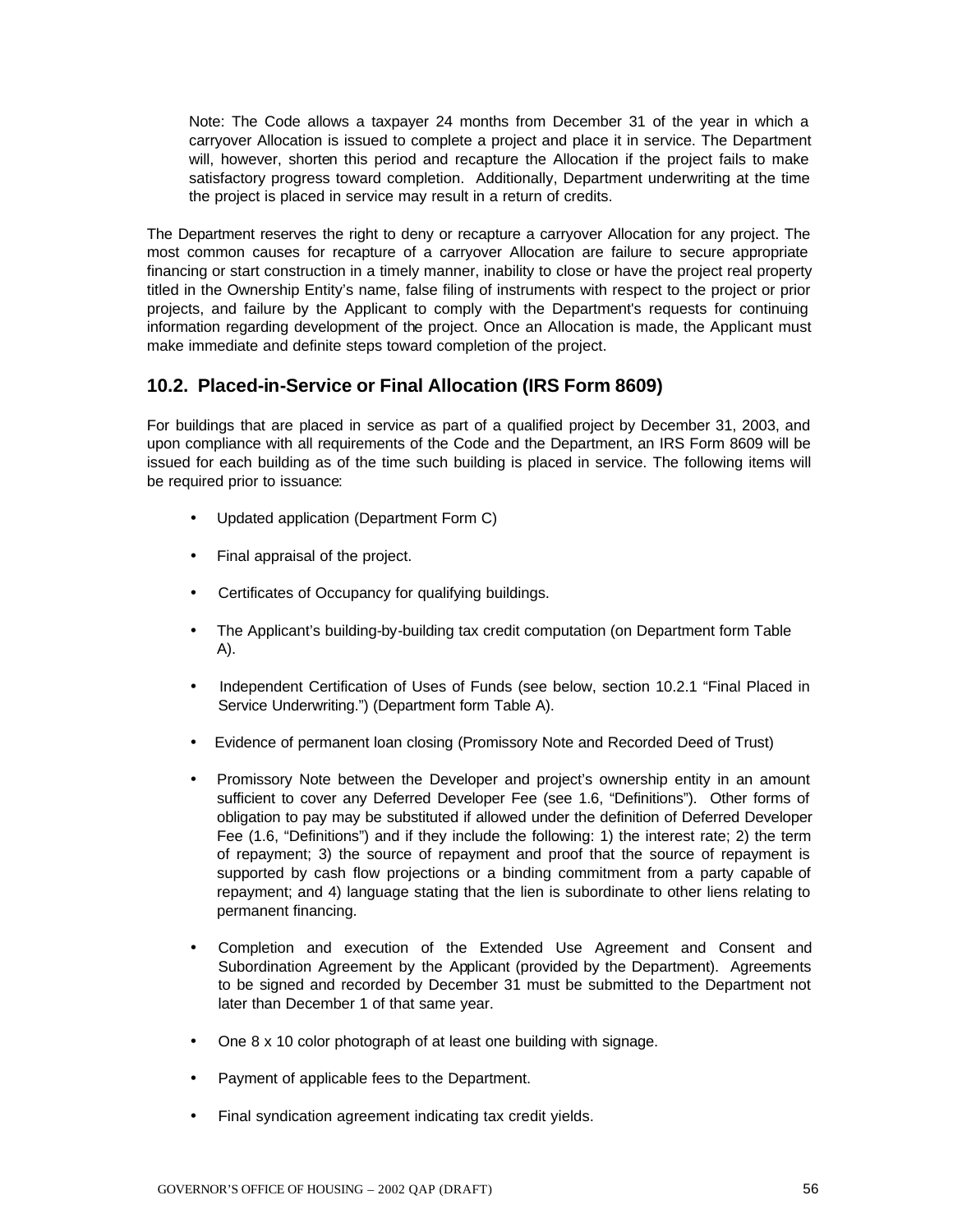Note: The Code allows a taxpayer 24 months from December 31 of the year in which a carryover Allocation is issued to complete a project and place it in service. The Department will, however, shorten this period and recapture the Allocation if the project fails to make satisfactory progress toward completion. Additionally, Department underwriting at the time the project is placed in service may result in a return of credits.

The Department reserves the right to deny or recapture a carryover Allocation for any project. The most common causes for recapture of a carryover Allocation are failure to secure appropriate financing or start construction in a timely manner, inability to close or have the project real property titled in the Ownership Entity's name, false filing of instruments with respect to the project or prior projects, and failure by the Applicant to comply with the Department's requests for continuing information regarding development of the project. Once an Allocation is made, the Applicant must make immediate and definite steps toward completion of the project.

### **10.2. Placed-in-Service or Final Allocation (IRS Form 8609)**

For buildings that are placed in service as part of a qualified project by December 31, 2003, and upon compliance with all requirements of the Code and the Department, an IRS Form 8609 will be issued for each building as of the time such building is placed in service. The following items will be required prior to issuance:

- Updated application (Department Form C)
- Final appraisal of the project.
- Certificates of Occupancy for qualifying buildings.
- The Applicant's building-by-building tax credit computation (on Department form Table A).
- Independent Certification of Uses of Funds (see below, section 10.2.1 "Final Placed in Service Underwriting.") (Department form Table A).
- Evidence of permanent loan closing (Promissory Note and Recorded Deed of Trust)
- Promissory Note between the Developer and project's ownership entity in an amount sufficient to cover any Deferred Developer Fee (see 1.6, "Definitions"). Other forms of obligation to pay may be substituted if allowed under the definition of Deferred Developer Fee (1.6, "Definitions") and if they include the following: 1) the interest rate; 2) the term of repayment; 3) the source of repayment and proof that the source of repayment is supported by cash flow projections or a binding commitment from a party capable of repayment; and 4) language stating that the lien is subordinate to other liens relating to permanent financing.
- Completion and execution of the Extended Use Agreement and Consent and Subordination Agreement by the Applicant (provided by the Department). Agreements to be signed and recorded by December 31 must be submitted to the Department not later than December 1 of that same year.
- One 8 x 10 color photograph of at least one building with signage.
- Payment of applicable fees to the Department.
- Final syndication agreement indicating tax credit yields.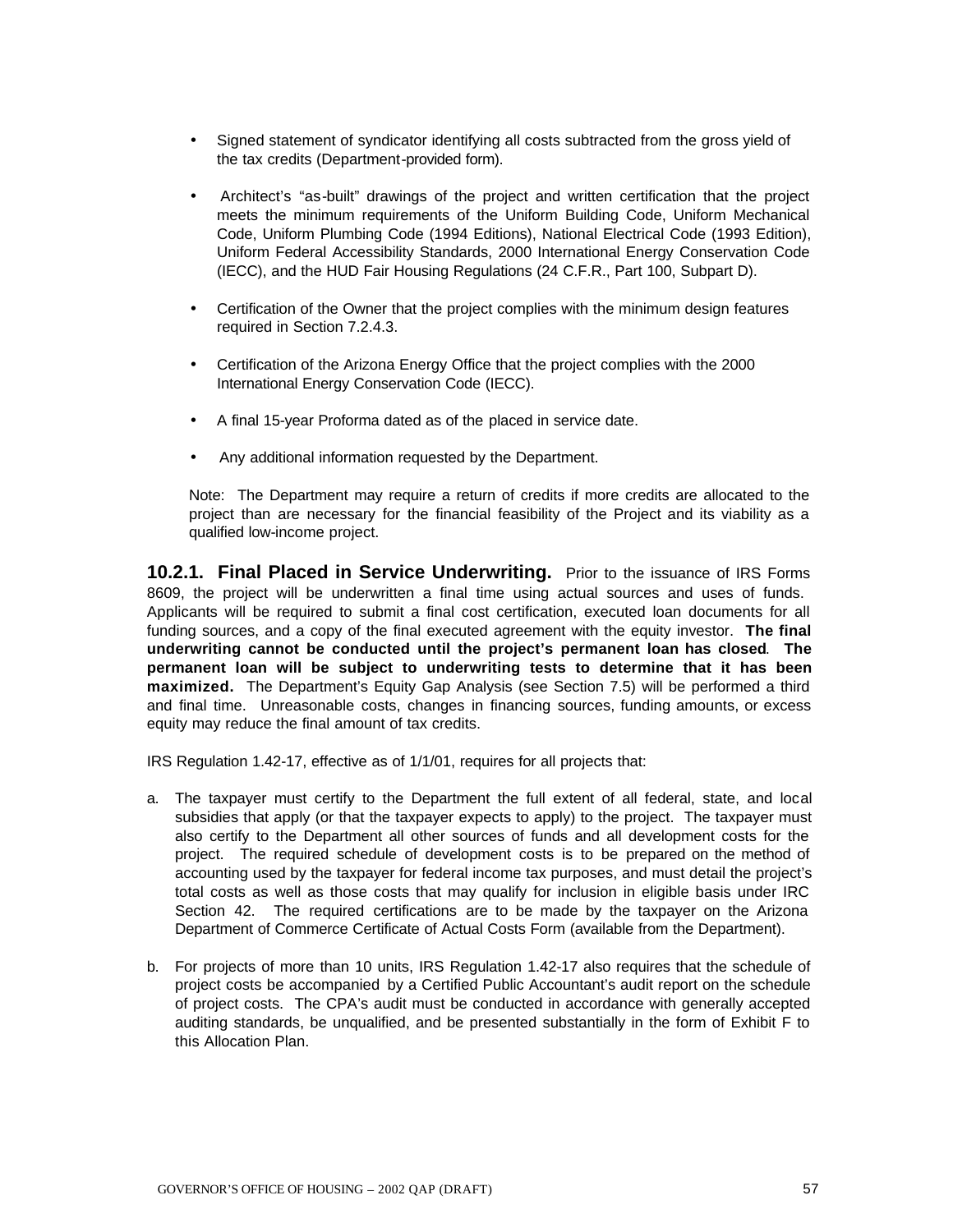- Signed statement of syndicator identifying all costs subtracted from the gross yield of the tax credits (Department-provided form).
- Architect's "as-built" drawings of the project and written certification that the project meets the minimum requirements of the Uniform Building Code, Uniform Mechanical Code, Uniform Plumbing Code (1994 Editions), National Electrical Code (1993 Edition), Uniform Federal Accessibility Standards, 2000 International Energy Conservation Code (IECC), and the HUD Fair Housing Regulations (24 C.F.R., Part 100, Subpart D).
- Certification of the Owner that the project complies with the minimum design features required in Section 7.2.4.3.
- Certification of the Arizona Energy Office that the project complies with the 2000 International Energy Conservation Code (IECC).
- A final 15-year Proforma dated as of the placed in service date.
- Any additional information requested by the Department.

Note: The Department may require a return of credits if more credits are allocated to the project than are necessary for the financial feasibility of the Project and its viability as a qualified low-income project.

**10.2.1. Final Placed in Service Underwriting.** Prior to the issuance of IRS Forms 8609, the project will be underwritten a final time using actual sources and uses of funds. Applicants will be required to submit a final cost certification, executed loan documents for all funding sources, and a copy of the final executed agreement with the equity investor. **The final underwriting cannot be conducted until the project's permanent loan has closed**. **The permanent loan will be subject to underwriting tests to determine that it has been maximized.** The Department's Equity Gap Analysis (see Section 7.5) will be performed a third and final time. Unreasonable costs, changes in financing sources, funding amounts, or excess equity may reduce the final amount of tax credits.

IRS Regulation 1.42-17, effective as of 1/1/01, requires for all projects that:

- a. The taxpayer must certify to the Department the full extent of all federal, state, and local subsidies that apply (or that the taxpayer expects to apply) to the project. The taxpayer must also certify to the Department all other sources of funds and all development costs for the project. The required schedule of development costs is to be prepared on the method of accounting used by the taxpayer for federal income tax purposes, and must detail the project's total costs as well as those costs that may qualify for inclusion in eligible basis under IRC Section 42. The required certifications are to be made by the taxpayer on the Arizona Department of Commerce Certificate of Actual Costs Form (available from the Department).
- b. For projects of more than 10 units, IRS Regulation 1.42-17 also requires that the schedule of project costs be accompanied by a Certified Public Accountant's audit report on the schedule of project costs. The CPA's audit must be conducted in accordance with generally accepted auditing standards, be unqualified, and be presented substantially in the form of Exhibit F to this Allocation Plan.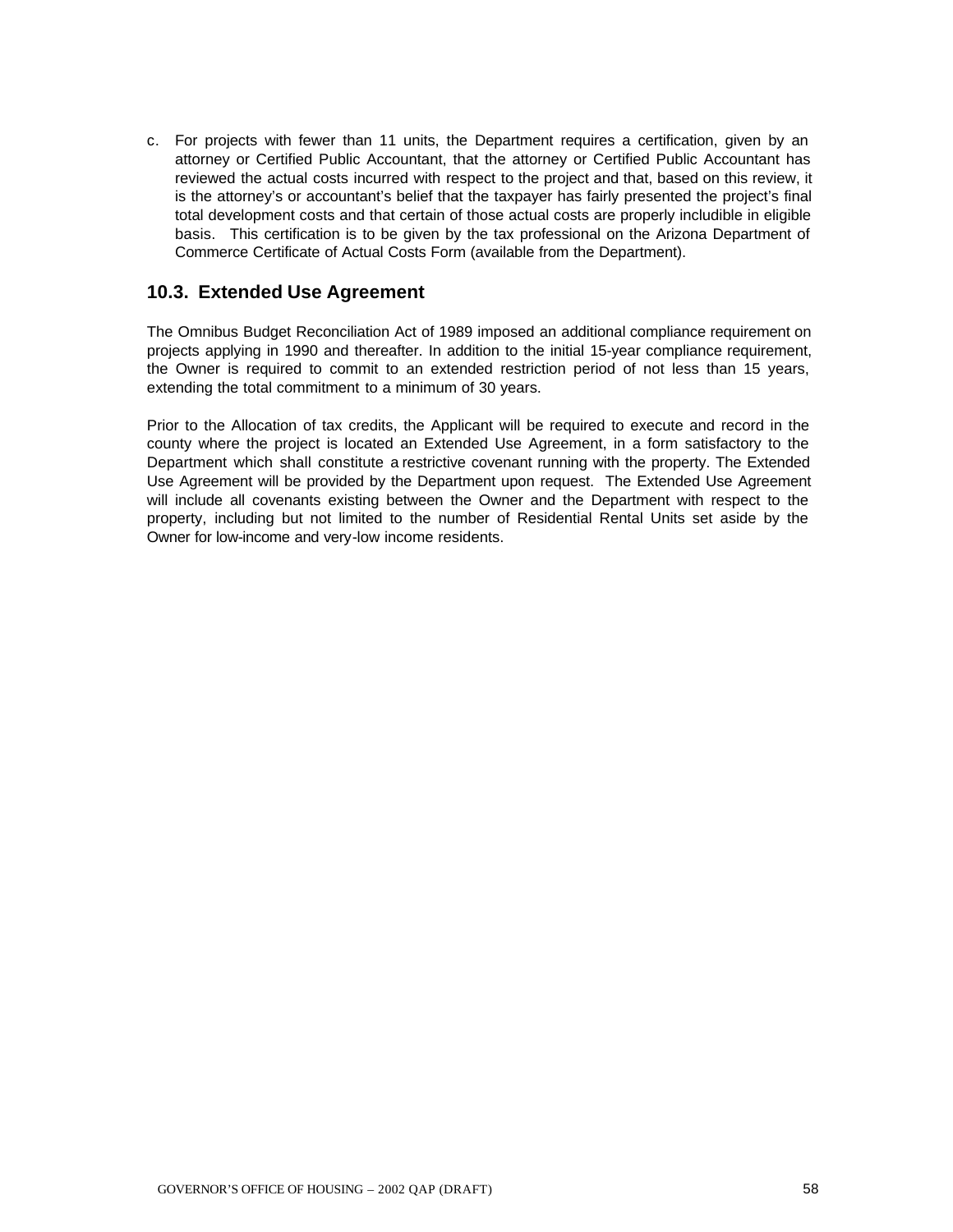c. For projects with fewer than 11 units, the Department requires a certification, given by an attorney or Certified Public Accountant, that the attorney or Certified Public Accountant has reviewed the actual costs incurred with respect to the project and that, based on this review, it is the attorney's or accountant's belief that the taxpayer has fairly presented the project's final total development costs and that certain of those actual costs are properly includible in eligible basis. This certification is to be given by the tax professional on the Arizona Department of Commerce Certificate of Actual Costs Form (available from the Department).

### **10.3. Extended Use Agreement**

The Omnibus Budget Reconciliation Act of 1989 imposed an additional compliance requirement on projects applying in 1990 and thereafter. In addition to the initial 15-year compliance requirement, the Owner is required to commit to an extended restriction period of not less than 15 years, extending the total commitment to a minimum of 30 years.

Prior to the Allocation of tax credits, the Applicant will be required to execute and record in the county where the project is located an Extended Use Agreement, in a form satisfactory to the Department which shall constitute a restrictive covenant running with the property. The Extended Use Agreement will be provided by the Department upon request. The Extended Use Agreement will include all covenants existing between the Owner and the Department with respect to the property, including but not limited to the number of Residential Rental Units set aside by the Owner for low-income and very-low income residents.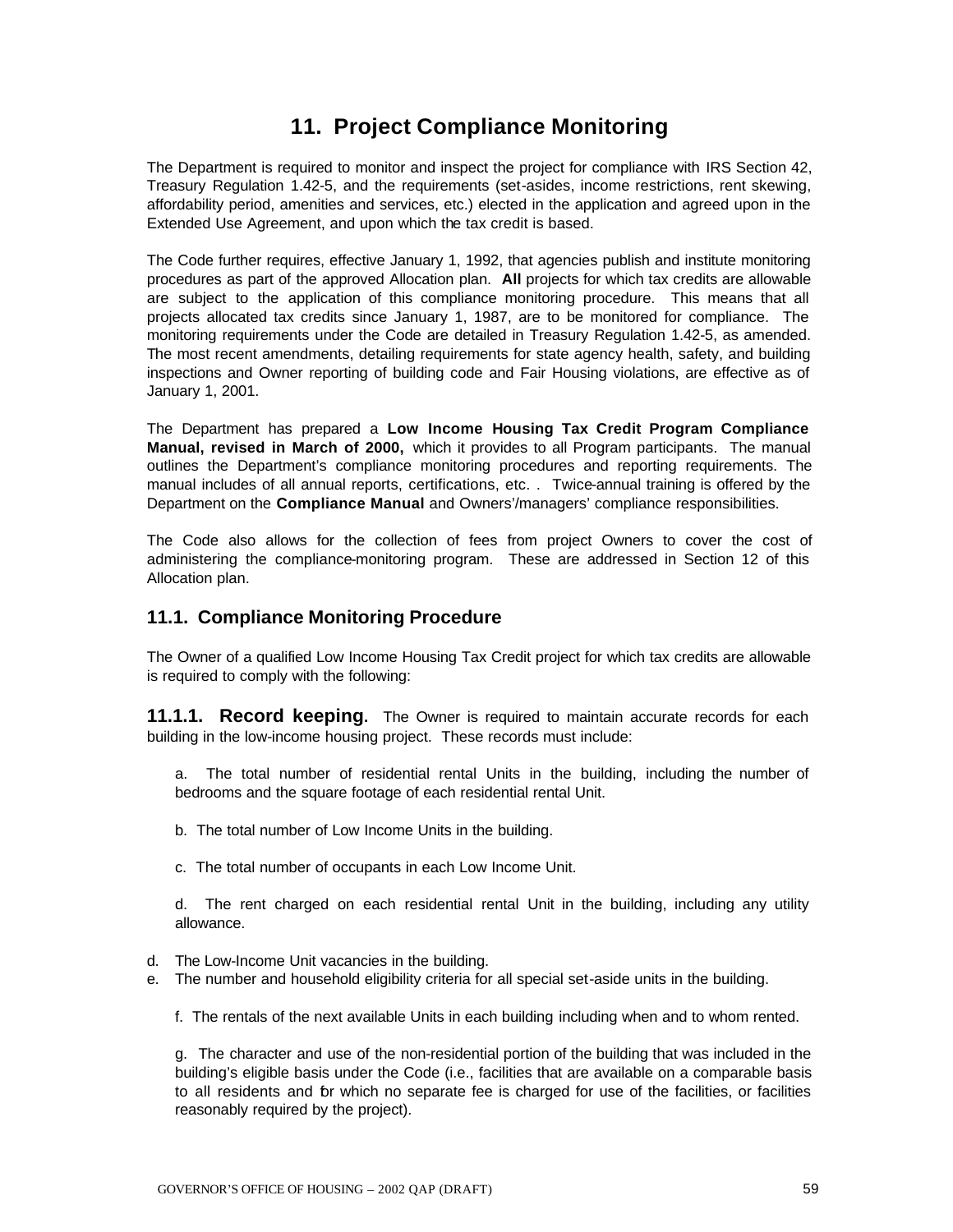# **11. Project Compliance Monitoring**

The Department is required to monitor and inspect the project for compliance with IRS Section 42, Treasury Regulation 1.42-5, and the requirements (set-asides, income restrictions, rent skewing, affordability period, amenities and services, etc.) elected in the application and agreed upon in the Extended Use Agreement, and upon which the tax credit is based.

The Code further requires, effective January 1, 1992, that agencies publish and institute monitoring procedures as part of the approved Allocation plan. **All** projects for which tax credits are allowable are subject to the application of this compliance monitoring procedure. This means that all projects allocated tax credits since January 1, 1987, are to be monitored for compliance. The monitoring requirements under the Code are detailed in Treasury Regulation 1.42-5, as amended. The most recent amendments, detailing requirements for state agency health, safety, and building inspections and Owner reporting of building code and Fair Housing violations, are effective as of January 1, 2001.

The Department has prepared a **Low Income Housing Tax Credit Program Compliance Manual, revised in March of 2000,** which it provides to all Program participants. The manual outlines the Department's compliance monitoring procedures and reporting requirements. The manual includes of all annual reports, certifications, etc. . Twice-annual training is offered by the Department on the **Compliance Manual** and Owners'/managers' compliance responsibilities.

The Code also allows for the collection of fees from project Owners to cover the cost of administering the compliance-monitoring program. These are addressed in Section 12 of this Allocation plan.

### **11.1. Compliance Monitoring Procedure**

The Owner of a qualified Low Income Housing Tax Credit project for which tax credits are allowable is required to comply with the following:

**11.1.1. Record keeping.** The Owner is required to maintain accurate records for each building in the low-income housing project. These records must include:

a. The total number of residential rental Units in the building, including the number of bedrooms and the square footage of each residential rental Unit.

b. The total number of Low Income Units in the building.

c. The total number of occupants in each Low Income Unit.

d. The rent charged on each residential rental Unit in the building, including any utility allowance.

- d. The Low-Income Unit vacancies in the building.
- e. The number and household eligibility criteria for all special set-aside units in the building.

f. The rentals of the next available Units in each building including when and to whom rented.

g. The character and use of the non-residential portion of the building that was included in the building's eligible basis under the Code (i.e., facilities that are available on a comparable basis to all residents and for which no separate fee is charged for use of the facilities, or facilities reasonably required by the project).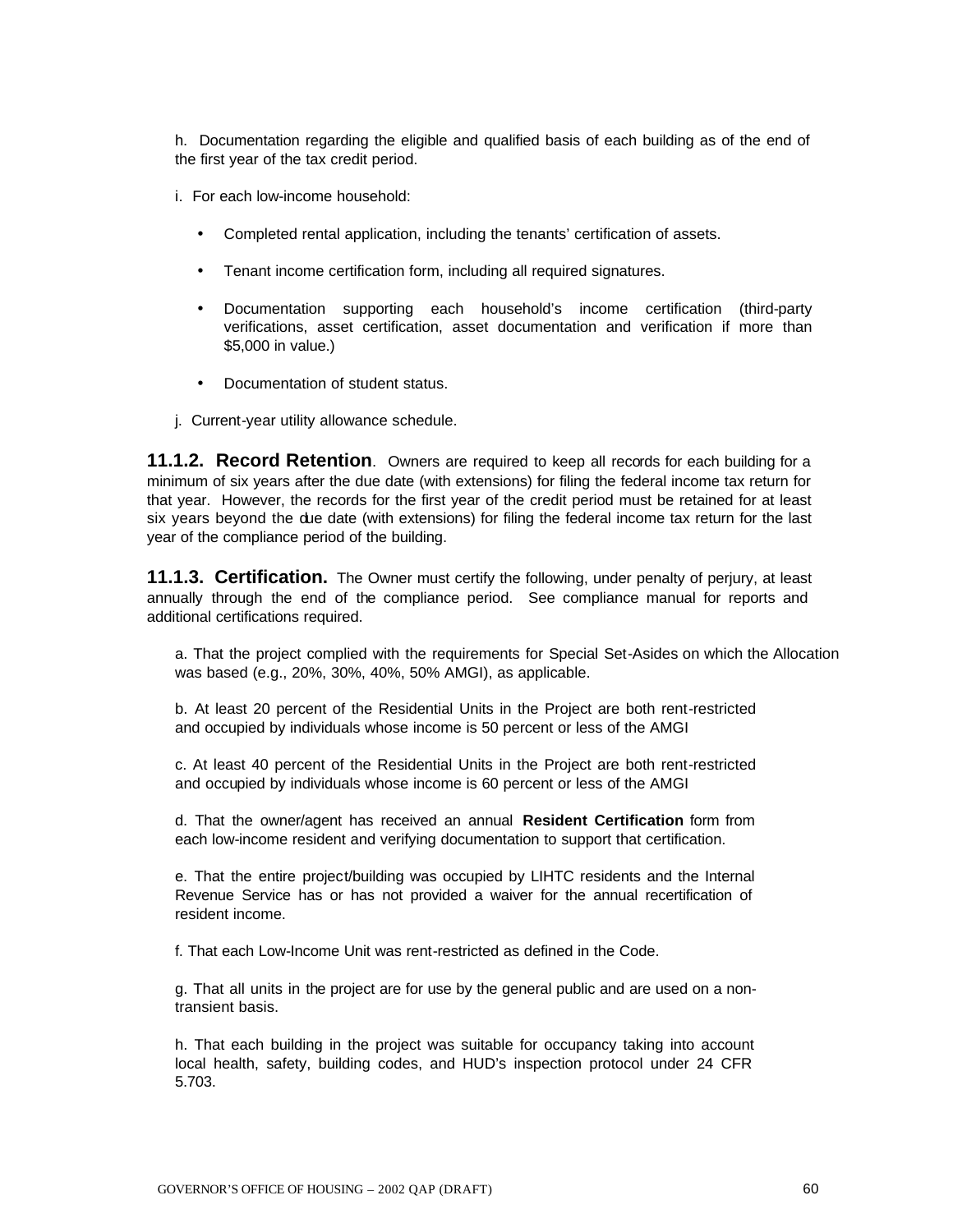h. Documentation regarding the eligible and qualified basis of each building as of the end of the first year of the tax credit period.

i. For each low-income household:

- Completed rental application, including the tenants' certification of assets.
- Tenant income certification form, including all required signatures.
- Documentation supporting each household's income certification (third-party verifications, asset certification, asset documentation and verification if more than \$5,000 in value.)
- Documentation of student status.
- j. Current-year utility allowance schedule.

**11.1.2. Record Retention**. Owners are required to keep all records for each building for a minimum of six years after the due date (with extensions) for filing the federal income tax return for that year. However, the records for the first year of the credit period must be retained for at least six years beyond the due date (with extensions) for filing the federal income tax return for the last year of the compliance period of the building.

**11.1.3. Certification.** The Owner must certify the following, under penalty of perjury, at least annually through the end of the compliance period. See compliance manual for reports and additional certifications required.

a. That the project complied with the requirements for Special Set-Asides on which the Allocation was based (e.g., 20%, 30%, 40%, 50% AMGI), as applicable.

b. At least 20 percent of the Residential Units in the Project are both rent-restricted and occupied by individuals whose income is 50 percent or less of the AMGI

c. At least 40 percent of the Residential Units in the Project are both rent-restricted and occupied by individuals whose income is 60 percent or less of the AMGI

d. That the owner/agent has received an annual **Resident Certification** form from each low-income resident and verifying documentation to support that certification.

e. That the entire project/building was occupied by LIHTC residents and the Internal Revenue Service has or has not provided a waiver for the annual recertification of resident income.

f. That each Low-Income Unit was rent-restricted as defined in the Code.

g. That all units in the project are for use by the general public and are used on a nontransient basis.

h. That each building in the project was suitable for occupancy taking into account local health, safety, building codes, and HUD's inspection protocol under 24 CFR 5.703.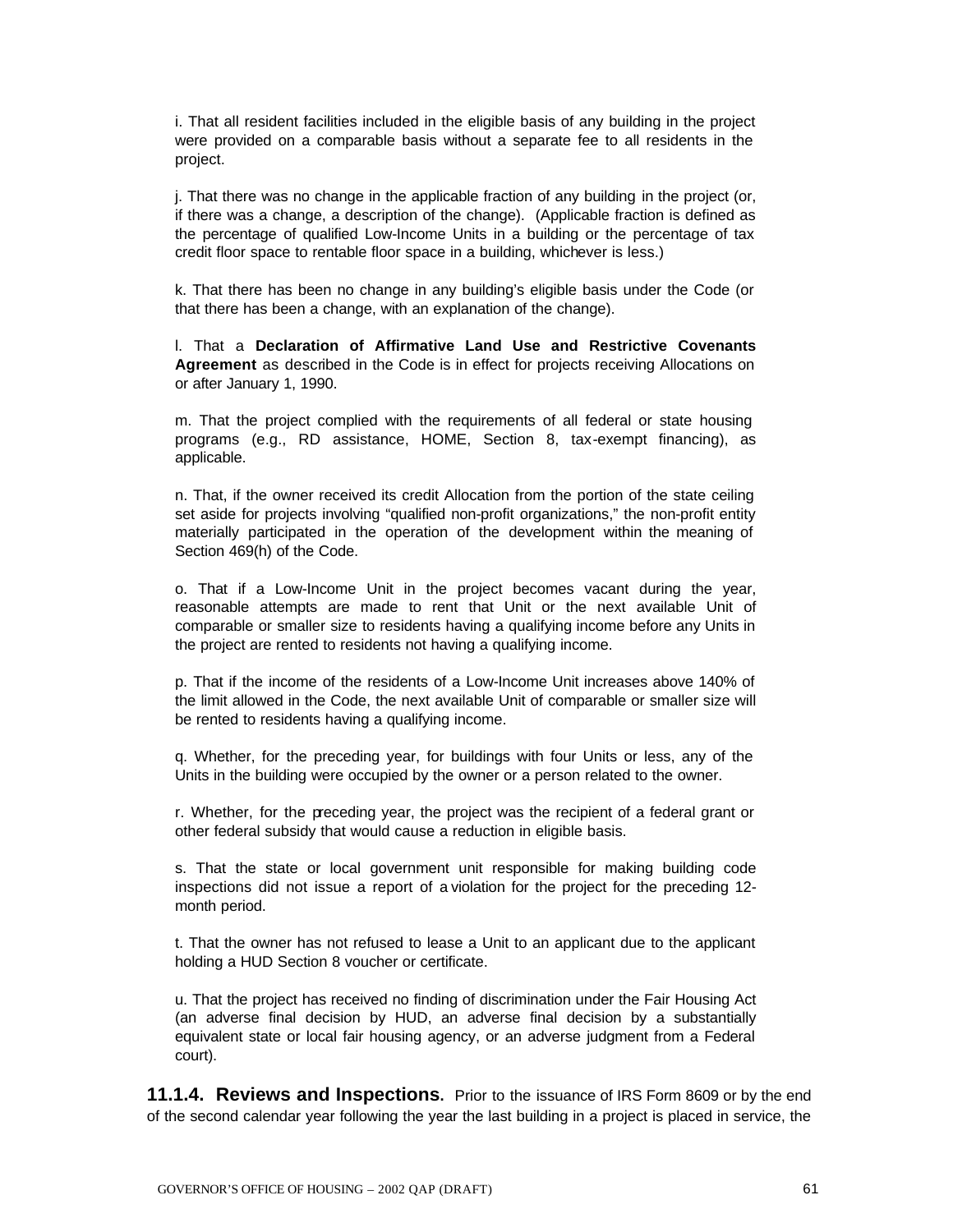i. That all resident facilities included in the eligible basis of any building in the project were provided on a comparable basis without a separate fee to all residents in the project.

j. That there was no change in the applicable fraction of any building in the project (or, if there was a change, a description of the change). (Applicable fraction is defined as the percentage of qualified Low-Income Units in a building or the percentage of tax credit floor space to rentable floor space in a building, whichever is less.)

k. That there has been no change in any building's eligible basis under the Code (or that there has been a change, with an explanation of the change).

l. That a **Declaration of Affirmative Land Use and Restrictive Covenants Agreement** as described in the Code is in effect for projects receiving Allocations on or after January 1, 1990.

m. That the project complied with the requirements of all federal or state housing programs (e.g., RD assistance, HOME, Section 8, tax-exempt financing), as applicable.

n. That, if the owner received its credit Allocation from the portion of the state ceiling set aside for projects involving "qualified non-profit organizations," the non-profit entity materially participated in the operation of the development within the meaning of Section 469(h) of the Code.

o. That if a Low-Income Unit in the project becomes vacant during the year, reasonable attempts are made to rent that Unit or the next available Unit of comparable or smaller size to residents having a qualifying income before any Units in the project are rented to residents not having a qualifying income.

p. That if the income of the residents of a Low-Income Unit increases above 140% of the limit allowed in the Code, the next available Unit of comparable or smaller size will be rented to residents having a qualifying income.

q. Whether, for the preceding year, for buildings with four Units or less, any of the Units in the building were occupied by the owner or a person related to the owner.

r. Whether, for the preceding year, the project was the recipient of a federal grant or other federal subsidy that would cause a reduction in eligible basis.

s. That the state or local government unit responsible for making building code inspections did not issue a report of a violation for the project for the preceding 12 month period.

t. That the owner has not refused to lease a Unit to an applicant due to the applicant holding a HUD Section 8 voucher or certificate.

u. That the project has received no finding of discrimination under the Fair Housing Act (an adverse final decision by HUD, an adverse final decision by a substantially equivalent state or local fair housing agency, or an adverse judgment from a Federal court).

**11.1.4. Reviews and Inspections.** Prior to the issuance of IRS Form 8609 or by the end of the second calendar year following the year the last building in a project is placed in service, the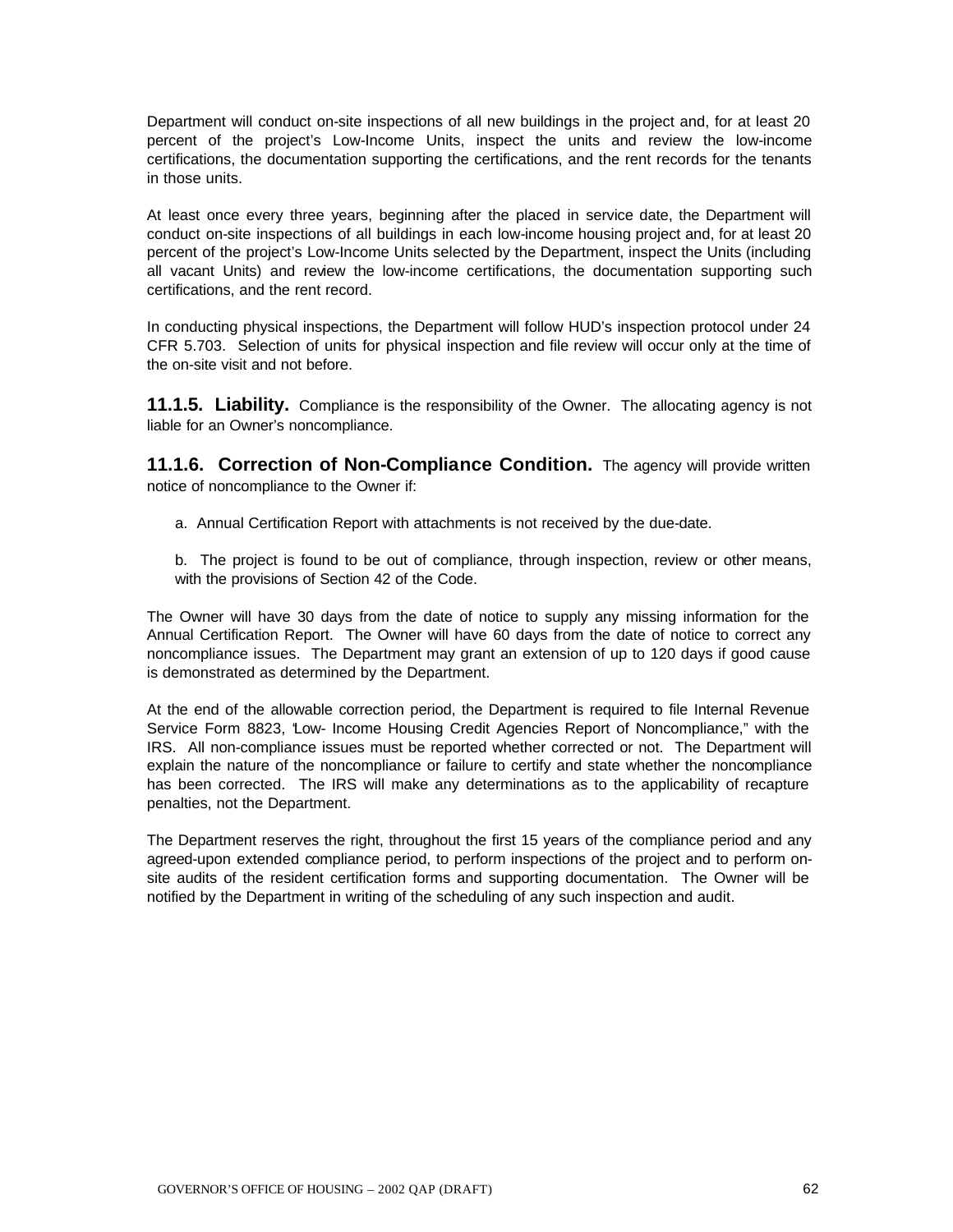Department will conduct on-site inspections of all new buildings in the project and, for at least 20 percent of the project's Low-Income Units, inspect the units and review the low-income certifications, the documentation supporting the certifications, and the rent records for the tenants in those units.

At least once every three years, beginning after the placed in service date, the Department will conduct on-site inspections of all buildings in each low-income housing project and, for at least 20 percent of the project's Low-Income Units selected by the Department, inspect the Units (including all vacant Units) and review the low-income certifications, the documentation supporting such certifications, and the rent record.

In conducting physical inspections, the Department will follow HUD's inspection protocol under 24 CFR 5.703. Selection of units for physical inspection and file review will occur only at the time of the on-site visit and not before.

**11.1.5. Liability.** Compliance is the responsibility of the Owner. The allocating agency is not liable for an Owner's noncompliance.

**11.1.6. Correction of Non-Compliance Condition.** The agency will provide written notice of noncompliance to the Owner if:

- a. Annual Certification Report with attachments is not received by the due-date.
- b. The project is found to be out of compliance, through inspection, review or other means, with the provisions of Section 42 of the Code.

The Owner will have 30 days from the date of notice to supply any missing information for the Annual Certification Report. The Owner will have 60 days from the date of notice to correct any noncompliance issues. The Department may grant an extension of up to 120 days if good cause is demonstrated as determined by the Department.

At the end of the allowable correction period, the Department is required to file Internal Revenue Service Form 8823, "Low- Income Housing Credit Agencies Report of Noncompliance," with the IRS. All non-compliance issues must be reported whether corrected or not. The Department will explain the nature of the noncompliance or failure to certify and state whether the noncompliance has been corrected. The IRS will make any determinations as to the applicability of recapture penalties, not the Department.

The Department reserves the right, throughout the first 15 years of the compliance period and any agreed-upon extended compliance period, to perform inspections of the project and to perform onsite audits of the resident certification forms and supporting documentation. The Owner will be notified by the Department in writing of the scheduling of any such inspection and audit.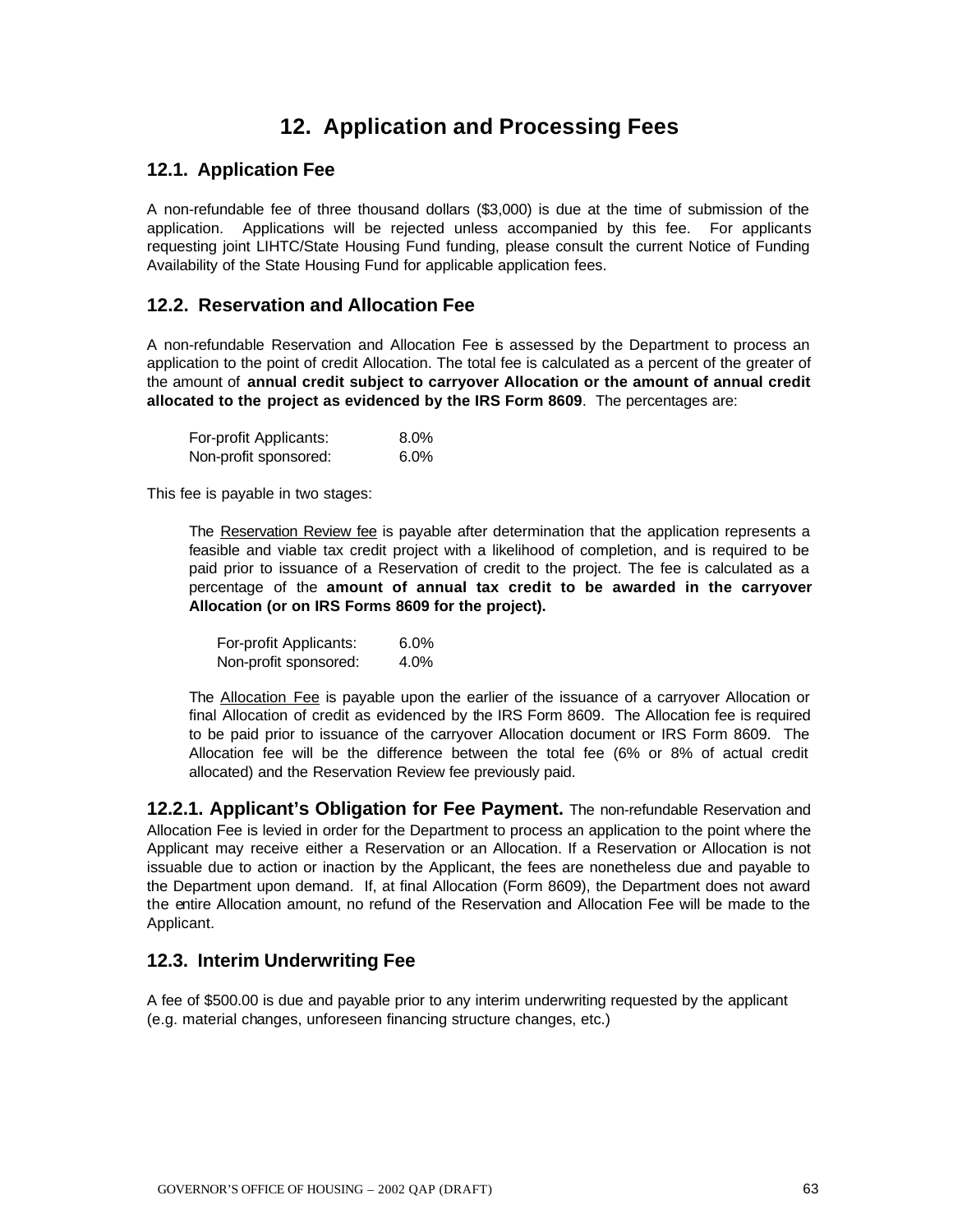# **12. Application and Processing Fees**

### **12.1. Application Fee**

A non-refundable fee of three thousand dollars (\$3,000) is due at the time of submission of the application. Applications will be rejected unless accompanied by this fee. For applicants requesting joint LIHTC/State Housing Fund funding, please consult the current Notice of Funding Availability of the State Housing Fund for applicable application fees.

### **12.2. Reservation and Allocation Fee**

A non-refundable Reservation and Allocation Fee is assessed by the Department to process an application to the point of credit Allocation. The total fee is calculated as a percent of the greater of the amount of **annual credit subject to carryover Allocation or the amount of annual credit allocated to the project as evidenced by the IRS Form 8609**. The percentages are:

| For-profit Applicants: | $8.0\%$ |
|------------------------|---------|
| Non-profit sponsored:  | $6.0\%$ |

This fee is payable in two stages:

The Reservation Review fee is payable after determination that the application represents a feasible and viable tax credit project with a likelihood of completion, and is required to be paid prior to issuance of a Reservation of credit to the project. The fee is calculated as a percentage of the **amount of annual tax credit to be awarded in the carryover Allocation (or on IRS Forms 8609 for the project).**

| For-profit Applicants: | $6.0\%$ |
|------------------------|---------|
| Non-profit sponsored:  | 4.0%    |

The Allocation Fee is payable upon the earlier of the issuance of a carryover Allocation or final Allocation of credit as evidenced by the IRS Form 8609. The Allocation fee is required to be paid prior to issuance of the carryover Allocation document or IRS Form 8609. The Allocation fee will be the difference between the total fee (6% or 8% of actual credit allocated) and the Reservation Review fee previously paid.

**12.2.1. Applicant's Obligation for Fee Payment.** The non-refundable Reservation and Allocation Fee is levied in order for the Department to process an application to the point where the Applicant may receive either a Reservation or an Allocation. If a Reservation or Allocation is not issuable due to action or inaction by the Applicant, the fees are nonetheless due and payable to the Department upon demand. If, at final Allocation (Form 8609), the Department does not award the entire Allocation amount, no refund of the Reservation and Allocation Fee will be made to the Applicant.

### **12.3. Interim Underwriting Fee**

A fee of \$500.00 is due and payable prior to any interim underwriting requested by the applicant (e.g. material changes, unforeseen financing structure changes, etc.)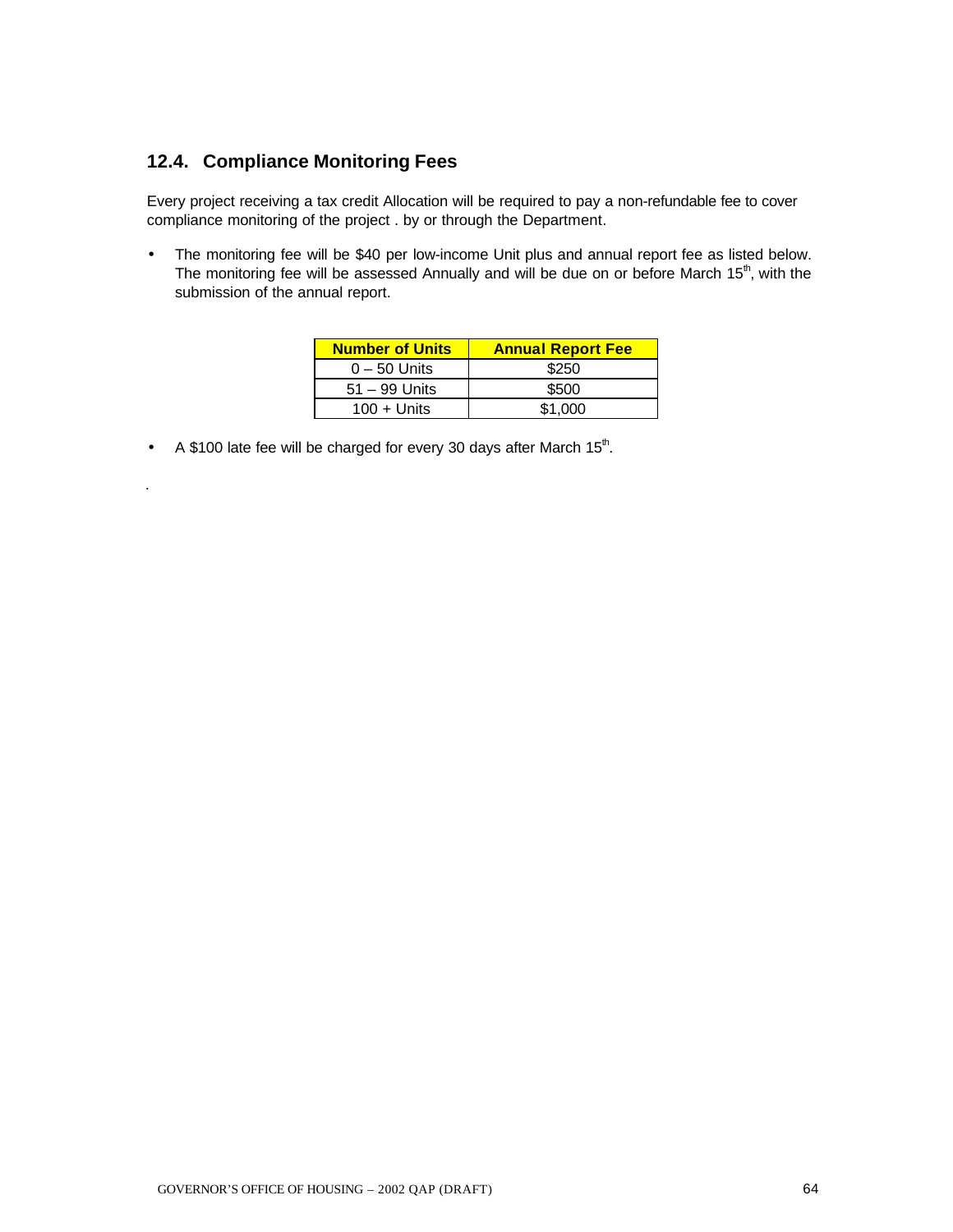## **12.4. Compliance Monitoring Fees**

*.*

Every project receiving a tax credit Allocation will be required to pay a non-refundable fee to cover compliance monitoring of the project . by or through the Department.

• The monitoring fee will be \$40 per low-income Unit plus and annual report fee as listed below. The monitoring fee will be assessed Annually and will be due on or before March  $15<sup>th</sup>$ , with the submission of the annual report.

| <b>Number of Units</b> | <b>Annual Report Fee</b> |
|------------------------|--------------------------|
| $0 - 50$ Units         | \$250                    |
| $51 - 99$ Units        | \$500                    |
| $100 +$ Units          | \$1.000                  |

• A \$100 late fee will be charged for every 30 days after March  $15<sup>th</sup>$ .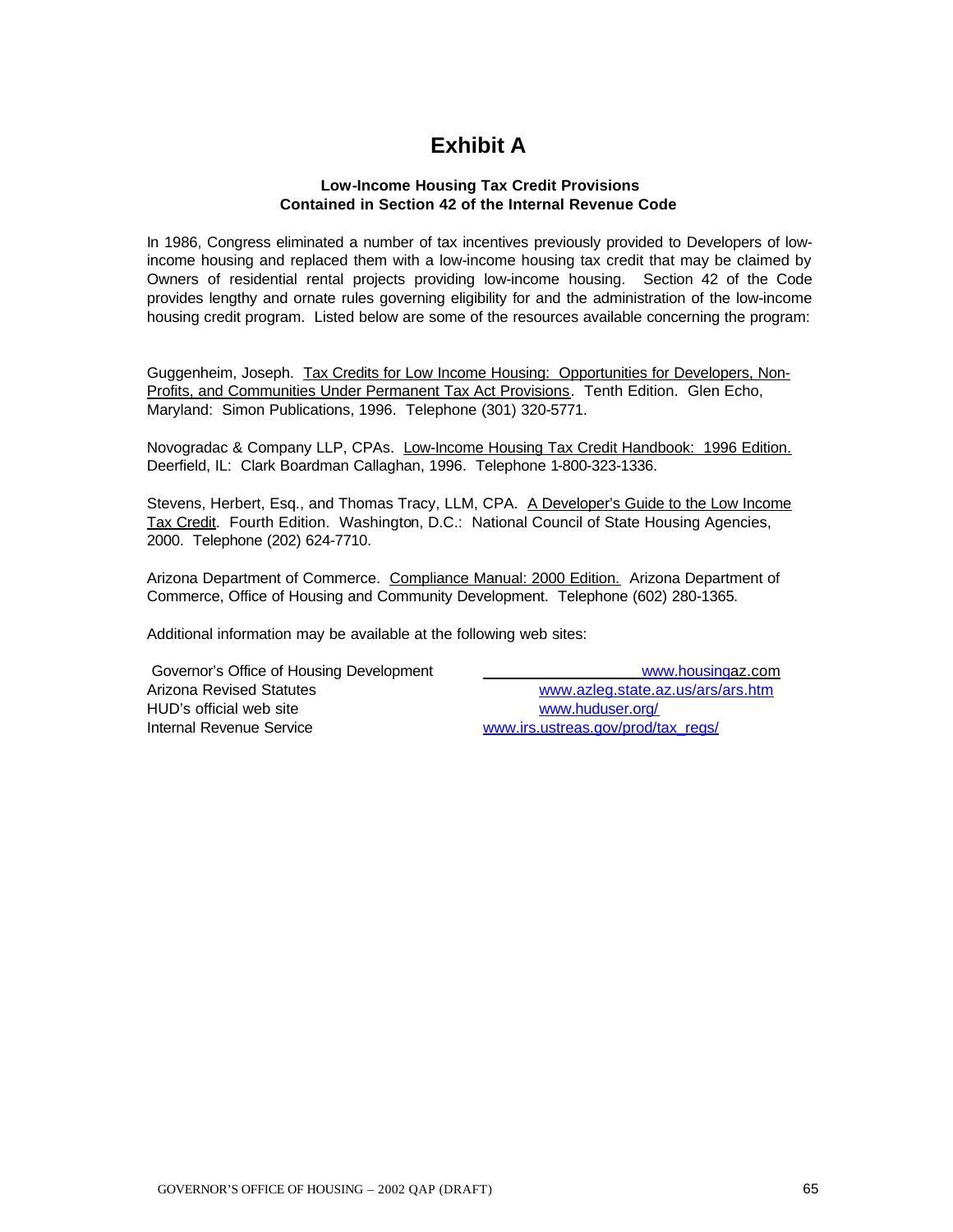# **Exhibit A**

#### **Low-Income Housing Tax Credit Provisions Contained in Section 42 of the Internal Revenue Code**

In 1986, Congress eliminated a number of tax incentives previously provided to Developers of lowincome housing and replaced them with a low-income housing tax credit that may be claimed by Owners of residential rental projects providing low-income housing. Section 42 of the Code provides lengthy and ornate rules governing eligibility for and the administration of the low-income housing credit program. Listed below are some of the resources available concerning the program:

Guggenheim, Joseph. Tax Credits for Low Income Housing: Opportunities for Developers, Non-Profits, and Communities Under Permanent Tax Act Provisions. Tenth Edition. Glen Echo, Maryland: Simon Publications, 1996. Telephone (301) 320-5771.

Novogradac & Company LLP, CPAs. Low-Income Housing Tax Credit Handbook: 1996 Edition. Deerfield, IL: Clark Boardman Callaghan, 1996. Telephone 1-800-323-1336.

Stevens, Herbert, Esq., and Thomas Tracy, LLM, CPA. A Developer's Guide to the Low Income Tax Credit. Fourth Edition. Washington, D.C.: National Council of State Housing Agencies, 2000. Telephone (202) 624-7710.

Arizona Department of Commerce. Compliance Manual: 2000 Edition. Arizona Department of Commerce, Office of Housing and Community Development. Telephone (602) 280-1365.

Additional information may be available at the following web sites:

| Governor's Office of Housing Development | www.housingaz.com                  |
|------------------------------------------|------------------------------------|
| Arizona Revised Statutes                 | www.azleg.state.az.us/ars/ars.htm  |
| HUD's official web site                  | www.huduser.org/                   |
| Internal Revenue Service                 | www.irs.ustreas.gov/prod/tax_regs/ |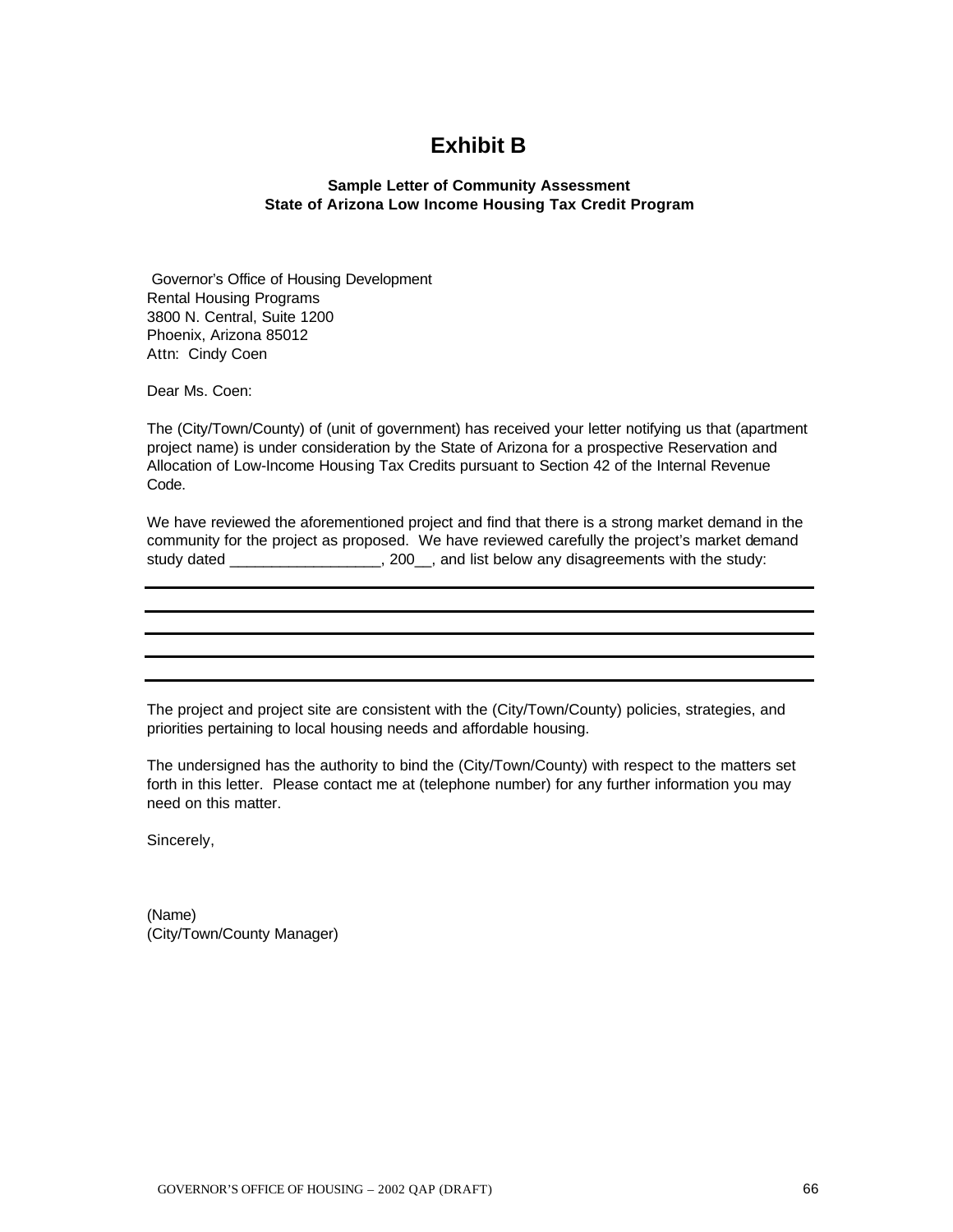## **Exhibit B**

#### **Sample Letter of Community Assessment State of Arizona Low Income Housing Tax Credit Program**

 Governor's Office of Housing Development Rental Housing Programs 3800 N. Central, Suite 1200 Phoenix, Arizona 85012 Attn: Cindy Coen

Dear Ms. Coen:

The (City/Town/County) of (unit of government) has received your letter notifying us that (apartment project name) is under consideration by the State of Arizona for a prospective Reservation and Allocation of Low-Income Housing Tax Credits pursuant to Section 42 of the Internal Revenue Code.

We have reviewed the aforementioned project and find that there is a strong market demand in the community for the project as proposed. We have reviewed carefully the project's market demand study dated \_\_\_\_\_\_\_\_\_\_\_\_\_\_\_\_\_\_\_\_, 200\_\_, and list below any disagreements with the study:

The project and project site are consistent with the (City/Town/County) policies, strategies, and priorities pertaining to local housing needs and affordable housing.

The undersigned has the authority to bind the (City/Town/County) with respect to the matters set forth in this letter. Please contact me at (telephone number) for any further information you may need on this matter.

Sincerely,

(Name) (City/Town/County Manager)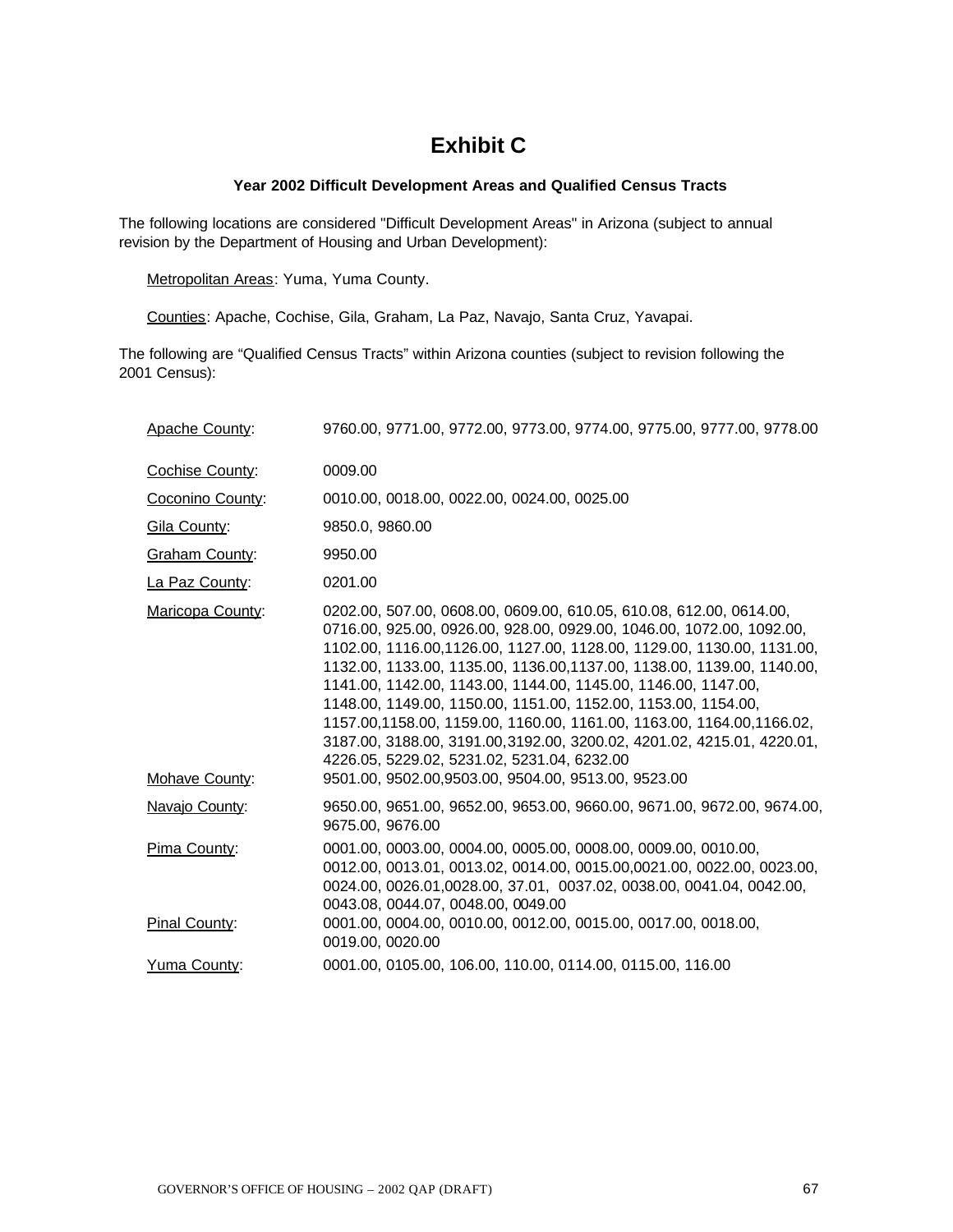# **Exhibit C**

#### **Year 2002 Difficult Development Areas and Qualified Census Tracts**

The following locations are considered "Difficult Development Areas" in Arizona (subject to annual revision by the Department of Housing and Urban Development):

Metropolitan Areas: Yuma, Yuma County.

Counties: Apache, Cochise, Gila, Graham, La Paz, Navajo, Santa Cruz, Yavapai.

The following are "Qualified Census Tracts" within Arizona counties (subject to revision following the 2001 Census):

| Apache County:        | 9760.00, 9771.00, 9772.00, 9773.00, 9774.00, 9775.00, 9777.00, 9778.00                                                                                                                                                                                                                                                                                                                                                                                                                                                                                                                                                                    |
|-----------------------|-------------------------------------------------------------------------------------------------------------------------------------------------------------------------------------------------------------------------------------------------------------------------------------------------------------------------------------------------------------------------------------------------------------------------------------------------------------------------------------------------------------------------------------------------------------------------------------------------------------------------------------------|
| Cochise County:       | 0009.00                                                                                                                                                                                                                                                                                                                                                                                                                                                                                                                                                                                                                                   |
| Coconino County:      | 0010.00, 0018.00, 0022.00, 0024.00, 0025.00                                                                                                                                                                                                                                                                                                                                                                                                                                                                                                                                                                                               |
| Gila County:          | 9850.0, 9860.00                                                                                                                                                                                                                                                                                                                                                                                                                                                                                                                                                                                                                           |
| <b>Graham County:</b> | 9950.00                                                                                                                                                                                                                                                                                                                                                                                                                                                                                                                                                                                                                                   |
| La Paz County:        | 0201.00                                                                                                                                                                                                                                                                                                                                                                                                                                                                                                                                                                                                                                   |
| Maricopa County:      | 0202.00, 507.00, 0608.00, 0609.00, 610.05, 610.08, 612.00, 0614.00,<br>0716.00, 925.00, 0926.00, 928.00, 0929.00, 1046.00, 1072.00, 1092.00,<br>1102.00, 1116.00, 1126.00, 1127.00, 1128.00, 1129.00, 1130.00, 1131.00,<br>1132.00, 1133.00, 1135.00, 1136.00, 1137.00, 1138.00, 1139.00, 1140.00,<br>1141.00, 1142.00, 1143.00, 1144.00, 1145.00, 1146.00, 1147.00,<br>1148.00, 1149.00, 1150.00, 1151.00, 1152.00, 1153.00, 1154.00,<br>1157.00,1158.00, 1159.00, 1160.00, 1161.00, 1163.00, 1164.00,1166.02,<br>3187.00, 3188.00, 3191.00, 3192.00, 3200.02, 4201.02, 4215.01, 4220.01,<br>4226.05, 5229.02, 5231.02, 5231.04, 6232.00 |
| Mohave County:        | 9501.00, 9502.00, 9503.00, 9504.00, 9513.00, 9523.00                                                                                                                                                                                                                                                                                                                                                                                                                                                                                                                                                                                      |
| Navajo County:        | 9650.00, 9651.00, 9652.00, 9653.00, 9660.00, 9671.00, 9672.00, 9674.00,<br>9675.00, 9676.00                                                                                                                                                                                                                                                                                                                                                                                                                                                                                                                                               |
| Pima County:          | 0001.00, 0003.00, 0004.00, 0005.00, 0008.00, 0009.00, 0010.00,<br>0012.00, 0013.01, 0013.02, 0014.00, 0015.00,0021.00, 0022.00, 0023.00,<br>0024.00, 0026.01,0028.00, 37.01, 0037.02, 0038.00, 0041.04, 0042.00,<br>0043.08, 0044.07, 0048.00, 0049.00                                                                                                                                                                                                                                                                                                                                                                                    |
| Pinal County:         | 0001.00, 0004.00, 0010.00, 0012.00, 0015.00, 0017.00, 0018.00,<br>0019.00, 0020.00                                                                                                                                                                                                                                                                                                                                                                                                                                                                                                                                                        |
| Yuma County:          | 0001.00, 0105.00, 106.00, 110.00, 0114.00, 0115.00, 116.00                                                                                                                                                                                                                                                                                                                                                                                                                                                                                                                                                                                |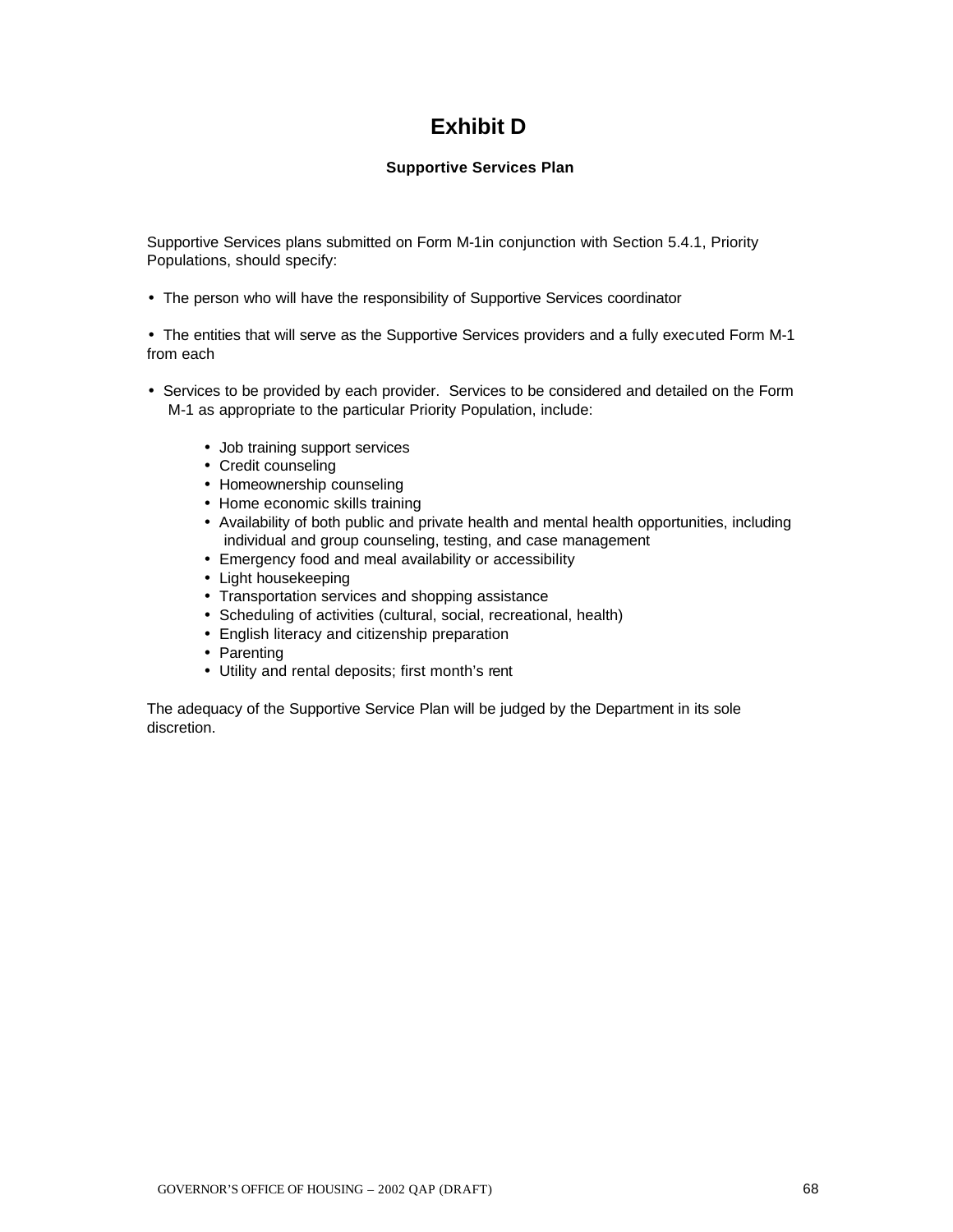# **Exhibit D**

#### **Supportive Services Plan**

Supportive Services plans submitted on Form M-1in conjunction with Section 5.4.1, Priority Populations, should specify:

• The person who will have the responsibility of Supportive Services coordinator

• The entities that will serve as the Supportive Services providers and a fully executed Form M-1 from each

- Services to be provided by each provider. Services to be considered and detailed on the Form M-1 as appropriate to the particular Priority Population, include:
	- Job training support services
	- Credit counseling
	- Homeownership counseling
	- Home economic skills training
	- Availability of both public and private health and mental health opportunities, including individual and group counseling, testing, and case management
	- Emergency food and meal availability or accessibility
	- Light housekeeping
	- Transportation services and shopping assistance
	- Scheduling of activities (cultural, social, recreational, health)
	- English literacy and citizenship preparation
	- Parenting
	- Utility and rental deposits; first month's rent

The adequacy of the Supportive Service Plan will be judged by the Department in its sole discretion.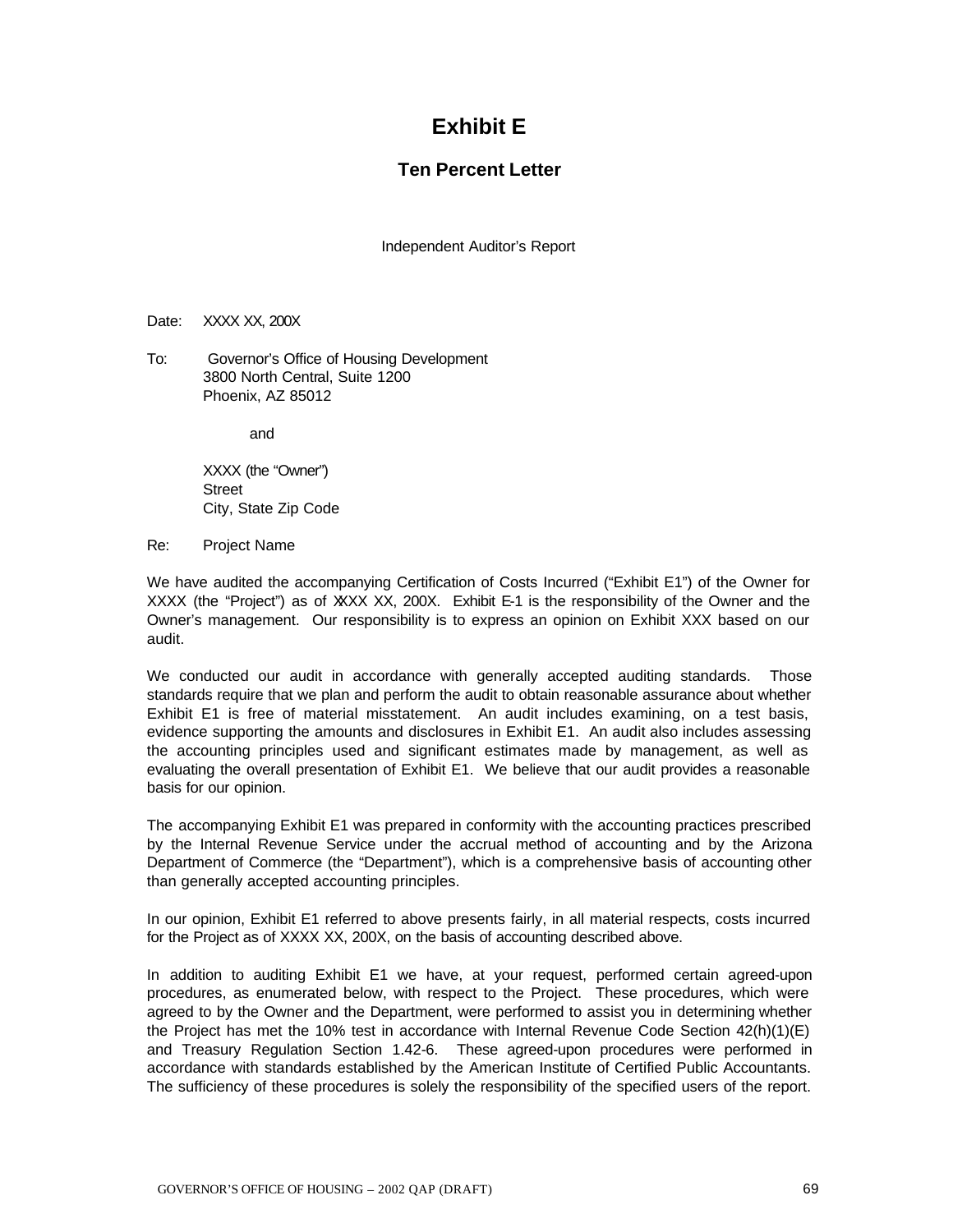# **Exhibit E**

### **Ten Percent Letter**

Independent Auditor's Report

#### Date: XXXX XX, 200X

To: Governor's Office of Housing Development 3800 North Central, Suite 1200 Phoenix, AZ 85012

and

XXXX (the "Owner") **Street** City, State Zip Code

Re: Project Name

We have audited the accompanying Certification of Costs Incurred ("Exhibit E1") of the Owner for XXXX (the "Project") as of XXXX XX, 200X. Exhibit E-1 is the responsibility of the Owner and the Owner's management. Our responsibility is to express an opinion on Exhibit XXX based on our audit.

We conducted our audit in accordance with generally accepted auditing standards. Those standards require that we plan and perform the audit to obtain reasonable assurance about whether Exhibit E1 is free of material misstatement. An audit includes examining, on a test basis, evidence supporting the amounts and disclosures in Exhibit E1. An audit also includes assessing the accounting principles used and significant estimates made by management, as well as evaluating the overall presentation of Exhibit E1. We believe that our audit provides a reasonable basis for our opinion.

The accompanying Exhibit E1 was prepared in conformity with the accounting practices prescribed by the Internal Revenue Service under the accrual method of accounting and by the Arizona Department of Commerce (the "Department"), which is a comprehensive basis of accounting other than generally accepted accounting principles.

In our opinion, Exhibit E1 referred to above presents fairly, in all material respects, costs incurred for the Project as of XXXX XX, 200X, on the basis of accounting described above.

In addition to auditing Exhibit E1 we have, at your request, performed certain agreed-upon procedures, as enumerated below, with respect to the Project. These procedures, which were agreed to by the Owner and the Department, were performed to assist you in determining whether the Project has met the 10% test in accordance with Internal Revenue Code Section 42(h)(1)(E) and Treasury Regulation Section 1.42-6. These agreed-upon procedures were performed in accordance with standards established by the American Institute of Certified Public Accountants. The sufficiency of these procedures is solely the responsibility of the specified users of the report.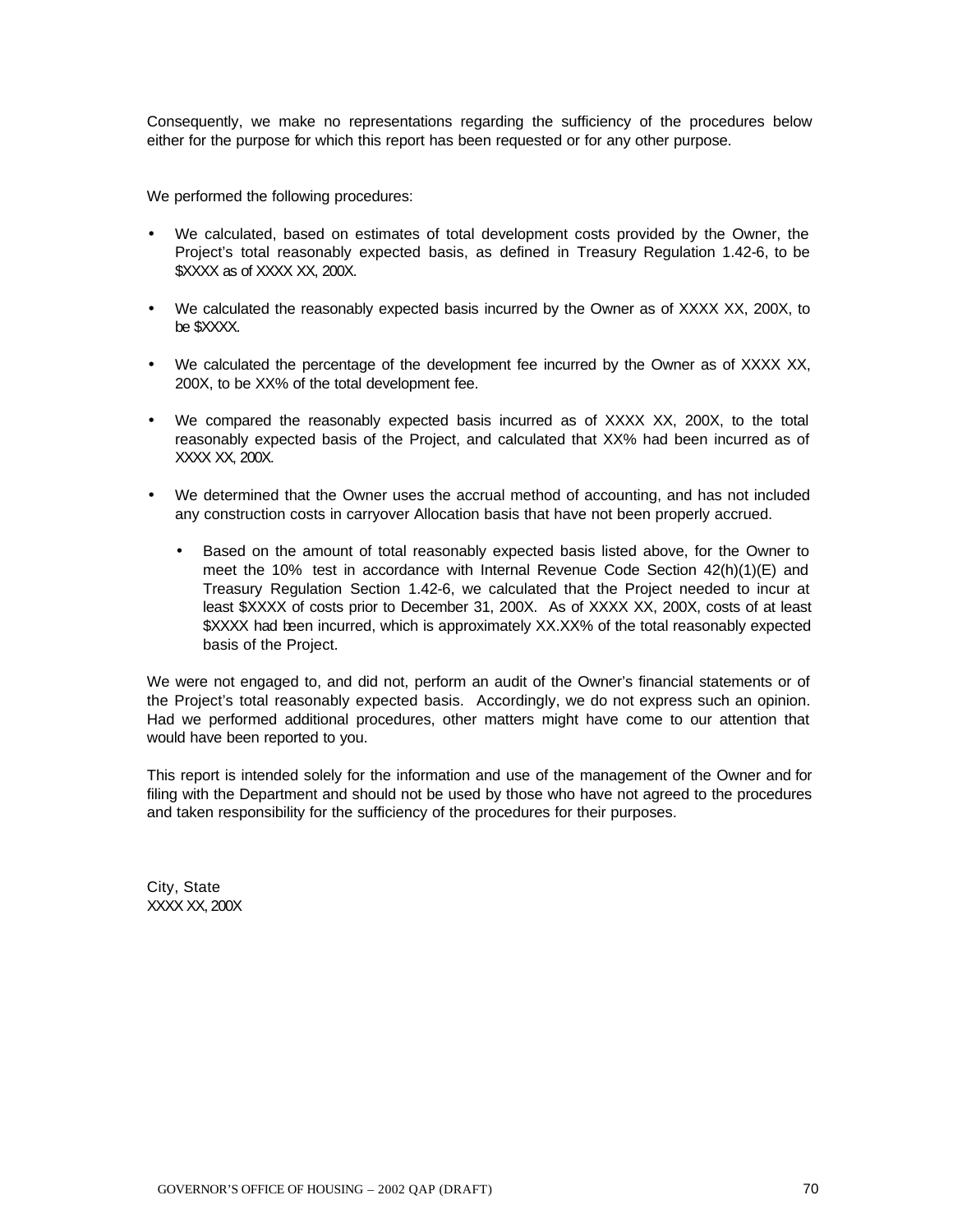Consequently, we make no representations regarding the sufficiency of the procedures below either for the purpose for which this report has been requested or for any other purpose.

We performed the following procedures:

- We calculated, based on estimates of total development costs provided by the Owner, the Project's total reasonably expected basis, as defined in Treasury Regulation 1.42-6, to be \$XXXX as of XXXX XX, 200X.
- We calculated the reasonably expected basis incurred by the Owner as of XXXX XX, 200X, to be \$XXXX.
- We calculated the percentage of the development fee incurred by the Owner as of XXXX XX, 200X, to be XX% of the total development fee.
- We compared the reasonably expected basis incurred as of XXXX XX, 200X, to the total reasonably expected basis of the Project, and calculated that XX% had been incurred as of XXXX XX, 200X.
- We determined that the Owner uses the accrual method of accounting, and has not included any construction costs in carryover Allocation basis that have not been properly accrued.
	- Based on the amount of total reasonably expected basis listed above, for the Owner to meet the 10% test in accordance with Internal Revenue Code Section 42(h)(1)(E) and Treasury Regulation Section 1.42-6, we calculated that the Project needed to incur at least \$XXXX of costs prior to December 31, 200X. As of XXXX XX, 200X, costs of at least \$XXXX had been incurred, which is approximately XX.XX% of the total reasonably expected basis of the Project.

We were not engaged to, and did not, perform an audit of the Owner's financial statements or of the Project's total reasonably expected basis. Accordingly, we do not express such an opinion. Had we performed additional procedures, other matters might have come to our attention that would have been reported to you.

This report is intended solely for the information and use of the management of the Owner and for filing with the Department and should not be used by those who have not agreed to the procedures and taken responsibility for the sufficiency of the procedures for their purposes.

City, State XXXX XX, 200X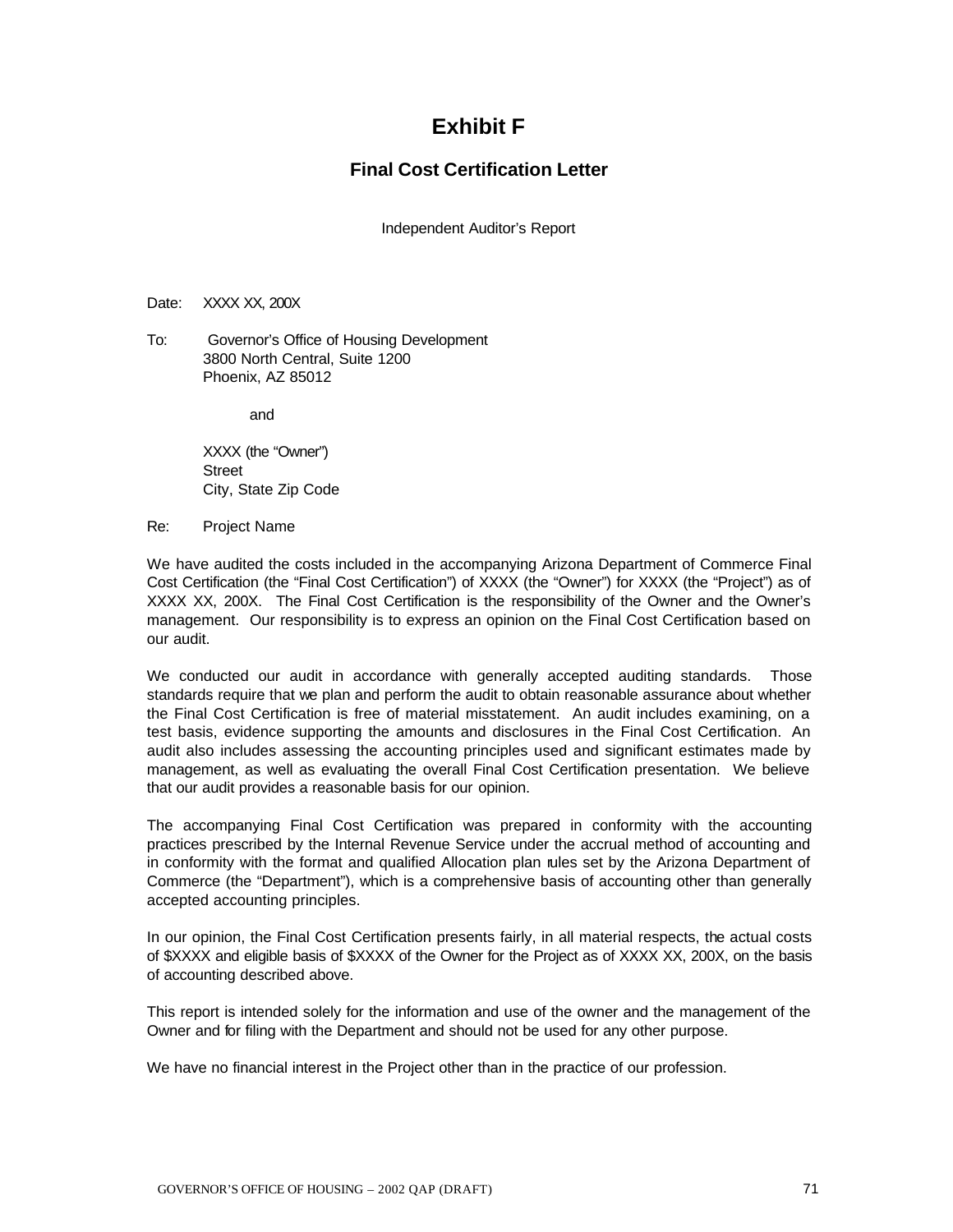## **Exhibit F**

## **Final Cost Certification Letter**

Independent Auditor's Report

#### Date: XXXX XX, 200X

To: Governor's Office of Housing Development 3800 North Central, Suite 1200 Phoenix, AZ 85012

and

XXXX (the "Owner") **Street** City, State Zip Code

Re: Project Name

We have audited the costs included in the accompanying Arizona Department of Commerce Final Cost Certification (the "Final Cost Certification") of XXXX (the "Owner") for XXXX (the "Project") as of XXXX XX, 200X. The Final Cost Certification is the responsibility of the Owner and the Owner's management. Our responsibility is to express an opinion on the Final Cost Certification based on our audit.

We conducted our audit in accordance with generally accepted auditing standards. Those standards require that we plan and perform the audit to obtain reasonable assurance about whether the Final Cost Certification is free of material misstatement. An audit includes examining, on a test basis, evidence supporting the amounts and disclosures in the Final Cost Certification. An audit also includes assessing the accounting principles used and significant estimates made by management, as well as evaluating the overall Final Cost Certification presentation. We believe that our audit provides a reasonable basis for our opinion.

The accompanying Final Cost Certification was prepared in conformity with the accounting practices prescribed by the Internal Revenue Service under the accrual method of accounting and in conformity with the format and qualified Allocation plan rules set by the Arizona Department of Commerce (the "Department"), which is a comprehensive basis of accounting other than generally accepted accounting principles.

In our opinion, the Final Cost Certification presents fairly, in all material respects, the actual costs of \$XXXX and eligible basis of \$XXXX of the Owner for the Project as of XXXX XX, 200X, on the basis of accounting described above.

This report is intended solely for the information and use of the owner and the management of the Owner and for filing with the Department and should not be used for any other purpose.

We have no financial interest in the Project other than in the practice of our profession.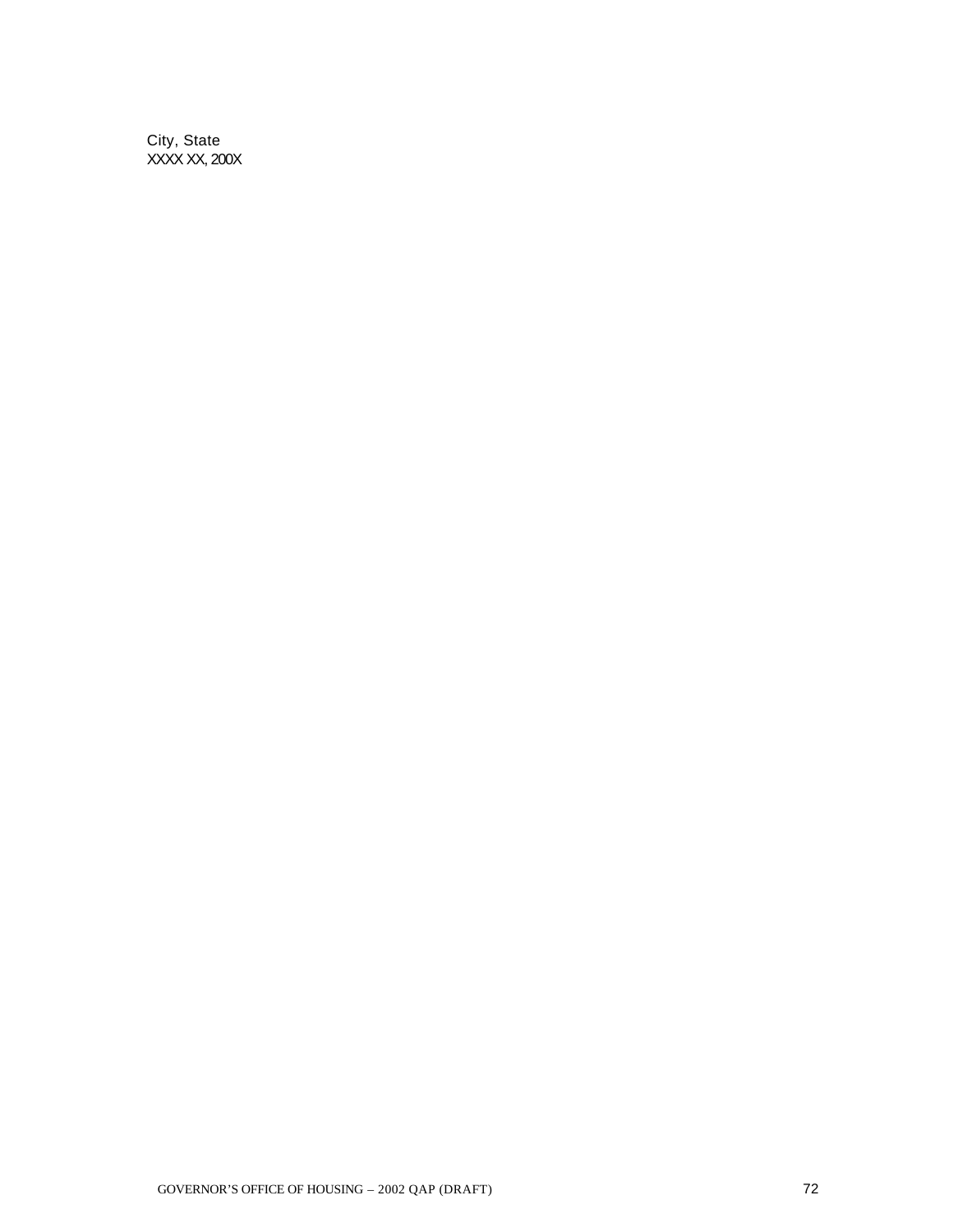City, State XXXX XX, 200X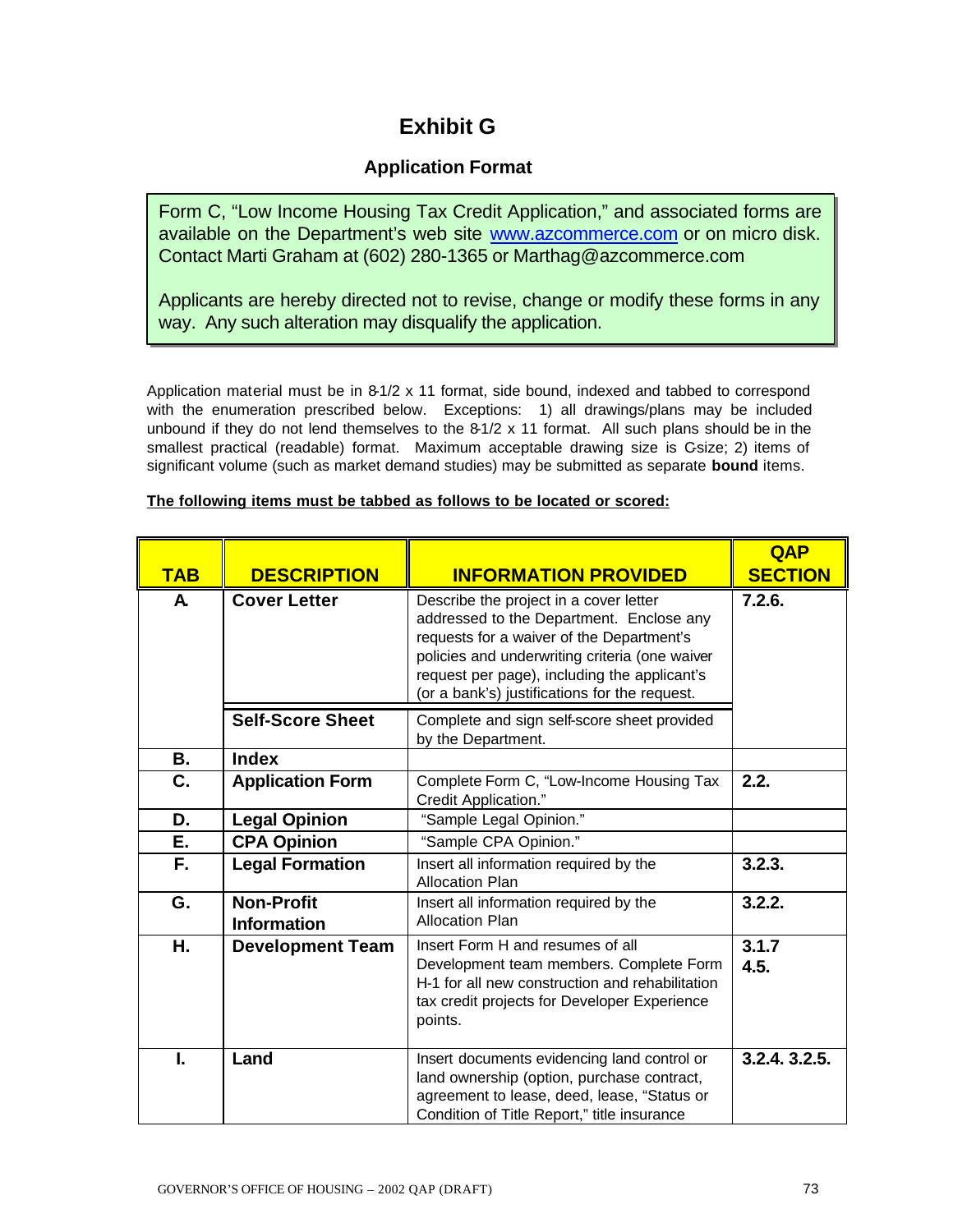## **Exhibit G**

## **Application Format**

Form C, "Low Income Housing Tax Credit Application," and associated forms are available on the Department's web site www.azcommerce.com or on micro disk. Contact Marti Graham at (602) 280-1365 or Marthag@azcommerce.com

Applicants are hereby directed not to revise, change or modify these forms in any way. Any such alteration may disqualify the application.

Application material must be in 8-1/2 x 11 format, side bound, indexed and tabbed to correspond with the enumeration prescribed below. Exceptions: 1) all drawings/plans may be included unbound if they do not lend themselves to the 8-1/2 x 11 format. All such plans should be in the smallest practical (readable) format. Maximum acceptable drawing size is Gsize; 2) items of significant volume (such as market demand studies) may be submitted as separate **bound** items.

| <b>TAB</b> | <b>DESCRIPTION</b>                      | <b>INFORMATION PROVIDED</b>                                                                                                                                                                                                                                                        | <b>QAP</b><br><b>SECTION</b> |
|------------|-----------------------------------------|------------------------------------------------------------------------------------------------------------------------------------------------------------------------------------------------------------------------------------------------------------------------------------|------------------------------|
| A          | <b>Cover Letter</b>                     | Describe the project in a cover letter<br>addressed to the Department. Enclose any<br>requests for a waiver of the Department's<br>policies and underwriting criteria (one waiver<br>request per page), including the applicant's<br>(or a bank's) justifications for the request. | 7.2.6.                       |
|            | <b>Self-Score Sheet</b>                 | Complete and sign self-score sheet provided<br>by the Department.                                                                                                                                                                                                                  |                              |
| <b>B.</b>  | <b>Index</b>                            |                                                                                                                                                                                                                                                                                    |                              |
| C.         | <b>Application Form</b>                 | Complete Form C, "Low-Income Housing Tax<br>Credit Application."                                                                                                                                                                                                                   | 2.2.                         |
| D.         | <b>Legal Opinion</b>                    | "Sample Legal Opinion."                                                                                                                                                                                                                                                            |                              |
| Е.         | <b>CPA Opinion</b>                      | "Sample CPA Opinion."                                                                                                                                                                                                                                                              |                              |
| F.         | <b>Legal Formation</b>                  | Insert all information required by the<br><b>Allocation Plan</b>                                                                                                                                                                                                                   | 3.2.3.                       |
| G.         | <b>Non-Profit</b><br><b>Information</b> | Insert all information required by the<br><b>Allocation Plan</b>                                                                                                                                                                                                                   | 3.2.2.                       |
| Η.         | <b>Development Team</b>                 | Insert Form H and resumes of all<br>Development team members. Complete Form<br>H-1 for all new construction and rehabilitation<br>tax credit projects for Developer Experience<br>points.                                                                                          | 3.1.7<br>4.5.                |
| I.         | Land                                    | Insert documents evidencing land control or<br>land ownership (option, purchase contract,<br>agreement to lease, deed, lease, "Status or<br>Condition of Title Report," title insurance                                                                                            | 3.2.4. 3.2.5.                |

## **The following items must be tabbed as follows to be located or scored:**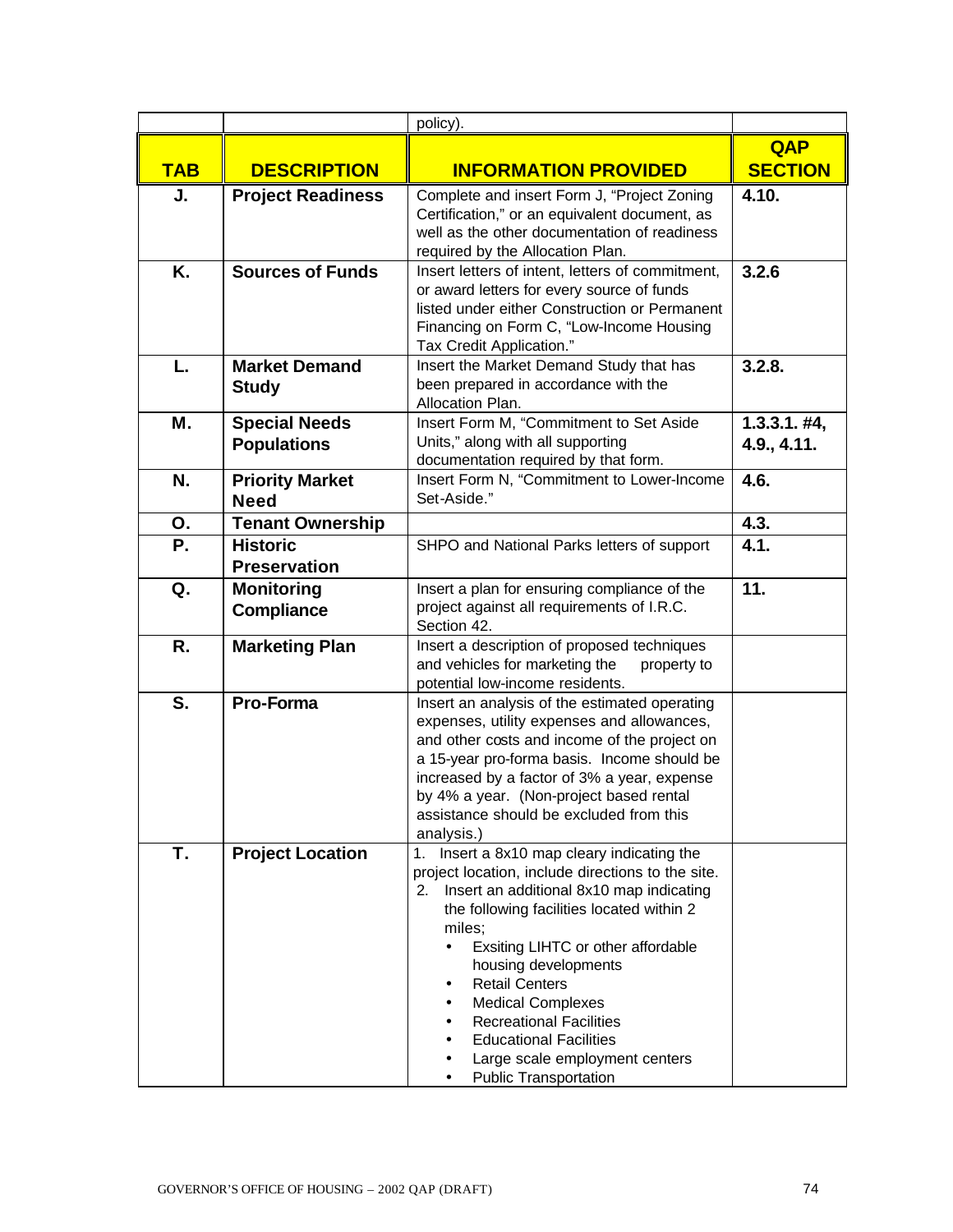|            |                                            | policy).                                                                                                                                                                                                                                                                                                                                                                                                                                                            |                                |
|------------|--------------------------------------------|---------------------------------------------------------------------------------------------------------------------------------------------------------------------------------------------------------------------------------------------------------------------------------------------------------------------------------------------------------------------------------------------------------------------------------------------------------------------|--------------------------------|
|            |                                            |                                                                                                                                                                                                                                                                                                                                                                                                                                                                     | <b>QAP</b>                     |
| <b>TAB</b> | <b>DESCRIPTION</b>                         | <b>INFORMATION PROVIDED</b>                                                                                                                                                                                                                                                                                                                                                                                                                                         | <b>SECTION</b>                 |
| J.         | <b>Project Readiness</b>                   | Complete and insert Form J, "Project Zoning<br>Certification," or an equivalent document, as<br>well as the other documentation of readiness<br>required by the Allocation Plan.                                                                                                                                                                                                                                                                                    | 4.10.                          |
| K.         | <b>Sources of Funds</b>                    | Insert letters of intent, letters of commitment,<br>or award letters for every source of funds<br>listed under either Construction or Permanent<br>Financing on Form C, "Low-Income Housing<br>Tax Credit Application."                                                                                                                                                                                                                                             | 3.2.6                          |
| L.         | <b>Market Demand</b><br><b>Study</b>       | Insert the Market Demand Study that has<br>been prepared in accordance with the<br>Allocation Plan.                                                                                                                                                                                                                                                                                                                                                                 | 3.2.8.                         |
| Μ.         | <b>Special Needs</b><br><b>Populations</b> | Insert Form M, "Commitment to Set Aside<br>Units," along with all supporting<br>documentation required by that form.                                                                                                                                                                                                                                                                                                                                                | $1.3.3.1. \#4,$<br>4.9., 4.11. |
| N.         | <b>Priority Market</b><br><b>Need</b>      | Insert Form N, "Commitment to Lower-Income<br>Set-Aside."                                                                                                                                                                                                                                                                                                                                                                                                           | 4.6.                           |
| О.         | <b>Tenant Ownership</b>                    |                                                                                                                                                                                                                                                                                                                                                                                                                                                                     | 4.3.                           |
| <b>P.</b>  | <b>Historic</b><br><b>Preservation</b>     | SHPO and National Parks letters of support                                                                                                                                                                                                                                                                                                                                                                                                                          | 4.1.                           |
| Q.         | <b>Monitoring</b><br><b>Compliance</b>     | Insert a plan for ensuring compliance of the<br>project against all requirements of I.R.C.<br>Section 42.                                                                                                                                                                                                                                                                                                                                                           | 11.                            |
| R.         | <b>Marketing Plan</b>                      | Insert a description of proposed techniques<br>and vehicles for marketing the<br>property to<br>potential low-income residents.                                                                                                                                                                                                                                                                                                                                     |                                |
| S.         | Pro-Forma                                  | Insert an analysis of the estimated operating<br>expenses, utility expenses and allowances,<br>and other costs and income of the project on<br>a 15-year pro-forma basis. Income should be<br>increased by a factor of 3% a year, expense<br>by 4% a year. (Non-project based rental<br>assistance should be excluded from this<br>analysis.)                                                                                                                       |                                |
| T.         | <b>Project Location</b>                    | Insert a 8x10 map cleary indicating the<br>1.<br>project location, include directions to the site.<br>Insert an additional 8x10 map indicating<br>2.<br>the following facilities located within 2<br>miles:<br>Exsiting LIHTC or other affordable<br>housing developments<br><b>Retail Centers</b><br><b>Medical Complexes</b><br><b>Recreational Facilities</b><br><b>Educational Facilities</b><br>Large scale employment centers<br><b>Public Transportation</b> |                                |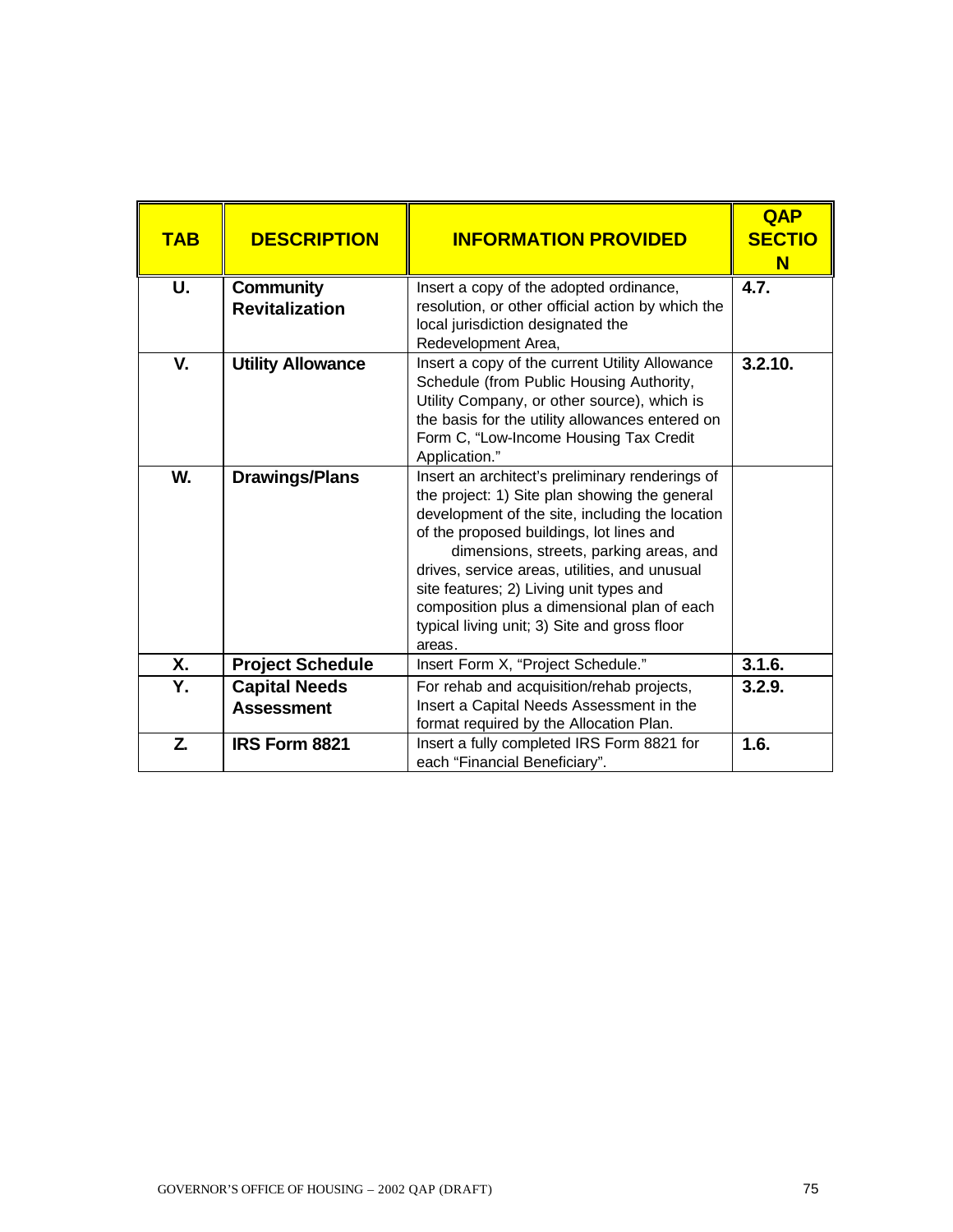| <b>TAB</b> | <b>DESCRIPTION</b>                 | <b>INFORMATION PROVIDED</b>                                                                                                                                                                                                                                                                                                                                                                                                                     | <b>QAP</b><br><b>SECTIO</b><br>N |
|------------|------------------------------------|-------------------------------------------------------------------------------------------------------------------------------------------------------------------------------------------------------------------------------------------------------------------------------------------------------------------------------------------------------------------------------------------------------------------------------------------------|----------------------------------|
| U.         | Community<br><b>Revitalization</b> | Insert a copy of the adopted ordinance,<br>resolution, or other official action by which the                                                                                                                                                                                                                                                                                                                                                    | 4.7.                             |
|            |                                    | local jurisdiction designated the<br>Redevelopment Area,                                                                                                                                                                                                                                                                                                                                                                                        |                                  |
| V.         | <b>Utility Allowance</b>           | Insert a copy of the current Utility Allowance<br>Schedule (from Public Housing Authority,<br>Utility Company, or other source), which is<br>the basis for the utility allowances entered on<br>Form C, "Low-Income Housing Tax Credit<br>Application."                                                                                                                                                                                         | 3.2.10.                          |
| W.         | <b>Drawings/Plans</b>              | Insert an architect's preliminary renderings of<br>the project: 1) Site plan showing the general<br>development of the site, including the location<br>of the proposed buildings, lot lines and<br>dimensions, streets, parking areas, and<br>drives, service areas, utilities, and unusual<br>site features; 2) Living unit types and<br>composition plus a dimensional plan of each<br>typical living unit; 3) Site and gross floor<br>areas. |                                  |
| Χ.         | <b>Project Schedule</b>            | Insert Form X, "Project Schedule."                                                                                                                                                                                                                                                                                                                                                                                                              | 3.1.6.                           |
| Y.         | <b>Capital Needs</b>               | For rehab and acquisition/rehab projects,                                                                                                                                                                                                                                                                                                                                                                                                       | 3.2.9.                           |
|            | <b>Assessment</b>                  | Insert a Capital Needs Assessment in the<br>format required by the Allocation Plan.                                                                                                                                                                                                                                                                                                                                                             |                                  |
| Z.         | <b>IRS Form 8821</b>               | Insert a fully completed IRS Form 8821 for<br>each "Financial Beneficiary".                                                                                                                                                                                                                                                                                                                                                                     | 1.6.                             |